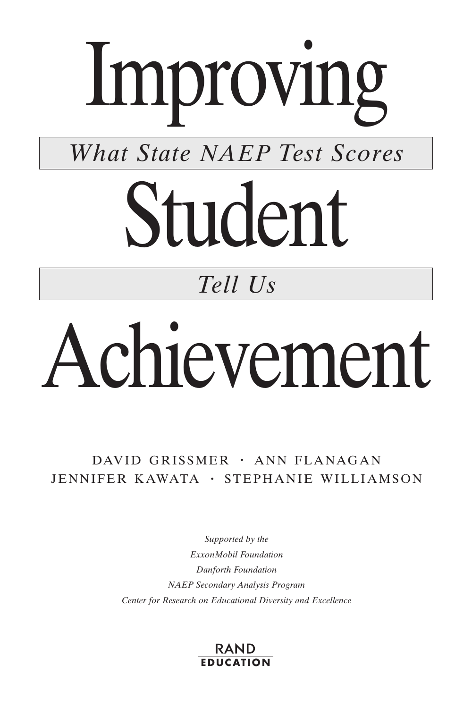# Improving

*What State NAEP Test Scores*

# Student

# *Tell Us*

# Achievement

DAVID GRISSMER · ANN FLANAGAN JENNIFER KAWATA · STEPHANIE WILLIAMSON

> *Supported by the ExxonMobil Foundation Danforth Foundation NAEP Secondary Analysis Program Center for Research on Educational Diversity and Excellence*

#### **EDUCATION** RAND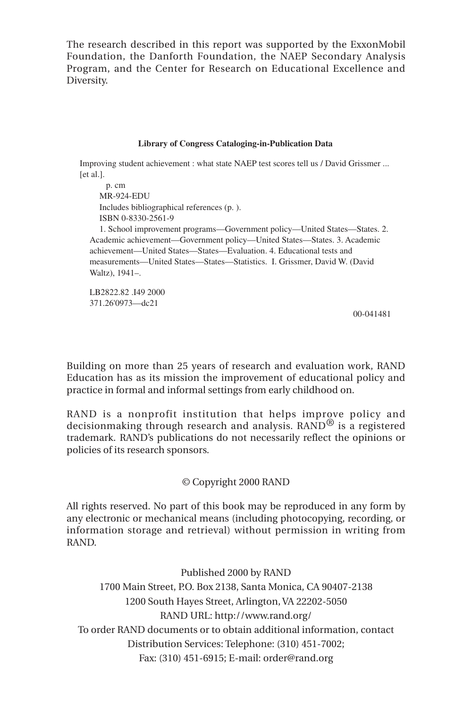The research described in this report was supported by the ExxonMobil Foundation, the Danforth Foundation, the NAEP Secondary Analysis Program, and the Center for Research on Educational Excellence and Diversity.

#### **Library of Congress Cataloging-in-Publication Data**

Improving student achievement : what state NAEP test scores tell us / David Grissmer ... [et al.].

```
 p. cm
  MR-924-EDU
  Includes bibliographical references (p. ).
  ISBN 0-8330-2561-9
  1. School improvement programs—Government policy—United States—States. 2. 
Academic achievement—Government policy—United States—States. 3. Academic 
achievement—United States—States—Evaluation. 4. Educational tests and 
measurements—United States—States—Statistics. I. Grissmer, David W. (David 
Waltz), 1941–.
LB2822.82 .I49 2000
```
371.26'0973—dc21

00-041481

Building on more than 25 years of research and evaluation work, RAND Education has as its mission the improvement of educational policy and practice in formal and informal settings from early childhood on.

RAND is a nonprofit institution that helps improve policy and decisionmaking through research and analysis. RAND® is a registered trademark. RAND's publications do not necessarily reflect the opinions or policies of its research sponsors.

#### © Copyright 2000 RAND

All rights reserved. No part of this book may be reproduced in any form by any electronic or mechanical means (including photocopying, recording, or information storage and retrieval) without permission in writing from RAND.

Published 2000 by RAND 1700 Main Street, P.O. Box 2138, Santa Monica, CA 90407-2138 1200 South Hayes Street, Arlington, VA 22202-5050 RAND URL: http://www.rand.org/ To order RAND documents or to obtain additional information, contact Distribution Services: Telephone: (310) 451-7002; Fax: (310) 451-6915; E-mail: order@rand.org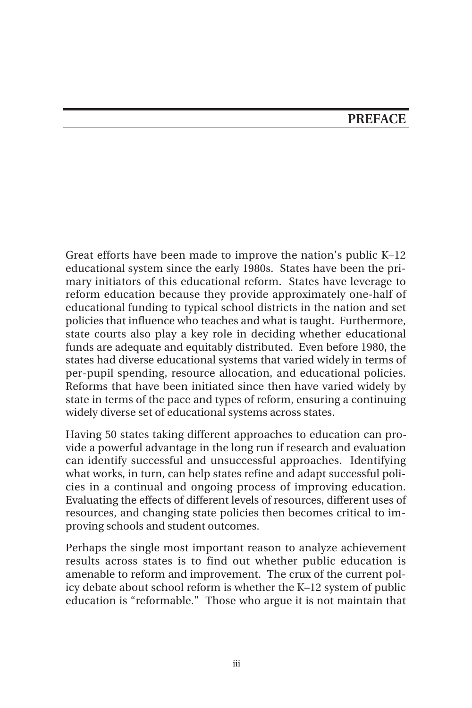#### **PREFACE**

Great efforts have been made to improve the nation's public K–12 educational system since the early 1980s. States have been the primary initiators of this educational reform. States have leverage to reform education because they provide approximately one-half of educational funding to typical school districts in the nation and set policies that influence who teaches and what is taught. Furthermore, state courts also play a key role in deciding whether educational funds are adequate and equitably distributed. Even before 1980, the states had diverse educational systems that varied widely in terms of per-pupil spending, resource allocation, and educational policies. Reforms that have been initiated since then have varied widely by state in terms of the pace and types of reform, ensuring a continuing widely diverse set of educational systems across states.

Having 50 states taking different approaches to education can provide a powerful advantage in the long run if research and evaluation can identify successful and unsuccessful approaches. Identifying what works, in turn, can help states refine and adapt successful policies in a continual and ongoing process of improving education. Evaluating the effects of different levels of resources, different uses of resources, and changing state policies then becomes critical to improving schools and student outcomes.

Perhaps the single most important reason to analyze achievement results across states is to find out whether public education is amenable to reform and improvement. The crux of the current policy debate about school reform is whether the K–12 system of public education is "reformable." Those who argue it is not maintain that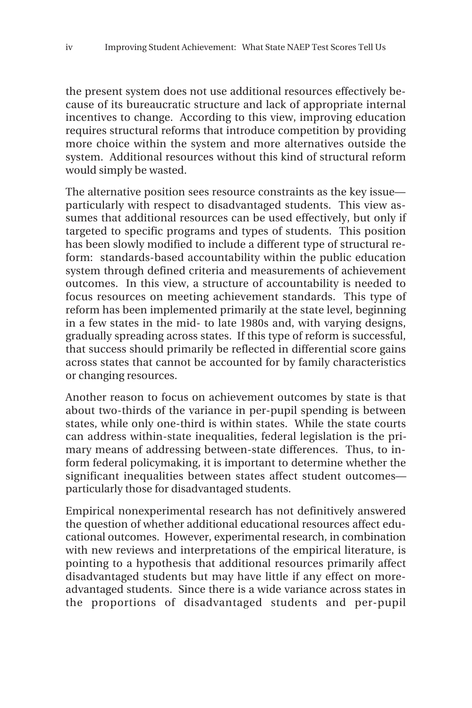the present system does not use additional resources effectively because of its bureaucratic structure and lack of appropriate internal incentives to change. According to this view, improving education requires structural reforms that introduce competition by providing more choice within the system and more alternatives outside the system. Additional resources without this kind of structural reform would simply be wasted.

The alternative position sees resource constraints as the key issue particularly with respect to disadvantaged students. This view assumes that additional resources can be used effectively, but only if targeted to specific programs and types of students. This position has been slowly modified to include a different type of structural reform: standards-based accountability within the public education system through defined criteria and measurements of achievement outcomes. In this view, a structure of accountability is needed to focus resources on meeting achievement standards. This type of reform has been implemented primarily at the state level, beginning in a few states in the mid- to late 1980s and, with varying designs, gradually spreading across states. If this type of reform is successful, that success should primarily be reflected in differential score gains across states that cannot be accounted for by family characteristics or changing resources.

Another reason to focus on achievement outcomes by state is that about two-thirds of the variance in per-pupil spending is between states, while only one-third is within states. While the state courts can address within-state inequalities, federal legislation is the primary means of addressing between-state differences. Thus, to inform federal policymaking, it is important to determine whether the significant inequalities between states affect student outcomes particularly those for disadvantaged students.

Empirical nonexperimental research has not definitively answered the question of whether additional educational resources affect educational outcomes. However, experimental research, in combination with new reviews and interpretations of the empirical literature, is pointing to a hypothesis that additional resources primarily affect disadvantaged students but may have little if any effect on moreadvantaged students. Since there is a wide variance across states in the proportions of disadvantaged students and per-pupil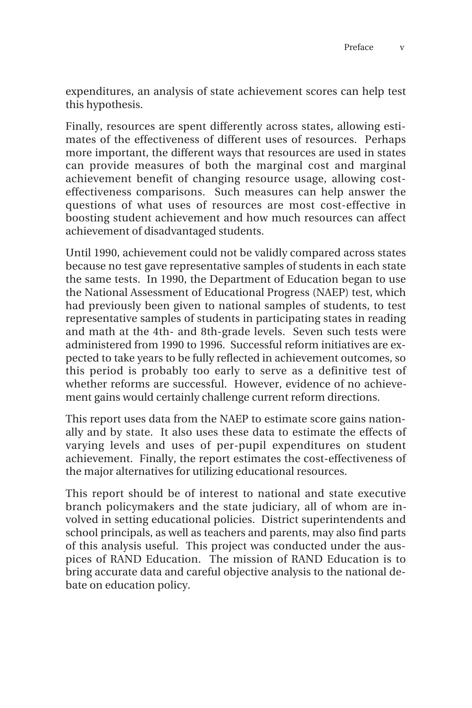expenditures, an analysis of state achievement scores can help test this hypothesis.

Finally, resources are spent differently across states, allowing estimates of the effectiveness of different uses of resources. Perhaps more important, the different ways that resources are used in states can provide measures of both the marginal cost and marginal achievement benefit of changing resource usage, allowing costeffectiveness comparisons. Such measures can help answer the questions of what uses of resources are most cost-effective in boosting student achievement and how much resources can affect achievement of disadvantaged students.

Until 1990, achievement could not be validly compared across states because no test gave representative samples of students in each state the same tests. In 1990, the Department of Education began to use the National Assessment of Educational Progress (NAEP) test, which had previously been given to national samples of students, to test representative samples of students in participating states in reading and math at the 4th- and 8th-grade levels. Seven such tests were administered from 1990 to 1996. Successful reform initiatives are expected to take years to be fully reflected in achievement outcomes, so this period is probably too early to serve as a definitive test of whether reforms are successful. However, evidence of no achievement gains would certainly challenge current reform directions.

This report uses data from the NAEP to estimate score gains nationally and by state. It also uses these data to estimate the effects of varying levels and uses of per-pupil expenditures on student achievement. Finally, the report estimates the cost-effectiveness of the major alternatives for utilizing educational resources.

This report should be of interest to national and state executive branch policymakers and the state judiciary, all of whom are involved in setting educational policies. District superintendents and school principals, as well as teachers and parents, may also find parts of this analysis useful. This project was conducted under the auspices of RAND Education. The mission of RAND Education is to bring accurate data and careful objective analysis to the national debate on education policy.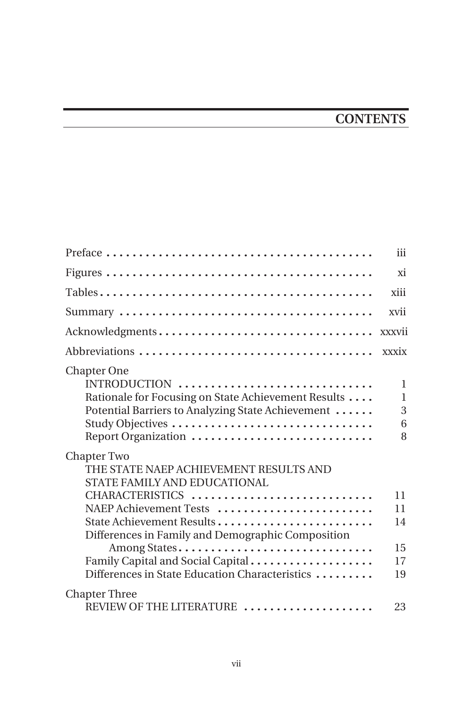## **CONTENTS**

|                                                                                                                                                                                           | iii                   |
|-------------------------------------------------------------------------------------------------------------------------------------------------------------------------------------------|-----------------------|
|                                                                                                                                                                                           | xi                    |
|                                                                                                                                                                                           | xiii                  |
|                                                                                                                                                                                           | xvii                  |
| Acknowledgments                                                                                                                                                                           | xxxvii                |
|                                                                                                                                                                                           | xxxix                 |
| <b>Chapter One</b><br>INTRODUCTION<br>Rationale for Focusing on State Achievement Results<br>Potential Barriers to Analyzing State Achievement<br>Study Objectives<br>Report Organization | 1<br>1<br>3<br>6<br>8 |
| Chapter Two<br>THE STATE NAEP ACHIEVEMENT RESULTS AND<br>STATE FAMILY AND EDUCATIONAL<br>CHARACTERISTICS<br>NAEP Achievement Tests<br>State Achievement Results                           | 11<br>11<br>14        |
| Differences in Family and Demographic Composition<br>Among States<br>Family Capital and Social Capital<br>Differences in State Education Characteristics                                  | 15<br>17<br>19        |
| <b>Chapter Three</b><br>REVIEW OF THE LITERATURE                                                                                                                                          | 23                    |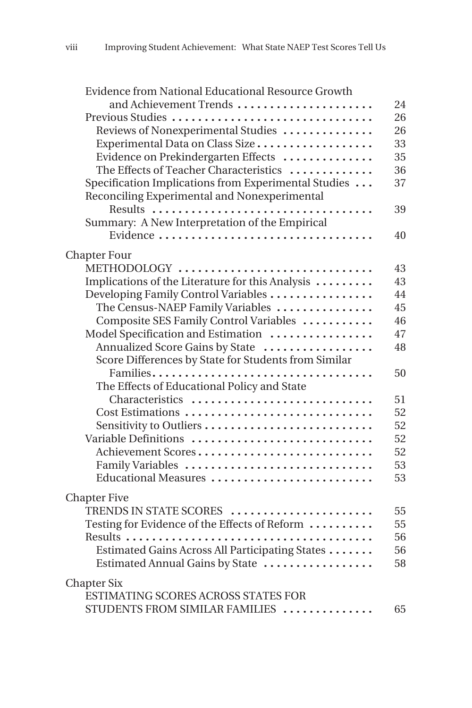| Evidence from National Educational Resource Growth   |    |
|------------------------------------------------------|----|
| and Achievement Trends                               | 24 |
| Previous Studies                                     | 26 |
| Reviews of Nonexperimental Studies                   | 26 |
| Experimental Data on Class Size                      | 33 |
| Evidence on Prekindergarten Effects                  | 35 |
| The Effects of Teacher Characteristics               | 36 |
| Specification Implications from Experimental Studies | 37 |
| Reconciling Experimental and Nonexperimental         |    |
| Results                                              | 39 |
| Summary: A New Interpretation of the Empirical       |    |
| Evidence                                             | 40 |
| <b>Chapter Four</b>                                  |    |
| METHODOLOGY                                          | 43 |
| Implications of the Literature for this Analysis     | 43 |
| Developing Family Control Variables                  | 44 |
| The Census-NAEP Family Variables                     | 45 |
| Composite SES Family Control Variables               | 46 |
| Model Specification and Estimation                   | 47 |
| Annualized Score Gains by State                      | 48 |
| Score Differences by State for Students from Similar |    |
| Families                                             | 50 |
| The Effects of Educational Policy and State          |    |
| Characteristics                                      | 51 |
| Cost Estimations                                     | 52 |
| Sensitivity to Outliers                              | 52 |
| Variable Definitions                                 | 52 |
| Achievement Scores                                   | 52 |
| Family Variables                                     | 53 |
| Educational Measures                                 | 53 |
| <b>Chapter Five</b>                                  |    |
| TRENDS IN STATE SCORES                               | 55 |
| Testing for Evidence of the Effects of Reform        | 55 |
|                                                      | 56 |
| Estimated Gains Across All Participating States      | 56 |
| Estimated Annual Gains by State                      | 58 |
| <b>Chapter Six</b>                                   |    |
| ESTIMATING SCORES ACROSS STATES FOR                  |    |
| STUDENTS FROM SIMILAR FAMILIES                       | 65 |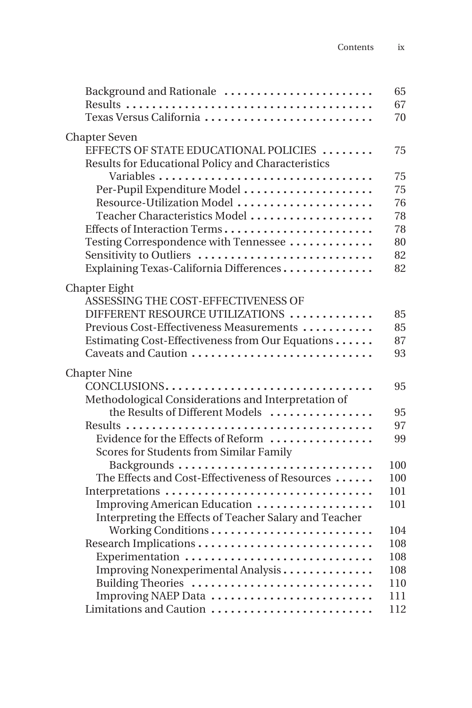| Background and Rationale                               | 65  |
|--------------------------------------------------------|-----|
|                                                        | 67  |
| Texas Versus California                                | 70  |
| <b>Chapter Seven</b>                                   |     |
| EFFECTS OF STATE EDUCATIONAL POLICIES                  | 75  |
| Results for Educational Policy and Characteristics     |     |
|                                                        | 75  |
| Per-Pupil Expenditure Model                            | 75  |
| Resource-Utilization Model                             | 76  |
| Teacher Characteristics Model                          | 78  |
| Effects of Interaction Terms                           | 78  |
| Testing Correspondence with Tennessee                  | 80  |
| Sensitivity to Outliers                                | 82  |
| Explaining Texas-California Differences                | 82  |
|                                                        |     |
| Chapter Eight                                          |     |
| ASSESSING THE COST-EFFECTIVENESS OF                    |     |
| DIFFERENT RESOURCE UTILIZATIONS                        | 85  |
| Previous Cost-Effectiveness Measurements               | 85  |
| Estimating Cost-Effectiveness from Our Equations       | 87  |
| Caveats and Caution                                    | 93  |
| <b>Chapter Nine</b>                                    |     |
| CONCLUSIONS                                            | 95  |
| Methodological Considerations and Interpretation of    |     |
| the Results of Different Models                        | 95  |
|                                                        | 97  |
| Evidence for the Effects of Reform                     | 99  |
| Scores for Students from Similar Family                |     |
| Backgrounds                                            | 100 |
| The Effects and Cost-Effectiveness of Resources        | 100 |
| Interpretations                                        | 101 |
| Improving American Education                           | 101 |
| Interpreting the Effects of Teacher Salary and Teacher |     |
| Working Conditions                                     | 104 |
| Research Implications                                  | 108 |
| Experimentation                                        | 108 |
| Improving Nonexperimental Analysis                     | 108 |
| Building Theories                                      | 110 |
| Improving NAEP Data                                    | 111 |
| Limitations and Caution                                | 112 |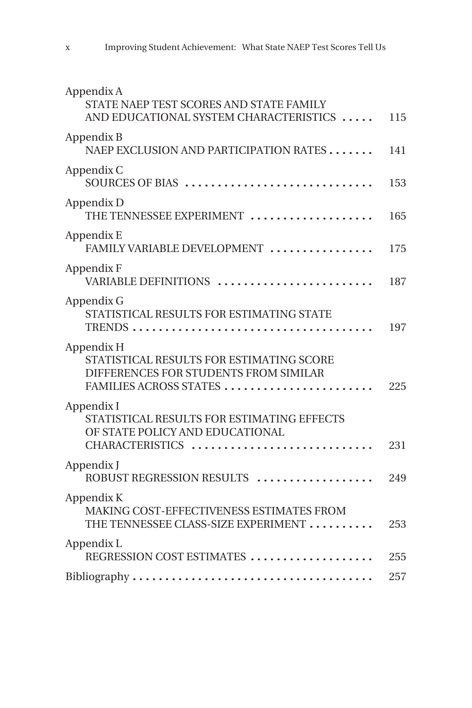| Appendix A<br>STATE NAEP TEST SCORES AND STATE FAMILY<br>AND EDUCATIONAL SYSTEM CHARACTERISTICS                           | 115 |
|---------------------------------------------------------------------------------------------------------------------------|-----|
| Appendix B<br>NAEP EXCLUSION AND PARTICIPATION RATES                                                                      | 141 |
| Appendix C<br>SOURCES OF BIAS                                                                                             | 153 |
| Appendix D<br>THE TENNESSEE EXPERIMENT                                                                                    | 165 |
| Appendix E<br>FAMILY VARIABLE DEVELOPMENT                                                                                 | 175 |
| Appendix F<br>VARIABLE DEFINITIONS                                                                                        | 187 |
| Appendix G<br>STATISTICAL RESULTS FOR ESTIMATING STATE                                                                    | 197 |
| Appendix H<br>STATISTICAL RESULTS FOR ESTIMATING SCORE<br>DIFFERENCES FOR STUDENTS FROM SIMILAR<br>FAMILIES ACROSS STATES | 225 |
| Appendix I<br>STATISTICAL RESULTS FOR ESTIMATING EFFECTS<br>OF STATE POLICY AND EDUCATIONAL<br>CHARACTERISTICS            | 231 |
| Appendix J<br>ROBUST REGRESSION RESULTS                                                                                   | 249 |
| Appendix K<br>MAKING COST-EFFECTIVENESS ESTIMATES FROM<br>THE TENNESSEE CLASS-SIZE EXPERIMENT                             | 253 |
| Appendix L<br>REGRESSION COST ESTIMATES                                                                                   | 255 |
|                                                                                                                           | 257 |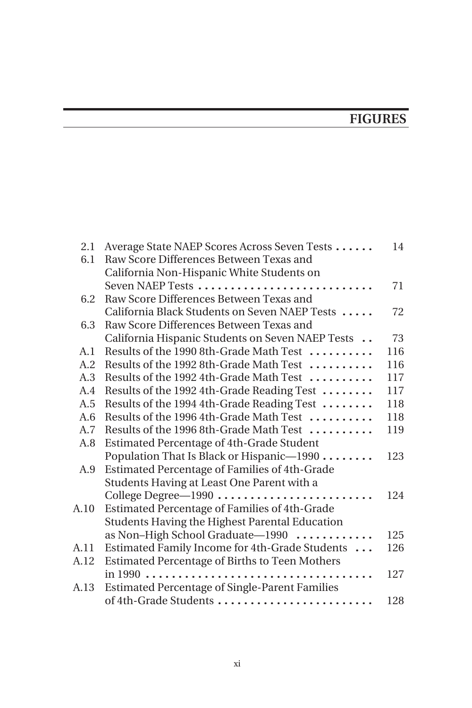## **FIGURES**

| 2.1  | Average State NAEP Scores Across Seven Tests          | 14  |
|------|-------------------------------------------------------|-----|
| 6.1  | Raw Score Differences Between Texas and               |     |
|      | California Non-Hispanic White Students on             |     |
|      | Seven NAEP Tests                                      | 71  |
| 6.2  | Raw Score Differences Between Texas and               |     |
|      | California Black Students on Seven NAEP Tests         | 72  |
| 6.3  | Raw Score Differences Between Texas and               |     |
|      | California Hispanic Students on Seven NAEP Tests      | 73  |
| A.1  | Results of the 1990 8th-Grade Math Test               | 116 |
| A.2  | Results of the 1992 8th-Grade Math Test               | 116 |
| A.3  | Results of the 1992 4th-Grade Math Test               | 117 |
| A.4  | Results of the 1992 4th-Grade Reading Test            | 117 |
| A.5  | Results of the 1994 4th-Grade Reading Test            | 118 |
| A.6  | Results of the 1996 4th-Grade Math Test               | 118 |
| A.7  | Results of the 1996 8th-Grade Math Test               | 119 |
| A.8  | <b>Estimated Percentage of 4th-Grade Student</b>      |     |
|      | Population That Is Black or Hispanic-1990             | 123 |
| A.9  | Estimated Percentage of Families of 4th-Grade         |     |
|      | Students Having at Least One Parent with a            |     |
|      | College Degree-1990                                   | 124 |
| A.10 | Estimated Percentage of Families of 4th-Grade         |     |
|      | Students Having the Highest Parental Education        |     |
|      | as Non-High School Graduate-1990                      | 125 |
| A.11 | Estimated Family Income for 4th-Grade Students        | 126 |
| A.12 | Estimated Percentage of Births to Teen Mothers        |     |
|      |                                                       | 127 |
| A.13 | <b>Estimated Percentage of Single-Parent Families</b> |     |
|      | of 4th-Grade Students                                 | 128 |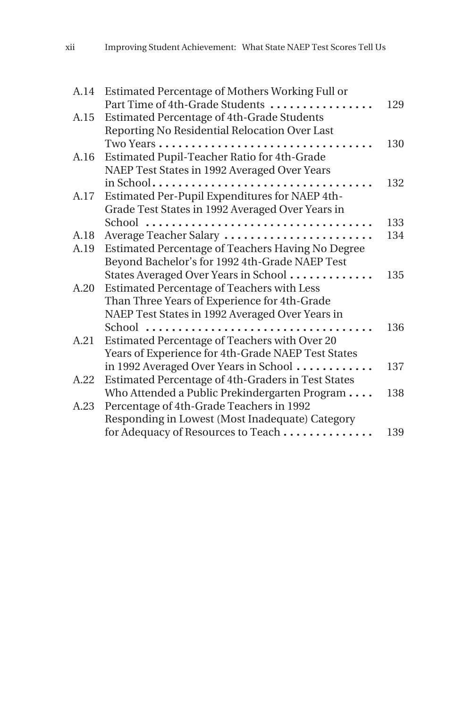| A.14 | Estimated Percentage of Mothers Working Full or    |     |
|------|----------------------------------------------------|-----|
|      | Part Time of 4th-Grade Students                    | 129 |
| A.15 | Estimated Percentage of 4th-Grade Students         |     |
|      | Reporting No Residential Relocation Over Last      |     |
|      |                                                    | 130 |
| A.16 | Estimated Pupil-Teacher Ratio for 4th-Grade        |     |
|      | NAEP Test States in 1992 Averaged Over Years       |     |
|      |                                                    | 132 |
| A.17 | Estimated Per-Pupil Expenditures for NAEP 4th-     |     |
|      | Grade Test States in 1992 Averaged Over Years in   |     |
|      |                                                    | 133 |
| A.18 | Average Teacher Salary                             | 134 |
| A.19 | Estimated Percentage of Teachers Having No Degree  |     |
|      | Beyond Bachelor's for 1992 4th-Grade NAEP Test     |     |
|      | States Averaged Over Years in School               | 135 |
| A.20 | Estimated Percentage of Teachers with Less         |     |
|      | Than Three Years of Experience for 4th-Grade       |     |
|      | NAEP Test States in 1992 Averaged Over Years in    |     |
|      | $School$                                           | 136 |
| A.21 | Estimated Percentage of Teachers with Over 20      |     |
|      | Years of Experience for 4th-Grade NAEP Test States |     |
|      | in 1992 Averaged Over Years in School              | 137 |
| A.22 | Estimated Percentage of 4th-Graders in Test States |     |
|      | Who Attended a Public Prekindergarten Program      | 138 |
| A.23 | Percentage of 4th-Grade Teachers in 1992           |     |
|      | Responding in Lowest (Most Inadequate) Category    |     |
|      | for Adequacy of Resources to Teach                 | 139 |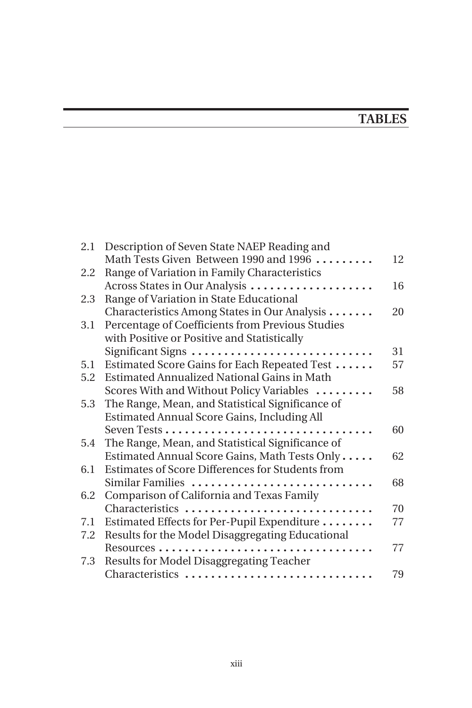## **TABLES**

| 2.1 | Description of Seven State NAEP Reading and        |    |
|-----|----------------------------------------------------|----|
|     | Math Tests Given Between 1990 and 1996             | 12 |
| 2.2 | Range of Variation in Family Characteristics       |    |
|     | Across States in Our Analysis                      | 16 |
| 2.3 | Range of Variation in State Educational            |    |
|     | Characteristics Among States in Our Analysis       | 20 |
| 3.1 | Percentage of Coefficients from Previous Studies   |    |
|     | with Positive or Positive and Statistically        |    |
|     | Significant Signs                                  | 31 |
| 5.1 | Estimated Score Gains for Each Repeated Test       | 57 |
| 5.2 | <b>Estimated Annualized National Gains in Math</b> |    |
|     | Scores With and Without Policy Variables           | 58 |
| 5.3 | The Range, Mean, and Statistical Significance of   |    |
|     | Estimated Annual Score Gains, Including All        |    |
|     |                                                    | 60 |
| 5.4 | The Range, Mean, and Statistical Significance of   |    |
|     | Estimated Annual Score Gains, Math Tests Only      | 62 |
| 6.1 | Estimates of Score Differences for Students from   |    |
|     | Similar Families                                   | 68 |
| 6.2 | Comparison of California and Texas Family          |    |
|     | Characteristics                                    | 70 |
| 7.1 | Estimated Effects for Per-Pupil Expenditure        | 77 |
| 7.2 | Results for the Model Disaggregating Educational   |    |
|     |                                                    | 77 |
| 7.3 | Results for Model Disaggregating Teacher           |    |
|     | Characteristics                                    | 79 |
|     |                                                    |    |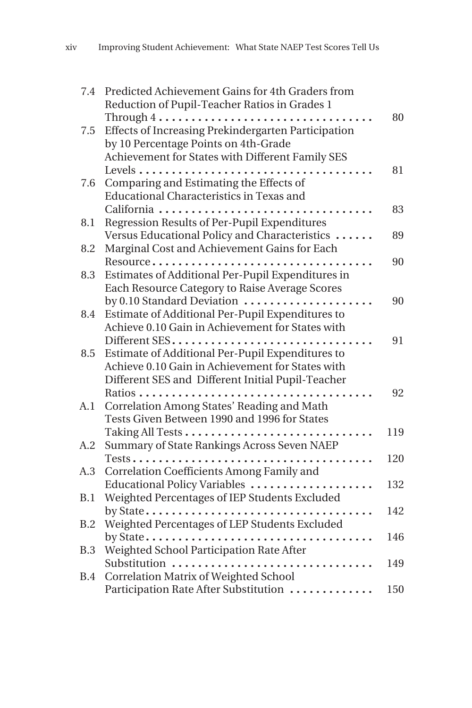| 7.4        | Predicted Achievement Gains for 4th Graders from                           |     |
|------------|----------------------------------------------------------------------------|-----|
|            | Reduction of Pupil-Teacher Ratios in Grades 1                              |     |
|            | $Through 4 \ldots \ldots \ldots \ldots \ldots \ldots \ldots \ldots \ldots$ | 80  |
| 7.5        | Effects of Increasing Prekindergarten Participation                        |     |
|            | by 10 Percentage Points on 4th-Grade                                       |     |
|            | Achievement for States with Different Family SES                           |     |
|            |                                                                            | 81  |
| 7.6        | Comparing and Estimating the Effects of                                    |     |
|            | Educational Characteristics in Texas and                                   |     |
|            | California                                                                 | 83  |
| 8.1        | Regression Results of Per-Pupil Expenditures                               |     |
|            | Versus Educational Policy and Characteristics                              | 89  |
| 8.2        | Marginal Cost and Achievement Gains for Each                               |     |
|            | Resource                                                                   | 90  |
| 8.3        | Estimates of Additional Per-Pupil Expenditures in                          |     |
|            | Each Resource Category to Raise Average Scores                             |     |
|            | by 0.10 Standard Deviation                                                 | 90  |
| 8.4        | Estimate of Additional Per-Pupil Expenditures to                           |     |
|            | Achieve 0.10 Gain in Achievement for States with                           |     |
|            | Different SES                                                              | 91  |
| 8.5        | Estimate of Additional Per-Pupil Expenditures to                           |     |
|            | Achieve 0.10 Gain in Achievement for States with                           |     |
|            | Different SES and Different Initial Pupil-Teacher                          |     |
|            |                                                                            | 92  |
| A.1        | Correlation Among States' Reading and Math                                 |     |
|            | Tests Given Between 1990 and 1996 for States                               |     |
|            | Taking All Tests                                                           | 119 |
| A.2        | Summary of State Rankings Across Seven NAEP                                |     |
|            |                                                                            | 120 |
| A.3        | Correlation Coefficients Among Family and                                  |     |
|            | Educational Policy Variables                                               | 132 |
| B.1        | Weighted Percentages of IEP Students Excluded                              |     |
|            |                                                                            | 142 |
| B.2        | Weighted Percentages of LEP Students Excluded                              |     |
|            |                                                                            | 146 |
| B.3        | Weighted School Participation Rate After                                   |     |
|            | Substitution                                                               | 149 |
| <b>B.4</b> | <b>Correlation Matrix of Weighted School</b>                               |     |
|            | Participation Rate After Substitution                                      | 150 |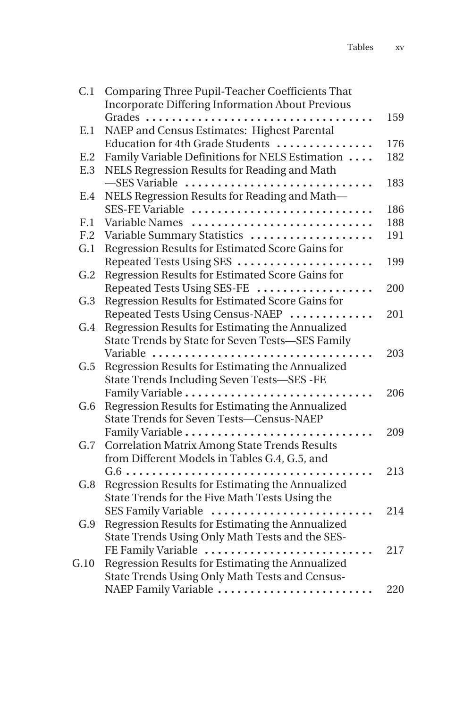| C.1  | Comparing Three Pupil-Teacher Coefficients That<br><b>Incorporate Differing Information About Previous</b> |     |
|------|------------------------------------------------------------------------------------------------------------|-----|
|      |                                                                                                            | 159 |
| E.1  | NAEP and Census Estimates: Highest Parental                                                                |     |
|      | Education for 4th Grade Students                                                                           | 176 |
| E.2  | Family Variable Definitions for NELS Estimation                                                            | 182 |
| E.3  | NELS Regression Results for Reading and Math                                                               |     |
|      | -SES Variable                                                                                              | 183 |
| E.4  | NELS Regression Results for Reading and Math-                                                              |     |
|      | SES-FE Variable                                                                                            | 186 |
| F.1  | Variable Names                                                                                             | 188 |
| F.2  | Variable Summary Statistics                                                                                | 191 |
| G.1  | Regression Results for Estimated Score Gains for                                                           |     |
|      | Repeated Tests Using SES                                                                                   | 199 |
| G.2  | Regression Results for Estimated Score Gains for                                                           |     |
|      | Repeated Tests Using SES-FE                                                                                | 200 |
| G.3  | Regression Results for Estimated Score Gains for                                                           |     |
|      | Repeated Tests Using Census-NAEP                                                                           | 201 |
| G.4  | Regression Results for Estimating the Annualized                                                           |     |
|      | State Trends by State for Seven Tests-SES Family                                                           |     |
|      | Variable<br>$\ddots$                                                                                       | 203 |
| G.5  | Regression Results for Estimating the Annualized                                                           |     |
|      | State Trends Including Seven Tests-SES -FE                                                                 |     |
|      | Family Variable<br>$\ddotsc$                                                                               | 206 |
| G.6  | Regression Results for Estimating the Annualized                                                           |     |
|      | State Trends for Seven Tests-Census-NAEP                                                                   |     |
|      |                                                                                                            | 209 |
| G.7  | <b>Correlation Matrix Among State Trends Results</b>                                                       |     |
|      | from Different Models in Tables G.4, G.5, and                                                              |     |
|      |                                                                                                            | 213 |
| G.8  | Regression Results for Estimating the Annualized                                                           |     |
|      | State Trends for the Five Math Tests Using the                                                             |     |
|      | SES Family Variable                                                                                        | 214 |
| G.9  | Regression Results for Estimating the Annualized                                                           |     |
|      | State Trends Using Only Math Tests and the SES-                                                            |     |
|      | FE Family Variable                                                                                         | 217 |
| G.10 | Regression Results for Estimating the Annualized                                                           |     |
|      | State Trends Using Only Math Tests and Census-                                                             |     |
|      | NAEP Family Variable                                                                                       | 220 |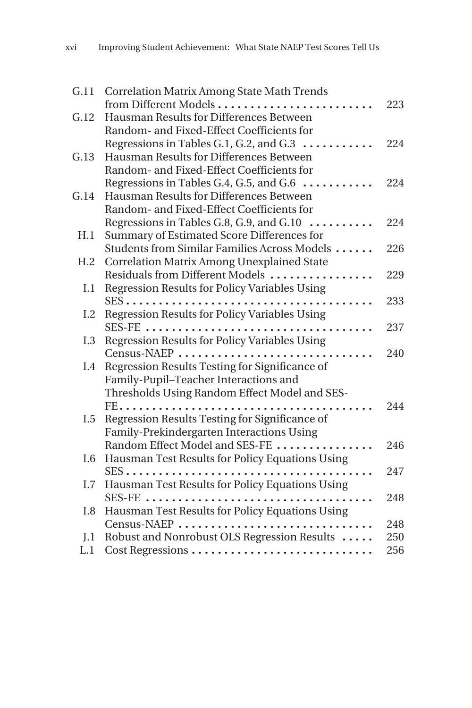| G.11            | <b>Correlation Matrix Among State Math Trends</b>         |     |
|-----------------|-----------------------------------------------------------|-----|
|                 | from Different Models                                     | 223 |
| G.12            | Hausman Results for Differences Between                   |     |
|                 | Random- and Fixed-Effect Coefficients for                 |     |
|                 | Regressions in Tables G.1, G.2, and G.3                   | 224 |
| G.13            | Hausman Results for Differences Between                   |     |
|                 | Random- and Fixed-Effect Coefficients for                 |     |
|                 | Regressions in Tables G.4, G.5, and G.6 $\dots\dots\dots$ | 224 |
| G.14            | Hausman Results for Differences Between                   |     |
|                 | Random- and Fixed-Effect Coefficients for                 |     |
|                 | Regressions in Tables G.8, G.9, and G.10                  | 224 |
| H.1             | Summary of Estimated Score Differences for                |     |
|                 | Students from Similar Families Across Models              | 226 |
| H <sub>.2</sub> | Correlation Matrix Among Unexplained State                |     |
|                 | Residuals from Different Models                           | 229 |
| I.1             | Regression Results for Policy Variables Using             |     |
|                 |                                                           | 233 |
| I.2             | <b>Regression Results for Policy Variables Using</b>      |     |
|                 |                                                           | 237 |
| I.3             | <b>Regression Results for Policy Variables Using</b>      |     |
|                 | Census-NAEP                                               | 240 |
| I.4             | Regression Results Testing for Significance of            |     |
|                 | Family-Pupil-Teacher Interactions and                     |     |
|                 | Thresholds Using Random Effect Model and SES-             |     |
|                 |                                                           | 244 |
| I.5             | Regression Results Testing for Significance of            |     |
|                 | Family-Prekindergarten Interactions Using                 |     |
|                 | Random Effect Model and SES-FE                            | 246 |
| I.6             | Hausman Test Results for Policy Equations Using           |     |
|                 |                                                           | 247 |
| I.7             | Hausman Test Results for Policy Equations Using           |     |
|                 |                                                           | 248 |
| I.8             | Hausman Test Results for Policy Equations Using           |     |
|                 | Census-NAEP                                               | 248 |
| J.1             | Robust and Nonrobust OLS Regression Results               | 250 |
| L.1             |                                                           | 256 |
|                 | Cost Regressions                                          |     |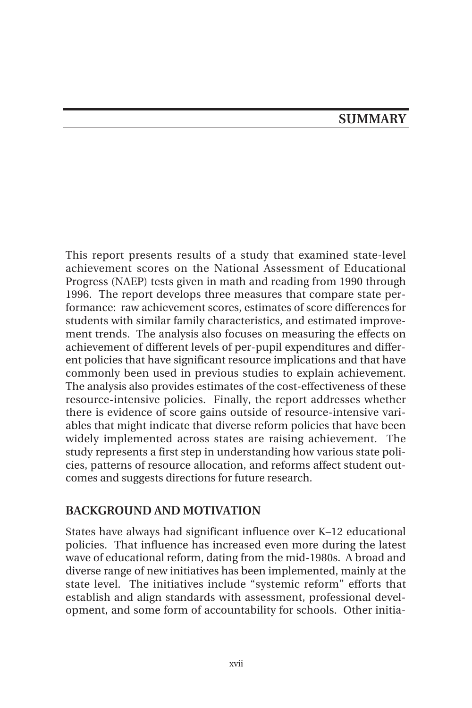#### **SUMMARY**

This report presents results of a study that examined state-level achievement scores on the National Assessment of Educational Progress (NAEP) tests given in math and reading from 1990 through 1996. The report develops three measures that compare state performance: raw achievement scores, estimates of score differences for students with similar family characteristics, and estimated improvement trends. The analysis also focuses on measuring the effects on achievement of different levels of per-pupil expenditures and different policies that have significant resource implications and that have commonly been used in previous studies to explain achievement. The analysis also provides estimates of the cost-effectiveness of these resource-intensive policies. Finally, the report addresses whether there is evidence of score gains outside of resource-intensive variables that might indicate that diverse reform policies that have been widely implemented across states are raising achievement. The study represents a first step in understanding how various state policies, patterns of resource allocation, and reforms affect student outcomes and suggests directions for future research.

#### **BACKGROUND AND MOTIVATION**

States have always had significant influence over K–12 educational policies. That influence has increased even more during the latest wave of educational reform, dating from the mid-1980s. A broad and diverse range of new initiatives has been implemented, mainly at the state level. The initiatives include "systemic reform" efforts that establish and align standards with assessment, professional development, and some form of accountability for schools. Other initia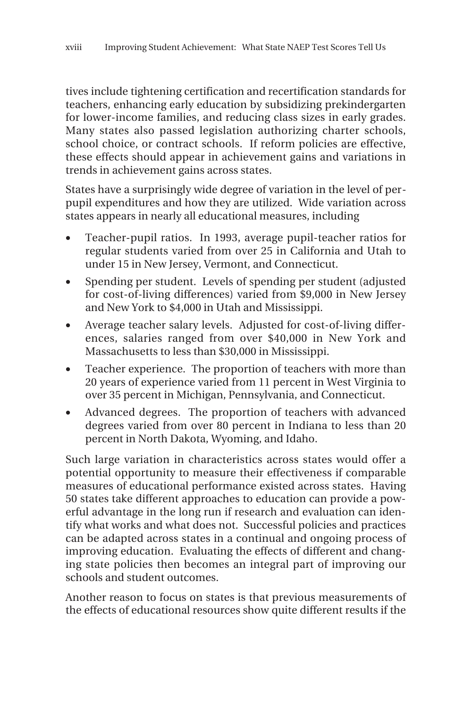tives include tightening certification and recertification standards for teachers, enhancing early education by subsidizing prekindergarten for lower-income families, and reducing class sizes in early grades. Many states also passed legislation authorizing charter schools, school choice, or contract schools. If reform policies are effective, these effects should appear in achievement gains and variations in trends in achievement gains across states.

States have a surprisingly wide degree of variation in the level of perpupil expenditures and how they are utilized. Wide variation across states appears in nearly all educational measures, including

- Teacher-pupil ratios. In 1993, average pupil-teacher ratios for regular students varied from over 25 in California and Utah to under 15 in New Jersey, Vermont, and Connecticut.
- Spending per student. Levels of spending per student (adjusted for cost-of-living differences) varied from \$9,000 in New Jersey and New York to \$4,000 in Utah and Mississippi.
- Average teacher salary levels. Adjusted for cost-of-living differences, salaries ranged from over \$40,000 in New York and Massachusetts to less than \$30,000 in Mississippi.
- Teacher experience. The proportion of teachers with more than 20 years of experience varied from 11 percent in West Virginia to over 35 percent in Michigan, Pennsylvania, and Connecticut.
- Advanced degrees. The proportion of teachers with advanced degrees varied from over 80 percent in Indiana to less than 20 percent in North Dakota, Wyoming, and Idaho.

Such large variation in characteristics across states would offer a potential opportunity to measure their effectiveness if comparable measures of educational performance existed across states. Having 50 states take different approaches to education can provide a powerful advantage in the long run if research and evaluation can identify what works and what does not. Successful policies and practices can be adapted across states in a continual and ongoing process of improving education. Evaluating the effects of different and changing state policies then becomes an integral part of improving our schools and student outcomes.

Another reason to focus on states is that previous measurements of the effects of educational resources show quite different results if the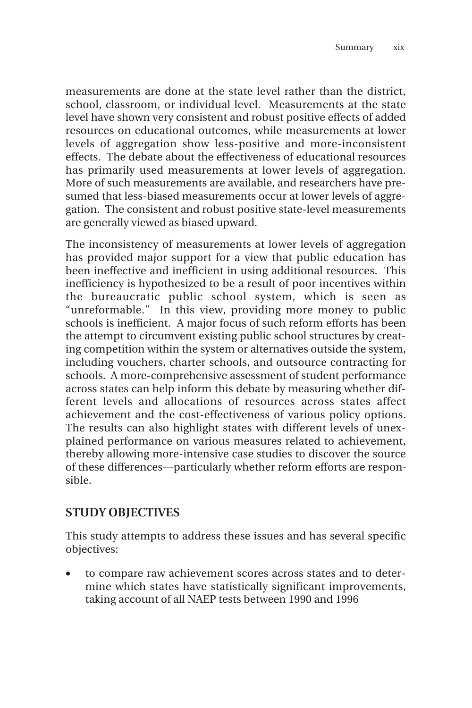measurements are done at the state level rather than the district, school, classroom, or individual level. Measurements at the state level have shown very consistent and robust positive effects of added resources on educational outcomes, while measurements at lower levels of aggregation show less-positive and more-inconsistent effects. The debate about the effectiveness of educational resources has primarily used measurements at lower levels of aggregation. More of such measurements are available, and researchers have presumed that less-biased measurements occur at lower levels of aggregation. The consistent and robust positive state-level measurements are generally viewed as biased upward.

The inconsistency of measurements at lower levels of aggregation has provided major support for a view that public education has been ineffective and inefficient in using additional resources. This inefficiency is hypothesized to be a result of poor incentives within the bureaucratic public school system, which is seen as "unreformable." In this view, providing more money to public schools is inefficient. A major focus of such reform efforts has been the attempt to circumvent existing public school structures by creating competition within the system or alternatives outside the system, including vouchers, charter schools, and outsource contracting for schools. A more-comprehensive assessment of student performance across states can help inform this debate by measuring whether different levels and allocations of resources across states affect achievement and the cost-effectiveness of various policy options. The results can also highlight states with different levels of unexplained performance on various measures related to achievement, thereby allowing more-intensive case studies to discover the source of these differences—particularly whether reform efforts are responsible.

#### **STUDY OBJECTIVES**

This study attempts to address these issues and has several specific objectives:

• to compare raw achievement scores across states and to determine which states have statistically significant improvements, taking account of all NAEP tests between 1990 and 1996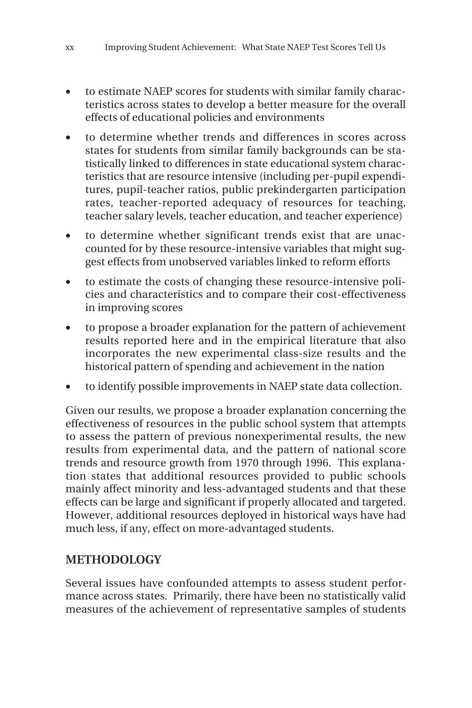- to estimate NAEP scores for students with similar family characteristics across states to develop a better measure for the overall effects of educational policies and environments
- to determine whether trends and differences in scores across states for students from similar family backgrounds can be statistically linked to differences in state educational system characteristics that are resource intensive (including per-pupil expenditures, pupil-teacher ratios, public prekindergarten participation rates, teacher-reported adequacy of resources for teaching, teacher salary levels, teacher education, and teacher experience)
- to determine whether significant trends exist that are unaccounted for by these resource-intensive variables that might suggest effects from unobserved variables linked to reform efforts
- to estimate the costs of changing these resource-intensive policies and characteristics and to compare their cost-effectiveness in improving scores
- to propose a broader explanation for the pattern of achievement results reported here and in the empirical literature that also incorporates the new experimental class-size results and the historical pattern of spending and achievement in the nation
- to identify possible improvements in NAEP state data collection.

Given our results, we propose a broader explanation concerning the effectiveness of resources in the public school system that attempts to assess the pattern of previous nonexperimental results, the new results from experimental data, and the pattern of national score trends and resource growth from 1970 through 1996. This explanation states that additional resources provided to public schools mainly affect minority and less-advantaged students and that these effects can be large and significant if properly allocated and targeted. However, additional resources deployed in historical ways have had much less, if any, effect on more-advantaged students.

#### **METHODOLOGY**

Several issues have confounded attempts to assess student performance across states. Primarily, there have been no statistically valid measures of the achievement of representative samples of students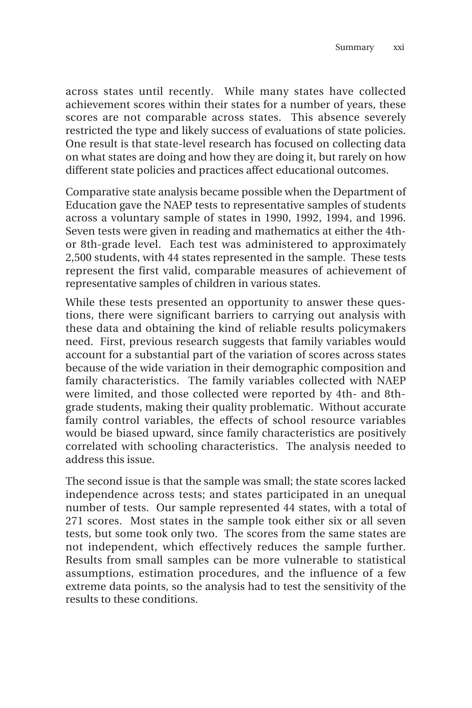across states until recently. While many states have collected achievement scores within their states for a number of years, these scores are not comparable across states. This absence severely restricted the type and likely success of evaluations of state policies. One result is that state-level research has focused on collecting data on what states are doing and how they are doing it, but rarely on how different state policies and practices affect educational outcomes.

Comparative state analysis became possible when the Department of Education gave the NAEP tests to representative samples of students across a voluntary sample of states in 1990, 1992, 1994, and 1996. Seven tests were given in reading and mathematics at either the 4thor 8th-grade level. Each test was administered to approximately 2,500 students, with 44 states represented in the sample. These tests represent the first valid, comparable measures of achievement of representative samples of children in various states.

While these tests presented an opportunity to answer these questions, there were significant barriers to carrying out analysis with these data and obtaining the kind of reliable results policymakers need. First, previous research suggests that family variables would account for a substantial part of the variation of scores across states because of the wide variation in their demographic composition and family characteristics. The family variables collected with NAEP were limited, and those collected were reported by 4th- and 8thgrade students, making their quality problematic. Without accurate family control variables, the effects of school resource variables would be biased upward, since family characteristics are positively correlated with schooling characteristics. The analysis needed to address this issue.

The second issue is that the sample was small; the state scores lacked independence across tests; and states participated in an unequal number of tests. Our sample represented 44 states, with a total of 271 scores. Most states in the sample took either six or all seven tests, but some took only two. The scores from the same states are not independent, which effectively reduces the sample further. Results from small samples can be more vulnerable to statistical assumptions, estimation procedures, and the influence of a few extreme data points, so the analysis had to test the sensitivity of the results to these conditions.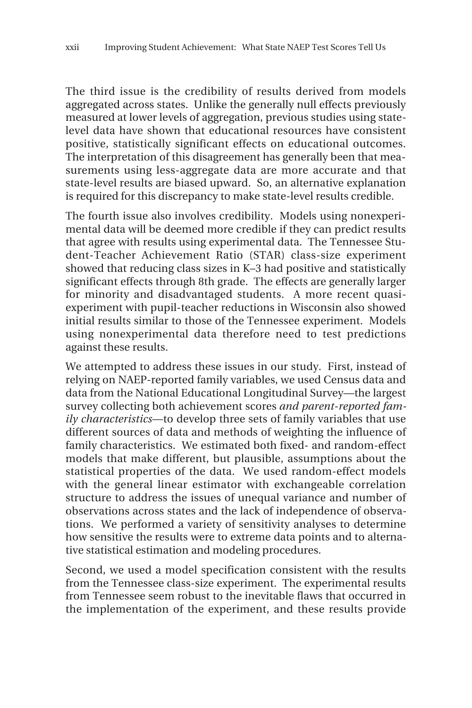The third issue is the credibility of results derived from models aggregated across states. Unlike the generally null effects previously measured at lower levels of aggregation, previous studies using statelevel data have shown that educational resources have consistent positive, statistically significant effects on educational outcomes. The interpretation of this disagreement has generally been that measurements using less-aggregate data are more accurate and that state-level results are biased upward. So, an alternative explanation is required for this discrepancy to make state-level results credible.

The fourth issue also involves credibility. Models using nonexperimental data will be deemed more credible if they can predict results that agree with results using experimental data. The Tennessee Student-Teacher Achievement Ratio (STAR) class-size experiment showed that reducing class sizes in K–3 had positive and statistically significant effects through 8th grade. The effects are generally larger for minority and disadvantaged students. A more recent quasiexperiment with pupil-teacher reductions in Wisconsin also showed initial results similar to those of the Tennessee experiment. Models using nonexperimental data therefore need to test predictions against these results.

We attempted to address these issues in our study. First, instead of relying on NAEP-reported family variables, we used Census data and data from the National Educational Longitudinal Survey—the largest survey collecting both achievement scores *and parent-reported family characteristics*—to develop three sets of family variables that use different sources of data and methods of weighting the influence of family characteristics. We estimated both fixed- and random-effect models that make different, but plausible, assumptions about the statistical properties of the data. We used random-effect models with the general linear estimator with exchangeable correlation structure to address the issues of unequal variance and number of observations across states and the lack of independence of observations. We performed a variety of sensitivity analyses to determine how sensitive the results were to extreme data points and to alternative statistical estimation and modeling procedures.

Second, we used a model specification consistent with the results from the Tennessee class-size experiment. The experimental results from Tennessee seem robust to the inevitable flaws that occurred in the implementation of the experiment, and these results provide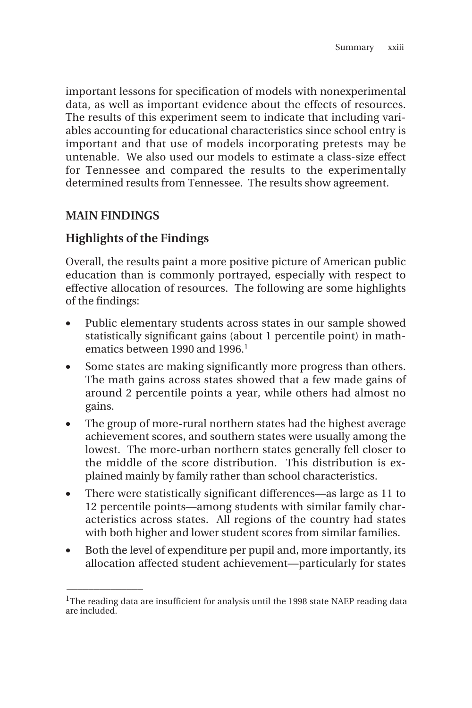important lessons for specification of models with nonexperimental data, as well as important evidence about the effects of resources. The results of this experiment seem to indicate that including variables accounting for educational characteristics since school entry is important and that use of models incorporating pretests may be untenable. We also used our models to estimate a class-size effect for Tennessee and compared the results to the experimentally determined results from Tennessee. The results show agreement.

#### **MAIN FINDINGS**

\_\_\_\_\_\_\_\_\_\_\_\_\_\_

#### **Highlights of the Findings**

Overall, the results paint a more positive picture of American public education than is commonly portrayed, especially with respect to effective allocation of resources. The following are some highlights of the findings:

- Public elementary students across states in our sample showed statistically significant gains (about 1 percentile point) in mathematics between 1990 and 1996.<sup>1</sup>
- Some states are making significantly more progress than others. The math gains across states showed that a few made gains of around 2 percentile points a year, while others had almost no gains.
- The group of more-rural northern states had the highest average achievement scores, and southern states were usually among the lowest. The more-urban northern states generally fell closer to the middle of the score distribution. This distribution is explained mainly by family rather than school characteristics.
- There were statistically significant differences—as large as 11 to 12 percentile points—among students with similar family characteristics across states. All regions of the country had states with both higher and lower student scores from similar families.
- Both the level of expenditure per pupil and, more importantly, its allocation affected student achievement—particularly for states

<sup>&</sup>lt;sup>1</sup>The reading data are insufficient for analysis until the 1998 state NAEP reading data are included.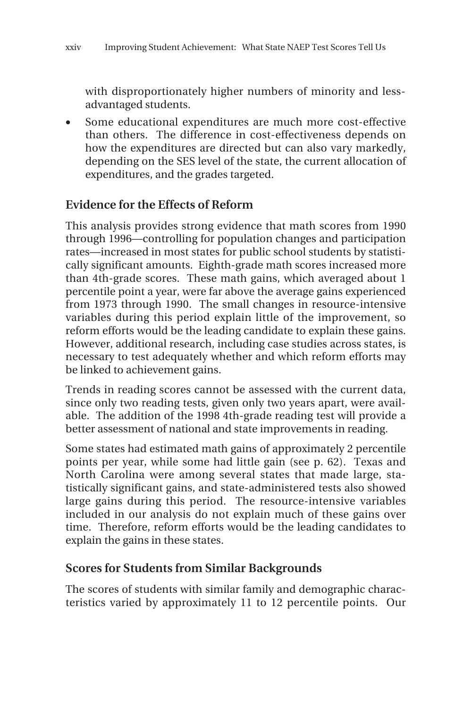with disproportionately higher numbers of minority and lessadvantaged students.

• Some educational expenditures are much more cost-effective than others. The difference in cost-effectiveness depends on how the expenditures are directed but can also vary markedly, depending on the SES level of the state, the current allocation of expenditures, and the grades targeted.

#### **Evidence for the Effects of Reform**

This analysis provides strong evidence that math scores from 1990 through 1996—controlling for population changes and participation rates—increased in most states for public school students by statistically significant amounts. Eighth-grade math scores increased more than 4th-grade scores. These math gains, which averaged about 1 percentile point a year, were far above the average gains experienced from 1973 through 1990. The small changes in resource-intensive variables during this period explain little of the improvement, so reform efforts would be the leading candidate to explain these gains. However, additional research, including case studies across states, is necessary to test adequately whether and which reform efforts may be linked to achievement gains.

Trends in reading scores cannot be assessed with the current data, since only two reading tests, given only two years apart, were available. The addition of the 1998 4th-grade reading test will provide a better assessment of national and state improvements in reading.

Some states had estimated math gains of approximately 2 percentile points per year, while some had little gain (see p. 62). Texas and North Carolina were among several states that made large, statistically significant gains, and state-administered tests also showed large gains during this period. The resource-intensive variables included in our analysis do not explain much of these gains over time. Therefore, reform efforts would be the leading candidates to explain the gains in these states.

#### **Scores for Students from Similar Backgrounds**

The scores of students with similar family and demographic characteristics varied by approximately 11 to 12 percentile points. Our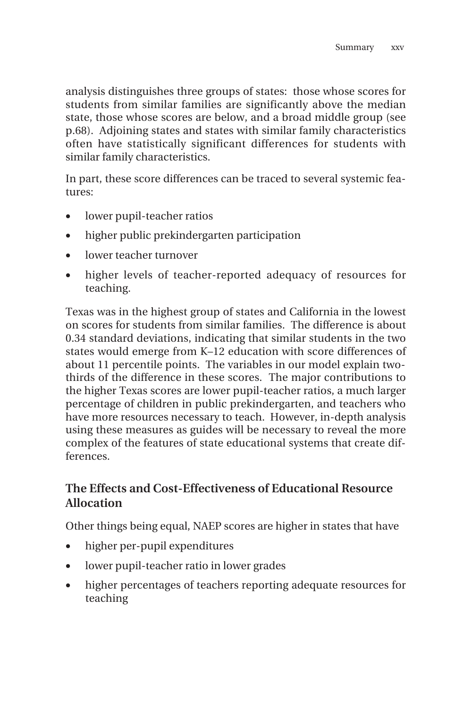analysis distinguishes three groups of states: those whose scores for students from similar families are significantly above the median state, those whose scores are below, and a broad middle group (see p.68). Adjoining states and states with similar family characteristics often have statistically significant differences for students with similar family characteristics.

In part, these score differences can be traced to several systemic features:

- lower pupil-teacher ratios
- higher public prekindergarten participation
- lower teacher turnover
- higher levels of teacher-reported adequacy of resources for teaching.

Texas was in the highest group of states and California in the lowest on scores for students from similar families. The difference is about 0.34 standard deviations, indicating that similar students in the two states would emerge from K–12 education with score differences of about 11 percentile points. The variables in our model explain twothirds of the difference in these scores. The major contributions to the higher Texas scores are lower pupil-teacher ratios, a much larger percentage of children in public prekindergarten, and teachers who have more resources necessary to teach. However, in-depth analysis using these measures as guides will be necessary to reveal the more complex of the features of state educational systems that create differences.

#### **The Effects and Cost-Effectiveness of Educational Resource Allocation**

Other things being equal, NAEP scores are higher in states that have

- higher per-pupil expenditures
- lower pupil-teacher ratio in lower grades
- higher percentages of teachers reporting adequate resources for teaching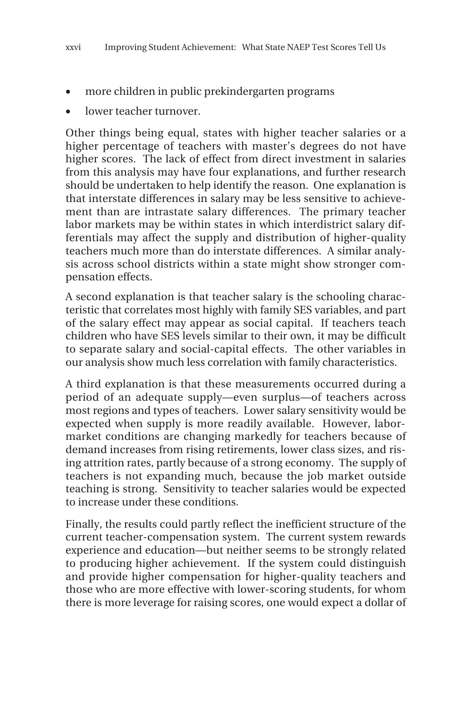- more children in public prekindergarten programs
- lower teacher turnover.

Other things being equal, states with higher teacher salaries or a higher percentage of teachers with master's degrees do not have higher scores. The lack of effect from direct investment in salaries from this analysis may have four explanations, and further research should be undertaken to help identify the reason. One explanation is that interstate differences in salary may be less sensitive to achievement than are intrastate salary differences. The primary teacher labor markets may be within states in which interdistrict salary differentials may affect the supply and distribution of higher-quality teachers much more than do interstate differences. A similar analysis across school districts within a state might show stronger compensation effects.

A second explanation is that teacher salary is the schooling characteristic that correlates most highly with family SES variables, and part of the salary effect may appear as social capital. If teachers teach children who have SES levels similar to their own, it may be difficult to separate salary and social-capital effects. The other variables in our analysis show much less correlation with family characteristics.

A third explanation is that these measurements occurred during a period of an adequate supply—even surplus—of teachers across most regions and types of teachers. Lower salary sensitivity would be expected when supply is more readily available. However, labormarket conditions are changing markedly for teachers because of demand increases from rising retirements, lower class sizes, and rising attrition rates, partly because of a strong economy. The supply of teachers is not expanding much, because the job market outside teaching is strong. Sensitivity to teacher salaries would be expected to increase under these conditions.

Finally, the results could partly reflect the inefficient structure of the current teacher-compensation system. The current system rewards experience and education—but neither seems to be strongly related to producing higher achievement. If the system could distinguish and provide higher compensation for higher-quality teachers and those who are more effective with lower-scoring students, for whom there is more leverage for raising scores, one would expect a dollar of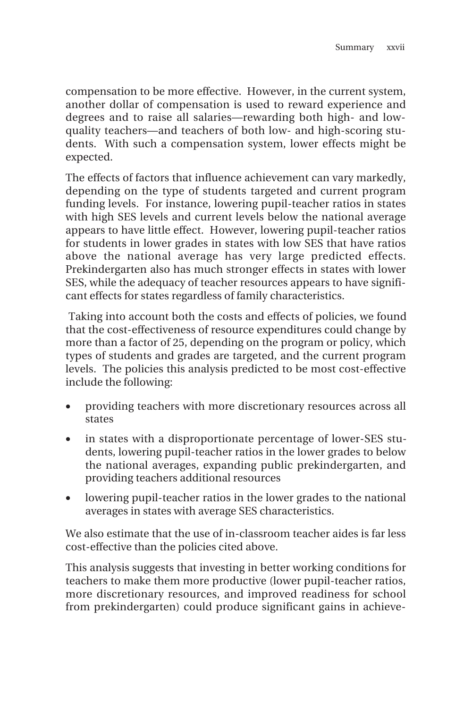compensation to be more effective. However, in the current system, another dollar of compensation is used to reward experience and degrees and to raise all salaries—rewarding both high- and lowquality teachers—and teachers of both low- and high-scoring students. With such a compensation system, lower effects might be expected.

The effects of factors that influence achievement can vary markedly, depending on the type of students targeted and current program funding levels. For instance, lowering pupil-teacher ratios in states with high SES levels and current levels below the national average appears to have little effect. However, lowering pupil-teacher ratios for students in lower grades in states with low SES that have ratios above the national average has very large predicted effects. Prekindergarten also has much stronger effects in states with lower SES, while the adequacy of teacher resources appears to have significant effects for states regardless of family characteristics.

 Taking into account both the costs and effects of policies, we found that the cost-effectiveness of resource expenditures could change by more than a factor of 25, depending on the program or policy, which types of students and grades are targeted, and the current program levels. The policies this analysis predicted to be most cost-effective include the following:

- providing teachers with more discretionary resources across all states
- in states with a disproportionate percentage of lower-SES students, lowering pupil-teacher ratios in the lower grades to below the national averages, expanding public prekindergarten, and providing teachers additional resources
- lowering pupil-teacher ratios in the lower grades to the national averages in states with average SES characteristics.

We also estimate that the use of in-classroom teacher aides is far less cost-effective than the policies cited above.

This analysis suggests that investing in better working conditions for teachers to make them more productive (lower pupil-teacher ratios, more discretionary resources, and improved readiness for school from prekindergarten) could produce significant gains in achieve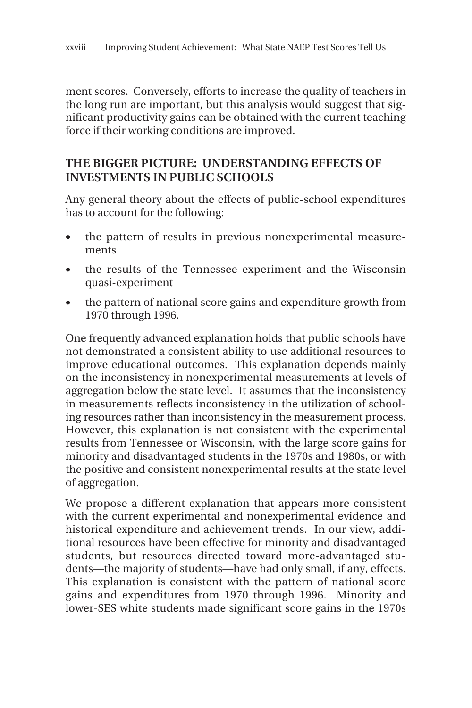ment scores. Conversely, efforts to increase the quality of teachers in the long run are important, but this analysis would suggest that significant productivity gains can be obtained with the current teaching force if their working conditions are improved.

#### **THE BIGGER PICTURE: UNDERSTANDING EFFECTS OF INVESTMENTS IN PUBLIC SCHOOLS**

Any general theory about the effects of public-school expenditures has to account for the following:

- the pattern of results in previous nonexperimental measurements
- the results of the Tennessee experiment and the Wisconsin quasi-experiment
- the pattern of national score gains and expenditure growth from 1970 through 1996.

One frequently advanced explanation holds that public schools have not demonstrated a consistent ability to use additional resources to improve educational outcomes. This explanation depends mainly on the inconsistency in nonexperimental measurements at levels of aggregation below the state level. It assumes that the inconsistency in measurements reflects inconsistency in the utilization of schooling resources rather than inconsistency in the measurement process. However, this explanation is not consistent with the experimental results from Tennessee or Wisconsin, with the large score gains for minority and disadvantaged students in the 1970s and 1980s, or with the positive and consistent nonexperimental results at the state level of aggregation.

We propose a different explanation that appears more consistent with the current experimental and nonexperimental evidence and historical expenditure and achievement trends. In our view, additional resources have been effective for minority and disadvantaged students, but resources directed toward more-advantaged students—the majority of students—have had only small, if any, effects. This explanation is consistent with the pattern of national score gains and expenditures from 1970 through 1996. Minority and lower-SES white students made significant score gains in the 1970s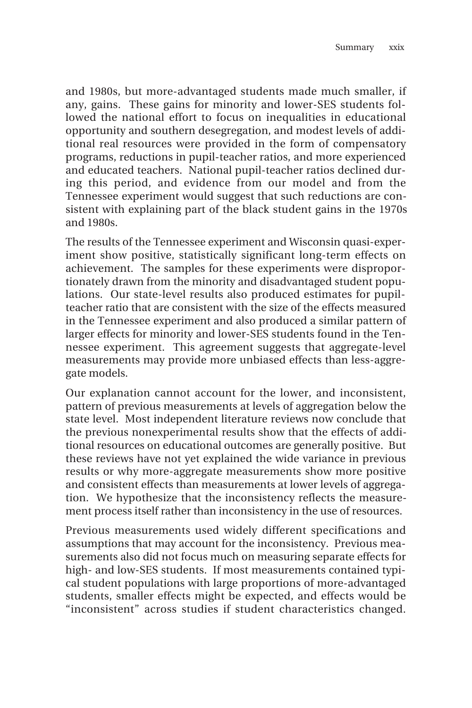and 1980s, but more-advantaged students made much smaller, if any, gains. These gains for minority and lower-SES students followed the national effort to focus on inequalities in educational opportunity and southern desegregation, and modest levels of additional real resources were provided in the form of compensatory programs, reductions in pupil-teacher ratios, and more experienced and educated teachers. National pupil-teacher ratios declined during this period, and evidence from our model and from the Tennessee experiment would suggest that such reductions are consistent with explaining part of the black student gains in the 1970s and 1980s.

The results of the Tennessee experiment and Wisconsin quasi-experiment show positive, statistically significant long-term effects on achievement. The samples for these experiments were disproportionately drawn from the minority and disadvantaged student populations. Our state-level results also produced estimates for pupilteacher ratio that are consistent with the size of the effects measured in the Tennessee experiment and also produced a similar pattern of larger effects for minority and lower-SES students found in the Tennessee experiment. This agreement suggests that aggregate-level measurements may provide more unbiased effects than less-aggregate models.

Our explanation cannot account for the lower, and inconsistent, pattern of previous measurements at levels of aggregation below the state level. Most independent literature reviews now conclude that the previous nonexperimental results show that the effects of additional resources on educational outcomes are generally positive. But these reviews have not yet explained the wide variance in previous results or why more-aggregate measurements show more positive and consistent effects than measurements at lower levels of aggregation. We hypothesize that the inconsistency reflects the measurement process itself rather than inconsistency in the use of resources.

Previous measurements used widely different specifications and assumptions that may account for the inconsistency. Previous measurements also did not focus much on measuring separate effects for high- and low-SES students. If most measurements contained typical student populations with large proportions of more-advantaged students, smaller effects might be expected, and effects would be "inconsistent" across studies if student characteristics changed.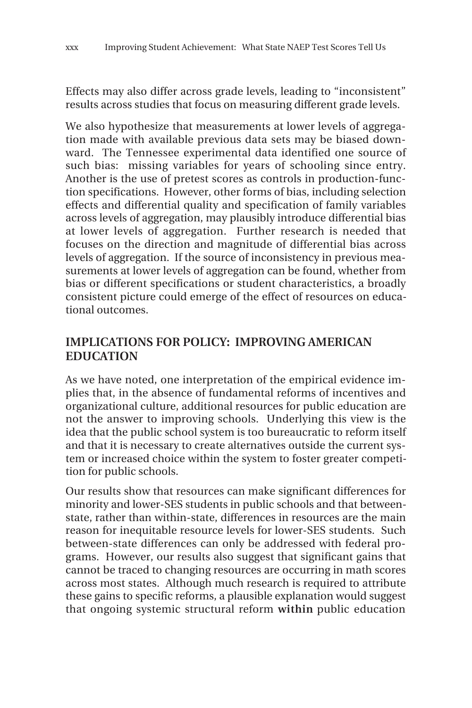Effects may also differ across grade levels, leading to "inconsistent" results across studies that focus on measuring different grade levels.

We also hypothesize that measurements at lower levels of aggregation made with available previous data sets may be biased downward. The Tennessee experimental data identified one source of such bias: missing variables for years of schooling since entry. Another is the use of pretest scores as controls in production-function specifications. However, other forms of bias, including selection effects and differential quality and specification of family variables across levels of aggregation, may plausibly introduce differential bias at lower levels of aggregation. Further research is needed that focuses on the direction and magnitude of differential bias across levels of aggregation. If the source of inconsistency in previous measurements at lower levels of aggregation can be found, whether from bias or different specifications or student characteristics, a broadly consistent picture could emerge of the effect of resources on educational outcomes.

#### **IMPLICATIONS FOR POLICY: IMPROVING AMERICAN EDUCATION**

As we have noted, one interpretation of the empirical evidence implies that, in the absence of fundamental reforms of incentives and organizational culture, additional resources for public education are not the answer to improving schools. Underlying this view is the idea that the public school system is too bureaucratic to reform itself and that it is necessary to create alternatives outside the current system or increased choice within the system to foster greater competition for public schools.

Our results show that resources can make significant differences for minority and lower-SES students in public schools and that betweenstate, rather than within-state, differences in resources are the main reason for inequitable resource levels for lower-SES students. Such between-state differences can only be addressed with federal programs. However, our results also suggest that significant gains that cannot be traced to changing resources are occurring in math scores across most states. Although much research is required to attribute these gains to specific reforms, a plausible explanation would suggest that ongoing systemic structural reform **within** public education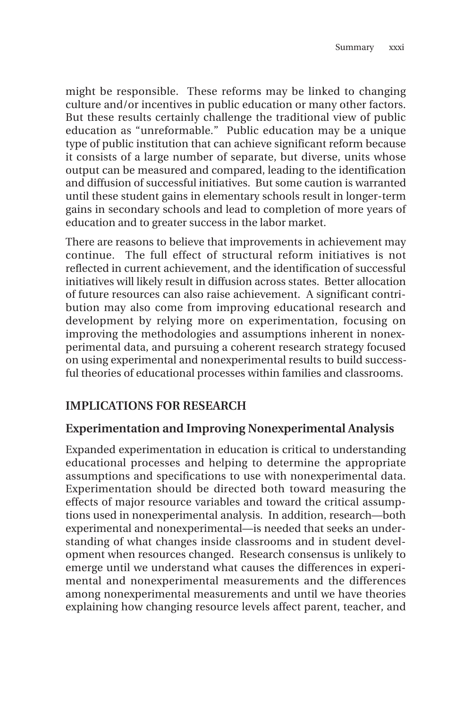might be responsible. These reforms may be linked to changing culture and/or incentives in public education or many other factors. But these results certainly challenge the traditional view of public education as "unreformable." Public education may be a unique type of public institution that can achieve significant reform because it consists of a large number of separate, but diverse, units whose output can be measured and compared, leading to the identification and diffusion of successful initiatives. But some caution is warranted until these student gains in elementary schools result in longer-term gains in secondary schools and lead to completion of more years of education and to greater success in the labor market.

There are reasons to believe that improvements in achievement may continue. The full effect of structural reform initiatives is not reflected in current achievement, and the identification of successful initiatives will likely result in diffusion across states. Better allocation of future resources can also raise achievement. A significant contribution may also come from improving educational research and development by relying more on experimentation, focusing on improving the methodologies and assumptions inherent in nonexperimental data, and pursuing a coherent research strategy focused on using experimental and nonexperimental results to build successful theories of educational processes within families and classrooms.

#### **IMPLICATIONS FOR RESEARCH**

#### **Experimentation and Improving Nonexperimental Analysis**

Expanded experimentation in education is critical to understanding educational processes and helping to determine the appropriate assumptions and specifications to use with nonexperimental data. Experimentation should be directed both toward measuring the effects of major resource variables and toward the critical assumptions used in nonexperimental analysis. In addition, research—both experimental and nonexperimental—is needed that seeks an understanding of what changes inside classrooms and in student development when resources changed. Research consensus is unlikely to emerge until we understand what causes the differences in experimental and nonexperimental measurements and the differences among nonexperimental measurements and until we have theories explaining how changing resource levels affect parent, teacher, and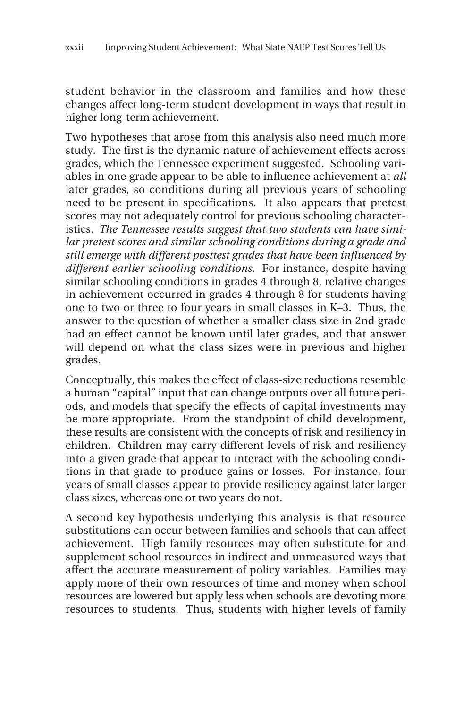student behavior in the classroom and families and how these changes affect long-term student development in ways that result in higher long-term achievement.

Two hypotheses that arose from this analysis also need much more study. The first is the dynamic nature of achievement effects across grades, which the Tennessee experiment suggested. Schooling variables in one grade appear to be able to influence achievement at *all* later grades, so conditions during all previous years of schooling need to be present in specifications. It also appears that pretest scores may not adequately control for previous schooling characteristics. *The Tennessee results suggest that two students can have similar pretest scores and similar schooling conditions during a grade and still emerge with different posttest grades that have been influenced by different earlier schooling conditions.* For instance, despite having similar schooling conditions in grades 4 through 8, relative changes in achievement occurred in grades 4 through 8 for students having one to two or three to four years in small classes in K–3. Thus, the answer to the question of whether a smaller class size in 2nd grade had an effect cannot be known until later grades, and that answer will depend on what the class sizes were in previous and higher grades.

Conceptually, this makes the effect of class-size reductions resemble a human "capital" input that can change outputs over all future periods, and models that specify the effects of capital investments may be more appropriate. From the standpoint of child development, these results are consistent with the concepts of risk and resiliency in children. Children may carry different levels of risk and resiliency into a given grade that appear to interact with the schooling conditions in that grade to produce gains or losses. For instance, four years of small classes appear to provide resiliency against later larger class sizes, whereas one or two years do not.

A second key hypothesis underlying this analysis is that resource substitutions can occur between families and schools that can affect achievement. High family resources may often substitute for and supplement school resources in indirect and unmeasured ways that affect the accurate measurement of policy variables. Families may apply more of their own resources of time and money when school resources are lowered but apply less when schools are devoting more resources to students. Thus, students with higher levels of family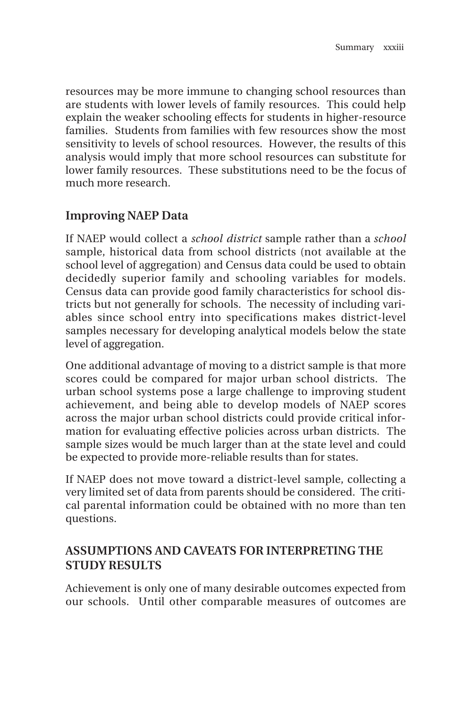resources may be more immune to changing school resources than are students with lower levels of family resources. This could help explain the weaker schooling effects for students in higher-resource families. Students from families with few resources show the most sensitivity to levels of school resources. However, the results of this analysis would imply that more school resources can substitute for lower family resources. These substitutions need to be the focus of much more research.

#### **Improving NAEP Data**

If NAEP would collect a *school district* sample rather than a *school* sample, historical data from school districts (not available at the school level of aggregation) and Census data could be used to obtain decidedly superior family and schooling variables for models. Census data can provide good family characteristics for school districts but not generally for schools. The necessity of including variables since school entry into specifications makes district-level samples necessary for developing analytical models below the state level of aggregation.

One additional advantage of moving to a district sample is that more scores could be compared for major urban school districts. The urban school systems pose a large challenge to improving student achievement, and being able to develop models of NAEP scores across the major urban school districts could provide critical information for evaluating effective policies across urban districts. The sample sizes would be much larger than at the state level and could be expected to provide more-reliable results than for states.

If NAEP does not move toward a district-level sample, collecting a very limited set of data from parents should be considered. The critical parental information could be obtained with no more than ten questions.

#### **ASSUMPTIONS AND CAVEATS FOR INTERPRETING THE STUDY RESULTS**

Achievement is only one of many desirable outcomes expected from our schools. Until other comparable measures of outcomes are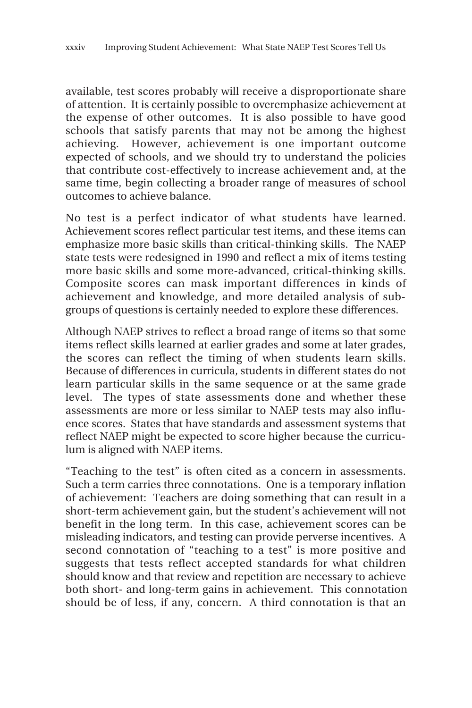available, test scores probably will receive a disproportionate share of attention. It is certainly possible to overemphasize achievement at the expense of other outcomes. It is also possible to have good schools that satisfy parents that may not be among the highest achieving. However, achievement is one important outcome expected of schools, and we should try to understand the policies that contribute cost-effectively to increase achievement and, at the same time, begin collecting a broader range of measures of school outcomes to achieve balance.

No test is a perfect indicator of what students have learned. Achievement scores reflect particular test items, and these items can emphasize more basic skills than critical-thinking skills. The NAEP state tests were redesigned in 1990 and reflect a mix of items testing more basic skills and some more-advanced, critical-thinking skills. Composite scores can mask important differences in kinds of achievement and knowledge, and more detailed analysis of subgroups of questions is certainly needed to explore these differences.

Although NAEP strives to reflect a broad range of items so that some items reflect skills learned at earlier grades and some at later grades, the scores can reflect the timing of when students learn skills. Because of differences in curricula, students in different states do not learn particular skills in the same sequence or at the same grade level. The types of state assessments done and whether these assessments are more or less similar to NAEP tests may also influence scores. States that have standards and assessment systems that reflect NAEP might be expected to score higher because the curriculum is aligned with NAEP items.

"Teaching to the test" is often cited as a concern in assessments. Such a term carries three connotations. One is a temporary inflation of achievement: Teachers are doing something that can result in a short-term achievement gain, but the student's achievement will not benefit in the long term. In this case, achievement scores can be misleading indicators, and testing can provide perverse incentives. A second connotation of "teaching to a test" is more positive and suggests that tests reflect accepted standards for what children should know and that review and repetition are necessary to achieve both short- and long-term gains in achievement. This connotation should be of less, if any, concern. A third connotation is that an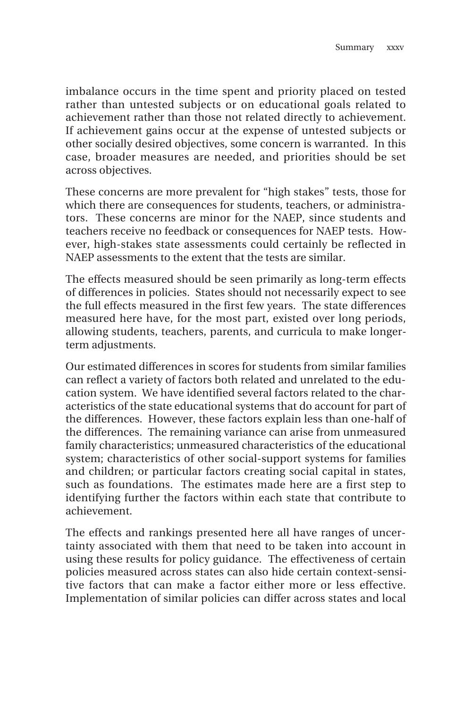imbalance occurs in the time spent and priority placed on tested rather than untested subjects or on educational goals related to achievement rather than those not related directly to achievement. If achievement gains occur at the expense of untested subjects or other socially desired objectives, some concern is warranted. In this case, broader measures are needed, and priorities should be set across objectives.

These concerns are more prevalent for "high stakes" tests, those for which there are consequences for students, teachers, or administrators. These concerns are minor for the NAEP, since students and teachers receive no feedback or consequences for NAEP tests. However, high-stakes state assessments could certainly be reflected in NAEP assessments to the extent that the tests are similar.

The effects measured should be seen primarily as long-term effects of differences in policies. States should not necessarily expect to see the full effects measured in the first few years. The state differences measured here have, for the most part, existed over long periods, allowing students, teachers, parents, and curricula to make longerterm adjustments.

Our estimated differences in scores for students from similar families can reflect a variety of factors both related and unrelated to the education system. We have identified several factors related to the characteristics of the state educational systems that do account for part of the differences. However, these factors explain less than one-half of the differences. The remaining variance can arise from unmeasured family characteristics; unmeasured characteristics of the educational system; characteristics of other social-support systems for families and children; or particular factors creating social capital in states, such as foundations. The estimates made here are a first step to identifying further the factors within each state that contribute to achievement.

The effects and rankings presented here all have ranges of uncertainty associated with them that need to be taken into account in using these results for policy guidance. The effectiveness of certain policies measured across states can also hide certain context-sensitive factors that can make a factor either more or less effective. Implementation of similar policies can differ across states and local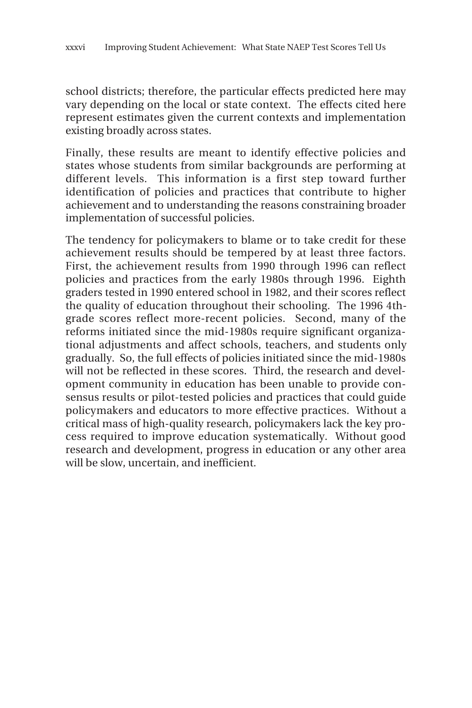school districts; therefore, the particular effects predicted here may vary depending on the local or state context. The effects cited here represent estimates given the current contexts and implementation existing broadly across states.

Finally, these results are meant to identify effective policies and states whose students from similar backgrounds are performing at different levels. This information is a first step toward further identification of policies and practices that contribute to higher achievement and to understanding the reasons constraining broader implementation of successful policies.

The tendency for policymakers to blame or to take credit for these achievement results should be tempered by at least three factors. First, the achievement results from 1990 through 1996 can reflect policies and practices from the early 1980s through 1996. Eighth graders tested in 1990 entered school in 1982, and their scores reflect the quality of education throughout their schooling. The 1996 4thgrade scores reflect more-recent policies. Second, many of the reforms initiated since the mid-1980s require significant organizational adjustments and affect schools, teachers, and students only gradually. So, the full effects of policies initiated since the mid-1980s will not be reflected in these scores. Third, the research and development community in education has been unable to provide consensus results or pilot-tested policies and practices that could guide policymakers and educators to more effective practices. Without a critical mass of high-quality research, policymakers lack the key process required to improve education systematically. Without good research and development, progress in education or any other area will be slow, uncertain, and inefficient.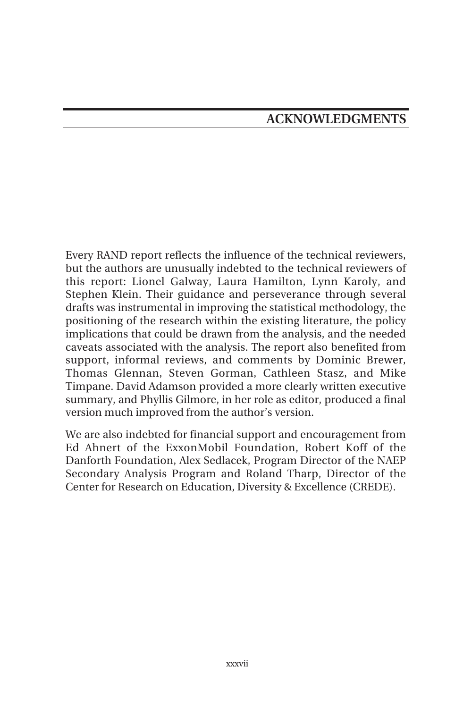Every RAND report reflects the influence of the technical reviewers, but the authors are unusually indebted to the technical reviewers of this report: Lionel Galway, Laura Hamilton, Lynn Karoly, and Stephen Klein. Their guidance and perseverance through several drafts was instrumental in improving the statistical methodology, the positioning of the research within the existing literature, the policy implications that could be drawn from the analysis, and the needed caveats associated with the analysis. The report also benefited from support, informal reviews, and comments by Dominic Brewer, Thomas Glennan, Steven Gorman, Cathleen Stasz, and Mike Timpane. David Adamson provided a more clearly written executive summary, and Phyllis Gilmore, in her role as editor, produced a final version much improved from the author's version.

We are also indebted for financial support and encouragement from Ed Ahnert of the ExxonMobil Foundation, Robert Koff of the Danforth Foundation, Alex Sedlacek, Program Director of the NAEP Secondary Analysis Program and Roland Tharp, Director of the Center for Research on Education, Diversity & Excellence (CREDE).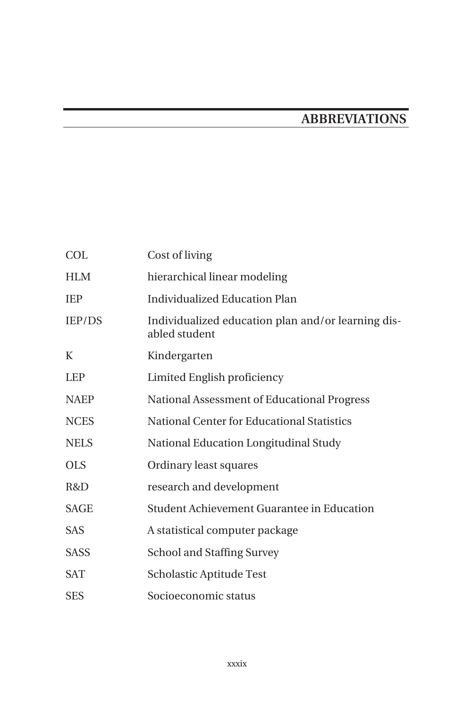# **ABBREVIATIONS**

| <b>COL</b>    | Cost of living                                                      |
|---------------|---------------------------------------------------------------------|
| <b>HLM</b>    | hierarchical linear modeling                                        |
| <b>IEP</b>    | Individualized Education Plan                                       |
| <b>IEP/DS</b> | Individualized education plan and/or learning dis-<br>abled student |
| K             | Kindergarten                                                        |
| <b>LEP</b>    | Limited English proficiency                                         |
| <b>NAEP</b>   | National Assessment of Educational Progress                         |
| <b>NCES</b>   | National Center for Educational Statistics                          |
| <b>NELS</b>   | National Education Longitudinal Study                               |
| <b>OLS</b>    | Ordinary least squares                                              |
| R&D           | research and development                                            |
| <b>SAGE</b>   | Student Achievement Guarantee in Education                          |
| <b>SAS</b>    | A statistical computer package                                      |
| <b>SASS</b>   | <b>School and Staffing Survey</b>                                   |
| <b>SAT</b>    | Scholastic Aptitude Test                                            |
| <b>SES</b>    | Socioeconomic status                                                |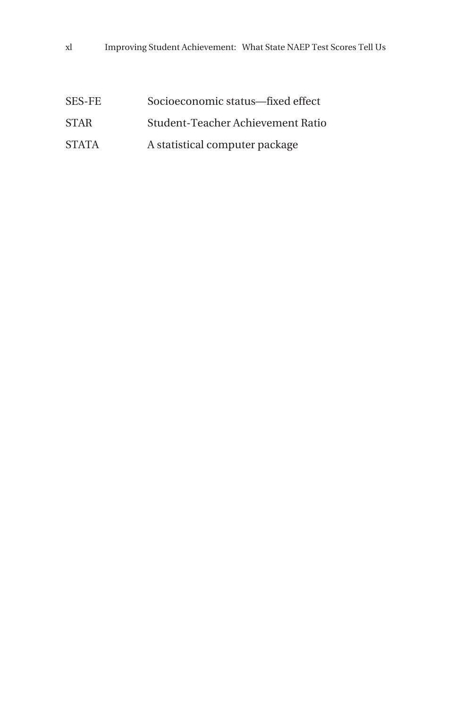| SES-FE | Socioeconomic status-fixed effect |
|--------|-----------------------------------|
| STAR   | Student-Teacher Achievement Ratio |
| STATA  | A statistical computer package    |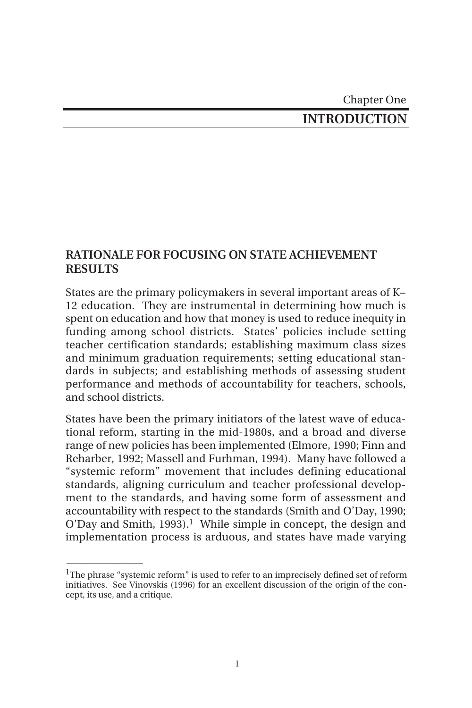## Chapter One **INTRODUCTION**

#### **RATIONALE FOR FOCUSING ON STATE ACHIEVEMENT RESULTS**

States are the primary policymakers in several important areas of K– 12 education. They are instrumental in determining how much is spent on education and how that money is used to reduce inequity in funding among school districts. States' policies include setting teacher certification standards; establishing maximum class sizes and minimum graduation requirements; setting educational standards in subjects; and establishing methods of assessing student performance and methods of accountability for teachers, schools, and school districts.

States have been the primary initiators of the latest wave of educational reform, starting in the mid-1980s, and a broad and diverse range of new policies has been implemented (Elmore, 1990; Finn and Reharber, 1992; Massell and Furhman, 1994). Many have followed a "systemic reform" movement that includes defining educational standards, aligning curriculum and teacher professional development to the standards, and having some form of assessment and accountability with respect to the standards (Smith and O'Day, 1990;  $O'D$ ay and Smith, 1993).<sup>1</sup> While simple in concept, the design and implementation process is arduous, and states have made varying

 $\overline{\phantom{a}}$ 

<sup>&</sup>lt;sup>1</sup>The phrase "systemic reform" is used to refer to an imprecisely defined set of reform initiatives. See Vinovskis (1996) for an excellent discussion of the origin of the concept, its use, and a critique.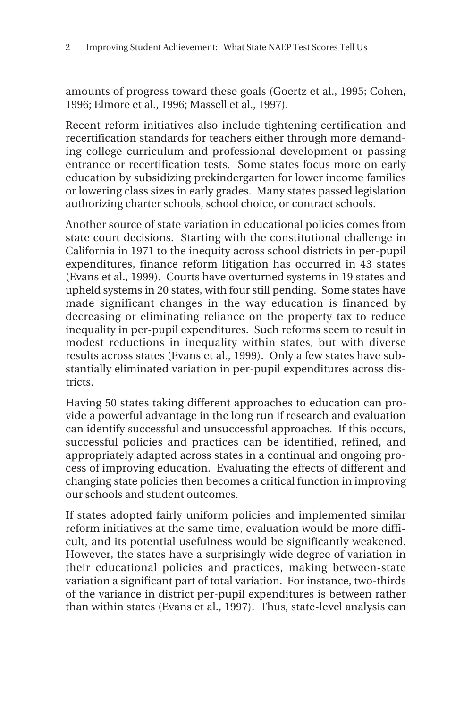amounts of progress toward these goals (Goertz et al., 1995; Cohen, 1996; Elmore et al., 1996; Massell et al., 1997).

Recent reform initiatives also include tightening certification and recertification standards for teachers either through more demanding college curriculum and professional development or passing entrance or recertification tests. Some states focus more on early education by subsidizing prekindergarten for lower income families or lowering class sizes in early grades. Many states passed legislation authorizing charter schools, school choice, or contract schools.

Another source of state variation in educational policies comes from state court decisions. Starting with the constitutional challenge in California in 1971 to the inequity across school districts in per-pupil expenditures, finance reform litigation has occurred in 43 states (Evans et al., 1999). Courts have overturned systems in 19 states and upheld systems in 20 states, with four still pending. Some states have made significant changes in the way education is financed by decreasing or eliminating reliance on the property tax to reduce inequality in per-pupil expenditures. Such reforms seem to result in modest reductions in inequality within states, but with diverse results across states (Evans et al., 1999). Only a few states have substantially eliminated variation in per-pupil expenditures across districts.

Having 50 states taking different approaches to education can provide a powerful advantage in the long run if research and evaluation can identify successful and unsuccessful approaches. If this occurs, successful policies and practices can be identified, refined, and appropriately adapted across states in a continual and ongoing process of improving education. Evaluating the effects of different and changing state policies then becomes a critical function in improving our schools and student outcomes.

If states adopted fairly uniform policies and implemented similar reform initiatives at the same time, evaluation would be more difficult, and its potential usefulness would be significantly weakened. However, the states have a surprisingly wide degree of variation in their educational policies and practices, making between-state variation a significant part of total variation. For instance, two-thirds of the variance in district per-pupil expenditures is between rather than within states (Evans et al., 1997). Thus, state-level analysis can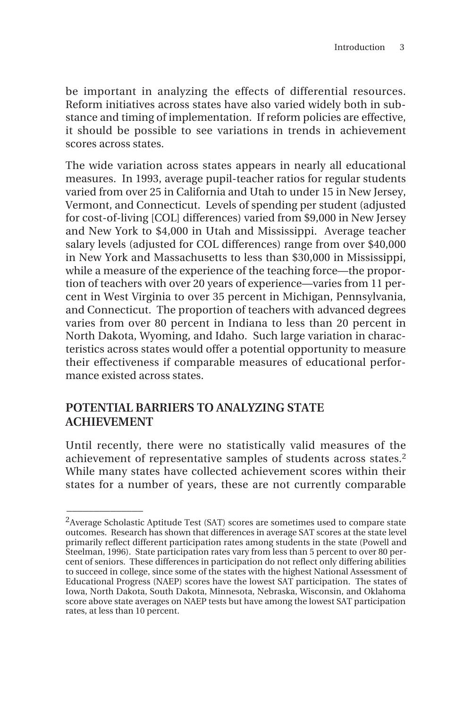be important in analyzing the effects of differential resources. Reform initiatives across states have also varied widely both in substance and timing of implementation. If reform policies are effective, it should be possible to see variations in trends in achievement scores across states.

The wide variation across states appears in nearly all educational measures. In 1993, average pupil-teacher ratios for regular students varied from over 25 in California and Utah to under 15 in New Jersey, Vermont, and Connecticut. Levels of spending per student (adjusted for cost-of-living [COL] differences) varied from \$9,000 in New Jersey and New York to \$4,000 in Utah and Mississippi. Average teacher salary levels (adjusted for COL differences) range from over \$40,000 in New York and Massachusetts to less than \$30,000 in Mississippi, while a measure of the experience of the teaching force—the proportion of teachers with over 20 years of experience—varies from 11 percent in West Virginia to over 35 percent in Michigan, Pennsylvania, and Connecticut. The proportion of teachers with advanced degrees varies from over 80 percent in Indiana to less than 20 percent in North Dakota, Wyoming, and Idaho. Such large variation in characteristics across states would offer a potential opportunity to measure their effectiveness if comparable measures of educational performance existed across states.

## **POTENTIAL BARRIERS TO ANALYZING STATE ACHIEVEMENT**

 $\overline{\phantom{a}}$ 

Until recently, there were no statistically valid measures of the achievement of representative samples of students across states.2 While many states have collected achievement scores within their states for a number of years, these are not currently comparable

<sup>&</sup>lt;sup>2</sup> Average Scholastic Aptitude Test (SAT) scores are sometimes used to compare state outcomes. Research has shown that differences in average SAT scores at the state level primarily reflect different participation rates among students in the state (Powell and Steelman, 1996). State participation rates vary from less than 5 percent to over 80 percent of seniors. These differences in participation do not reflect only differing abilities to succeed in college, since some of the states with the highest National Assessment of Educational Progress (NAEP) scores have the lowest SAT participation. The states of Iowa, North Dakota, South Dakota, Minnesota, Nebraska, Wisconsin, and Oklahoma score above state averages on NAEP tests but have among the lowest SAT participation rates, at less than 10 percent.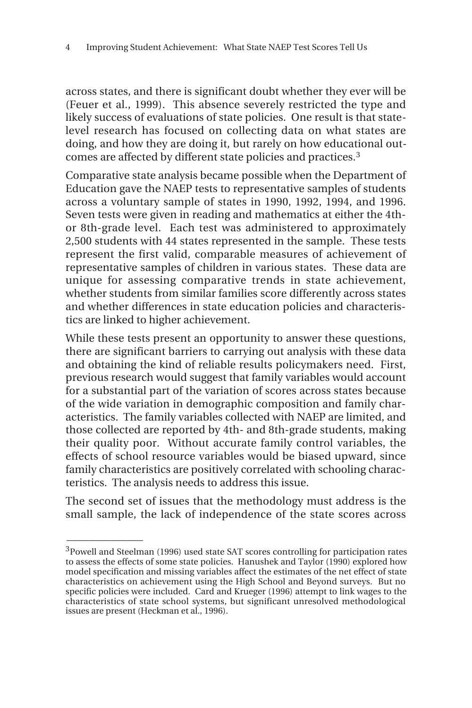across states, and there is significant doubt whether they ever will be (Feuer et al., 1999). This absence severely restricted the type and likely success of evaluations of state policies. One result is that statelevel research has focused on collecting data on what states are doing, and how they are doing it, but rarely on how educational outcomes are affected by different state policies and practices.3

Comparative state analysis became possible when the Department of Education gave the NAEP tests to representative samples of students across a voluntary sample of states in 1990, 1992, 1994, and 1996. Seven tests were given in reading and mathematics at either the 4thor 8th-grade level. Each test was administered to approximately 2,500 students with 44 states represented in the sample. These tests represent the first valid, comparable measures of achievement of representative samples of children in various states. These data are unique for assessing comparative trends in state achievement, whether students from similar families score differently across states and whether differences in state education policies and characteristics are linked to higher achievement.

While these tests present an opportunity to answer these questions, there are significant barriers to carrying out analysis with these data and obtaining the kind of reliable results policymakers need. First, previous research would suggest that family variables would account for a substantial part of the variation of scores across states because of the wide variation in demographic composition and family characteristics. The family variables collected with NAEP are limited, and those collected are reported by 4th- and 8th-grade students, making their quality poor. Without accurate family control variables, the effects of school resource variables would be biased upward, since family characteristics are positively correlated with schooling characteristics. The analysis needs to address this issue.

The second set of issues that the methodology must address is the small sample, the lack of independence of the state scores across

 $\overline{\phantom{a}}$ 

<sup>3</sup>Powell and Steelman (1996) used state SAT scores controlling for participation rates to assess the effects of some state policies. Hanushek and Taylor (1990) explored how model specification and missing variables affect the estimates of the net effect of state characteristics on achievement using the High School and Beyond surveys. But no specific policies were included. Card and Krueger (1996) attempt to link wages to the characteristics of state school systems, but significant unresolved methodological issues are present (Heckman et al., 1996).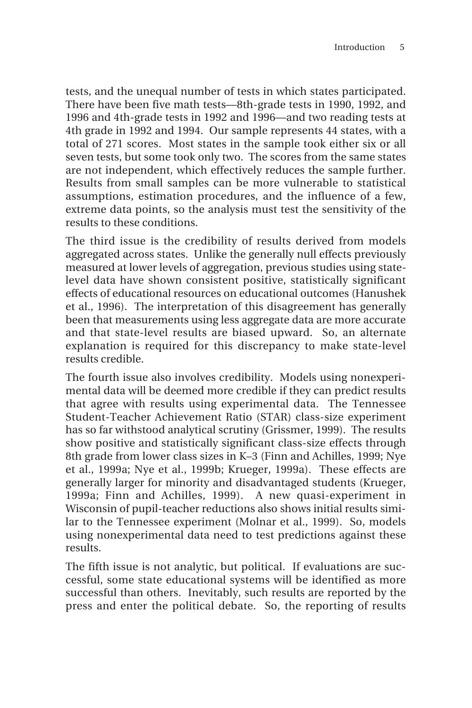tests, and the unequal number of tests in which states participated. There have been five math tests—8th-grade tests in 1990, 1992, and 1996 and 4th-grade tests in 1992 and 1996—and two reading tests at 4th grade in 1992 and 1994. Our sample represents 44 states, with a total of 271 scores. Most states in the sample took either six or all seven tests, but some took only two. The scores from the same states are not independent, which effectively reduces the sample further. Results from small samples can be more vulnerable to statistical assumptions, estimation procedures, and the influence of a few, extreme data points, so the analysis must test the sensitivity of the results to these conditions.

The third issue is the credibility of results derived from models aggregated across states. Unlike the generally null effects previously measured at lower levels of aggregation, previous studies using statelevel data have shown consistent positive, statistically significant effects of educational resources on educational outcomes (Hanushek et al., 1996). The interpretation of this disagreement has generally been that measurements using less aggregate data are more accurate and that state-level results are biased upward. So, an alternate explanation is required for this discrepancy to make state-level results credible.

The fourth issue also involves credibility. Models using nonexperimental data will be deemed more credible if they can predict results that agree with results using experimental data. The Tennessee Student-Teacher Achievement Ratio (STAR) class-size experiment has so far withstood analytical scrutiny (Grissmer, 1999). The results show positive and statistically significant class-size effects through 8th grade from lower class sizes in K–3 (Finn and Achilles, 1999; Nye et al., 1999a; Nye et al., 1999b; Krueger, 1999a). These effects are generally larger for minority and disadvantaged students (Krueger, 1999a; Finn and Achilles, 1999). A new quasi-experiment in Wisconsin of pupil-teacher reductions also shows initial results similar to the Tennessee experiment (Molnar et al., 1999). So, models using nonexperimental data need to test predictions against these results.

The fifth issue is not analytic, but political. If evaluations are successful, some state educational systems will be identified as more successful than others. Inevitably, such results are reported by the press and enter the political debate. So, the reporting of results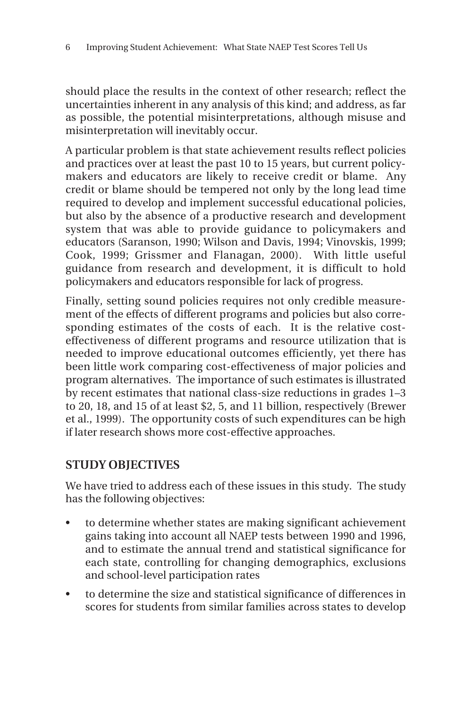should place the results in the context of other research; reflect the uncertainties inherent in any analysis of this kind; and address, as far as possible, the potential misinterpretations, although misuse and misinterpretation will inevitably occur.

A particular problem is that state achievement results reflect policies and practices over at least the past 10 to 15 years, but current policymakers and educators are likely to receive credit or blame. Any credit or blame should be tempered not only by the long lead time required to develop and implement successful educational policies, but also by the absence of a productive research and development system that was able to provide guidance to policymakers and educators (Saranson, 1990; Wilson and Davis, 1994; Vinovskis, 1999; Cook, 1999; Grissmer and Flanagan, 2000). With little useful guidance from research and development, it is difficult to hold policymakers and educators responsible for lack of progress.

Finally, setting sound policies requires not only credible measurement of the effects of different programs and policies but also corresponding estimates of the costs of each. It is the relative costeffectiveness of different programs and resource utilization that is needed to improve educational outcomes efficiently, yet there has been little work comparing cost-effectiveness of major policies and program alternatives. The importance of such estimates is illustrated by recent estimates that national class-size reductions in grades 1–3 to 20, 18, and 15 of at least \$2, 5, and 11 billion, respectively (Brewer et al., 1999). The opportunity costs of such expenditures can be high if later research shows more cost-effective approaches.

## **STUDY OBJECTIVES**

We have tried to address each of these issues in this study. The study has the following objectives:

- to determine whether states are making significant achievement gains taking into account all NAEP tests between 1990 and 1996, and to estimate the annual trend and statistical significance for each state, controlling for changing demographics, exclusions and school-level participation rates
- to determine the size and statistical significance of differences in scores for students from similar families across states to develop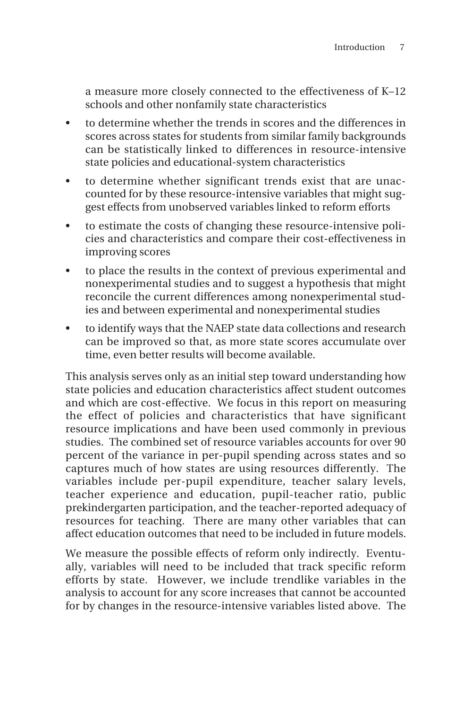a measure more closely connected to the effectiveness of K–12 schools and other nonfamily state characteristics

- to determine whether the trends in scores and the differences in scores across states for students from similar family backgrounds can be statistically linked to differences in resource-intensive state policies and educational-system characteristics
- to determine whether significant trends exist that are unaccounted for by these resource-intensive variables that might suggest effects from unobserved variables linked to reform efforts
- to estimate the costs of changing these resource-intensive policies and characteristics and compare their cost-effectiveness in improving scores
- to place the results in the context of previous experimental and nonexperimental studies and to suggest a hypothesis that might reconcile the current differences among nonexperimental studies and between experimental and nonexperimental studies
- to identify ways that the NAEP state data collections and research can be improved so that, as more state scores accumulate over time, even better results will become available.

This analysis serves only as an initial step toward understanding how state policies and education characteristics affect student outcomes and which are cost-effective. We focus in this report on measuring the effect of policies and characteristics that have significant resource implications and have been used commonly in previous studies. The combined set of resource variables accounts for over 90 percent of the variance in per-pupil spending across states and so captures much of how states are using resources differently. The variables include per-pupil expenditure, teacher salary levels, teacher experience and education, pupil-teacher ratio, public prekindergarten participation, and the teacher-reported adequacy of resources for teaching. There are many other variables that can affect education outcomes that need to be included in future models.

We measure the possible effects of reform only indirectly. Eventually, variables will need to be included that track specific reform efforts by state. However, we include trendlike variables in the analysis to account for any score increases that cannot be accounted for by changes in the resource-intensive variables listed above. The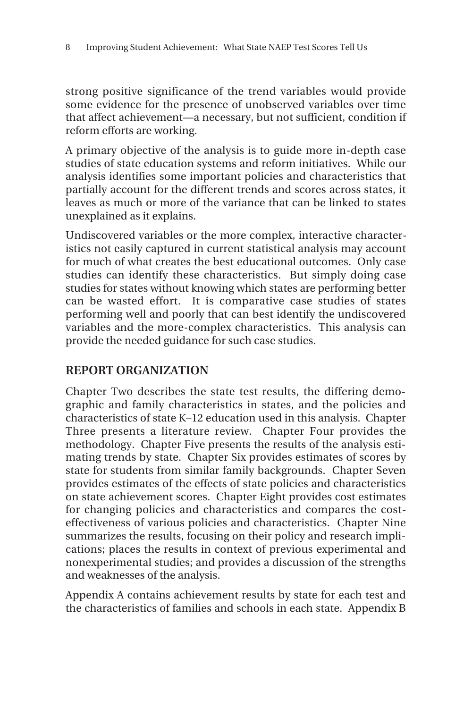strong positive significance of the trend variables would provide some evidence for the presence of unobserved variables over time that affect achievement—a necessary, but not sufficient, condition if reform efforts are working.

A primary objective of the analysis is to guide more in-depth case studies of state education systems and reform initiatives. While our analysis identifies some important policies and characteristics that partially account for the different trends and scores across states, it leaves as much or more of the variance that can be linked to states unexplained as it explains.

Undiscovered variables or the more complex, interactive characteristics not easily captured in current statistical analysis may account for much of what creates the best educational outcomes. Only case studies can identify these characteristics. But simply doing case studies for states without knowing which states are performing better can be wasted effort. It is comparative case studies of states performing well and poorly that can best identify the undiscovered variables and the more-complex characteristics. This analysis can provide the needed guidance for such case studies.

## **REPORT ORGANIZATION**

Chapter Two describes the state test results, the differing demographic and family characteristics in states, and the policies and characteristics of state K–12 education used in this analysis. Chapter Three presents a literature review. Chapter Four provides the methodology. Chapter Five presents the results of the analysis estimating trends by state. Chapter Six provides estimates of scores by state for students from similar family backgrounds. Chapter Seven provides estimates of the effects of state policies and characteristics on state achievement scores. Chapter Eight provides cost estimates for changing policies and characteristics and compares the costeffectiveness of various policies and characteristics. Chapter Nine summarizes the results, focusing on their policy and research implications; places the results in context of previous experimental and nonexperimental studies; and provides a discussion of the strengths and weaknesses of the analysis.

Appendix A contains achievement results by state for each test and the characteristics of families and schools in each state. Appendix B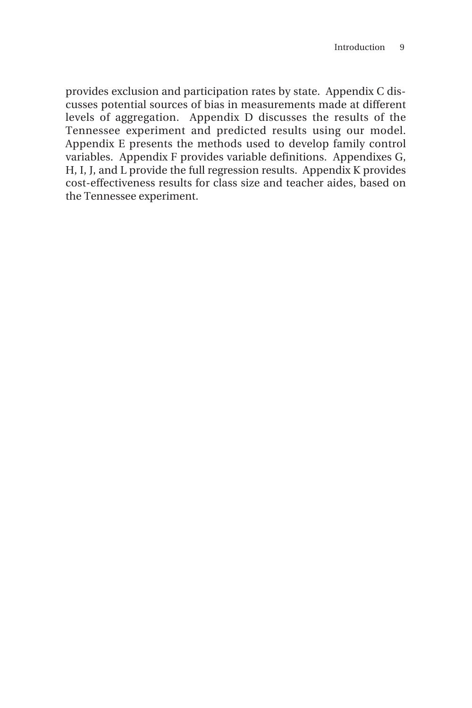provides exclusion and participation rates by state. Appendix C discusses potential sources of bias in measurements made at different levels of aggregation. Appendix D discusses the results of the Tennessee experiment and predicted results using our model. Appendix E presents the methods used to develop family control variables. Appendix F provides variable definitions. Appendixes G, H, I, J, and L provide the full regression results. Appendix K provides cost-effectiveness results for class size and teacher aides, based on the Tennessee experiment.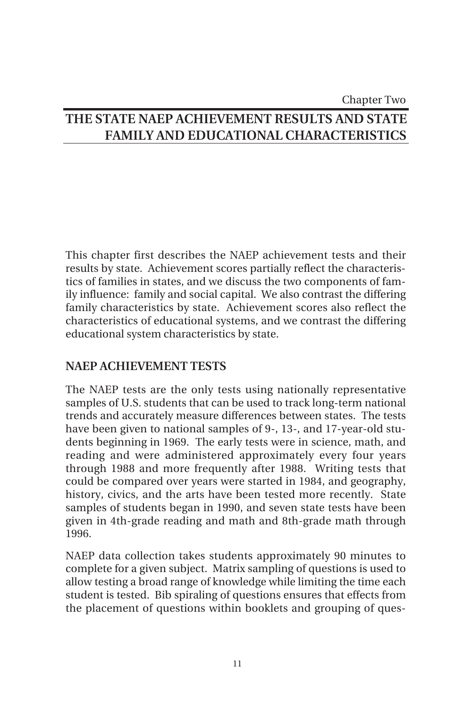## Chapter Two **THE STATE NAEP ACHIEVEMENT RESULTS AND STATE FAMILY AND EDUCATIONAL CHARACTERISTICS**

This chapter first describes the NAEP achievement tests and their results by state. Achievement scores partially reflect the characteristics of families in states, and we discuss the two components of family influence: family and social capital. We also contrast the differing family characteristics by state. Achievement scores also reflect the characteristics of educational systems, and we contrast the differing educational system characteristics by state.

## **NAEP ACHIEVEMENT TESTS**

The NAEP tests are the only tests using nationally representative samples of U.S. students that can be used to track long-term national trends and accurately measure differences between states. The tests have been given to national samples of 9-, 13-, and 17-year-old students beginning in 1969. The early tests were in science, math, and reading and were administered approximately every four years through 1988 and more frequently after 1988. Writing tests that could be compared over years were started in 1984, and geography, history, civics, and the arts have been tested more recently. State samples of students began in 1990, and seven state tests have been given in 4th-grade reading and math and 8th-grade math through 1996.

NAEP data collection takes students approximately 90 minutes to complete for a given subject. Matrix sampling of questions is used to allow testing a broad range of knowledge while limiting the time each student is tested. Bib spiraling of questions ensures that effects from the placement of questions within booklets and grouping of ques-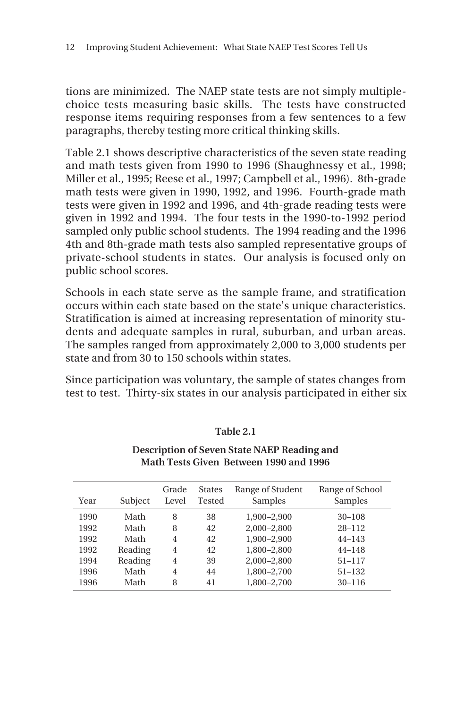tions are minimized. The NAEP state tests are not simply multiplechoice tests measuring basic skills. The tests have constructed response items requiring responses from a few sentences to a few paragraphs, thereby testing more critical thinking skills.

Table 2.1 shows descriptive characteristics of the seven state reading and math tests given from 1990 to 1996 (Shaughnessy et al., 1998; Miller et al., 1995; Reese et al., 1997; Campbell et al., 1996). 8th-grade math tests were given in 1990, 1992, and 1996. Fourth-grade math tests were given in 1992 and 1996, and 4th-grade reading tests were given in 1992 and 1994. The four tests in the 1990-to-1992 period sampled only public school students. The 1994 reading and the 1996 4th and 8th-grade math tests also sampled representative groups of private-school students in states. Our analysis is focused only on public school scores.

Schools in each state serve as the sample frame, and stratification occurs within each state based on the state's unique characteristics. Stratification is aimed at increasing representation of minority students and adequate samples in rural, suburban, and urban areas. The samples ranged from approximately 2,000 to 3,000 students per state and from 30 to 150 schools within states.

Since participation was voluntary, the sample of states changes from test to test. Thirty-six states in our analysis participated in either six

#### **Table 2.1**

**Description of Seven State NAEP Reading and Math Tests Given Between 1990 and 1996**

| Year | Subject | Grade<br>Level | <b>States</b><br>Tested | Range of Student<br>Samples | Range of School<br>Samples |
|------|---------|----------------|-------------------------|-----------------------------|----------------------------|
| 1990 | Math    | 8              | 38                      | 1,900-2,900                 | $30 - 108$                 |
| 1992 | Math    | 8              | 42                      | 2,000-2,800                 | $28 - 112$                 |
| 1992 | Math    | 4              | 42                      | 1,900-2,900                 | $44 - 143$                 |
| 1992 | Reading | 4              | 42                      | 1,800-2,800                 | $44 - 148$                 |
| 1994 | Reading | 4              | 39                      | 2,000-2,800                 | $51 - 117$                 |
| 1996 | Math    | 4              | 44                      | 1,800-2,700                 | $51 - 132$                 |
| 1996 | Math    | 8              | 41                      | 1,800-2,700                 | $30 - 116$                 |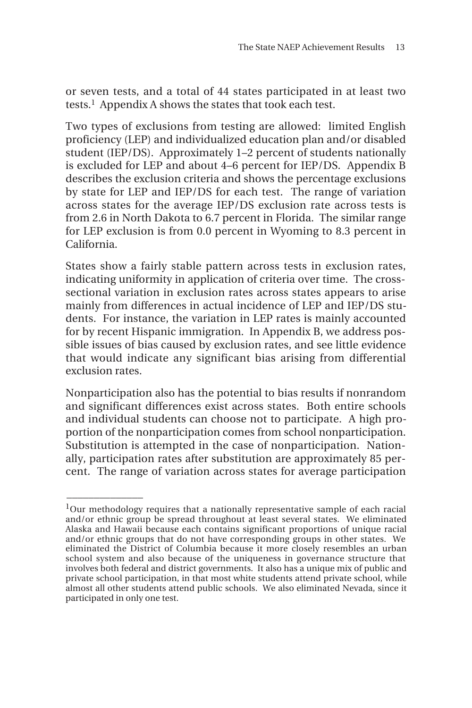or seven tests, and a total of 44 states participated in at least two tests.<sup>1</sup> Appendix A shows the states that took each test.

Two types of exclusions from testing are allowed: limited English proficiency (LEP) and individualized education plan and/or disabled student (IEP/DS). Approximately 1–2 percent of students nationally is excluded for LEP and about 4–6 percent for IEP/DS. Appendix B describes the exclusion criteria and shows the percentage exclusions by state for LEP and IEP/DS for each test. The range of variation across states for the average IEP/DS exclusion rate across tests is from 2.6 in North Dakota to 6.7 percent in Florida. The similar range for LEP exclusion is from 0.0 percent in Wyoming to 8.3 percent in California.

States show a fairly stable pattern across tests in exclusion rates, indicating uniformity in application of criteria over time. The crosssectional variation in exclusion rates across states appears to arise mainly from differences in actual incidence of LEP and IEP/DS students. For instance, the variation in LEP rates is mainly accounted for by recent Hispanic immigration. In Appendix B, we address possible issues of bias caused by exclusion rates, and see little evidence that would indicate any significant bias arising from differential exclusion rates.

Nonparticipation also has the potential to bias results if nonrandom and significant differences exist across states. Both entire schools and individual students can choose not to participate. A high proportion of the nonparticipation comes from school nonparticipation. Substitution is attempted in the case of nonparticipation. Nationally, participation rates after substitution are approximately 85 percent. The range of variation across states for average participation

\_\_\_\_\_\_\_\_\_\_\_\_\_\_

 $1$ Our methodology requires that a nationally representative sample of each racial and/or ethnic group be spread throughout at least several states. We eliminated Alaska and Hawaii because each contains significant proportions of unique racial and/or ethnic groups that do not have corresponding groups in other states. We eliminated the District of Columbia because it more closely resembles an urban school system and also because of the uniqueness in governance structure that involves both federal and district governments. It also has a unique mix of public and private school participation, in that most white students attend private school, while almost all other students attend public schools. We also eliminated Nevada, since it participated in only one test.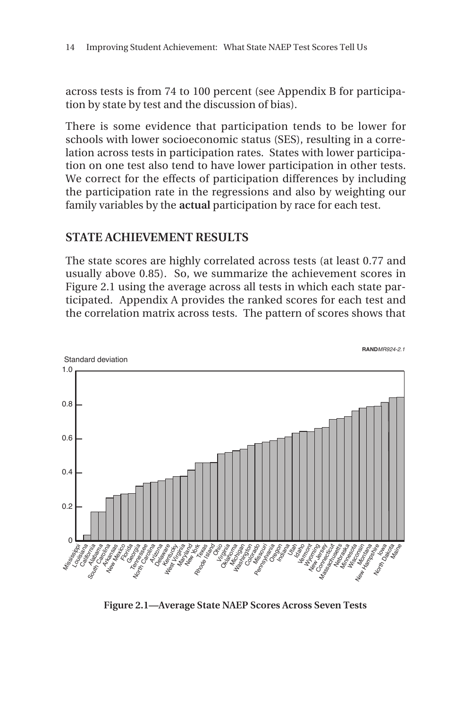across tests is from 74 to 100 percent (see Appendix B for participation by state by test and the discussion of bias).

There is some evidence that participation tends to be lower for schools with lower socioeconomic status (SES), resulting in a correlation across tests in participation rates. States with lower participation on one test also tend to have lower participation in other tests. We correct for the effects of participation differences by including the participation rate in the regressions and also by weighting our family variables by the **actual** participation by race for each test.

#### **STATE ACHIEVEMENT RESULTS**

The state scores are highly correlated across tests (at least 0.77 and usually above 0.85). So, we summarize the achievement scores in Figure 2.1 using the average across all tests in which each state participated. Appendix A provides the ranked scores for each test and the correlation matrix across tests. The pattern of scores shows that



**Figure 2.1—Average State NAEP Scores Across Seven Tests**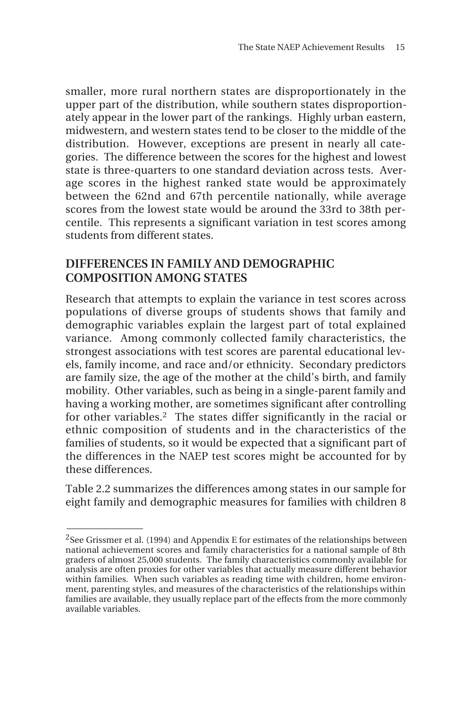smaller, more rural northern states are disproportionately in the upper part of the distribution, while southern states disproportionately appear in the lower part of the rankings. Highly urban eastern, midwestern, and western states tend to be closer to the middle of the distribution. However, exceptions are present in nearly all categories. The difference between the scores for the highest and lowest state is three-quarters to one standard deviation across tests. Average scores in the highest ranked state would be approximately between the 62nd and 67th percentile nationally, while average scores from the lowest state would be around the 33rd to 38th percentile. This represents a significant variation in test scores among students from different states.

#### **DIFFERENCES IN FAMILY AND DEMOGRAPHIC COMPOSITION AMONG STATES**

Research that attempts to explain the variance in test scores across populations of diverse groups of students shows that family and demographic variables explain the largest part of total explained variance. Among commonly collected family characteristics, the strongest associations with test scores are parental educational levels, family income, and race and/or ethnicity. Secondary predictors are family size, the age of the mother at the child's birth, and family mobility. Other variables, such as being in a single-parent family and having a working mother, are sometimes significant after controlling for other variables.<sup>2</sup> The states differ significantly in the racial or ethnic composition of students and in the characteristics of the families of students, so it would be expected that a significant part of the differences in the NAEP test scores might be accounted for by these differences.

Table 2.2 summarizes the differences among states in our sample for eight family and demographic measures for families with children 8

 $\overline{\phantom{a}}$ 

<sup>&</sup>lt;sup>2</sup>See Grissmer et al. (1994) and Appendix E for estimates of the relationships between national achievement scores and family characteristics for a national sample of 8th graders of almost 25,000 students. The family characteristics commonly available for analysis are often proxies for other variables that actually measure different behavior within families. When such variables as reading time with children, home environment, parenting styles, and measures of the characteristics of the relationships within families are available, they usually replace part of the effects from the more commonly available variables.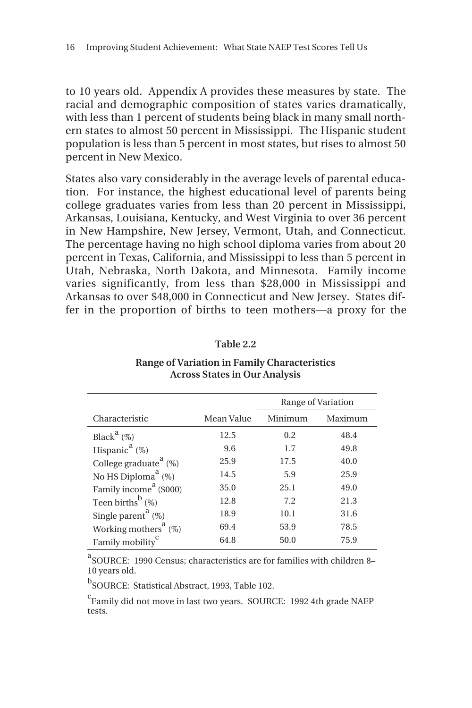to 10 years old. Appendix A provides these measures by state. The racial and demographic composition of states varies dramatically, with less than 1 percent of students being black in many small northern states to almost 50 percent in Mississippi. The Hispanic student population is less than 5 percent in most states, but rises to almost 50 percent in New Mexico.

States also vary considerably in the average levels of parental education. For instance, the highest educational level of parents being college graduates varies from less than 20 percent in Mississippi, Arkansas, Louisiana, Kentucky, and West Virginia to over 36 percent in New Hampshire, New Jersey, Vermont, Utah, and Connecticut. The percentage having no high school diploma varies from about 20 percent in Texas, California, and Mississippi to less than 5 percent in Utah, Nebraska, North Dakota, and Minnesota. Family income varies significantly, from less than \$28,000 in Mississippi and Arkansas to over \$48,000 in Connecticut and New Jersey. States differ in the proportion of births to teen mothers—a proxy for the

|                                                |            | Range of Variation |         |  |
|------------------------------------------------|------------|--------------------|---------|--|
| Characteristic                                 | Mean Value | Minimum            | Maximum |  |
| Black <sup>a</sup> $(\%)$                      | 12.5       | 0.2                | 48.4    |  |
| Hispanic <sup>a</sup> (%)                      | 9.6        | 1.7                | 49.8    |  |
| College graduate <sup><math>a</math></sup> (%) | 25.9       | 17.5               | 40.0    |  |
| No HS Diploma <sup>a</sup> (%)                 | 14.5       | 5.9                | 25.9    |  |
| Family income <sup>a</sup> (\$000)             | 35.0       | 25.1               | 49.0    |  |
| Teen births <sup>b</sup> $(\%)$                | 12.8       | 7.2                | 21.3    |  |
| Single parent <sup>a</sup> $(\%)$              | 18.9       | 10.1               | 31.6    |  |
| Working mothers <sup>a</sup> (%)               | 69.4       | 53.9               | 78.5    |  |
| Family mobility <sup>c</sup>                   | 64.8       | 50.0               | 75.9    |  |

**Range of Variation in Family Characteristics Across States in Our Analysis**

**Table 2.2**

a SOURCE: 1990 Census; characteristics are for families with children 8– 10 years old.

<sup>b</sup>SOURCE: Statistical Abstract, 1993, Table 102.

<sup>c</sup>Family did not move in last two years. SOURCE: 1992 4th grade NAEP tests.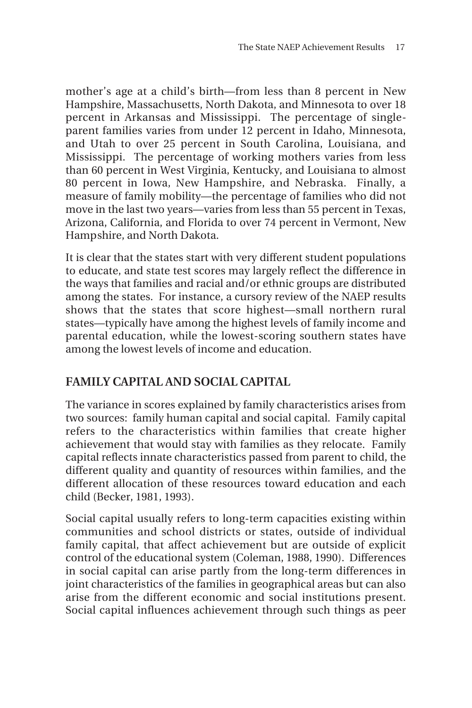mother's age at a child's birth—from less than 8 percent in New Hampshire, Massachusetts, North Dakota, and Minnesota to over 18 percent in Arkansas and Mississippi. The percentage of singleparent families varies from under 12 percent in Idaho, Minnesota, and Utah to over 25 percent in South Carolina, Louisiana, and Mississippi. The percentage of working mothers varies from less than 60 percent in West Virginia, Kentucky, and Louisiana to almost 80 percent in Iowa, New Hampshire, and Nebraska. Finally, a measure of family mobility—the percentage of families who did not move in the last two years—varies from less than 55 percent in Texas, Arizona, California, and Florida to over 74 percent in Vermont, New Hampshire, and North Dakota.

It is clear that the states start with very different student populations to educate, and state test scores may largely reflect the difference in the ways that families and racial and/or ethnic groups are distributed among the states. For instance, a cursory review of the NAEP results shows that the states that score highest—small northern rural states—typically have among the highest levels of family income and parental education, while the lowest-scoring southern states have among the lowest levels of income and education.

## **FAMILY CAPITAL AND SOCIAL CAPITAL**

The variance in scores explained by family characteristics arises from two sources: family human capital and social capital. Family capital refers to the characteristics within families that create higher achievement that would stay with families as they relocate. Family capital reflects innate characteristics passed from parent to child, the different quality and quantity of resources within families, and the different allocation of these resources toward education and each child (Becker, 1981, 1993).

Social capital usually refers to long-term capacities existing within communities and school districts or states, outside of individual family capital, that affect achievement but are outside of explicit control of the educational system (Coleman, 1988, 1990). Differences in social capital can arise partly from the long-term differences in joint characteristics of the families in geographical areas but can also arise from the different economic and social institutions present. Social capital influences achievement through such things as peer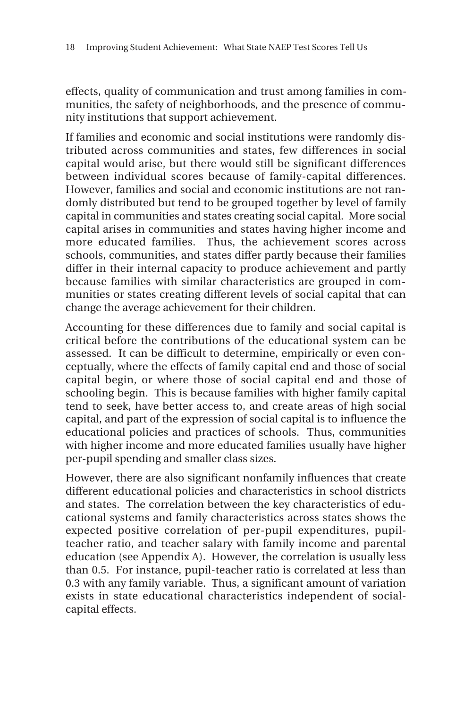effects, quality of communication and trust among families in communities, the safety of neighborhoods, and the presence of community institutions that support achievement.

If families and economic and social institutions were randomly distributed across communities and states, few differences in social capital would arise, but there would still be significant differences between individual scores because of family-capital differences. However, families and social and economic institutions are not randomly distributed but tend to be grouped together by level of family capital in communities and states creating social capital. More social capital arises in communities and states having higher income and more educated families. Thus, the achievement scores across schools, communities, and states differ partly because their families differ in their internal capacity to produce achievement and partly because families with similar characteristics are grouped in communities or states creating different levels of social capital that can change the average achievement for their children.

Accounting for these differences due to family and social capital is critical before the contributions of the educational system can be assessed. It can be difficult to determine, empirically or even conceptually, where the effects of family capital end and those of social capital begin, or where those of social capital end and those of schooling begin. This is because families with higher family capital tend to seek, have better access to, and create areas of high social capital, and part of the expression of social capital is to influence the educational policies and practices of schools. Thus, communities with higher income and more educated families usually have higher per-pupil spending and smaller class sizes.

However, there are also significant nonfamily influences that create different educational policies and characteristics in school districts and states. The correlation between the key characteristics of educational systems and family characteristics across states shows the expected positive correlation of per-pupil expenditures, pupilteacher ratio, and teacher salary with family income and parental education (see Appendix A). However, the correlation is usually less than 0.5. For instance, pupil-teacher ratio is correlated at less than 0.3 with any family variable. Thus, a significant amount of variation exists in state educational characteristics independent of socialcapital effects.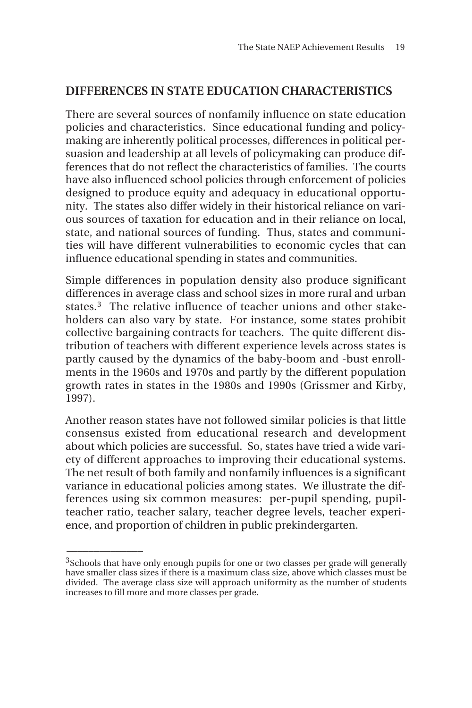#### **DIFFERENCES IN STATE EDUCATION CHARACTERISTICS**

There are several sources of nonfamily influence on state education policies and characteristics. Since educational funding and policymaking are inherently political processes, differences in political persuasion and leadership at all levels of policymaking can produce differences that do not reflect the characteristics of families. The courts have also influenced school policies through enforcement of policies designed to produce equity and adequacy in educational opportunity. The states also differ widely in their historical reliance on various sources of taxation for education and in their reliance on local, state, and national sources of funding. Thus, states and communities will have different vulnerabilities to economic cycles that can influence educational spending in states and communities.

Simple differences in population density also produce significant differences in average class and school sizes in more rural and urban states.3 The relative influence of teacher unions and other stakeholders can also vary by state. For instance, some states prohibit collective bargaining contracts for teachers. The quite different distribution of teachers with different experience levels across states is partly caused by the dynamics of the baby-boom and -bust enrollments in the 1960s and 1970s and partly by the different population growth rates in states in the 1980s and 1990s (Grissmer and Kirby, 1997).

Another reason states have not followed similar policies is that little consensus existed from educational research and development about which policies are successful. So, states have tried a wide variety of different approaches to improving their educational systems. The net result of both family and nonfamily influences is a significant variance in educational policies among states. We illustrate the differences using six common measures: per-pupil spending, pupilteacher ratio, teacher salary, teacher degree levels, teacher experience, and proportion of children in public prekindergarten.

 $\overline{\phantom{a}}$ 

<sup>&</sup>lt;sup>3</sup>Schools that have only enough pupils for one or two classes per grade will generally have smaller class sizes if there is a maximum class size, above which classes must be divided. The average class size will approach uniformity as the number of students increases to fill more and more classes per grade.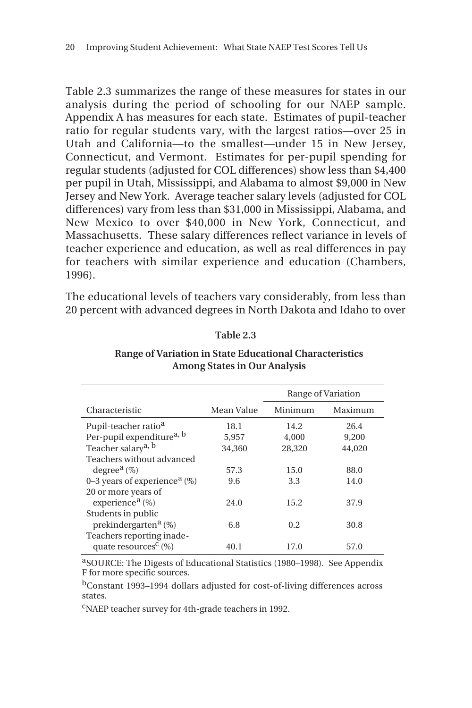Table 2.3 summarizes the range of these measures for states in our analysis during the period of schooling for our NAEP sample. Appendix A has measures for each state. Estimates of pupil-teacher ratio for regular students vary, with the largest ratios—over 25 in Utah and California—to the smallest—under 15 in New Jersey, Connecticut, and Vermont. Estimates for per-pupil spending for regular students (adjusted for COL differences) show less than \$4,400 per pupil in Utah, Mississippi, and Alabama to almost \$9,000 in New Jersey and New York. Average teacher salary levels (adjusted for COL differences) vary from less than \$31,000 in Mississippi, Alabama, and New Mexico to over \$40,000 in New York, Connecticut, and Massachusetts. These salary differences reflect variance in levels of teacher experience and education, as well as real differences in pay for teachers with similar experience and education (Chambers, 1996).

The educational levels of teachers vary considerably, from less than 20 percent with advanced degrees in North Dakota and Idaho to over

**Table 2.3**

|                                             |            | Range of Variation |         |  |
|---------------------------------------------|------------|--------------------|---------|--|
| Characteristic                              | Mean Value | Minimum            | Maximum |  |
| Pupil-teacher ratio <sup>a</sup>            | 18.1       | 14.2               | 26.4    |  |
| Per-pupil expenditure <sup>a, b</sup>       | 5,957      | 4.000              | 9.200   |  |
| Teacher salary <sup>a, b</sup>              | 34,360     | 28,320             | 44,020  |  |
| Teachers without advanced                   |            |                    |         |  |
| degree <sup><math>a</math></sup> (%)        | 57.3       | 15.0               | 88.0    |  |
| 0–3 years of experience <sup>a</sup> $(\%)$ | 9.6        | 3.3                | 14.0    |  |
| 20 or more years of                         |            |                    |         |  |
| experience <sup>a</sup> $(\%)$              | 24.0       | 15.2               | 37.9    |  |
| Students in public                          |            |                    |         |  |
| prekindergarten <sup>a</sup> $(\%)$         | 6.8        | 0.2                | 30.8    |  |
| Teachers reporting inade-                   |            |                    |         |  |
| quate resources <sup>c</sup> $(\%)$         | 40.1       | 17.0               | 57.0    |  |

#### **Range of Variation in State Educational Characteristics Among States in Our Analysis**

aSOURCE: The Digests of Educational Statistics (1980–1998). See Appendix F for more specific sources.

bConstant 1993–1994 dollars adjusted for cost-of-living differences across states.

cNAEP teacher survey for 4th-grade teachers in 1992.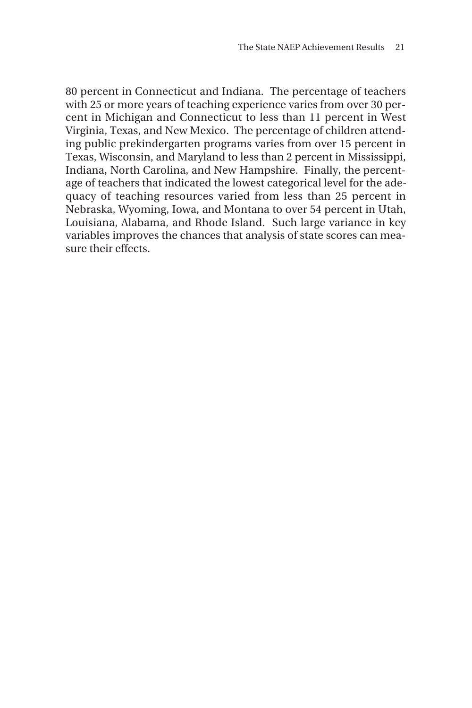80 percent in Connecticut and Indiana. The percentage of teachers with 25 or more years of teaching experience varies from over 30 percent in Michigan and Connecticut to less than 11 percent in West Virginia, Texas, and New Mexico. The percentage of children attending public prekindergarten programs varies from over 15 percent in Texas, Wisconsin, and Maryland to less than 2 percent in Mississippi, Indiana, North Carolina, and New Hampshire. Finally, the percentage of teachers that indicated the lowest categorical level for the adequacy of teaching resources varied from less than 25 percent in Nebraska, Wyoming, Iowa, and Montana to over 54 percent in Utah, Louisiana, Alabama, and Rhode Island. Such large variance in key variables improves the chances that analysis of state scores can measure their effects.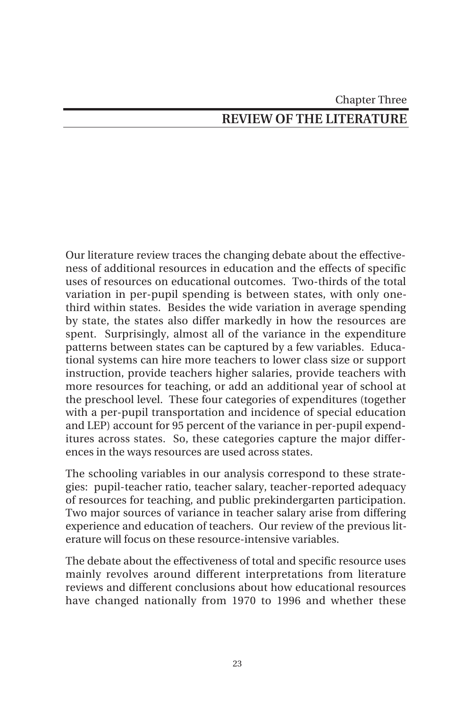# Chapter Three **REVIEW OF THE LITERATURE**

Our literature review traces the changing debate about the effectiveness of additional resources in education and the effects of specific uses of resources on educational outcomes. Two-thirds of the total variation in per-pupil spending is between states, with only onethird within states. Besides the wide variation in average spending by state, the states also differ markedly in how the resources are spent. Surprisingly, almost all of the variance in the expenditure patterns between states can be captured by a few variables. Educational systems can hire more teachers to lower class size or support instruction, provide teachers higher salaries, provide teachers with more resources for teaching, or add an additional year of school at the preschool level. These four categories of expenditures (together with a per-pupil transportation and incidence of special education and LEP) account for 95 percent of the variance in per-pupil expenditures across states. So, these categories capture the major differences in the ways resources are used across states.

The schooling variables in our analysis correspond to these strategies: pupil-teacher ratio, teacher salary, teacher-reported adequacy of resources for teaching, and public prekindergarten participation. Two major sources of variance in teacher salary arise from differing experience and education of teachers. Our review of the previous literature will focus on these resource-intensive variables.

The debate about the effectiveness of total and specific resource uses mainly revolves around different interpretations from literature reviews and different conclusions about how educational resources have changed nationally from 1970 to 1996 and whether these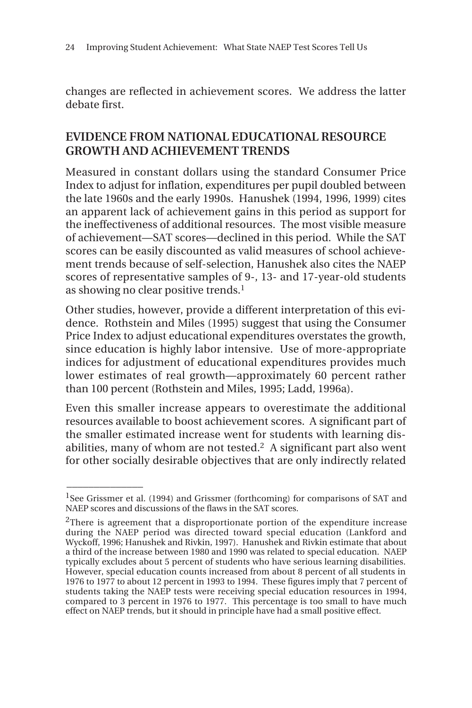changes are reflected in achievement scores. We address the latter debate first.

#### **EVIDENCE FROM NATIONAL EDUCATIONAL RESOURCE GROWTH AND ACHIEVEMENT TRENDS**

Measured in constant dollars using the standard Consumer Price Index to adjust for inflation, expenditures per pupil doubled between the late 1960s and the early 1990s. Hanushek (1994, 1996, 1999) cites an apparent lack of achievement gains in this period as support for the ineffectiveness of additional resources. The most visible measure of achievement—SAT scores—declined in this period. While the SAT scores can be easily discounted as valid measures of school achievement trends because of self-selection, Hanushek also cites the NAEP scores of representative samples of 9-, 13- and 17-year-old students as showing no clear positive trends.1

Other studies, however, provide a different interpretation of this evidence. Rothstein and Miles (1995) suggest that using the Consumer Price Index to adjust educational expenditures overstates the growth, since education is highly labor intensive. Use of more-appropriate indices for adjustment of educational expenditures provides much lower estimates of real growth—approximately 60 percent rather than 100 percent (Rothstein and Miles, 1995; Ladd, 1996a).

Even this smaller increase appears to overestimate the additional resources available to boost achievement scores. A significant part of the smaller estimated increase went for students with learning disabilities, many of whom are not tested.2 A significant part also went for other socially desirable objectives that are only indirectly related

 $\overline{\phantom{a}}$ 

<sup>&</sup>lt;sup>1</sup>See Grissmer et al. (1994) and Grissmer (forthcoming) for comparisons of SAT and NAEP scores and discussions of the flaws in the SAT scores.

<sup>2</sup>There is agreement that a disproportionate portion of the expenditure increase during the NAEP period was directed toward special education (Lankford and Wyckoff, 1996; Hanushek and Rivkin, 1997). Hanushek and Rivkin estimate that about a third of the increase between 1980 and 1990 was related to special education. NAEP typically excludes about 5 percent of students who have serious learning disabilities. However, special education counts increased from about 8 percent of all students in 1976 to 1977 to about 12 percent in 1993 to 1994. These figures imply that 7 percent of students taking the NAEP tests were receiving special education resources in 1994, compared to 3 percent in 1976 to 1977. This percentage is too small to have much effect on NAEP trends, but it should in principle have had a small positive effect.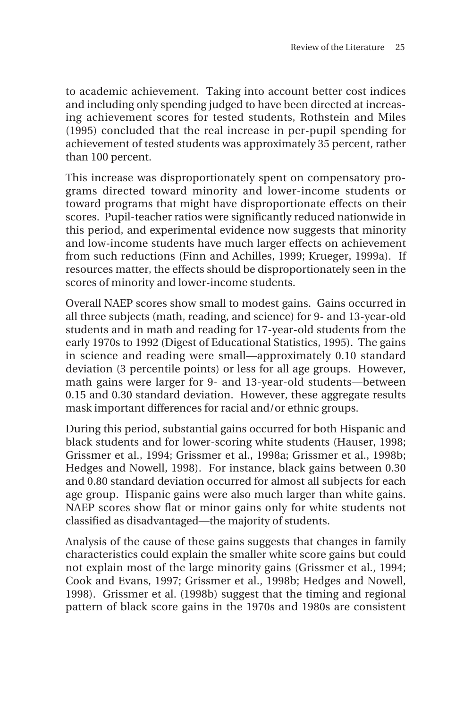to academic achievement. Taking into account better cost indices and including only spending judged to have been directed at increasing achievement scores for tested students, Rothstein and Miles (1995) concluded that the real increase in per-pupil spending for achievement of tested students was approximately 35 percent, rather than 100 percent.

This increase was disproportionately spent on compensatory programs directed toward minority and lower-income students or toward programs that might have disproportionate effects on their scores. Pupil-teacher ratios were significantly reduced nationwide in this period, and experimental evidence now suggests that minority and low-income students have much larger effects on achievement from such reductions (Finn and Achilles, 1999; Krueger, 1999a). If resources matter, the effects should be disproportionately seen in the scores of minority and lower-income students.

Overall NAEP scores show small to modest gains. Gains occurred in all three subjects (math, reading, and science) for 9- and 13-year-old students and in math and reading for 17-year-old students from the early 1970s to 1992 (Digest of Educational Statistics, 1995). The gains in science and reading were small—approximately 0.10 standard deviation (3 percentile points) or less for all age groups. However, math gains were larger for 9- and 13-year-old students—between 0.15 and 0.30 standard deviation. However, these aggregate results mask important differences for racial and/or ethnic groups.

During this period, substantial gains occurred for both Hispanic and black students and for lower-scoring white students (Hauser, 1998; Grissmer et al., 1994; Grissmer et al., 1998a; Grissmer et al., 1998b; Hedges and Nowell, 1998). For instance, black gains between 0.30 and 0.80 standard deviation occurred for almost all subjects for each age group. Hispanic gains were also much larger than white gains. NAEP scores show flat or minor gains only for white students not classified as disadvantaged—the majority of students.

Analysis of the cause of these gains suggests that changes in family characteristics could explain the smaller white score gains but could not explain most of the large minority gains (Grissmer et al., 1994; Cook and Evans, 1997; Grissmer et al., 1998b; Hedges and Nowell, 1998). Grissmer et al. (1998b) suggest that the timing and regional pattern of black score gains in the 1970s and 1980s are consistent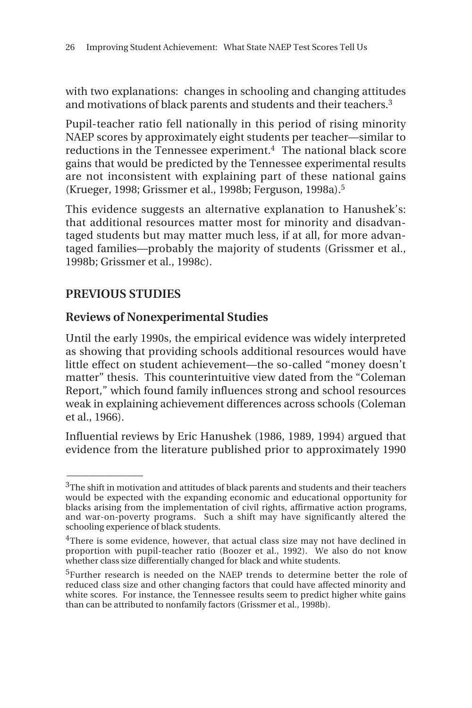with two explanations: changes in schooling and changing attitudes and motivations of black parents and students and their teachers.3

Pupil-teacher ratio fell nationally in this period of rising minority NAEP scores by approximately eight students per teacher—similar to reductions in the Tennessee experiment.<sup>4</sup> The national black score gains that would be predicted by the Tennessee experimental results are not inconsistent with explaining part of these national gains (Krueger, 1998; Grissmer et al., 1998b; Ferguson, 1998a).5

This evidence suggests an alternative explanation to Hanushek's: that additional resources matter most for minority and disadvantaged students but may matter much less, if at all, for more advantaged families—probably the majority of students (Grissmer et al., 1998b; Grissmer et al., 1998c).

## **PREVIOUS STUDIES**

 $\overline{\phantom{a}}$ 

#### **Reviews of Nonexperimental Studies**

Until the early 1990s, the empirical evidence was widely interpreted as showing that providing schools additional resources would have little effect on student achievement—the so-called "money doesn't matter" thesis. This counterintuitive view dated from the "Coleman Report," which found family influences strong and school resources weak in explaining achievement differences across schools (Coleman et al., 1966).

Influential reviews by Eric Hanushek (1986, 1989, 1994) argued that evidence from the literature published prior to approximately 1990

<sup>&</sup>lt;sup>3</sup>The shift in motivation and attitudes of black parents and students and their teachers would be expected with the expanding economic and educational opportunity for blacks arising from the implementation of civil rights, affirmative action programs, and war-on-poverty programs. Such a shift may have significantly altered the schooling experience of black students.

<sup>&</sup>lt;sup>4</sup>There is some evidence, however, that actual class size may not have declined in proportion with pupil-teacher ratio (Boozer et al., 1992). We also do not know whether class size differentially changed for black and white students.

<sup>5</sup>Further research is needed on the NAEP trends to determine better the role of reduced class size and other changing factors that could have affected minority and white scores. For instance, the Tennessee results seem to predict higher white gains than can be attributed to nonfamily factors (Grissmer et al., 1998b).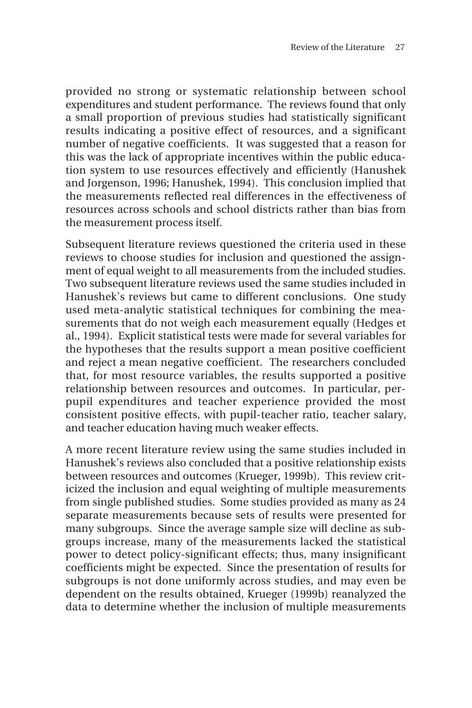provided no strong or systematic relationship between school expenditures and student performance. The reviews found that only a small proportion of previous studies had statistically significant results indicating a positive effect of resources, and a significant number of negative coefficients. It was suggested that a reason for this was the lack of appropriate incentives within the public education system to use resources effectively and efficiently (Hanushek and Jorgenson, 1996; Hanushek, 1994). This conclusion implied that the measurements reflected real differences in the effectiveness of resources across schools and school districts rather than bias from the measurement process itself.

Subsequent literature reviews questioned the criteria used in these reviews to choose studies for inclusion and questioned the assignment of equal weight to all measurements from the included studies. Two subsequent literature reviews used the same studies included in Hanushek's reviews but came to different conclusions. One study used meta-analytic statistical techniques for combining the measurements that do not weigh each measurement equally (Hedges et al., 1994). Explicit statistical tests were made for several variables for the hypotheses that the results support a mean positive coefficient and reject a mean negative coefficient. The researchers concluded that, for most resource variables, the results supported a positive relationship between resources and outcomes. In particular, perpupil expenditures and teacher experience provided the most consistent positive effects, with pupil-teacher ratio, teacher salary, and teacher education having much weaker effects.

A more recent literature review using the same studies included in Hanushek's reviews also concluded that a positive relationship exists between resources and outcomes (Krueger, 1999b). This review criticized the inclusion and equal weighting of multiple measurements from single published studies. Some studies provided as many as 24 separate measurements because sets of results were presented for many subgroups. Since the average sample size will decline as subgroups increase, many of the measurements lacked the statistical power to detect policy-significant effects; thus, many insignificant coefficients might be expected. Since the presentation of results for subgroups is not done uniformly across studies, and may even be dependent on the results obtained, Krueger (1999b) reanalyzed the data to determine whether the inclusion of multiple measurements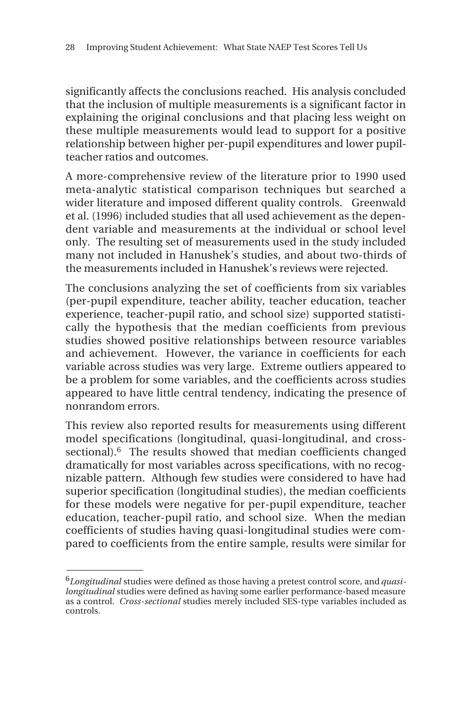significantly affects the conclusions reached. His analysis concluded that the inclusion of multiple measurements is a significant factor in explaining the original conclusions and that placing less weight on these multiple measurements would lead to support for a positive relationship between higher per-pupil expenditures and lower pupilteacher ratios and outcomes.

A more-comprehensive review of the literature prior to 1990 used meta-analytic statistical comparison techniques but searched a wider literature and imposed different quality controls. Greenwald et al. (1996) included studies that all used achievement as the dependent variable and measurements at the individual or school level only. The resulting set of measurements used in the study included many not included in Hanushek's studies, and about two-thirds of the measurements included in Hanushek's reviews were rejected.

The conclusions analyzing the set of coefficients from six variables (per-pupil expenditure, teacher ability, teacher education, teacher experience, teacher-pupil ratio, and school size) supported statistically the hypothesis that the median coefficients from previous studies showed positive relationships between resource variables and achievement. However, the variance in coefficients for each variable across studies was very large. Extreme outliers appeared to be a problem for some variables, and the coefficients across studies appeared to have little central tendency, indicating the presence of nonrandom errors.

This review also reported results for measurements using different model specifications (longitudinal, quasi-longitudinal, and crosssectional).<sup>6</sup> The results showed that median coefficients changed dramatically for most variables across specifications, with no recognizable pattern. Although few studies were considered to have had superior specification (longitudinal studies), the median coefficients for these models were negative for per-pupil expenditure, teacher education, teacher-pupil ratio, and school size. When the median coefficients of studies having quasi-longitudinal studies were compared to coefficients from the entire sample, results were similar for

\_\_\_\_\_\_\_\_\_\_\_\_\_\_

<sup>6</sup>*Longitudinal* studies were defined as those having a pretest control score, and *quasilongitudinal* studies were defined as having some earlier performance-based measure as a control. *Cross-sectional* studies merely included SES-type variables included as controls.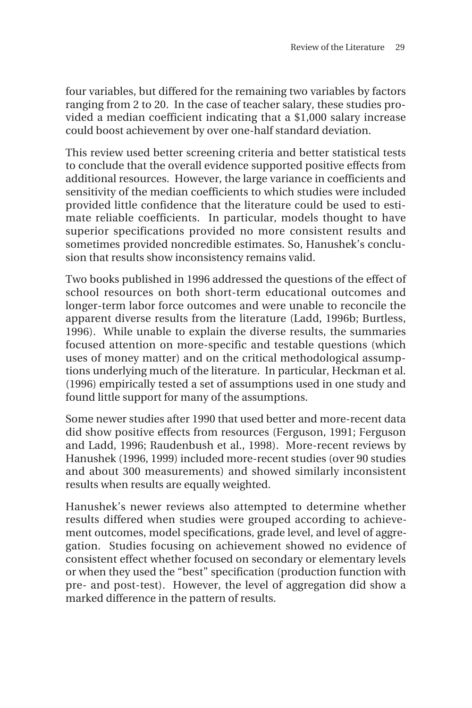four variables, but differed for the remaining two variables by factors ranging from 2 to 20. In the case of teacher salary, these studies provided a median coefficient indicating that a \$1,000 salary increase could boost achievement by over one-half standard deviation.

This review used better screening criteria and better statistical tests to conclude that the overall evidence supported positive effects from additional resources. However, the large variance in coefficients and sensitivity of the median coefficients to which studies were included provided little confidence that the literature could be used to estimate reliable coefficients. In particular, models thought to have superior specifications provided no more consistent results and sometimes provided noncredible estimates. So, Hanushek's conclusion that results show inconsistency remains valid.

Two books published in 1996 addressed the questions of the effect of school resources on both short-term educational outcomes and longer-term labor force outcomes and were unable to reconcile the apparent diverse results from the literature (Ladd, 1996b; Burtless, 1996). While unable to explain the diverse results, the summaries focused attention on more-specific and testable questions (which uses of money matter) and on the critical methodological assumptions underlying much of the literature. In particular, Heckman et al. (1996) empirically tested a set of assumptions used in one study and found little support for many of the assumptions.

Some newer studies after 1990 that used better and more-recent data did show positive effects from resources (Ferguson, 1991; Ferguson and Ladd, 1996; Raudenbush et al., 1998). More-recent reviews by Hanushek (1996, 1999) included more-recent studies (over 90 studies and about 300 measurements) and showed similarly inconsistent results when results are equally weighted.

Hanushek's newer reviews also attempted to determine whether results differed when studies were grouped according to achievement outcomes, model specifications, grade level, and level of aggregation. Studies focusing on achievement showed no evidence of consistent effect whether focused on secondary or elementary levels or when they used the "best" specification (production function with pre- and post-test). However, the level of aggregation did show a marked difference in the pattern of results.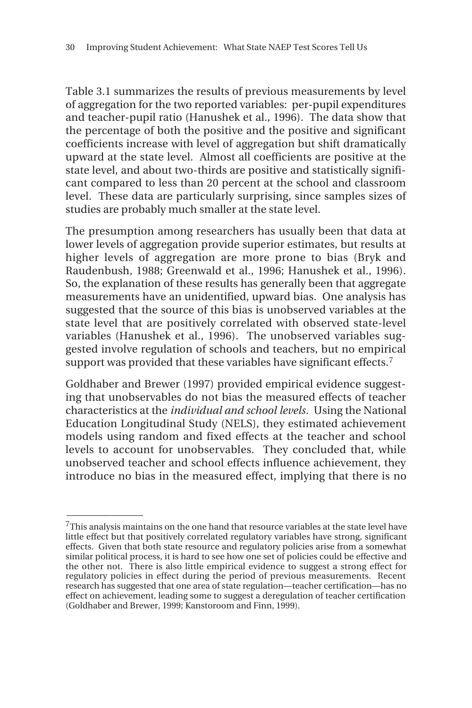Table 3.1 summarizes the results of previous measurements by level of aggregation for the two reported variables: per-pupil expenditures and teacher-pupil ratio (Hanushek et al., 1996). The data show that the percentage of both the positive and the positive and significant coefficients increase with level of aggregation but shift dramatically upward at the state level. Almost all coefficients are positive at the state level, and about two-thirds are positive and statistically significant compared to less than 20 percent at the school and classroom level. These data are particularly surprising, since samples sizes of studies are probably much smaller at the state level.

The presumption among researchers has usually been that data at lower levels of aggregation provide superior estimates, but results at higher levels of aggregation are more prone to bias (Bryk and Raudenbush, 1988; Greenwald et al., 1996; Hanushek et al., 1996). So, the explanation of these results has generally been that aggregate measurements have an unidentified, upward bias. One analysis has suggested that the source of this bias is unobserved variables at the state level that are positively correlated with observed state-level variables (Hanushek et al., 1996). The unobserved variables suggested involve regulation of schools and teachers, but no empirical support was provided that these variables have significant effects.<sup>7</sup>

Goldhaber and Brewer (1997) provided empirical evidence suggesting that unobservables do not bias the measured effects of teacher characteristics at the *individual and school levels*. Using the National Education Longitudinal Study (NELS), they estimated achievement models using random and fixed effects at the teacher and school levels to account for unobservables. They concluded that, while unobserved teacher and school effects influence achievement, they introduce no bias in the measured effect, implying that there is no

\_\_\_\_\_\_\_\_\_\_\_\_\_\_

 $7$ This analysis maintains on the one hand that resource variables at the state level have little effect but that positively correlated regulatory variables have strong, significant effects. Given that both state resource and regulatory policies arise from a somewhat similar political process, it is hard to see how one set of policies could be effective and the other not. There is also little empirical evidence to suggest a strong effect for regulatory policies in effect during the period of previous measurements. Recent research has suggested that one area of state regulation—teacher certification—has no effect on achievement, leading some to suggest a deregulation of teacher certification (Goldhaber and Brewer, 1999; Kanstoroom and Finn, 1999).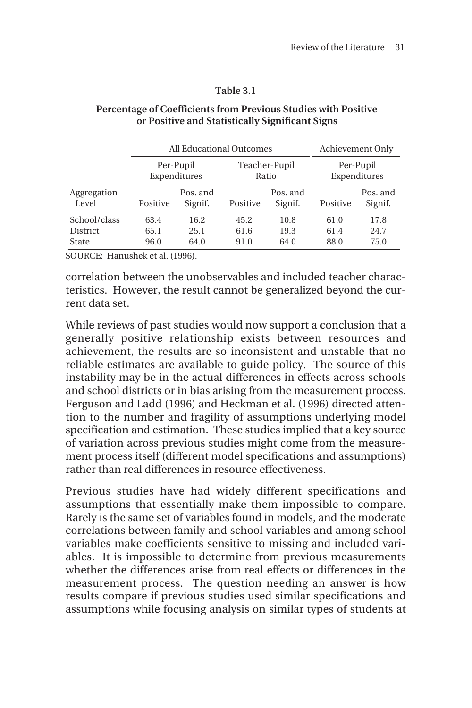#### **Table 3.1**

|                      |                           | All Educational Outcomes | Achievement Only       |                     |                           |                     |
|----------------------|---------------------------|--------------------------|------------------------|---------------------|---------------------------|---------------------|
|                      | Per-Pupil<br>Expenditures |                          | Teacher-Pupil<br>Ratio |                     | Per-Pupil<br>Expenditures |                     |
| Aggregation<br>Level | Positive                  | Pos. and<br>Signif.      | Positive               | Pos. and<br>Signif. | Positive                  | Pos. and<br>Signif. |
| School/class         | 63.4                      | 16.2                     | 45.2                   | 10.8                | 61.0                      | 17.8                |
| <b>District</b>      | 65.1                      | 25.1                     | 61.6                   | 19.3                | 61.4                      | 24.7                |
| State                | 96.0                      | 64.0                     | 91.0                   | 64.0                | 88.0                      | 75.0                |

#### **Percentage of Coefficients from Previous Studies with Positive or Positive and Statistically Significant Signs**

SOURCE: Hanushek et al. (1996).

correlation between the unobservables and included teacher characteristics. However, the result cannot be generalized beyond the current data set.

While reviews of past studies would now support a conclusion that a generally positive relationship exists between resources and achievement, the results are so inconsistent and unstable that no reliable estimates are available to guide policy. The source of this instability may be in the actual differences in effects across schools and school districts or in bias arising from the measurement process. Ferguson and Ladd (1996) and Heckman et al. (1996) directed attention to the number and fragility of assumptions underlying model specification and estimation. These studies implied that a key source of variation across previous studies might come from the measurement process itself (different model specifications and assumptions) rather than real differences in resource effectiveness.

Previous studies have had widely different specifications and assumptions that essentially make them impossible to compare. Rarely is the same set of variables found in models, and the moderate correlations between family and school variables and among school variables make coefficients sensitive to missing and included variables. It is impossible to determine from previous measurements whether the differences arise from real effects or differences in the measurement process. The question needing an answer is how results compare if previous studies used similar specifications and assumptions while focusing analysis on similar types of students at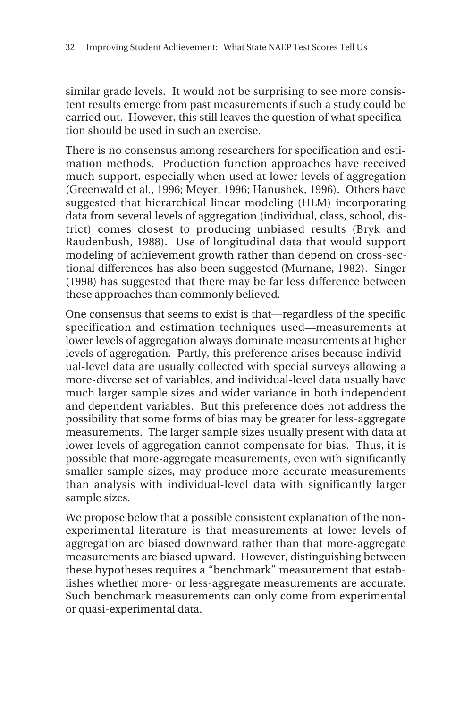similar grade levels. It would not be surprising to see more consistent results emerge from past measurements if such a study could be carried out. However, this still leaves the question of what specification should be used in such an exercise.

There is no consensus among researchers for specification and estimation methods. Production function approaches have received much support, especially when used at lower levels of aggregation (Greenwald et al., 1996; Meyer, 1996; Hanushek, 1996). Others have suggested that hierarchical linear modeling (HLM) incorporating data from several levels of aggregation (individual, class, school, district) comes closest to producing unbiased results (Bryk and Raudenbush, 1988). Use of longitudinal data that would support modeling of achievement growth rather than depend on cross-sectional differences has also been suggested (Murnane, 1982). Singer (1998) has suggested that there may be far less difference between these approaches than commonly believed.

One consensus that seems to exist is that—regardless of the specific specification and estimation techniques used—measurements at lower levels of aggregation always dominate measurements at higher levels of aggregation. Partly, this preference arises because individual-level data are usually collected with special surveys allowing a more-diverse set of variables, and individual-level data usually have much larger sample sizes and wider variance in both independent and dependent variables. But this preference does not address the possibility that some forms of bias may be greater for less-aggregate measurements. The larger sample sizes usually present with data at lower levels of aggregation cannot compensate for bias. Thus, it is possible that more-aggregate measurements, even with significantly smaller sample sizes, may produce more-accurate measurements than analysis with individual-level data with significantly larger sample sizes.

We propose below that a possible consistent explanation of the nonexperimental literature is that measurements at lower levels of aggregation are biased downward rather than that more-aggregate measurements are biased upward. However, distinguishing between these hypotheses requires a "benchmark" measurement that establishes whether more- or less-aggregate measurements are accurate. Such benchmark measurements can only come from experimental or quasi-experimental data.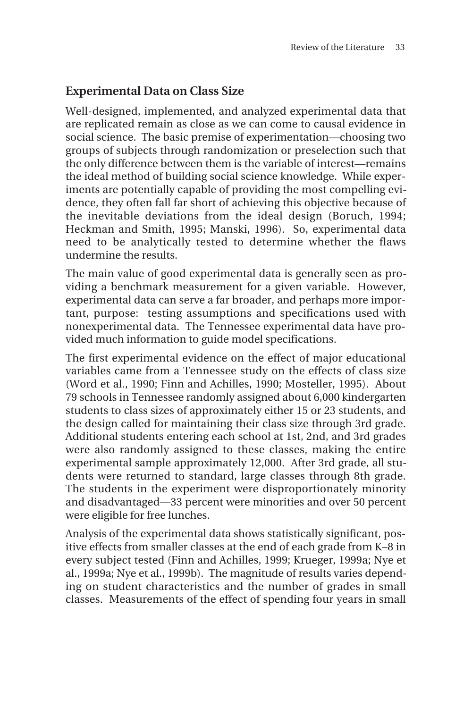#### **Experimental Data on Class Size**

Well-designed, implemented, and analyzed experimental data that are replicated remain as close as we can come to causal evidence in social science. The basic premise of experimentation—choosing two groups of subjects through randomization or preselection such that the only difference between them is the variable of interest—remains the ideal method of building social science knowledge. While experiments are potentially capable of providing the most compelling evidence, they often fall far short of achieving this objective because of the inevitable deviations from the ideal design (Boruch, 1994; Heckman and Smith, 1995; Manski, 1996). So, experimental data need to be analytically tested to determine whether the flaws undermine the results.

The main value of good experimental data is generally seen as providing a benchmark measurement for a given variable. However, experimental data can serve a far broader, and perhaps more important, purpose: testing assumptions and specifications used with nonexperimental data. The Tennessee experimental data have provided much information to guide model specifications.

The first experimental evidence on the effect of major educational variables came from a Tennessee study on the effects of class size (Word et al., 1990; Finn and Achilles, 1990; Mosteller, 1995). About 79 schools in Tennessee randomly assigned about 6,000 kindergarten students to class sizes of approximately either 15 or 23 students, and the design called for maintaining their class size through 3rd grade. Additional students entering each school at 1st, 2nd, and 3rd grades were also randomly assigned to these classes, making the entire experimental sample approximately 12,000. After 3rd grade, all students were returned to standard, large classes through 8th grade. The students in the experiment were disproportionately minority and disadvantaged—33 percent were minorities and over 50 percent were eligible for free lunches.

Analysis of the experimental data shows statistically significant, positive effects from smaller classes at the end of each grade from K–8 in every subject tested (Finn and Achilles, 1999; Krueger, 1999a; Nye et al., 1999a; Nye et al., 1999b). The magnitude of results varies depending on student characteristics and the number of grades in small classes. Measurements of the effect of spending four years in small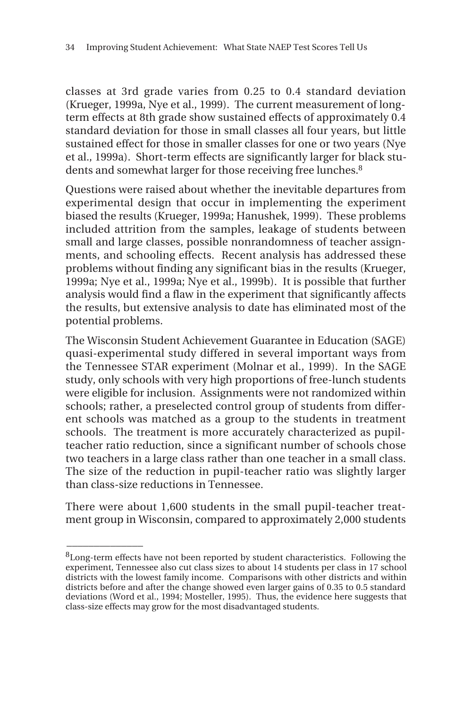classes at 3rd grade varies from 0.25 to 0.4 standard deviation (Krueger, 1999a, Nye et al., 1999). The current measurement of longterm effects at 8th grade show sustained effects of approximately 0.4 standard deviation for those in small classes all four years, but little sustained effect for those in smaller classes for one or two years (Nye et al., 1999a). Short-term effects are significantly larger for black students and somewhat larger for those receiving free lunches.<sup>8</sup>

Questions were raised about whether the inevitable departures from experimental design that occur in implementing the experiment biased the results (Krueger, 1999a; Hanushek, 1999). These problems included attrition from the samples, leakage of students between small and large classes, possible nonrandomness of teacher assignments, and schooling effects. Recent analysis has addressed these problems without finding any significant bias in the results (Krueger, 1999a; Nye et al., 1999a; Nye et al., 1999b). It is possible that further analysis would find a flaw in the experiment that significantly affects the results, but extensive analysis to date has eliminated most of the potential problems.

The Wisconsin Student Achievement Guarantee in Education (SAGE) quasi-experimental study differed in several important ways from the Tennessee STAR experiment (Molnar et al., 1999). In the SAGE study, only schools with very high proportions of free-lunch students were eligible for inclusion. Assignments were not randomized within schools; rather, a preselected control group of students from different schools was matched as a group to the students in treatment schools. The treatment is more accurately characterized as pupilteacher ratio reduction, since a significant number of schools chose two teachers in a large class rather than one teacher in a small class. The size of the reduction in pupil-teacher ratio was slightly larger than class-size reductions in Tennessee.

There were about 1,600 students in the small pupil-teacher treatment group in Wisconsin, compared to approximately 2,000 students

 $\overline{\phantom{a}}$ 

<sup>&</sup>lt;sup>8</sup>Long-term effects have not been reported by student characteristics. Following the experiment, Tennessee also cut class sizes to about 14 students per class in 17 school districts with the lowest family income. Comparisons with other districts and within districts before and after the change showed even larger gains of 0.35 to 0.5 standard deviations (Word et al., 1994; Mosteller, 1995). Thus, the evidence here suggests that class-size effects may grow for the most disadvantaged students.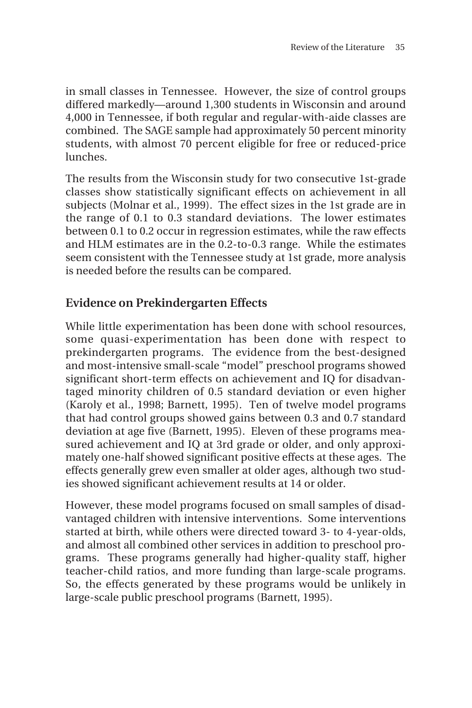in small classes in Tennessee. However, the size of control groups differed markedly—around 1,300 students in Wisconsin and around 4,000 in Tennessee, if both regular and regular-with-aide classes are combined. The SAGE sample had approximately 50 percent minority students, with almost 70 percent eligible for free or reduced-price lunches.

The results from the Wisconsin study for two consecutive 1st-grade classes show statistically significant effects on achievement in all subjects (Molnar et al., 1999). The effect sizes in the 1st grade are in the range of 0.1 to 0.3 standard deviations. The lower estimates between 0.1 to 0.2 occur in regression estimates, while the raw effects and HLM estimates are in the 0.2-to-0.3 range. While the estimates seem consistent with the Tennessee study at 1st grade, more analysis is needed before the results can be compared.

#### **Evidence on Prekindergarten Effects**

While little experimentation has been done with school resources, some quasi-experimentation has been done with respect to prekindergarten programs. The evidence from the best-designed and most-intensive small-scale "model" preschool programs showed significant short-term effects on achievement and IQ for disadvantaged minority children of 0.5 standard deviation or even higher (Karoly et al., 1998; Barnett, 1995). Ten of twelve model programs that had control groups showed gains between 0.3 and 0.7 standard deviation at age five (Barnett, 1995). Eleven of these programs measured achievement and IQ at 3rd grade or older, and only approximately one-half showed significant positive effects at these ages. The effects generally grew even smaller at older ages, although two studies showed significant achievement results at 14 or older.

However, these model programs focused on small samples of disadvantaged children with intensive interventions. Some interventions started at birth, while others were directed toward 3- to 4-year-olds, and almost all combined other services in addition to preschool programs. These programs generally had higher-quality staff, higher teacher-child ratios, and more funding than large-scale programs. So, the effects generated by these programs would be unlikely in large-scale public preschool programs (Barnett, 1995).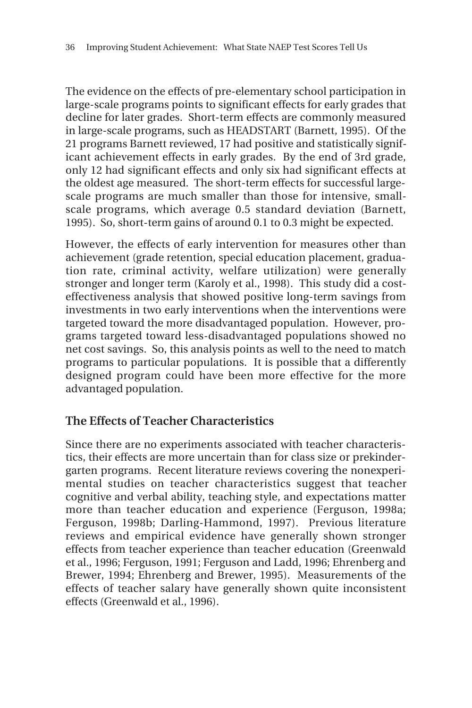The evidence on the effects of pre-elementary school participation in large-scale programs points to significant effects for early grades that decline for later grades. Short-term effects are commonly measured in large-scale programs, such as HEADSTART (Barnett, 1995). Of the 21 programs Barnett reviewed, 17 had positive and statistically significant achievement effects in early grades. By the end of 3rd grade, only 12 had significant effects and only six had significant effects at the oldest age measured. The short-term effects for successful largescale programs are much smaller than those for intensive, smallscale programs, which average 0.5 standard deviation (Barnett, 1995). So, short-term gains of around 0.1 to 0.3 might be expected.

However, the effects of early intervention for measures other than achievement (grade retention, special education placement, graduation rate, criminal activity, welfare utilization) were generally stronger and longer term (Karoly et al., 1998). This study did a costeffectiveness analysis that showed positive long-term savings from investments in two early interventions when the interventions were targeted toward the more disadvantaged population. However, programs targeted toward less-disadvantaged populations showed no net cost savings. So, this analysis points as well to the need to match programs to particular populations. It is possible that a differently designed program could have been more effective for the more advantaged population.

#### **The Effects of Teacher Characteristics**

Since there are no experiments associated with teacher characteristics, their effects are more uncertain than for class size or prekindergarten programs. Recent literature reviews covering the nonexperimental studies on teacher characteristics suggest that teacher cognitive and verbal ability, teaching style, and expectations matter more than teacher education and experience (Ferguson, 1998a; Ferguson, 1998b; Darling-Hammond, 1997). Previous literature reviews and empirical evidence have generally shown stronger effects from teacher experience than teacher education (Greenwald et al., 1996; Ferguson, 1991; Ferguson and Ladd, 1996; Ehrenberg and Brewer, 1994; Ehrenberg and Brewer, 1995). Measurements of the effects of teacher salary have generally shown quite inconsistent effects (Greenwald et al., 1996).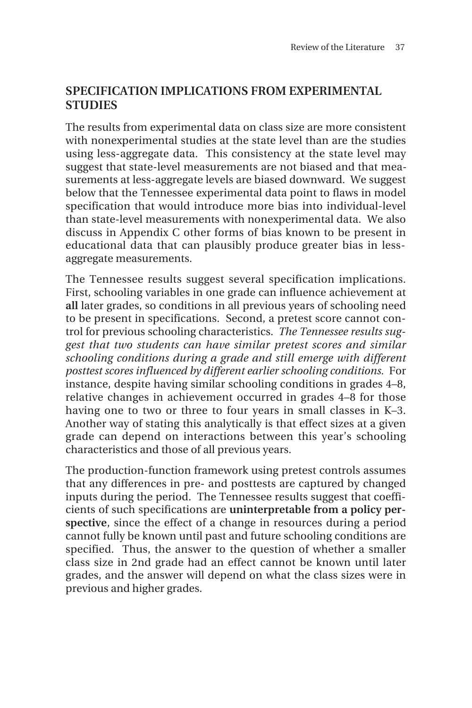#### **SPECIFICATION IMPLICATIONS FROM EXPERIMENTAL STUDIES**

The results from experimental data on class size are more consistent with nonexperimental studies at the state level than are the studies using less-aggregate data. This consistency at the state level may suggest that state-level measurements are not biased and that measurements at less-aggregate levels are biased downward. We suggest below that the Tennessee experimental data point to flaws in model specification that would introduce more bias into individual-level than state-level measurements with nonexperimental data. We also discuss in Appendix C other forms of bias known to be present in educational data that can plausibly produce greater bias in lessaggregate measurements.

The Tennessee results suggest several specification implications. First, schooling variables in one grade can influence achievement at **all** later grades, so conditions in all previous years of schooling need to be present in specifications. Second, a pretest score cannot control for previous schooling characteristics. *The Tennessee results suggest that two students can have similar pretest scores and similar schooling conditions during a grade and still emerge with different posttest scores influenced by different earlier schooling conditions.* For instance, despite having similar schooling conditions in grades 4–8, relative changes in achievement occurred in grades 4–8 for those having one to two or three to four years in small classes in K–3. Another way of stating this analytically is that effect sizes at a given grade can depend on interactions between this year's schooling characteristics and those of all previous years.

The production-function framework using pretest controls assumes that any differences in pre- and posttests are captured by changed inputs during the period. The Tennessee results suggest that coefficients of such specifications are **uninterpretable from a policy perspective**, since the effect of a change in resources during a period cannot fully be known until past and future schooling conditions are specified. Thus, the answer to the question of whether a smaller class size in 2nd grade had an effect cannot be known until later grades, and the answer will depend on what the class sizes were in previous and higher grades.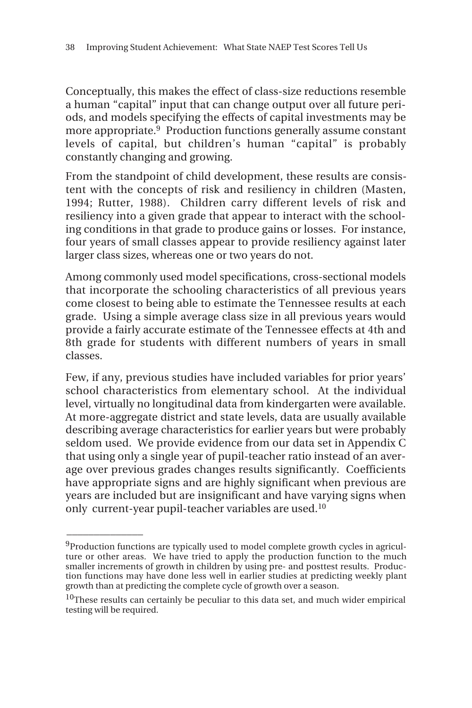Conceptually, this makes the effect of class-size reductions resemble a human "capital" input that can change output over all future periods, and models specifying the effects of capital investments may be more appropriate.9 Production functions generally assume constant levels of capital, but children's human "capital" is probably constantly changing and growing.

From the standpoint of child development, these results are consistent with the concepts of risk and resiliency in children (Masten, 1994; Rutter, 1988). Children carry different levels of risk and resiliency into a given grade that appear to interact with the schooling conditions in that grade to produce gains or losses. For instance, four years of small classes appear to provide resiliency against later larger class sizes, whereas one or two years do not.

Among commonly used model specifications, cross-sectional models that incorporate the schooling characteristics of all previous years come closest to being able to estimate the Tennessee results at each grade. Using a simple average class size in all previous years would provide a fairly accurate estimate of the Tennessee effects at 4th and 8th grade for students with different numbers of years in small classes.

Few, if any, previous studies have included variables for prior years' school characteristics from elementary school. At the individual level, virtually no longitudinal data from kindergarten were available. At more-aggregate district and state levels, data are usually available describing average characteristics for earlier years but were probably seldom used. We provide evidence from our data set in Appendix C that using only a single year of pupil-teacher ratio instead of an average over previous grades changes results significantly. Coefficients have appropriate signs and are highly significant when previous are years are included but are insignificant and have varying signs when only current-year pupil-teacher variables are used.10

 $\overline{\phantom{a}}$ 

<sup>9</sup>Production functions are typically used to model complete growth cycles in agriculture or other areas. We have tried to apply the production function to the much smaller increments of growth in children by using pre- and posttest results. Production functions may have done less well in earlier studies at predicting weekly plant growth than at predicting the complete cycle of growth over a season.

<sup>&</sup>lt;sup>10</sup>These results can certainly be peculiar to this data set, and much wider empirical testing will be required.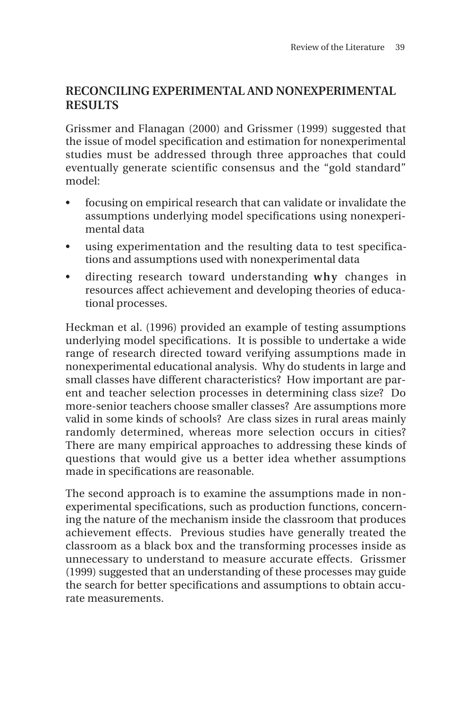#### **RECONCILING EXPERIMENTAL AND NONEXPERIMENTAL RESULTS**

Grissmer and Flanagan (2000) and Grissmer (1999) suggested that the issue of model specification and estimation for nonexperimental studies must be addressed through three approaches that could eventually generate scientific consensus and the "gold standard" model:

- focusing on empirical research that can validate or invalidate the assumptions underlying model specifications using nonexperimental data
- using experimentation and the resulting data to test specifications and assumptions used with nonexperimental data
- directing research toward understanding **why** changes in resources affect achievement and developing theories of educational processes.

Heckman et al. (1996) provided an example of testing assumptions underlying model specifications. It is possible to undertake a wide range of research directed toward verifying assumptions made in nonexperimental educational analysis. Why do students in large and small classes have different characteristics? How important are parent and teacher selection processes in determining class size? Do more-senior teachers choose smaller classes? Are assumptions more valid in some kinds of schools? Are class sizes in rural areas mainly randomly determined, whereas more selection occurs in cities? There are many empirical approaches to addressing these kinds of questions that would give us a better idea whether assumptions made in specifications are reasonable.

The second approach is to examine the assumptions made in nonexperimental specifications, such as production functions, concerning the nature of the mechanism inside the classroom that produces achievement effects. Previous studies have generally treated the classroom as a black box and the transforming processes inside as unnecessary to understand to measure accurate effects. Grissmer (1999) suggested that an understanding of these processes may guide the search for better specifications and assumptions to obtain accurate measurements.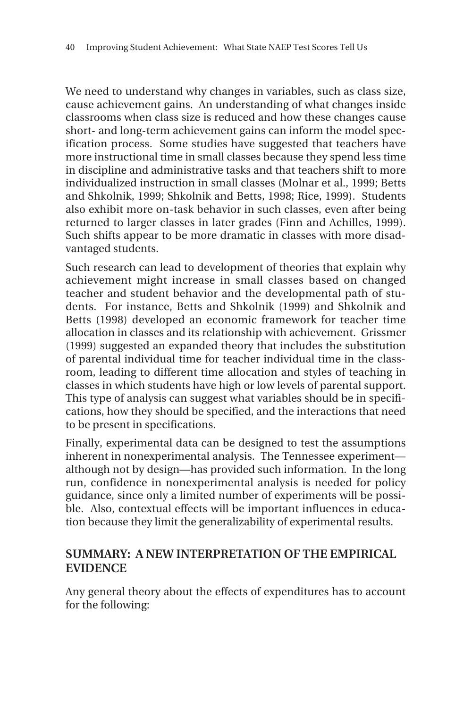We need to understand why changes in variables, such as class size, cause achievement gains. An understanding of what changes inside classrooms when class size is reduced and how these changes cause short- and long-term achievement gains can inform the model specification process. Some studies have suggested that teachers have more instructional time in small classes because they spend less time in discipline and administrative tasks and that teachers shift to more individualized instruction in small classes (Molnar et al., 1999; Betts and Shkolnik, 1999; Shkolnik and Betts, 1998; Rice, 1999). Students also exhibit more on-task behavior in such classes, even after being returned to larger classes in later grades (Finn and Achilles, 1999). Such shifts appear to be more dramatic in classes with more disadvantaged students.

Such research can lead to development of theories that explain why achievement might increase in small classes based on changed teacher and student behavior and the developmental path of students. For instance, Betts and Shkolnik (1999) and Shkolnik and Betts (1998) developed an economic framework for teacher time allocation in classes and its relationship with achievement. Grissmer (1999) suggested an expanded theory that includes the substitution of parental individual time for teacher individual time in the classroom, leading to different time allocation and styles of teaching in classes in which students have high or low levels of parental support. This type of analysis can suggest what variables should be in specifications, how they should be specified, and the interactions that need to be present in specifications.

Finally, experimental data can be designed to test the assumptions inherent in nonexperimental analysis. The Tennessee experiment although not by design—has provided such information. In the long run, confidence in nonexperimental analysis is needed for policy guidance, since only a limited number of experiments will be possible. Also, contextual effects will be important influences in education because they limit the generalizability of experimental results.

#### **SUMMARY: A NEW INTERPRETATION OF THE EMPIRICAL EVIDENCE**

Any general theory about the effects of expenditures has to account for the following: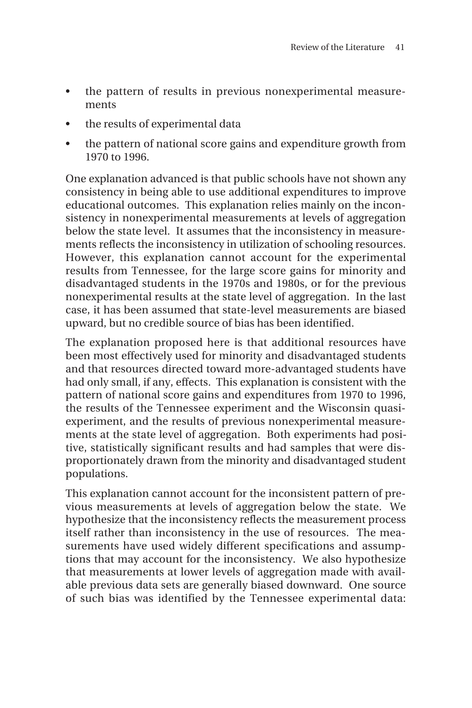- the pattern of results in previous nonexperimental measurements
- the results of experimental data
- the pattern of national score gains and expenditure growth from 1970 to 1996.

One explanation advanced is that public schools have not shown any consistency in being able to use additional expenditures to improve educational outcomes. This explanation relies mainly on the inconsistency in nonexperimental measurements at levels of aggregation below the state level. It assumes that the inconsistency in measurements reflects the inconsistency in utilization of schooling resources. However, this explanation cannot account for the experimental results from Tennessee, for the large score gains for minority and disadvantaged students in the 1970s and 1980s, or for the previous nonexperimental results at the state level of aggregation. In the last case, it has been assumed that state-level measurements are biased upward, but no credible source of bias has been identified.

The explanation proposed here is that additional resources have been most effectively used for minority and disadvantaged students and that resources directed toward more-advantaged students have had only small, if any, effects. This explanation is consistent with the pattern of national score gains and expenditures from 1970 to 1996, the results of the Tennessee experiment and the Wisconsin quasiexperiment, and the results of previous nonexperimental measurements at the state level of aggregation. Both experiments had positive, statistically significant results and had samples that were disproportionately drawn from the minority and disadvantaged student populations.

This explanation cannot account for the inconsistent pattern of previous measurements at levels of aggregation below the state. We hypothesize that the inconsistency reflects the measurement process itself rather than inconsistency in the use of resources. The measurements have used widely different specifications and assumptions that may account for the inconsistency. We also hypothesize that measurements at lower levels of aggregation made with available previous data sets are generally biased downward. One source of such bias was identified by the Tennessee experimental data: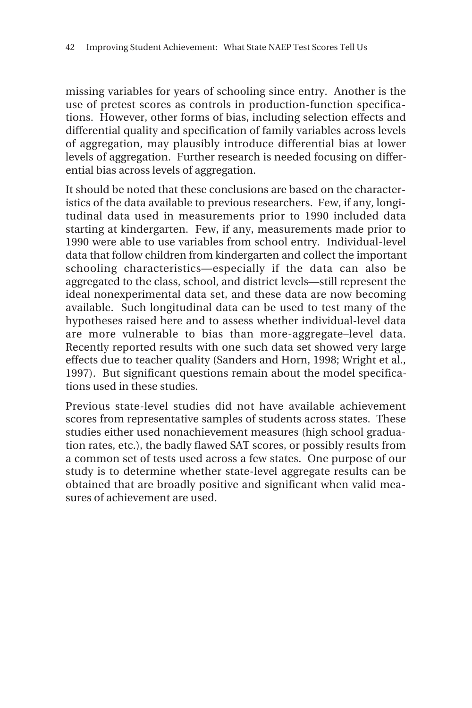missing variables for years of schooling since entry. Another is the use of pretest scores as controls in production-function specifications. However, other forms of bias, including selection effects and differential quality and specification of family variables across levels of aggregation, may plausibly introduce differential bias at lower levels of aggregation. Further research is needed focusing on differential bias across levels of aggregation.

It should be noted that these conclusions are based on the characteristics of the data available to previous researchers. Few, if any, longitudinal data used in measurements prior to 1990 included data starting at kindergarten. Few, if any, measurements made prior to 1990 were able to use variables from school entry. Individual-level data that follow children from kindergarten and collect the important schooling characteristics—especially if the data can also be aggregated to the class, school, and district levels—still represent the ideal nonexperimental data set, and these data are now becoming available. Such longitudinal data can be used to test many of the hypotheses raised here and to assess whether individual-level data are more vulnerable to bias than more-aggregate–level data. Recently reported results with one such data set showed very large effects due to teacher quality (Sanders and Horn, 1998; Wright et al., 1997). But significant questions remain about the model specifications used in these studies.

Previous state-level studies did not have available achievement scores from representative samples of students across states. These studies either used nonachievement measures (high school graduation rates, etc.), the badly flawed SAT scores, or possibly results from a common set of tests used across a few states. One purpose of our study is to determine whether state-level aggregate results can be obtained that are broadly positive and significant when valid measures of achievement are used.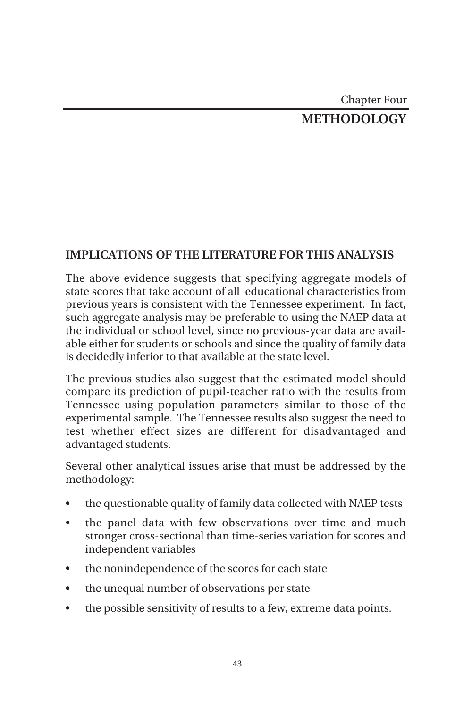### Chapter Four **METHODOLOGY**

### **IMPLICATIONS OF THE LITERATURE FOR THIS ANALYSIS**

The above evidence suggests that specifying aggregate models of state scores that take account of all educational characteristics from previous years is consistent with the Tennessee experiment. In fact, such aggregate analysis may be preferable to using the NAEP data at the individual or school level, since no previous-year data are available either for students or schools and since the quality of family data is decidedly inferior to that available at the state level.

The previous studies also suggest that the estimated model should compare its prediction of pupil-teacher ratio with the results from Tennessee using population parameters similar to those of the experimental sample. The Tennessee results also suggest the need to test whether effect sizes are different for disadvantaged and advantaged students.

Several other analytical issues arise that must be addressed by the methodology:

- the questionable quality of family data collected with NAEP tests
- the panel data with few observations over time and much stronger cross-sectional than time-series variation for scores and independent variables
- the nonindependence of the scores for each state
- the unequal number of observations per state
- the possible sensitivity of results to a few, extreme data points.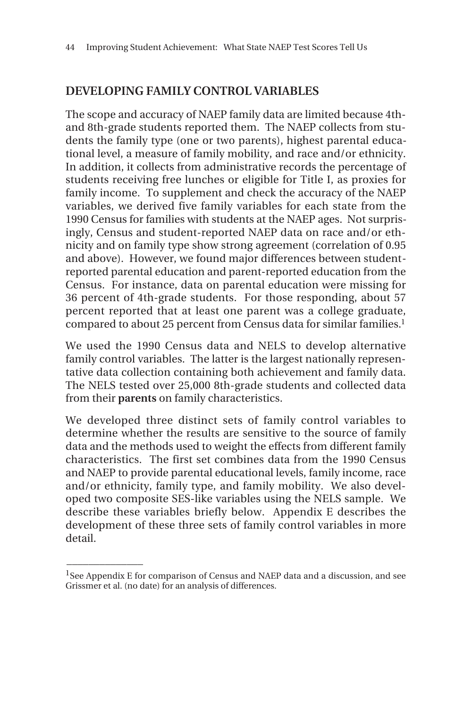#### **DEVELOPING FAMILY CONTROL VARIABLES**

The scope and accuracy of NAEP family data are limited because 4thand 8th-grade students reported them. The NAEP collects from students the family type (one or two parents), highest parental educational level, a measure of family mobility, and race and/or ethnicity. In addition, it collects from administrative records the percentage of students receiving free lunches or eligible for Title I, as proxies for family income. To supplement and check the accuracy of the NAEP variables, we derived five family variables for each state from the 1990 Census for families with students at the NAEP ages. Not surprisingly, Census and student-reported NAEP data on race and/or ethnicity and on family type show strong agreement (correlation of 0.95 and above). However, we found major differences between studentreported parental education and parent-reported education from the Census. For instance, data on parental education were missing for 36 percent of 4th-grade students. For those responding, about 57 percent reported that at least one parent was a college graduate, compared to about 25 percent from Census data for similar families.1

We used the 1990 Census data and NELS to develop alternative family control variables. The latter is the largest nationally representative data collection containing both achievement and family data. The NELS tested over 25,000 8th-grade students and collected data from their **parents** on family characteristics.

We developed three distinct sets of family control variables to determine whether the results are sensitive to the source of family data and the methods used to weight the effects from different family characteristics. The first set combines data from the 1990 Census and NAEP to provide parental educational levels, family income, race and/or ethnicity, family type, and family mobility. We also developed two composite SES-like variables using the NELS sample. We describe these variables briefly below. Appendix E describes the development of these three sets of family control variables in more detail.

 $\overline{\phantom{a}}$ 

 $1$ See Appendix E for comparison of Census and NAEP data and a discussion, and see Grissmer et al. (no date) for an analysis of differences.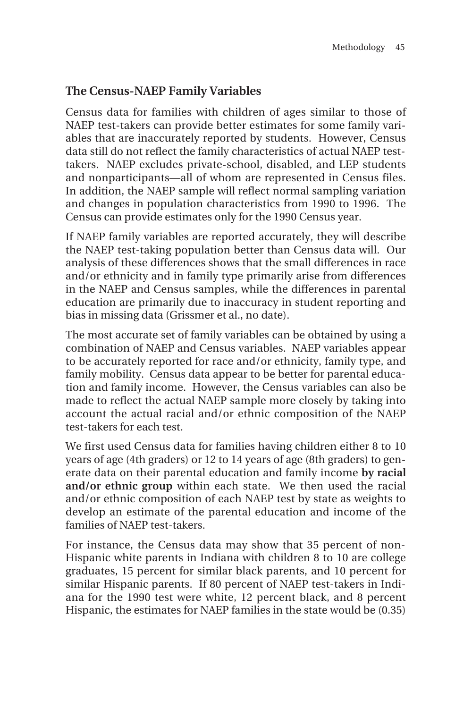#### **The Census-NAEP Family Variables**

Census data for families with children of ages similar to those of NAEP test-takers can provide better estimates for some family variables that are inaccurately reported by students. However, Census data still do not reflect the family characteristics of actual NAEP testtakers. NAEP excludes private-school, disabled, and LEP students and nonparticipants—all of whom are represented in Census files. In addition, the NAEP sample will reflect normal sampling variation and changes in population characteristics from 1990 to 1996. The Census can provide estimates only for the 1990 Census year.

If NAEP family variables are reported accurately, they will describe the NAEP test-taking population better than Census data will. Our analysis of these differences shows that the small differences in race and/or ethnicity and in family type primarily arise from differences in the NAEP and Census samples, while the differences in parental education are primarily due to inaccuracy in student reporting and bias in missing data (Grissmer et al., no date).

The most accurate set of family variables can be obtained by using a combination of NAEP and Census variables. NAEP variables appear to be accurately reported for race and/or ethnicity, family type, and family mobility. Census data appear to be better for parental education and family income. However, the Census variables can also be made to reflect the actual NAEP sample more closely by taking into account the actual racial and/or ethnic composition of the NAEP test-takers for each test.

We first used Census data for families having children either 8 to 10 years of age (4th graders) or 12 to 14 years of age (8th graders) to generate data on their parental education and family income **by racial and/or ethnic group** within each state. We then used the racial and/or ethnic composition of each NAEP test by state as weights to develop an estimate of the parental education and income of the families of NAEP test-takers.

For instance, the Census data may show that 35 percent of non-Hispanic white parents in Indiana with children 8 to 10 are college graduates, 15 percent for similar black parents, and 10 percent for similar Hispanic parents. If 80 percent of NAEP test-takers in Indiana for the 1990 test were white, 12 percent black, and 8 percent Hispanic, the estimates for NAEP families in the state would be (0.35)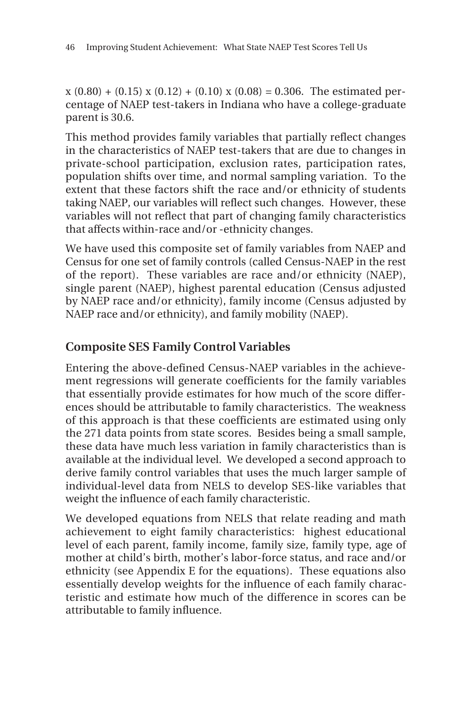$x(0.80) + (0.15) x(0.12) + (0.10) x(0.08) = 0.306$ . The estimated percentage of NAEP test-takers in Indiana who have a college-graduate parent is 30.6.

This method provides family variables that partially reflect changes in the characteristics of NAEP test-takers that are due to changes in private-school participation, exclusion rates, participation rates, population shifts over time, and normal sampling variation. To the extent that these factors shift the race and/or ethnicity of students taking NAEP, our variables will reflect such changes. However, these variables will not reflect that part of changing family characteristics that affects within-race and/or -ethnicity changes.

We have used this composite set of family variables from NAEP and Census for one set of family controls (called Census-NAEP in the rest of the report). These variables are race and/or ethnicity (NAEP), single parent (NAEP), highest parental education (Census adjusted by NAEP race and/or ethnicity), family income (Census adjusted by NAEP race and/or ethnicity), and family mobility (NAEP).

### **Composite SES Family Control Variables**

Entering the above-defined Census-NAEP variables in the achievement regressions will generate coefficients for the family variables that essentially provide estimates for how much of the score differences should be attributable to family characteristics. The weakness of this approach is that these coefficients are estimated using only the 271 data points from state scores. Besides being a small sample, these data have much less variation in family characteristics than is available at the individual level. We developed a second approach to derive family control variables that uses the much larger sample of individual-level data from NELS to develop SES-like variables that weight the influence of each family characteristic.

We developed equations from NELS that relate reading and math achievement to eight family characteristics: highest educational level of each parent, family income, family size, family type, age of mother at child's birth, mother's labor-force status, and race and/or ethnicity (see Appendix E for the equations). These equations also essentially develop weights for the influence of each family characteristic and estimate how much of the difference in scores can be attributable to family influence.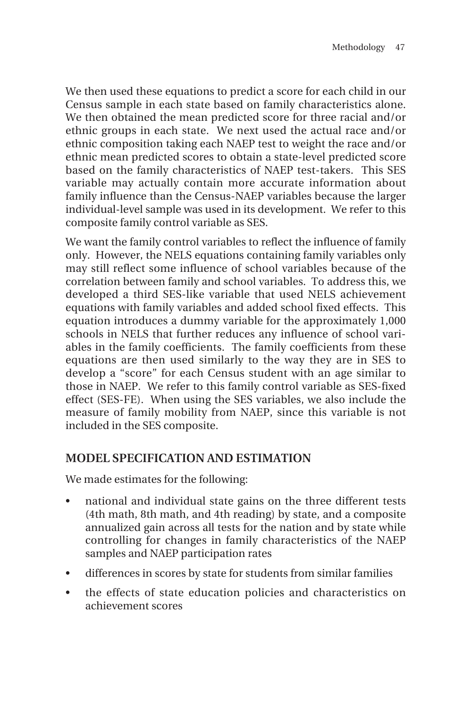We then used these equations to predict a score for each child in our Census sample in each state based on family characteristics alone. We then obtained the mean predicted score for three racial and/or ethnic groups in each state. We next used the actual race and/or ethnic composition taking each NAEP test to weight the race and/or ethnic mean predicted scores to obtain a state-level predicted score based on the family characteristics of NAEP test-takers. This SES variable may actually contain more accurate information about family influence than the Census-NAEP variables because the larger individual-level sample was used in its development. We refer to this composite family control variable as SES.

We want the family control variables to reflect the influence of family only. However, the NELS equations containing family variables only may still reflect some influence of school variables because of the correlation between family and school variables. To address this, we developed a third SES-like variable that used NELS achievement equations with family variables and added school fixed effects. This equation introduces a dummy variable for the approximately 1,000 schools in NELS that further reduces any influence of school variables in the family coefficients. The family coefficients from these equations are then used similarly to the way they are in SES to develop a "score" for each Census student with an age similar to those in NAEP. We refer to this family control variable as SES-fixed effect (SES-FE). When using the SES variables, we also include the measure of family mobility from NAEP, since this variable is not included in the SES composite.

#### **MODEL SPECIFICATION AND ESTIMATION**

We made estimates for the following:

- national and individual state gains on the three different tests (4th math, 8th math, and 4th reading) by state, and a composite annualized gain across all tests for the nation and by state while controlling for changes in family characteristics of the NAEP samples and NAEP participation rates
- differences in scores by state for students from similar families
- the effects of state education policies and characteristics on achievement scores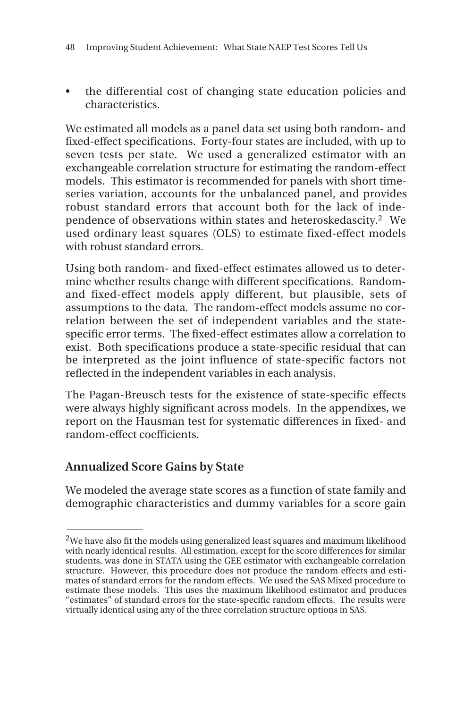• the differential cost of changing state education policies and characteristics.

We estimated all models as a panel data set using both random- and fixed-effect specifications. Forty-four states are included, with up to seven tests per state. We used a generalized estimator with an exchangeable correlation structure for estimating the random-effect models. This estimator is recommended for panels with short timeseries variation, accounts for the unbalanced panel, and provides robust standard errors that account both for the lack of independence of observations within states and heteroskedascity.2 We used ordinary least squares (OLS) to estimate fixed-effect models with robust standard errors.

Using both random- and fixed-effect estimates allowed us to determine whether results change with different specifications. Randomand fixed-effect models apply different, but plausible, sets of assumptions to the data. The random-effect models assume no correlation between the set of independent variables and the statespecific error terms. The fixed-effect estimates allow a correlation to exist. Both specifications produce a state-specific residual that can be interpreted as the joint influence of state-specific factors not reflected in the independent variables in each analysis.

The Pagan-Breusch tests for the existence of state-specific effects were always highly significant across models. In the appendixes, we report on the Hausman test for systematic differences in fixed- and random-effect coefficients.

#### **Annualized Score Gains by State**

 $\overline{\phantom{a}}$ 

We modeled the average state scores as a function of state family and demographic characteristics and dummy variables for a score gain

<sup>&</sup>lt;sup>2</sup>We have also fit the models using generalized least squares and maximum likelihood with nearly identical results. All estimation, except for the score differences for similar students, was done in STATA using the GEE estimator with exchangeable correlation structure. However, this procedure does not produce the random effects and estimates of standard errors for the random effects. We used the SAS Mixed procedure to estimate these models. This uses the maximum likelihood estimator and produces "estimates" of standard errors for the state-specific random effects. The results were virtually identical using any of the three correlation structure options in SAS.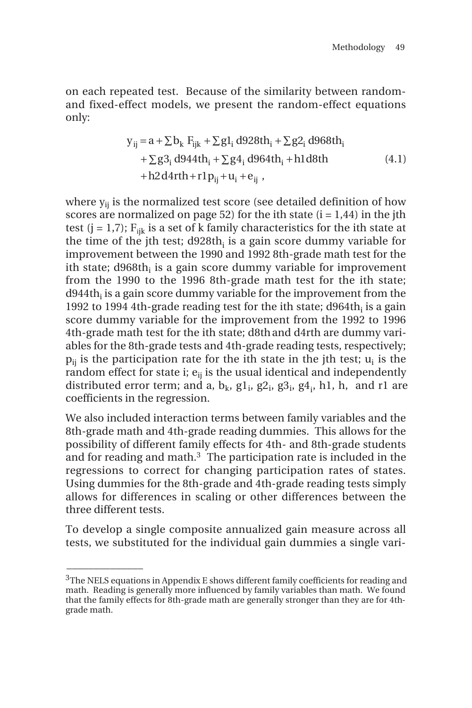on each repeated test. Because of the similarity between randomand fixed-effect models, we present the random-effect equations only:

$$
y_{ij} = a + \sum b_k F_{ijk} + \sum g_1 d928th_i + \sum g_2 d968th_i
$$
  
+ 
$$
\sum g_3 d944th_i + \sum g_4 d964th_i + h1d8th
$$
  
+ h2d4rth + r1p<sub>ij</sub> + u<sub>i</sub> + e<sub>ij</sub>, (4.1)

where  $y_{ii}$  is the normalized test score (see detailed definition of how scores are normalized on page 52) for the ith state  $(i = 1,44)$  in the jth test (j = 1,7);  $F_{ijk}$  is a set of k family characteristics for the ith state at the time of the jth test; d928th $_{\rm i}$  is a gain score dummy variable for improvement between the 1990 and 1992 8th-grade math test for the ith state;  $d968th_i$  is a gain score dummy variable for improvement from the 1990 to the 1996 8th-grade math test for the ith state;  $d944th_i$  is a gain score dummy variable for the improvement from the 1992 to 1994 4th-grade reading test for the ith state;  $d964th$ <sub>i</sub> is a gain score dummy variable for the improvement from the 1992 to 1996 4th-grade math test for the ith state; d8thand d4rth are dummy variables for the 8th-grade tests and 4th-grade reading tests, respectively;  $p_{ii}$  is the participation rate for the ith state in the jth test;  $u_i$  is the random effect for state i;  $e_{ii}$  is the usual identical and independently distributed error term; and a,  $b_k$ ,  $g1_i$ ,  $g2_i$ ,  $g3_i$ ,  $g4_i$ , h1, h, and r1 are coefficients in the regression.

We also included interaction terms between family variables and the 8th-grade math and 4th-grade reading dummies. This allows for the possibility of different family effects for 4th- and 8th-grade students and for reading and math.3 The participation rate is included in the regressions to correct for changing participation rates of states. Using dummies for the 8th-grade and 4th-grade reading tests simply allows for differences in scaling or other differences between the three different tests.

To develop a single composite annualized gain measure across all tests, we substituted for the individual gain dummies a single vari-

\_\_\_\_\_\_\_\_\_\_\_\_\_\_

 $3$ The NELS equations in Appendix E shows different family coefficients for reading and math. Reading is generally more influenced by family variables than math. We found that the family effects for 8th-grade math are generally stronger than they are for 4thgrade math.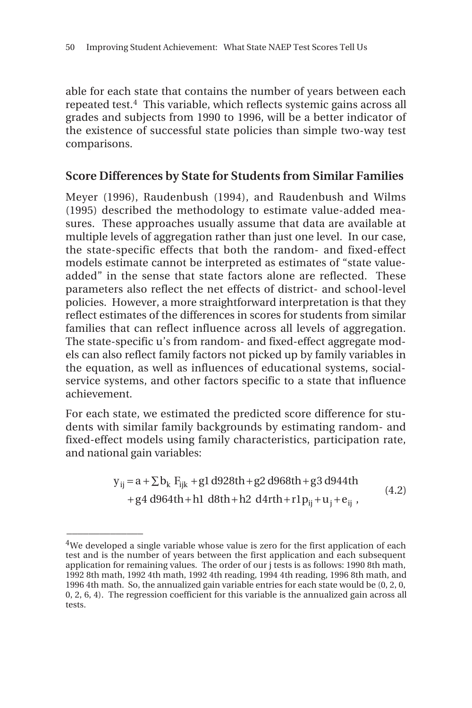able for each state that contains the number of years between each repeated test.4 This variable, which reflects systemic gains across all grades and subjects from 1990 to 1996, will be a better indicator of the existence of successful state policies than simple two-way test comparisons.

#### **Score Differences by State for Students from Similar Families**

Meyer (1996), Raudenbush (1994), and Raudenbush and Wilms (1995) described the methodology to estimate value-added measures. These approaches usually assume that data are available at multiple levels of aggregation rather than just one level. In our case, the state-specific effects that both the random- and fixed-effect models estimate cannot be interpreted as estimates of "state valueadded" in the sense that state factors alone are reflected. These parameters also reflect the net effects of district- and school-level policies. However, a more straightforward interpretation is that they reflect estimates of the differences in scores for students from similar families that can reflect influence across all levels of aggregation. The state-specific u's from random- and fixed-effect aggregate models can also reflect family factors not picked up by family variables in the equation, as well as influences of educational systems, socialservice systems, and other factors specific to a state that influence achievement.

For each state, we estimated the predicted score difference for students with similar family backgrounds by estimating random- and fixed-effect models using family characteristics, participation rate, and national gain variables:

$$
y_{ij} = a + \sum b_k F_{ijk} + g1 d928th + g2 d968th + g3 d944th
$$
  
+  $g4 d964th + h1 d8th + h2 d4rth + r1p_{ij} + u_j + e_{ij}$ , (4.2)

 $\overline{\phantom{a}}$ 

 $4$ We developed a single variable whose value is zero for the first application of each test and is the number of years between the first application and each subsequent application for remaining values. The order of our j tests is as follows: 1990 8th math, 1992 8th math, 1992 4th math, 1992 4th reading, 1994 4th reading, 1996 8th math, and 1996 4th math. So, the annualized gain variable entries for each state would be (0, 2, 0, 0, 2, 6, 4). The regression coefficient for this variable is the annualized gain across all tests.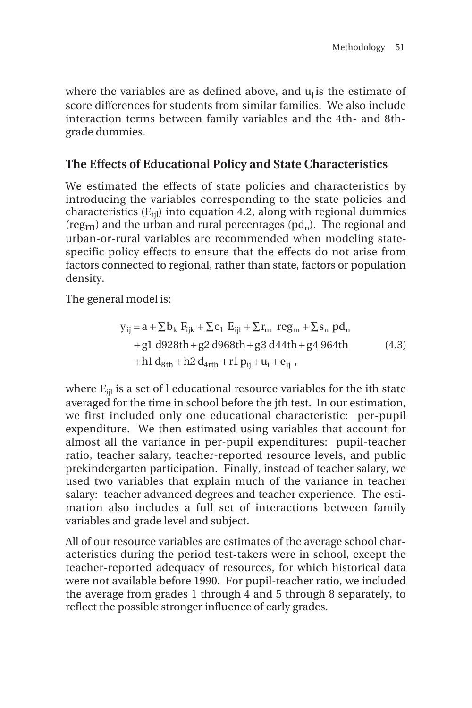where the variables are as defined above, and  $u_i$  is the estimate of score differences for students from similar families. We also include interaction terms between family variables and the 4th- and 8thgrade dummies.

#### **The Effects of Educational Policy and State Characteristics**

We estimated the effects of state policies and characteristics by introducing the variables corresponding to the state policies and characteristics  $(E_{\text{ii}})$  into equation 4.2, along with regional dummies (reg<sub>m</sub>) and the urban and rural percentages ( $pd<sub>n</sub>$ ). The regional and urban-or-rural variables are recommended when modeling statespecific policy effects to ensure that the effects do not arise from factors connected to regional, rather than state, factors or population density.

The general model is:

$$
y_{ij} = a + \sum b_k F_{ijk} + \sum c_1 E_{ijl} + \sum r_m \text{ reg}_m + \sum s_n \text{ pd}_n
$$
  
+g1 d928th + g2 d968th + g3 d44th + g4 964th  
+h1 d<sub>8th</sub> + h2 d<sub>4rth</sub> + r1 p<sub>ij</sub> + u<sub>i</sub> + e<sub>ij</sub>, (4.3)

where  $E_{\text{til}}$  is a set of l educational resource variables for the ith state averaged for the time in school before the jth test. In our estimation, we first included only one educational characteristic: per-pupil expenditure. We then estimated using variables that account for almost all the variance in per-pupil expenditures: pupil-teacher ratio, teacher salary, teacher-reported resource levels, and public prekindergarten participation. Finally, instead of teacher salary, we used two variables that explain much of the variance in teacher salary: teacher advanced degrees and teacher experience. The estimation also includes a full set of interactions between family variables and grade level and subject.

All of our resource variables are estimates of the average school characteristics during the period test-takers were in school, except the teacher-reported adequacy of resources, for which historical data were not available before 1990. For pupil-teacher ratio, we included the average from grades 1 through 4 and 5 through 8 separately, to reflect the possible stronger influence of early grades.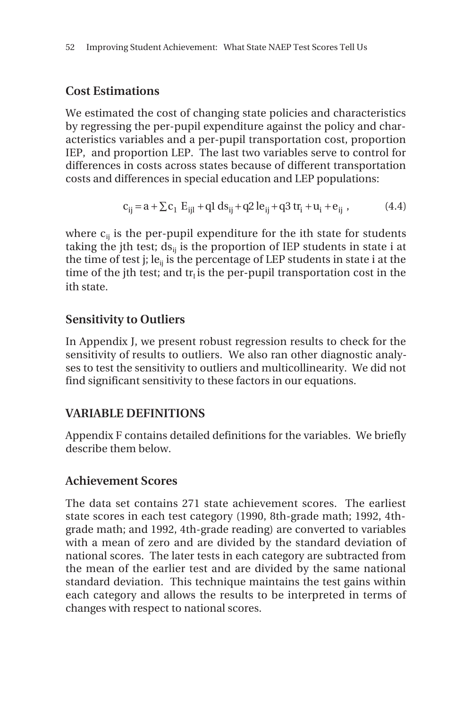#### **Cost Estimations**

We estimated the cost of changing state policies and characteristics by regressing the per-pupil expenditure against the policy and characteristics variables and a per-pupil transportation cost, proportion IEP, and proportion LEP. The last two variables serve to control for differences in costs across states because of different transportation costs and differences in special education and LEP populations:

$$
c_{ij} = a + \sum c_i \ E_{ijl} + ql \ ds_{ij} + q2 \ le_{ij} + q3 \ tr_i + u_i + e_{ij} \ , \qquad (4.4)
$$

where  $c_{ii}$  is the per-pupil expenditure for the ith state for students taking the jth test;  $ds_{ii}$  is the proportion of IEP students in state i at the time of test j; le<sub>ij</sub> is the percentage of LEP students in state i at the time of the jth test; and  $tr_i$  is the per-pupil transportation cost in the ith state.

#### **Sensitivity to Outliers**

In Appendix J, we present robust regression results to check for the sensitivity of results to outliers. We also ran other diagnostic analyses to test the sensitivity to outliers and multicollinearity. We did not find significant sensitivity to these factors in our equations.

#### **VARIABLE DEFINITIONS**

Appendix F contains detailed definitions for the variables. We briefly describe them below.

#### **Achievement Scores**

The data set contains 271 state achievement scores. The earliest state scores in each test category (1990, 8th-grade math; 1992, 4thgrade math; and 1992, 4th-grade reading) are converted to variables with a mean of zero and are divided by the standard deviation of national scores. The later tests in each category are subtracted from the mean of the earlier test and are divided by the same national standard deviation. This technique maintains the test gains within each category and allows the results to be interpreted in terms of changes with respect to national scores.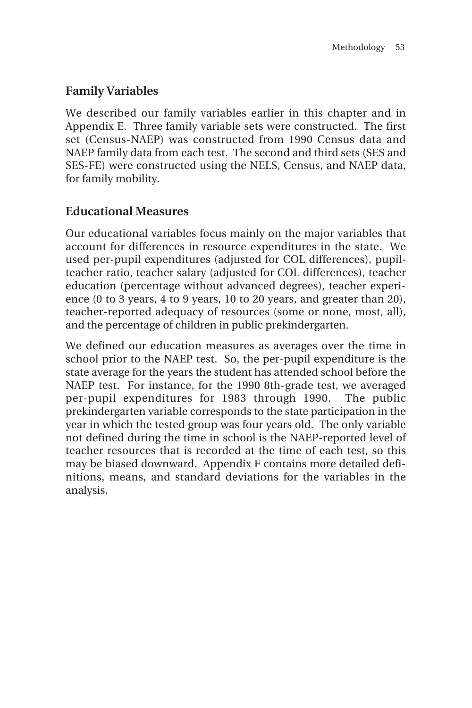### **Family Variables**

We described our family variables earlier in this chapter and in Appendix E. Three family variable sets were constructed. The first set (Census-NAEP) was constructed from 1990 Census data and NAEP family data from each test. The second and third sets (SES and SES-FE) were constructed using the NELS, Census, and NAEP data, for family mobility.

#### **Educational Measures**

Our educational variables focus mainly on the major variables that account for differences in resource expenditures in the state. We used per-pupil expenditures (adjusted for COL differences), pupilteacher ratio, teacher salary (adjusted for COL differences), teacher education (percentage without advanced degrees), teacher experience (0 to 3 years, 4 to 9 years, 10 to 20 years, and greater than 20), teacher-reported adequacy of resources (some or none, most, all), and the percentage of children in public prekindergarten.

We defined our education measures as averages over the time in school prior to the NAEP test. So, the per-pupil expenditure is the state average for the years the student has attended school before the NAEP test. For instance, for the 1990 8th-grade test, we averaged per-pupil expenditures for 1983 through 1990. The public prekindergarten variable corresponds to the state participation in the year in which the tested group was four years old. The only variable not defined during the time in school is the NAEP-reported level of teacher resources that is recorded at the time of each test, so this may be biased downward. Appendix F contains more detailed definitions, means, and standard deviations for the variables in the analysis.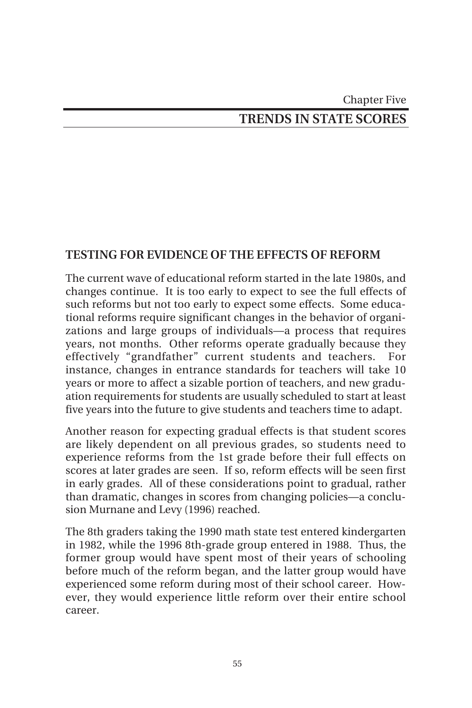# Chapter Five

## **TRENDS IN STATE SCORES**

#### **TESTING FOR EVIDENCE OF THE EFFECTS OF REFORM**

The current wave of educational reform started in the late 1980s, and changes continue. It is too early to expect to see the full effects of such reforms but not too early to expect some effects. Some educational reforms require significant changes in the behavior of organizations and large groups of individuals—a process that requires years, not months. Other reforms operate gradually because they effectively "grandfather" current students and teachers. instance, changes in entrance standards for teachers will take 10 years or more to affect a sizable portion of teachers, and new graduation requirements for students are usually scheduled to start at least five years into the future to give students and teachers time to adapt.

Another reason for expecting gradual effects is that student scores are likely dependent on all previous grades, so students need to experience reforms from the 1st grade before their full effects on scores at later grades are seen. If so, reform effects will be seen first in early grades. All of these considerations point to gradual, rather than dramatic, changes in scores from changing policies—a conclusion Murnane and Levy (1996) reached.

The 8th graders taking the 1990 math state test entered kindergarten in 1982, while the 1996 8th-grade group entered in 1988. Thus, the former group would have spent most of their years of schooling before much of the reform began, and the latter group would have experienced some reform during most of their school career. However, they would experience little reform over their entire school career.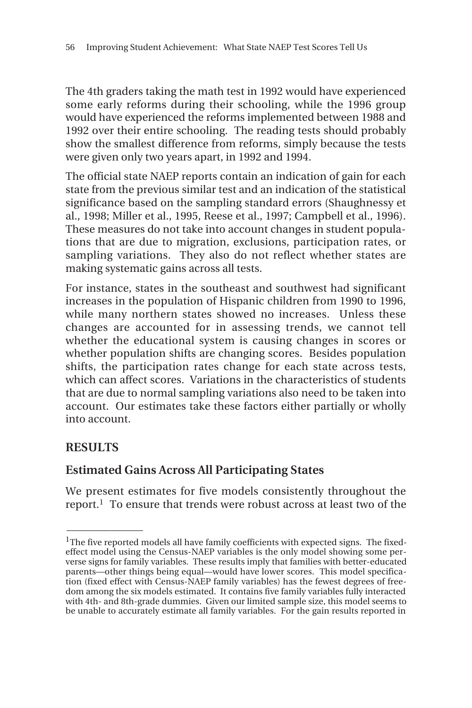The 4th graders taking the math test in 1992 would have experienced some early reforms during their schooling, while the 1996 group would have experienced the reforms implemented between 1988 and 1992 over their entire schooling. The reading tests should probably show the smallest difference from reforms, simply because the tests were given only two years apart, in 1992 and 1994.

The official state NAEP reports contain an indication of gain for each state from the previous similar test and an indication of the statistical significance based on the sampling standard errors (Shaughnessy et al., 1998; Miller et al., 1995, Reese et al., 1997; Campbell et al., 1996). These measures do not take into account changes in student populations that are due to migration, exclusions, participation rates, or sampling variations. They also do not reflect whether states are making systematic gains across all tests.

For instance, states in the southeast and southwest had significant increases in the population of Hispanic children from 1990 to 1996, while many northern states showed no increases. Unless these changes are accounted for in assessing trends, we cannot tell whether the educational system is causing changes in scores or whether population shifts are changing scores. Besides population shifts, the participation rates change for each state across tests, which can affect scores. Variations in the characteristics of students that are due to normal sampling variations also need to be taken into account. Our estimates take these factors either partially or wholly into account.

#### **RESULTS**

 $\overline{\phantom{a}}$ 

#### **Estimated Gains Across All Participating States**

We present estimates for five models consistently throughout the report.1 To ensure that trends were robust across at least two of the

 $1$ The five reported models all have family coefficients with expected signs. The fixedeffect model using the Census-NAEP variables is the only model showing some perverse signs for family variables. These results imply that families with better-educated parents—other things being equal—would have lower scores. This model specification (fixed effect with Census-NAEP family variables) has the fewest degrees of freedom among the six models estimated. It contains five family variables fully interacted with 4th- and 8th-grade dummies. Given our limited sample size, this model seems to be unable to accurately estimate all family variables. For the gain results reported in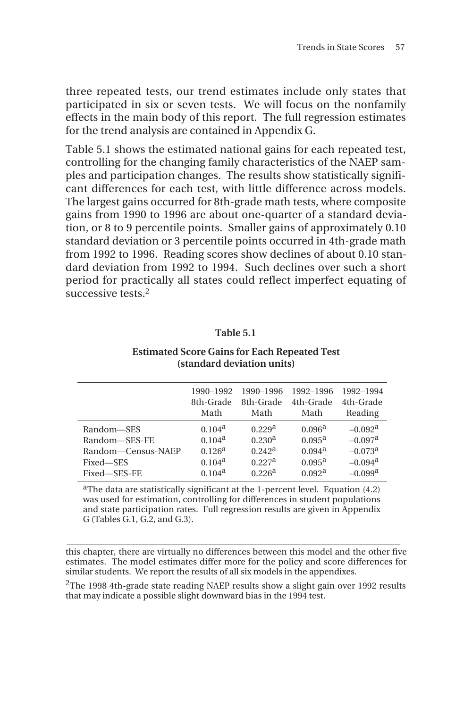three repeated tests, our trend estimates include only states that participated in six or seven tests. We will focus on the nonfamily effects in the main body of this report. The full regression estimates for the trend analysis are contained in Appendix G.

Table 5.1 shows the estimated national gains for each repeated test, controlling for the changing family characteristics of the NAEP samples and participation changes. The results show statistically significant differences for each test, with little difference across models. The largest gains occurred for 8th-grade math tests, where composite gains from 1990 to 1996 are about one-quarter of a standard deviation, or 8 to 9 percentile points. Smaller gains of approximately 0.10 standard deviation or 3 percentile points occurred in 4th-grade math from 1992 to 1996. Reading scores show declines of about 0.10 standard deviation from 1992 to 1994. Such declines over such a short period for practically all states could reflect imperfect equating of successive tests.<sup>2</sup>

| anıe<br>. . |  |
|-------------|--|
|-------------|--|

#### **Estimated Score Gains for Each Repeated Test (standard deviation units)**

|                    | 1990-1992          | 1990-1996          | 1992-1996          | 1992-1994             |
|--------------------|--------------------|--------------------|--------------------|-----------------------|
|                    | 8th-Grade          | 8th-Grade          | 4th-Grade          | 4th-Grade             |
|                    | Math               | Math               | Math               | Reading               |
| Random-SES         | 0.104 <sup>a</sup> | 0.229 <sup>a</sup> | 0.096 <sup>a</sup> | $-0.092$ <sup>a</sup> |
| Random-SES-FE      | 0.104 <sup>a</sup> | 0.230 <sup>a</sup> | 0.095 <sup>a</sup> | $-0.097$ <sup>a</sup> |
| Random-Census-NAEP | 0.126 <sup>a</sup> | 0.242 <sup>a</sup> | 0.094 <sup>a</sup> | $-0.073$ <sup>a</sup> |
| Fixed-SES          | 0.104 <sup>a</sup> | 0.227 <sup>a</sup> | $0.095^{\rm a}$    | $-0.094$ <sup>a</sup> |
| Fixed-SES-FE       | 0.104 <sup>a</sup> | 0.226 <sup>a</sup> | 0.092 <sup>a</sup> | $-0.099$ <sup>a</sup> |

<sup>a</sup>The data are statistically significant at the 1-percent level. Equation (4.2) was used for estimation, controlling for differences in student populations and state participation rates. Full regression results are given in Appendix  $G$  (Tables  $G$ , 1,  $G$ ,  $2$ , and  $G$ ,  $3$ ).

**\_\_\_\_\_\_\_\_\_\_\_\_\_\_\_\_\_\_\_\_\_\_\_\_\_\_\_\_\_\_\_\_\_\_\_\_\_\_\_\_\_\_\_\_\_\_\_\_\_\_\_\_\_\_\_\_\_\_\_\_\_** this chapter, there are virtually no differences between this model and the other five estimates. The model estimates differ more for the policy and score differences for similar students. We report the results of all six models in the appendixes.

 $2$ The 1998 4th-grade state reading NAEP results show a slight gain over 1992 results that may indicate a possible slight downward bias in the 1994 test.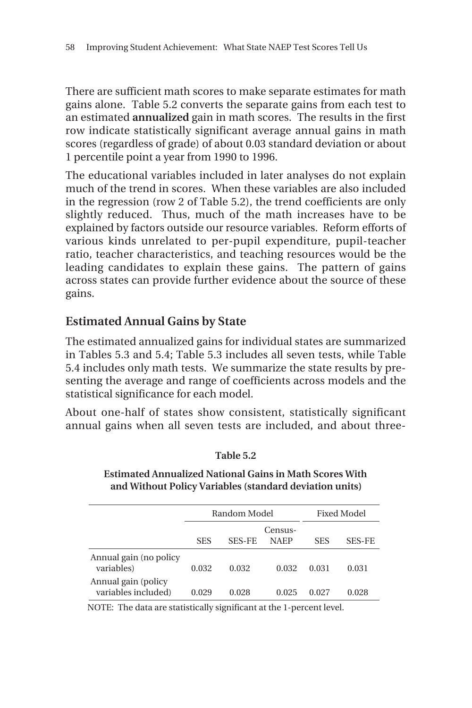There are sufficient math scores to make separate estimates for math gains alone. Table 5.2 converts the separate gains from each test to an estimated **annualized** gain in math scores. The results in the first row indicate statistically significant average annual gains in math scores (regardless of grade) of about 0.03 standard deviation or about 1 percentile point a year from 1990 to 1996.

The educational variables included in later analyses do not explain much of the trend in scores. When these variables are also included in the regression (row 2 of Table 5.2), the trend coefficients are only slightly reduced. Thus, much of the math increases have to be explained by factors outside our resource variables. Reform efforts of various kinds unrelated to per-pupil expenditure, pupil-teacher ratio, teacher characteristics, and teaching resources would be the leading candidates to explain these gains. The pattern of gains across states can provide further evidence about the source of these gains.

#### **Estimated Annual Gains by State**

The estimated annualized gains for individual states are summarized in Tables 5.3 and 5.4; Table 5.3 includes all seven tests, while Table 5.4 includes only math tests. We summarize the state results by presenting the average and range of coefficients across models and the statistical significance for each model.

About one-half of states show consistent, statistically significant annual gains when all seven tests are included, and about three-

|                                            |            | Random Model |                        | Fixed Model |               |
|--------------------------------------------|------------|--------------|------------------------|-------------|---------------|
|                                            | <b>SES</b> | SES-FE       | Census-<br><b>NAEP</b> | <b>SES</b>  | <b>SES-FE</b> |
| Annual gain (no policy<br>variables)       | 0.032      | 0.032        | 0.032                  | 0.031       | 0.031         |
| Annual gain (policy<br>variables included) | 0.029      | 0.028        | 0.025                  | 0.027       | 0.028         |

**Table 5.2**

**Estimated Annualized National Gains in Math Scores With and Without Policy Variables (standard deviation units)**

NOTE: The data are statistically significant at the 1-percent level.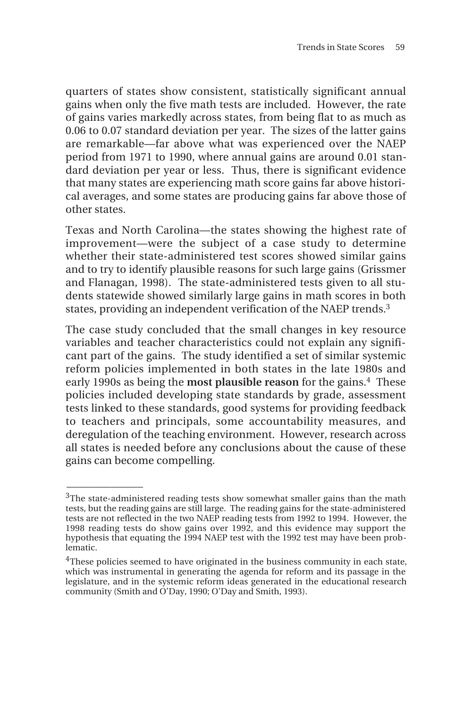quarters of states show consistent, statistically significant annual gains when only the five math tests are included. However, the rate of gains varies markedly across states, from being flat to as much as 0.06 to 0.07 standard deviation per year. The sizes of the latter gains are remarkable—far above what was experienced over the NAEP period from 1971 to 1990, where annual gains are around 0.01 standard deviation per year or less. Thus, there is significant evidence that many states are experiencing math score gains far above historical averages, and some states are producing gains far above those of other states.

Texas and North Carolina—the states showing the highest rate of improvement—were the subject of a case study to determine whether their state-administered test scores showed similar gains and to try to identify plausible reasons for such large gains (Grissmer and Flanagan, 1998). The state-administered tests given to all students statewide showed similarly large gains in math scores in both states, providing an independent verification of the NAEP trends.3

The case study concluded that the small changes in key resource variables and teacher characteristics could not explain any significant part of the gains. The study identified a set of similar systemic reform policies implemented in both states in the late 1980s and early 1990s as being the most plausible reason for the gains.<sup>4</sup> These policies included developing state standards by grade, assessment tests linked to these standards, good systems for providing feedback to teachers and principals, some accountability measures, and deregulation of the teaching environment. However, research across all states is needed before any conclusions about the cause of these gains can become compelling.

 $\overline{\phantom{a}}$ 

 $3$ The state-administered reading tests show somewhat smaller gains than the math tests, but the reading gains are still large. The reading gains for the state-administered tests are not reflected in the two NAEP reading tests from 1992 to 1994. However, the 1998 reading tests do show gains over 1992, and this evidence may support the hypothesis that equating the 1994 NAEP test with the 1992 test may have been problematic.

 $4$ These policies seemed to have originated in the business community in each state, which was instrumental in generating the agenda for reform and its passage in the legislature, and in the systemic reform ideas generated in the educational research community (Smith and O'Day, 1990; O'Day and Smith, 1993).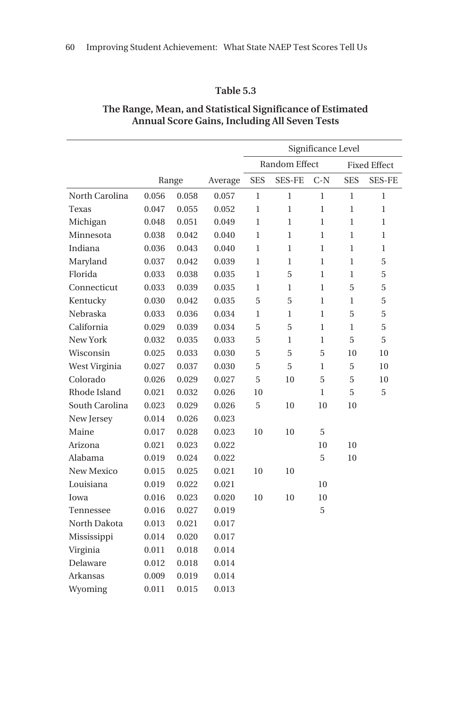|                |       |       |         |                      |               | Significance Level  |              |               |
|----------------|-------|-------|---------|----------------------|---------------|---------------------|--------------|---------------|
|                |       |       |         | <b>Random Effect</b> |               | <b>Fixed Effect</b> |              |               |
|                |       | Range | Average | <b>SES</b>           | <b>SES-FE</b> | $C-N$               | <b>SES</b>   | <b>SES-FE</b> |
| North Carolina | 0.056 | 0.058 | 0.057   | $\mathbf{1}$         | $\mathbf{1}$  | $\mathbf{1}$        | $\mathbf{1}$ | 1             |
| Texas          | 0.047 | 0.055 | 0.052   | 1                    | 1             | 1                   | $\mathbf{1}$ | $\mathbf{1}$  |
| Michigan       | 0.048 | 0.051 | 0.049   | 1                    | 1             | 1                   | 1            | 1             |
| Minnesota      | 0.038 | 0.042 | 0.040   | 1                    | $\mathbf{1}$  | 1                   | $\mathbf{1}$ | 1             |
| Indiana        | 0.036 | 0.043 | 0.040   | 1                    | 1             | 1                   | $\mathbf{1}$ | $\mathbf{1}$  |
| Maryland       | 0.037 | 0.042 | 0.039   | 1                    | 1             | 1                   | 1            | 5             |
| Florida        | 0.033 | 0.038 | 0.035   | 1                    | 5             | 1                   | 1            | 5             |
| Connecticut    | 0.033 | 0.039 | 0.035   | 1                    | $\mathbf{1}$  | $\mathbf{1}$        | 5            | 5             |
| Kentucky       | 0.030 | 0.042 | 0.035   | 5                    | 5             | 1                   | $\mathbf{1}$ | 5             |
| Nebraska       | 0.033 | 0.036 | 0.034   | $\mathbf{1}$         | $\mathbf{1}$  | $\mathbf{1}$        | 5            | 5             |
| California     | 0.029 | 0.039 | 0.034   | 5                    | 5             | 1                   | $\mathbf{1}$ | 5             |
| New York       | 0.032 | 0.035 | 0.033   | 5                    | $\mathbf{1}$  | $\mathbf{1}$        | 5            | 5             |
| Wisconsin      | 0.025 | 0.033 | 0.030   | 5                    | 5             | 5                   | 10           | 10            |
| West Virginia  | 0.027 | 0.037 | 0.030   | 5                    | 5             | 1                   | 5            | 10            |
| Colorado       | 0.026 | 0.029 | 0.027   | 5                    | 10            | 5                   | 5            | 10            |
| Rhode Island   | 0.021 | 0.032 | 0.026   | 10                   |               | 1                   | 5            | 5             |
| South Carolina | 0.023 | 0.029 | 0.026   | 5                    | 10            | 10                  | 10           |               |
| New Jersey     | 0.014 | 0.026 | 0.023   |                      |               |                     |              |               |
| Maine          | 0.017 | 0.028 | 0.023   | 10                   | 10            | 5                   |              |               |
| Arizona        | 0.021 | 0.023 | 0.022   |                      |               | 10                  | 10           |               |
| Alabama        | 0.019 | 0.024 | 0.022   |                      |               | 5                   | 10           |               |
| New Mexico     | 0.015 | 0.025 | 0.021   | 10                   | 10            |                     |              |               |
| Louisiana      | 0.019 | 0.022 | 0.021   |                      |               | 10                  |              |               |
| Iowa           | 0.016 | 0.023 | 0.020   | 10                   | 10            | 10                  |              |               |
| Tennessee      | 0.016 | 0.027 | 0.019   |                      |               | 5                   |              |               |
| North Dakota   | 0.013 | 0.021 | 0.017   |                      |               |                     |              |               |
| Mississippi    | 0.014 | 0.020 | 0.017   |                      |               |                     |              |               |
| Virginia       | 0.011 | 0.018 | 0.014   |                      |               |                     |              |               |
| Delaware       | 0.012 | 0.018 | 0.014   |                      |               |                     |              |               |
| Arkansas       | 0.009 | 0.019 | 0.014   |                      |               |                     |              |               |
| Wyoming        | 0.011 | 0.015 | 0.013   |                      |               |                     |              |               |

#### **The Range, Mean, and Statistical Significance of Estimated Annual Score Gains, Including All Seven Tests**

**Table 5.3**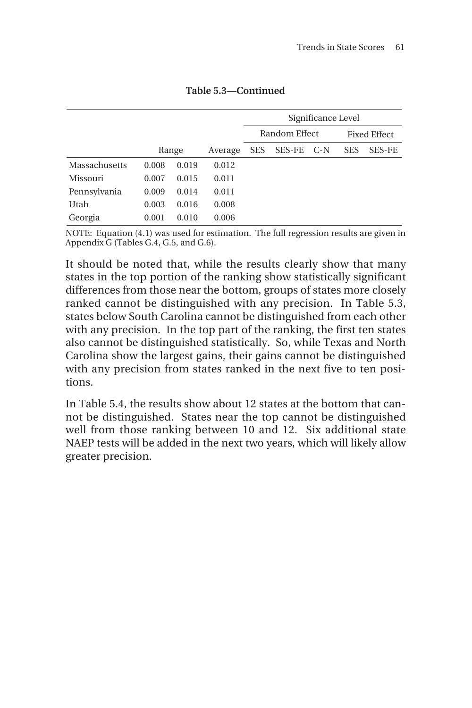|               |       |       |         | Significance Level |               |       |                     |               |
|---------------|-------|-------|---------|--------------------|---------------|-------|---------------------|---------------|
|               |       |       |         | Random Effect      |               |       | <b>Fixed Effect</b> |               |
|               |       |       |         |                    |               |       |                     |               |
|               |       | Range | Average | <b>SES</b>         | <b>SES-FE</b> | $C-N$ | <b>SES</b>          | <b>SES-FE</b> |
| Massachusetts | 0.008 | 0.019 | 0.012   |                    |               |       |                     |               |
| Missouri      | 0.007 | 0.015 | 0.011   |                    |               |       |                     |               |
| Pennsylvania  | 0.009 | 0.014 | 0.011   |                    |               |       |                     |               |
| Utah          | 0.003 | 0.016 | 0.008   |                    |               |       |                     |               |
| Georgia       | 0.001 | 0.010 | 0.006   |                    |               |       |                     |               |

**Table 5.3—Continued**

NOTE: Equation (4.1) was used for estimation. The full regression results are given in Appendix G (Tables G.4, G.5, and G.6).

It should be noted that, while the results clearly show that many states in the top portion of the ranking show statistically significant differences from those near the bottom, groups of states more closely ranked cannot be distinguished with any precision. In Table 5.3, states below South Carolina cannot be distinguished from each other with any precision. In the top part of the ranking, the first ten states also cannot be distinguished statistically. So, while Texas and North Carolina show the largest gains, their gains cannot be distinguished with any precision from states ranked in the next five to ten positions.

In Table 5.4, the results show about 12 states at the bottom that cannot be distinguished. States near the top cannot be distinguished well from those ranking between 10 and 12. Six additional state NAEP tests will be added in the next two years, which will likely allow greater precision.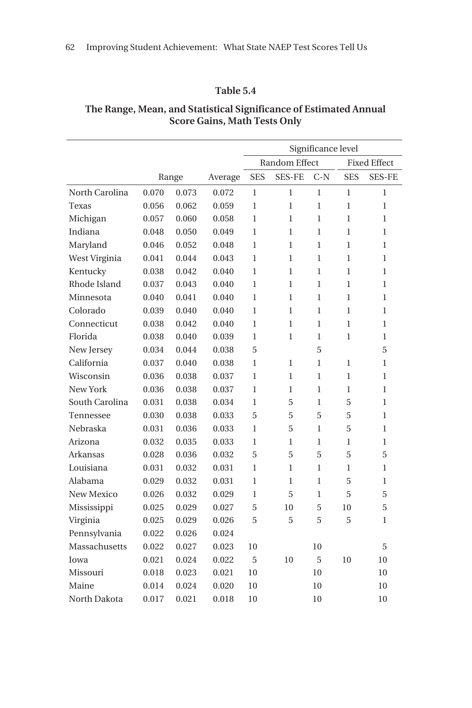|                   |       |       |         |              |                      | Significance level  |              |               |
|-------------------|-------|-------|---------|--------------|----------------------|---------------------|--------------|---------------|
|                   |       |       |         |              | <b>Random Effect</b> | <b>Fixed Effect</b> |              |               |
|                   |       | Range | Average | <b>SES</b>   | <b>SES-FE</b>        | $C-N$               | <b>SES</b>   | <b>SES-FE</b> |
| North Carolina    | 0.070 | 0.073 | 0.072   | 1            | 1                    | 1                   | 1            | 1             |
| Texas             | 0.056 | 0.062 | 0.059   | $\mathbf{1}$ | 1                    | $\mathbf{1}$        | $\mathbf{1}$ | $\mathbf{1}$  |
| Michigan          | 0.057 | 0.060 | 0.058   | $\mathbf{1}$ | 1                    | $\mathbf{1}$        | $\mathbf{1}$ | $\mathbf{1}$  |
| Indiana           | 0.048 | 0.050 | 0.049   | $\mathbf{1}$ | 1                    | $\mathbf{1}$        | 1            | 1             |
| Maryland          | 0.046 | 0.052 | 0.048   | $\mathbf{1}$ | 1                    | $\mathbf{1}$        | $\mathbf{1}$ | $\mathbf{1}$  |
| West Virginia     | 0.041 | 0.044 | 0.043   | 1            | 1                    | $\mathbf{1}$        | $\mathbf{1}$ | 1             |
| Kentucky          | 0.038 | 0.042 | 0.040   | $\mathbf{1}$ | 1                    | 1                   | 1            | 1             |
| Rhode Island      | 0.037 | 0.043 | 0.040   | 1            | $\mathbf{1}$         | $\mathbf{1}$        | $\mathbf{1}$ | 1             |
| Minnesota         | 0.040 | 0.041 | 0.040   | 1            | 1                    | $\mathbf{1}$        | 1            | 1             |
| Colorado          | 0.039 | 0.040 | 0.040   | $\mathbf{1}$ | 1                    | $\mathbf{1}$        | 1            | $\mathbf{1}$  |
| Connecticut       | 0.038 | 0.042 | 0.040   | 1            | 1                    | 1                   | $\mathbf{1}$ | 1             |
| Florida           | 0.038 | 0.040 | 0.039   | 1            | 1                    | 1                   | $\mathbf{1}$ | 1             |
| New Jersey        | 0.034 | 0.044 | 0.038   | 5            |                      | 5                   |              | 5             |
| California        | 0.037 | 0.040 | 0.038   | 1            | 1                    | $\mathbf{1}$        | $\mathbf{1}$ | 1             |
| Wisconsin         | 0.036 | 0.038 | 0.037   | $\mathbf{1}$ | 1                    | 1                   | $\mathbf{1}$ | $\mathbf{1}$  |
| New York          | 0.036 | 0.038 | 0.037   | $\mathbf{1}$ | 1                    | $\mathbf{1}$        | $\mathbf{1}$ | $\mathbf{1}$  |
| South Carolina    | 0.031 | 0.038 | 0.034   | 1            | 5                    | $\mathbf{1}$        | 5            | $\mathbf{1}$  |
| Tennessee         | 0.030 | 0.038 | 0.033   | 5            | 5                    | 5                   | 5            | 1             |
| Nebraska          | 0.031 | 0.036 | 0.033   | 1            | 5                    | $\mathbf{1}$        | 5            | 1             |
| Arizona           | 0.032 | 0.035 | 0.033   | 1            | $\mathbf{1}$         | 1                   | $\mathbf{1}$ | 1             |
| Arkansas          | 0.028 | 0.036 | 0.032   | 5            | 5                    | 5                   | 5            | 5             |
| Louisiana         | 0.031 | 0.032 | 0.031   | 1            | 1                    | $\mathbf{1}$        | 1            | $\mathbf{1}$  |
| Alabama           | 0.029 | 0.032 | 0.031   | 1            | 1                    | 1                   | 5            | 1             |
| <b>New Mexico</b> | 0.026 | 0.032 | 0.029   | $\mathbf{1}$ | 5                    | $\mathbf{1}$        | 5            | 5             |
| Mississippi       | 0.025 | 0.029 | 0.027   | 5            | 10                   | 5                   | 10           | 5             |
| Virginia          | 0.025 | 0.029 | 0.026   | 5            | 5                    | 5                   | 5            | 1             |
| Pennsylvania      | 0.022 | 0.026 | 0.024   |              |                      |                     |              |               |
| Massachusetts     | 0.022 | 0.027 | 0.023   | 10           |                      | 10                  |              | 5             |
| Iowa              | 0.021 | 0.024 | 0.022   | 5            | 10                   | 5                   | 10           | 10            |
| Missouri          | 0.018 | 0.023 | 0.021   | 10           |                      | 10                  |              | 10            |
| Maine             | 0.014 | 0.024 | 0.020   | 10           |                      | 10                  |              | 10            |
| North Dakota      | 0.017 | 0.021 | 0.018   | 10           |                      | 10                  |              | 10            |

#### **The Range, Mean, and Statistical Significance of Estimated Annual Score Gains, Math Tests Only**

**Table 5.4**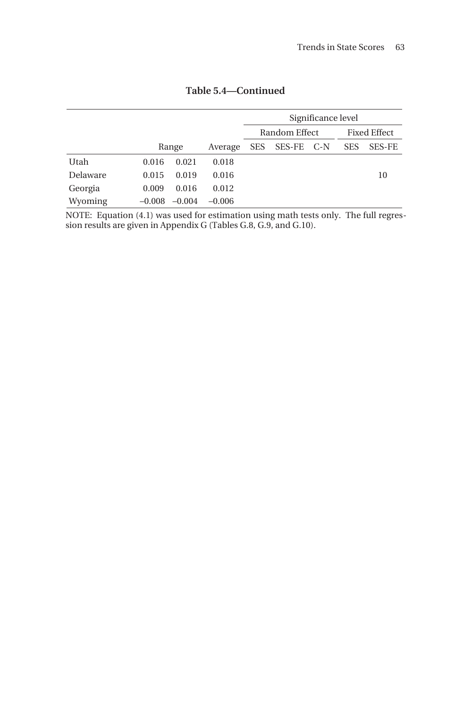|          |          |          |          | Significance level |            |  |                     |               |
|----------|----------|----------|----------|--------------------|------------|--|---------------------|---------------|
|          |          |          |          | Random Effect      |            |  | <b>Fixed Effect</b> |               |
|          |          | Range    | Average  | <b>SES</b>         | SES-FE C-N |  | <b>SES</b>          | <b>SES-FE</b> |
| Utah     | 0.016    | 0.021    | 0.018    |                    |            |  |                     |               |
| Delaware | 0.015    | 0.019    | 0.016    |                    |            |  |                     | 10            |
| Georgia  | 0.009    | 0.016    | 0.012    |                    |            |  |                     |               |
| Wyoming  | $-0.008$ | $-0.004$ | $-0.006$ |                    |            |  |                     |               |

**Table 5.4—Continued**

NOTE: Equation (4.1) was used for estimation using math tests only. The full regression results are given in Appendix G (Tables G.8, G.9, and G.10).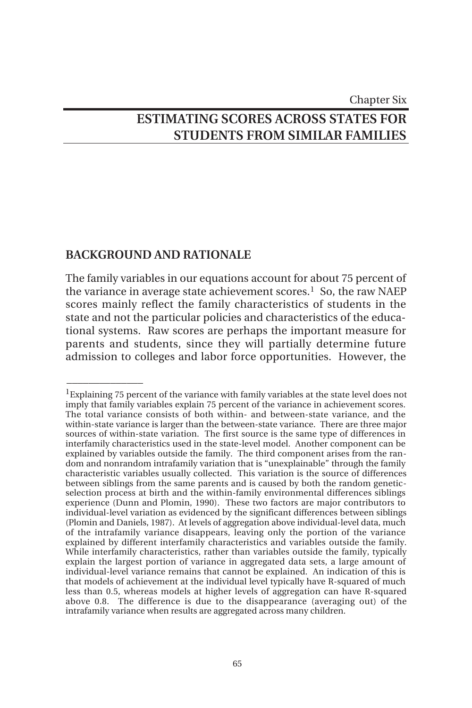### Chapter Six **ESTIMATING SCORES ACROSS STATES FOR STUDENTS FROM SIMILAR FAMILIES**

#### **BACKGROUND AND RATIONALE**

 $\overline{\phantom{a}}$ 

The family variables in our equations account for about 75 percent of the variance in average state achievement scores.<sup>1</sup> So, the raw NAEP scores mainly reflect the family characteristics of students in the state and not the particular policies and characteristics of the educational systems. Raw scores are perhaps the important measure for parents and students, since they will partially determine future admission to colleges and labor force opportunities. However, the

 $1$ Explaining 75 percent of the variance with family variables at the state level does not imply that family variables explain 75 percent of the variance in achievement scores. The total variance consists of both within- and between-state variance, and the within-state variance is larger than the between-state variance. There are three major sources of within-state variation. The first source is the same type of differences in interfamily characteristics used in the state-level model. Another component can be explained by variables outside the family. The third component arises from the random and nonrandom intrafamily variation that is "unexplainable" through the family characteristic variables usually collected. This variation is the source of differences between siblings from the same parents and is caused by both the random geneticselection process at birth and the within-family environmental differences siblings experience (Dunn and Plomin, 1990). These two factors are major contributors to individual-level variation as evidenced by the significant differences between siblings (Plomin and Daniels, 1987). At levels of aggregation above individual-level data, much of the intrafamily variance disappears, leaving only the portion of the variance explained by different interfamily characteristics and variables outside the family. While interfamily characteristics, rather than variables outside the family, typically explain the largest portion of variance in aggregated data sets, a large amount of individual-level variance remains that cannot be explained. An indication of this is that models of achievement at the individual level typically have R-squared of much less than 0.5, whereas models at higher levels of aggregation can have R-squared above 0.8. The difference is due to the disappearance (averaging out) of the intrafamily variance when results are aggregated across many children.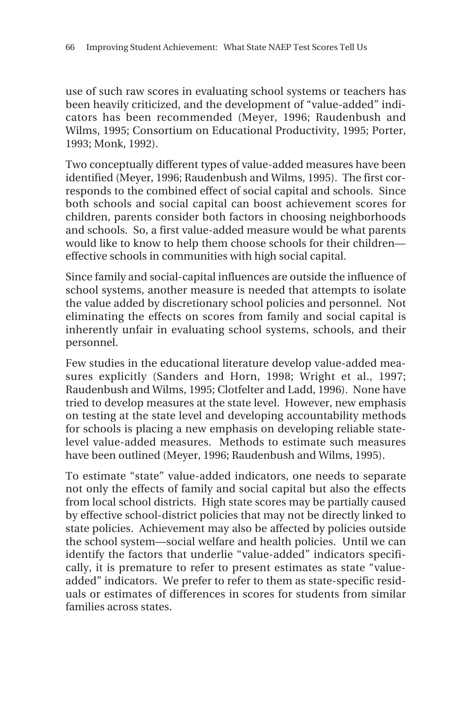use of such raw scores in evaluating school systems or teachers has been heavily criticized, and the development of "value-added" indicators has been recommended (Meyer, 1996; Raudenbush and Wilms, 1995; Consortium on Educational Productivity, 1995; Porter, 1993; Monk, 1992).

Two conceptually different types of value-added measures have been identified (Meyer, 1996; Raudenbush and Wilms, 1995). The first corresponds to the combined effect of social capital and schools. Since both schools and social capital can boost achievement scores for children, parents consider both factors in choosing neighborhoods and schools. So, a first value-added measure would be what parents would like to know to help them choose schools for their children effective schools in communities with high social capital.

Since family and social-capital influences are outside the influence of school systems, another measure is needed that attempts to isolate the value added by discretionary school policies and personnel. Not eliminating the effects on scores from family and social capital is inherently unfair in evaluating school systems, schools, and their personnel.

Few studies in the educational literature develop value-added measures explicitly (Sanders and Horn, 1998; Wright et al., 1997; Raudenbush and Wilms, 1995; Clotfelter and Ladd, 1996). None have tried to develop measures at the state level. However, new emphasis on testing at the state level and developing accountability methods for schools is placing a new emphasis on developing reliable statelevel value-added measures. Methods to estimate such measures have been outlined (Meyer, 1996; Raudenbush and Wilms, 1995).

To estimate "state" value-added indicators, one needs to separate not only the effects of family and social capital but also the effects from local school districts. High state scores may be partially caused by effective school-district policies that may not be directly linked to state policies. Achievement may also be affected by policies outside the school system—social welfare and health policies. Until we can identify the factors that underlie "value-added" indicators specifically, it is premature to refer to present estimates as state "valueadded" indicators. We prefer to refer to them as state-specific residuals or estimates of differences in scores for students from similar families across states.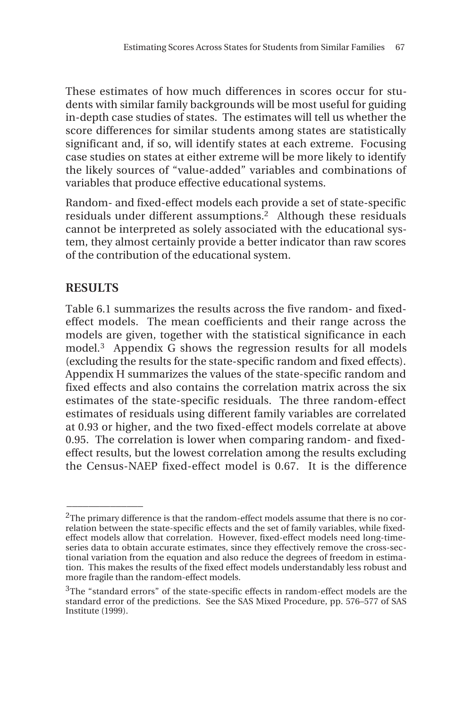These estimates of how much differences in scores occur for students with similar family backgrounds will be most useful for guiding in-depth case studies of states. The estimates will tell us whether the score differences for similar students among states are statistically significant and, if so, will identify states at each extreme. Focusing case studies on states at either extreme will be more likely to identify the likely sources of "value-added" variables and combinations of variables that produce effective educational systems.

Random- and fixed-effect models each provide a set of state-specific residuals under different assumptions.<sup>2</sup> Although these residuals cannot be interpreted as solely associated with the educational system, they almost certainly provide a better indicator than raw scores of the contribution of the educational system.

#### **RESULTS**

 $\overline{\phantom{a}}$ 

Table 6.1 summarizes the results across the five random- and fixedeffect models. The mean coefficients and their range across the models are given, together with the statistical significance in each model.3 Appendix G shows the regression results for all models (excluding the results for the state-specific random and fixed effects). Appendix H summarizes the values of the state-specific random and fixed effects and also contains the correlation matrix across the six estimates of the state-specific residuals. The three random-effect estimates of residuals using different family variables are correlated at 0.93 or higher, and the two fixed-effect models correlate at above 0.95. The correlation is lower when comparing random- and fixedeffect results, but the lowest correlation among the results excluding the Census-NAEP fixed-effect model is 0.67. It is the difference

<sup>&</sup>lt;sup>2</sup>The primary difference is that the random-effect models assume that there is no correlation between the state-specific effects and the set of family variables, while fixedeffect models allow that correlation. However, fixed-effect models need long-timeseries data to obtain accurate estimates, since they effectively remove the cross-sectional variation from the equation and also reduce the degrees of freedom in estimation. This makes the results of the fixed effect models understandably less robust and more fragile than the random-effect models.

<sup>&</sup>lt;sup>3</sup>The "standard errors" of the state-specific effects in random-effect models are the standard error of the predictions. See the SAS Mixed Procedure, pp. 576–577 of SAS Institute (1999).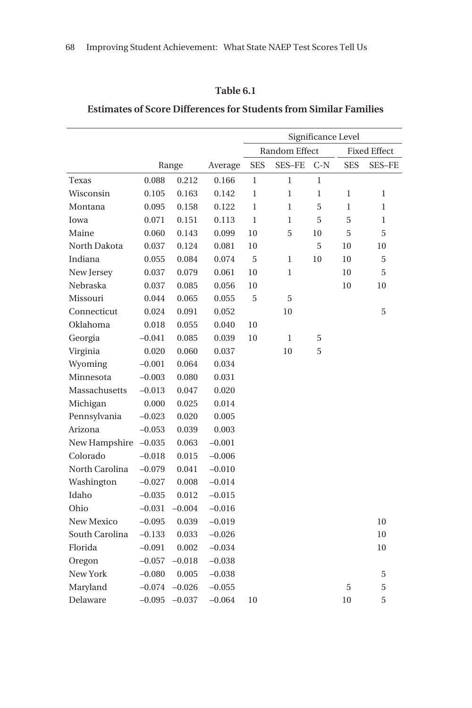### **Table 6.1**

# **Estimates of Score Differences for Students from Similar Families**

|                |          |          |          | Significance Level |               |       |              |                     |
|----------------|----------|----------|----------|--------------------|---------------|-------|--------------|---------------------|
|                |          |          |          |                    | Random Effect |       |              | <b>Fixed Effect</b> |
|                |          | Range    | Average  | <b>SES</b>         | <b>SES-FE</b> | $C-N$ | <b>SES</b>   | <b>SES-FE</b>       |
| Texas          | 0.088    | 0.212    | 0.166    | $\mathbf{1}$       | $\mathbf{1}$  | 1     |              |                     |
| Wisconsin      | 0.105    | 0.163    | 0.142    | $\mathbf{1}$       | $\mathbf{1}$  | 1     | $\mathbf{1}$ | 1                   |
| Montana        | 0.095    | 0.158    | 0.122    | $\mathbf{1}$       | $\mathbf{1}$  | 5     | 1            | 1                   |
| Iowa           | 0.071    | 0.151    | 0.113    | $\mathbf{1}$       | $\mathbf{1}$  | 5     | 5            | 1                   |
| Maine          | 0.060    | 0.143    | 0.099    | 10                 | 5             | 10    | 5            | 5                   |
| North Dakota   | 0.037    | 0.124    | 0.081    | 10                 |               | 5     | 10           | 10                  |
| Indiana        | 0.055    | 0.084    | 0.074    | 5                  | $\mathbf{1}$  | 10    | 10           | 5                   |
| New Jersey     | 0.037    | 0.079    | 0.061    | 10                 | $\mathbf{1}$  |       | 10           | 5                   |
| Nebraska       | 0.037    | 0.085    | 0.056    | 10                 |               |       | 10           | 10                  |
| Missouri       | 0.044    | 0.065    | 0.055    | 5                  | 5             |       |              |                     |
| Connecticut    | 0.024    | 0.091    | 0.052    |                    | 10            |       |              | 5                   |
| Oklahoma       | 0.018    | 0.055    | 0.040    | 10                 |               |       |              |                     |
| Georgia        | $-0.041$ | 0.085    | 0.039    | 10                 | $\mathbf{1}$  | 5     |              |                     |
| Virginia       | 0.020    | 0.060    | 0.037    |                    | 10            | 5     |              |                     |
| Wyoming        | $-0.001$ | 0.064    | 0.034    |                    |               |       |              |                     |
| Minnesota      | $-0.003$ | 0.080    | 0.031    |                    |               |       |              |                     |
| Massachusetts  | $-0.013$ | 0.047    | 0.020    |                    |               |       |              |                     |
| Michigan       | 0.000    | 0.025    | 0.014    |                    |               |       |              |                     |
| Pennsylvania   | $-0.023$ | 0.020    | 0.005    |                    |               |       |              |                     |
| Arizona        | $-0.053$ | 0.039    | 0.003    |                    |               |       |              |                     |
| New Hampshire  | $-0.035$ | 0.063    | $-0.001$ |                    |               |       |              |                     |
| Colorado       | $-0.018$ | 0.015    | $-0.006$ |                    |               |       |              |                     |
| North Carolina | $-0.079$ | 0.041    | $-0.010$ |                    |               |       |              |                     |
| Washington     | $-0.027$ | 0.008    | $-0.014$ |                    |               |       |              |                     |
| Idaho          | $-0.035$ | 0.012    | $-0.015$ |                    |               |       |              |                     |
| Ohio           | $-0.031$ | $-0.004$ | $-0.016$ |                    |               |       |              |                     |
| New Mexico     | $-0.095$ | 0.039    | $-0.019$ |                    |               |       |              | 10                  |
| South Carolina | $-0.133$ | 0.033    | $-0.026$ |                    |               |       |              | 10                  |
| Florida        | $-0.091$ | 0.002    | $-0.034$ |                    |               |       |              | 10                  |
| Oregon         | $-0.057$ | $-0.018$ | $-0.038$ |                    |               |       |              |                     |
| New York       | $-0.080$ | 0.005    | $-0.038$ |                    |               |       |              | 5                   |
| Maryland       | $-0.074$ | $-0.026$ | $-0.055$ |                    |               |       | 5            | 5                   |
| Delaware       | $-0.095$ | $-0.037$ | $-0.064$ | 10                 |               |       | 10           | 5                   |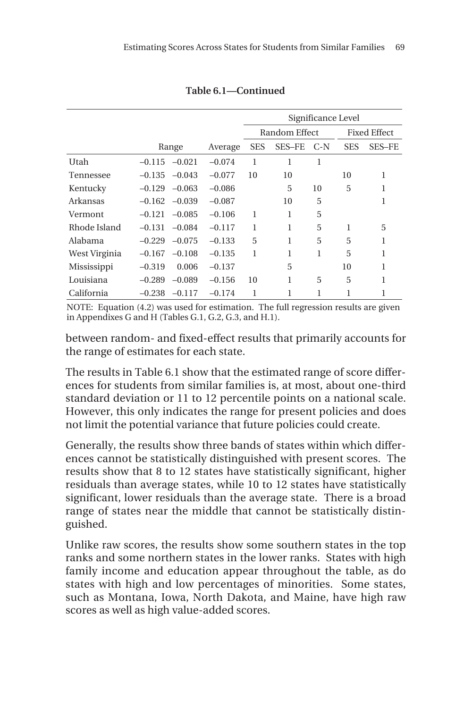|               |          |          |          | Significance Level |               |       |            |              |
|---------------|----------|----------|----------|--------------------|---------------|-------|------------|--------------|
|               |          |          |          |                    | Random Effect |       |            | Fixed Effect |
|               |          | Range    | Average  | <b>SES</b>         | SES-FE        | $C-N$ | <b>SES</b> | SES-FE       |
| Utah          | $-0.115$ | $-0.021$ | $-0.074$ | 1                  | 1             | 1     |            |              |
| Tennessee     | $-0.135$ | $-0.043$ | $-0.077$ | 10                 | 10            |       | 10         | 1            |
| Kentucky      | $-0.129$ | $-0.063$ | $-0.086$ |                    | 5             | 10    | 5          | 1            |
| Arkansas      | $-0.162$ | $-0.039$ | $-0.087$ |                    | 10            | 5     |            | 1            |
| Vermont       | $-0.121$ | $-0.085$ | $-0.106$ | 1                  | 1             | 5     |            |              |
| Rhode Island  | $-0.131$ | $-0.084$ | $-0.117$ | 1                  | 1             | 5     | 1          | 5            |
| Alabama       | $-0.229$ | $-0.075$ | $-0.133$ | 5                  | 1             | 5     | 5          | 1            |
| West Virginia | $-0.167$ | $-0.108$ | $-0.135$ | 1                  | 1             | 1     | 5          | 1            |
| Mississippi   | $-0.319$ | 0.006    | $-0.137$ |                    | 5             |       | 10         | 1            |
| Louisiana     | $-0.289$ | $-0.089$ | $-0.156$ | 10                 | 1             | 5     | 5          | 1            |
| California    | $-0.238$ | $-0.117$ | $-0.174$ | 1                  | 1             | 1     | 1          | 1            |
|               |          |          |          |                    |               |       |            |              |

**Table 6.1—Continued**

NOTE: Equation (4.2) was used for estimation. The full regression results are given in Appendixes G and H (Tables G.1, G.2, G.3, and H.1).

between random- and fixed-effect results that primarily accounts for the range of estimates for each state.

The results in Table 6.1 show that the estimated range of score differences for students from similar families is, at most, about one-third standard deviation or 11 to 12 percentile points on a national scale. However, this only indicates the range for present policies and does not limit the potential variance that future policies could create.

Generally, the results show three bands of states within which differences cannot be statistically distinguished with present scores. The results show that 8 to 12 states have statistically significant, higher residuals than average states, while 10 to 12 states have statistically significant, lower residuals than the average state. There is a broad range of states near the middle that cannot be statistically distinguished.

Unlike raw scores, the results show some southern states in the top ranks and some northern states in the lower ranks. States with high family income and education appear throughout the table, as do states with high and low percentages of minorities. Some states, such as Montana, Iowa, North Dakota, and Maine, have high raw scores as well as high value-added scores.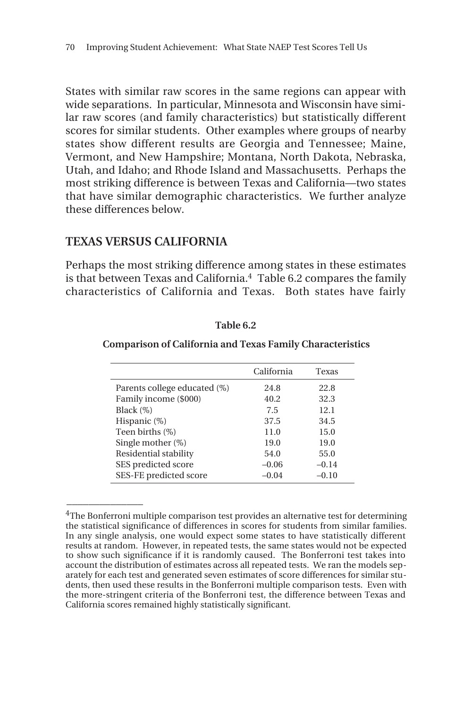States with similar raw scores in the same regions can appear with wide separations. In particular, Minnesota and Wisconsin have similar raw scores (and family characteristics) but statistically different scores for similar students. Other examples where groups of nearby states show different results are Georgia and Tennessee; Maine, Vermont, and New Hampshire; Montana, North Dakota, Nebraska, Utah, and Idaho; and Rhode Island and Massachusetts. Perhaps the most striking difference is between Texas and California—two states that have similar demographic characteristics. We further analyze these differences below.

# **TEXAS VERSUS CALIFORNIA**

 $\overline{\phantom{a}}$ 

Perhaps the most striking difference among states in these estimates is that between Texas and California.<sup>4</sup> Table 6.2 compares the family characteristics of California and Texas. Both states have fairly

|                              | California | Texas   |
|------------------------------|------------|---------|
| Parents college educated (%) | 24.8       | 22.8    |
| Family income (\$000)        | 40.2       | 32.3    |
| Black (%)                    | 7.5        | 12.1    |
| Hispanic (%)                 | 37.5       | 34.5    |
| Teen births (%)              | 11.0       | 15.0    |
| Single mother (%)            | 19.0       | 19.0    |
| Residential stability        | 54.0       | 55.0    |
| SES predicted score          | $-0.06$    | $-0.14$ |
| SES-FE predicted score       | $-0.04$    | $-0.10$ |

### **Table 6.2**

### **Comparison of California and Texas Family Characteristics**

<sup>&</sup>lt;sup>4</sup>The Bonferroni multiple comparison test provides an alternative test for determining the statistical significance of differences in scores for students from similar families. In any single analysis, one would expect some states to have statistically different results at random. However, in repeated tests, the same states would not be expected to show such significance if it is randomly caused. The Bonferroni test takes into account the distribution of estimates across all repeated tests. We ran the models separately for each test and generated seven estimates of score differences for similar students, then used these results in the Bonferroni multiple comparison tests. Even with the more-stringent criteria of the Bonferroni test, the difference between Texas and California scores remained highly statistically significant.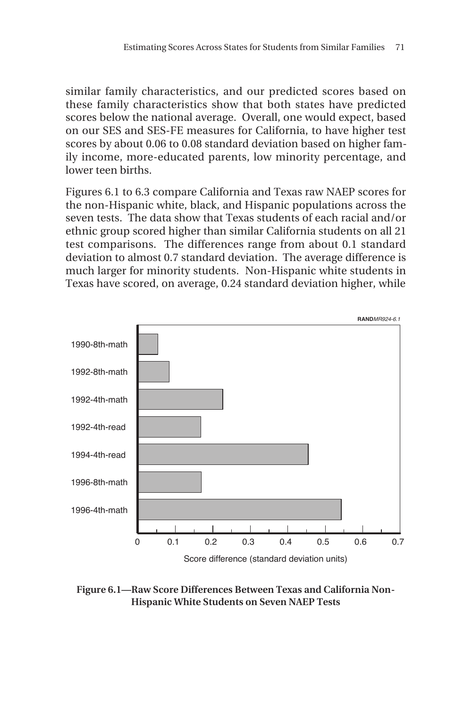similar family characteristics, and our predicted scores based on these family characteristics show that both states have predicted scores below the national average. Overall, one would expect, based on our SES and SES-FE measures for California, to have higher test scores by about 0.06 to 0.08 standard deviation based on higher family income, more-educated parents, low minority percentage, and lower teen births.

Figures 6.1 to 6.3 compare California and Texas raw NAEP scores for the non-Hispanic white, black, and Hispanic populations across the seven tests. The data show that Texas students of each racial and/or ethnic group scored higher than similar California students on all 21 test comparisons. The differences range from about 0.1 standard deviation to almost 0.7 standard deviation. The average difference is much larger for minority students. Non-Hispanic white students in Texas have scored, on average, 0.24 standard deviation higher, while



**Figure 6.1—Raw Score Differences Between Texas and California Non-Hispanic White Students on Seven NAEP Tests**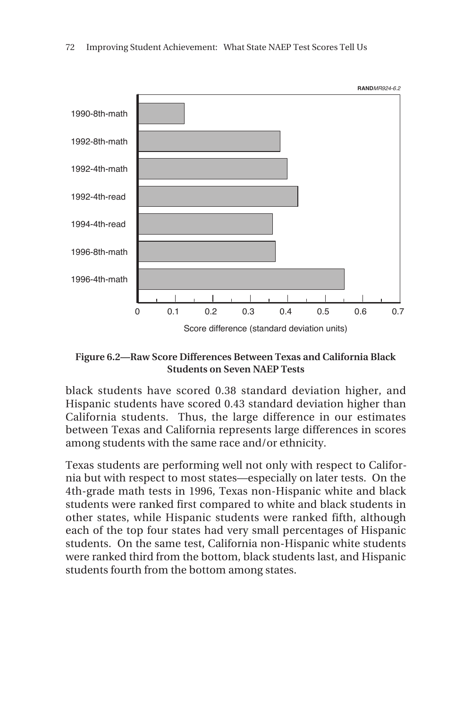

**Figure 6.2—Raw Score Differences Between Texas and California Black Students on Seven NAEP Tests**

black students have scored 0.38 standard deviation higher, and Hispanic students have scored 0.43 standard deviation higher than California students. Thus, the large difference in our estimates between Texas and California represents large differences in scores among students with the same race and/or ethnicity.

Texas students are performing well not only with respect to California but with respect to most states—especially on later tests. On the 4th-grade math tests in 1996, Texas non-Hispanic white and black students were ranked first compared to white and black students in other states, while Hispanic students were ranked fifth, although each of the top four states had very small percentages of Hispanic students. On the same test, California non-Hispanic white students were ranked third from the bottom, black students last, and Hispanic students fourth from the bottom among states.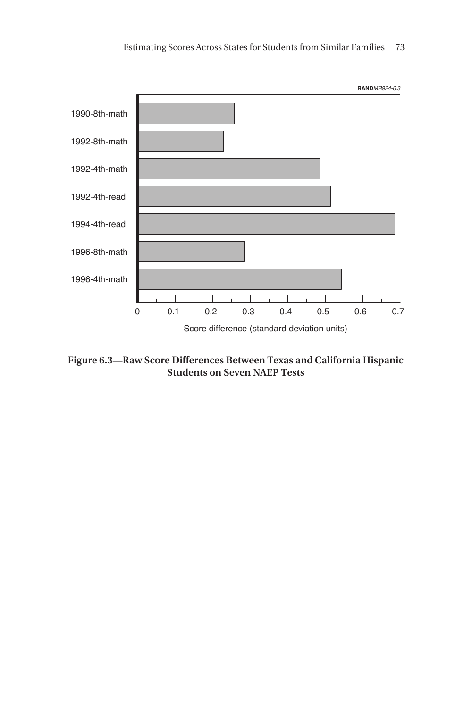

**Figure 6.3—Raw Score Differences Between Texas and California Hispanic Students on Seven NAEP Tests**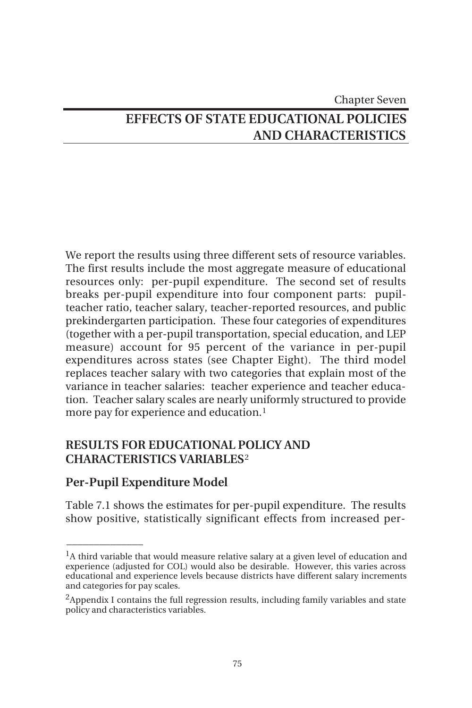# Chapter Seven **EFFECTS OF STATE EDUCATIONAL POLICIES AND CHARACTERISTICS**

We report the results using three different sets of resource variables. The first results include the most aggregate measure of educational resources only: per-pupil expenditure. The second set of results breaks per-pupil expenditure into four component parts: pupilteacher ratio, teacher salary, teacher-reported resources, and public prekindergarten participation. These four categories of expenditures (together with a per-pupil transportation, special education, and LEP measure) account for 95 percent of the variance in per-pupil expenditures across states (see Chapter Eight). The third model replaces teacher salary with two categories that explain most of the variance in teacher salaries: teacher experience and teacher education. Teacher salary scales are nearly uniformly structured to provide more pay for experience and education.<sup>1</sup>

# **RESULTS FOR EDUCATIONAL POLICY AND CHARACTERISTICS VARIABLES**<sup>2</sup>

# **Per-Pupil Expenditure Model**

 $\overline{\phantom{a}}$ 

Table 7.1 shows the estimates for per-pupil expenditure. The results show positive, statistically significant effects from increased per-

 $<sup>1</sup>A$  third variable that would measure relative salary at a given level of education and</sup> experience (adjusted for COL) would also be desirable. However, this varies across educational and experience levels because districts have different salary increments and categories for pay scales.

<sup>&</sup>lt;sup>2</sup>Appendix I contains the full regression results, including family variables and state policy and characteristics variables.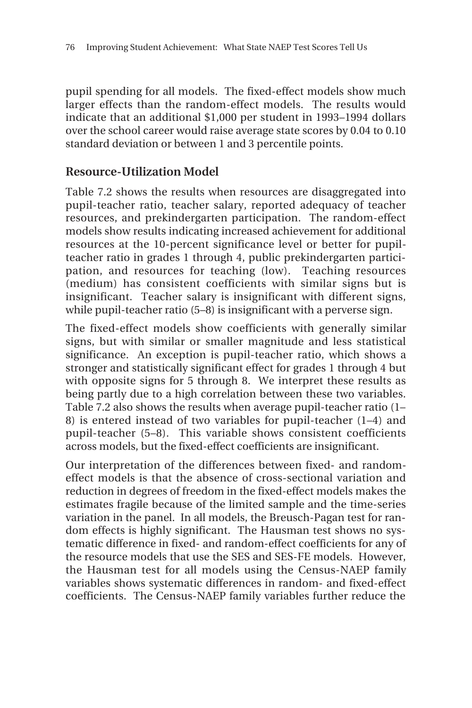pupil spending for all models. The fixed-effect models show much larger effects than the random-effect models. The results would indicate that an additional \$1,000 per student in 1993–1994 dollars over the school career would raise average state scores by 0.04 to 0.10 standard deviation or between 1 and 3 percentile points.

# **Resource-Utilization Model**

Table 7.2 shows the results when resources are disaggregated into pupil-teacher ratio, teacher salary, reported adequacy of teacher resources, and prekindergarten participation. The random-effect models show results indicating increased achievement for additional resources at the 10-percent significance level or better for pupilteacher ratio in grades 1 through 4, public prekindergarten participation, and resources for teaching (low). Teaching resources (medium) has consistent coefficients with similar signs but is insignificant. Teacher salary is insignificant with different signs, while pupil-teacher ratio (5–8) is insignificant with a perverse sign.

The fixed-effect models show coefficients with generally similar signs, but with similar or smaller magnitude and less statistical significance. An exception is pupil-teacher ratio, which shows a stronger and statistically significant effect for grades 1 through 4 but with opposite signs for 5 through 8. We interpret these results as being partly due to a high correlation between these two variables. Table 7.2 also shows the results when average pupil-teacher ratio (1– 8) is entered instead of two variables for pupil-teacher (1–4) and pupil-teacher (5–8). This variable shows consistent coefficients across models, but the fixed-effect coefficients are insignificant.

Our interpretation of the differences between fixed- and randomeffect models is that the absence of cross-sectional variation and reduction in degrees of freedom in the fixed-effect models makes the estimates fragile because of the limited sample and the time-series variation in the panel. In all models, the Breusch-Pagan test for random effects is highly significant. The Hausman test shows no systematic difference in fixed- and random-effect coefficients for any of the resource models that use the SES and SES-FE models. However, the Hausman test for all models using the Census-NAEP family variables shows systematic differences in random- and fixed-effect coefficients. The Census-NAEP family variables further reduce the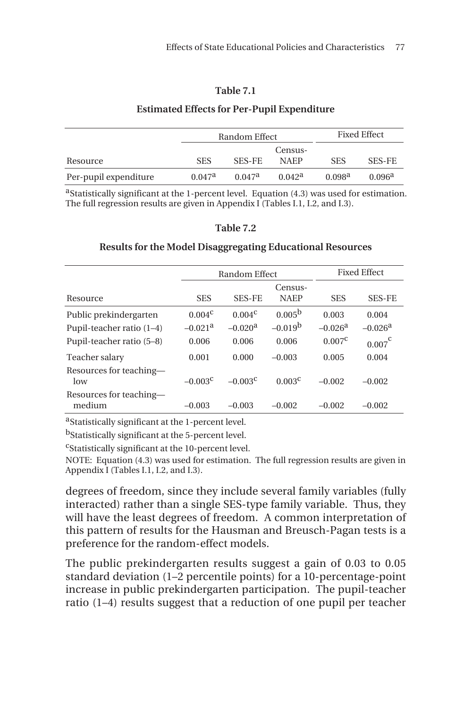### **Table 7.1**

### **Estimated Effects for Per-Pupil Expenditure**

|                       | Random Effect      |                 |                    | <b>Fixed Effect</b> |                    |
|-----------------------|--------------------|-----------------|--------------------|---------------------|--------------------|
|                       |                    |                 | Census-            |                     |                    |
| Resource              | <b>SES</b>         | <b>SES-FE</b>   | <b>NAFP</b>        | <b>SES</b>          | <b>SES-FE</b>      |
| Per-pupil expenditure | 0.047 <sup>a</sup> | $0.047^{\rm a}$ | 0.042 <sup>a</sup> | 0.098 <sup>a</sup>  | 0.096 <sup>a</sup> |

aStatistically significant at the 1-percent level. Equation (4.3) was used for estimation. The full regression results are given in Appendix I (Tables I.1, I.2, and I.3).

### **Table 7.2**

### **Results for the Model Disaggregating Educational Resources**

|                                   | Random Effect         |                       |                        |                 | <b>Fixed Effect</b>   |
|-----------------------------------|-----------------------|-----------------------|------------------------|-----------------|-----------------------|
| Resource                          | <b>SES</b>            | <b>SES-FE</b>         | Census-<br><b>NAEP</b> | <b>SES</b>      | <b>SES-FE</b>         |
| Public prekindergarten            | $0.004^{\circ}$       | $0.004^{\circ}$       | 0.005 <sup>b</sup>     | 0.003           | 0.004                 |
| Pupil-teacher ratio $(1-4)$       | $-0.021$ <sup>a</sup> | $-0.020$ <sup>a</sup> | $-0.019b$              | $-0.026a$       | $-0.026$ <sup>a</sup> |
| Pupil-teacher ratio (5-8)         | 0.006                 | 0.006                 | 0.006                  | $0.007^{\circ}$ | $0.007^\mathsf{c}$    |
| Teacher salary                    | 0.001                 | 0.000                 | $-0.003$               | 0.005           | 0.004                 |
| Resources for teaching-<br>low    | $-0.003^{\circ}$      | $-0.003c$             | 0.003 <sup>c</sup>     | $-0.002$        | $-0.002$              |
| Resources for teaching-<br>medium | $-0.003$              | $-0.003$              | $-0.002$               | $-0.002$        | $-0.002$              |

aStatistically significant at the 1-percent level.

bStatistically significant at the 5-percent level.

cStatistically significant at the 10-percent level.

NOTE: Equation (4.3) was used for estimation. The full regression results are given in Appendix I (Tables I.1, I.2, and I.3).

degrees of freedom, since they include several family variables (fully interacted) rather than a single SES-type family variable. Thus, they will have the least degrees of freedom. A common interpretation of this pattern of results for the Hausman and Breusch-Pagan tests is a preference for the random-effect models.

The public prekindergarten results suggest a gain of 0.03 to 0.05 standard deviation (1–2 percentile points) for a 10-percentage-point increase in public prekindergarten participation. The pupil-teacher ratio (1–4) results suggest that a reduction of one pupil per teacher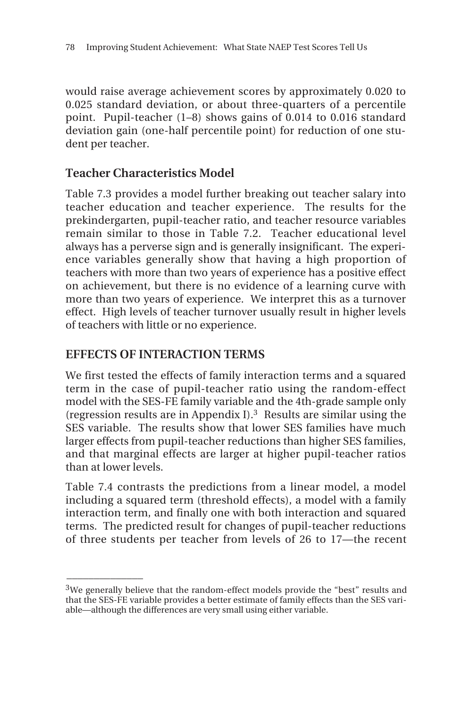would raise average achievement scores by approximately 0.020 to 0.025 standard deviation, or about three-quarters of a percentile point. Pupil-teacher (1–8) shows gains of 0.014 to 0.016 standard deviation gain (one-half percentile point) for reduction of one student per teacher.

# **Teacher Characteristics Model**

Table 7.3 provides a model further breaking out teacher salary into teacher education and teacher experience. The results for the prekindergarten, pupil-teacher ratio, and teacher resource variables remain similar to those in Table 7.2. Teacher educational level always has a perverse sign and is generally insignificant. The experience variables generally show that having a high proportion of teachers with more than two years of experience has a positive effect on achievement, but there is no evidence of a learning curve with more than two years of experience. We interpret this as a turnover effect. High levels of teacher turnover usually result in higher levels of teachers with little or no experience.

# **EFFECTS OF INTERACTION TERMS**

 $\overline{\phantom{a}}$ 

We first tested the effects of family interaction terms and a squared term in the case of pupil-teacher ratio using the random-effect model with the SES-FE family variable and the 4th-grade sample only (regression results are in Appendix I).3 Results are similar using the SES variable. The results show that lower SES families have much larger effects from pupil-teacher reductions than higher SES families, and that marginal effects are larger at higher pupil-teacher ratios than at lower levels.

Table 7.4 contrasts the predictions from a linear model, a model including a squared term (threshold effects), a model with a family interaction term, and finally one with both interaction and squared terms. The predicted result for changes of pupil-teacher reductions of three students per teacher from levels of 26 to 17—the recent

 $3$ We generally believe that the random-effect models provide the "best" results and that the SES-FE variable provides a better estimate of family effects than the SES variable—although the differences are very small using either variable.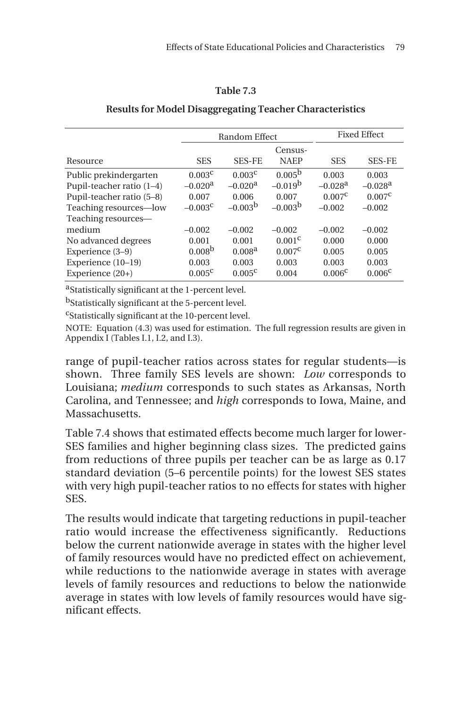### **Table 7.3**

|                             | Random Effect      |                    |                    | <b>Fixed Effect</b>   |                       |
|-----------------------------|--------------------|--------------------|--------------------|-----------------------|-----------------------|
|                             |                    |                    | Census-            |                       |                       |
| Resource                    | <b>SES</b>         | <b>SES-FE</b>      | <b>NAEP</b>        | <b>SES</b>            | <b>SES-FE</b>         |
| Public prekindergarten      | 0.003 <sup>c</sup> | 0.003 <sup>c</sup> | 0.005 <sup>b</sup> | 0.003                 | 0.003                 |
| Pupil-teacher ratio $(1-4)$ | $-0.020a$          | $-0.020a$          | $-0.019b$          | $-0.028$ <sup>a</sup> | $-0.028$ <sup>a</sup> |
| Pupil-teacher ratio (5-8)   | 0.007              | 0.006              | 0.007              | $0.007^{\circ}$       | $0.007^{\rm C}$       |
| Teaching resources-low      | $-0.003^{\circ}$   | $-0.003b$          | $-0.003b$          | $-0.002$              | $-0.002$              |
| Teaching resources—         |                    |                    |                    |                       |                       |
| medium                      | $-0.002$           | $-0.002$           | $-0.002$           | $-0.002$              | $-0.002$              |
| No advanced degrees         | 0.001              | 0.001              | 0.001 <sup>c</sup> | 0.000                 | 0.000                 |
| Experience (3–9)            | 0.008 <sup>b</sup> | 0.008 <sup>a</sup> | $0.007^{\circ}$    | 0.005                 | 0.005                 |
| Experience $(10-19)$        | 0.003              | 0.003              | 0.003              | 0.003                 | 0.003                 |
| Experience (20+)            | $0.005^{\circ}$    | $0.005^{\circ}$    | 0.004              | 0.006 <sup>c</sup>    | 0.006 <sup>c</sup>    |

### **Results for Model Disaggregating Teacher Characteristics**

aStatistically significant at the 1-percent level.

bStatistically significant at the 5-percent level.

cStatistically significant at the 10-percent level.

NOTE: Equation (4.3) was used for estimation. The full regression results are given in Appendix I (Tables I.1, I.2, and I.3).

range of pupil-teacher ratios across states for regular students—is shown. Three family SES levels are shown: *Low* corresponds to Louisiana; *medium* corresponds to such states as Arkansas, North Carolina, and Tennessee; and *high* corresponds to Iowa, Maine, and **Massachusetts** 

Table 7.4 shows that estimated effects become much larger for lower-SES families and higher beginning class sizes. The predicted gains from reductions of three pupils per teacher can be as large as 0.17 standard deviation (5–6 percentile points) for the lowest SES states with very high pupil-teacher ratios to no effects for states with higher SES.

The results would indicate that targeting reductions in pupil-teacher ratio would increase the effectiveness significantly. Reductions below the current nationwide average in states with the higher level of family resources would have no predicted effect on achievement, while reductions to the nationwide average in states with average levels of family resources and reductions to below the nationwide average in states with low levels of family resources would have significant effects.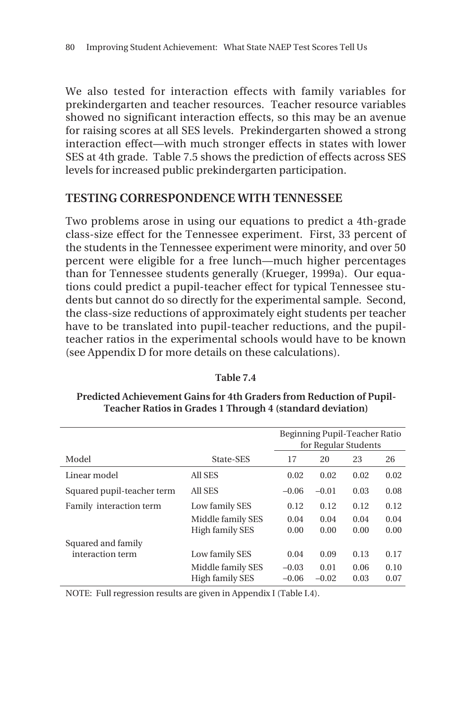We also tested for interaction effects with family variables for prekindergarten and teacher resources. Teacher resource variables showed no significant interaction effects, so this may be an avenue for raising scores at all SES levels. Prekindergarten showed a strong interaction effect—with much stronger effects in states with lower SES at 4th grade. Table 7.5 shows the prediction of effects across SES levels for increased public prekindergarten participation.

### **TESTING CORRESPONDENCE WITH TENNESSEE**

Two problems arose in using our equations to predict a 4th-grade class-size effect for the Tennessee experiment. First, 33 percent of the students in the Tennessee experiment were minority, and over 50 percent were eligible for a free lunch—much higher percentages than for Tennessee students generally (Krueger, 1999a). Our equations could predict a pupil-teacher effect for typical Tennessee students but cannot do so directly for the experimental sample. Second, the class-size reductions of approximately eight students per teacher have to be translated into pupil-teacher reductions, and the pupilteacher ratios in the experimental schools would have to be known (see Appendix D for more details on these calculations).

|                            |                   | Beginning Pupil-Teacher Ratio<br>for Regular Students |         |      |      |
|----------------------------|-------------------|-------------------------------------------------------|---------|------|------|
| Model                      | State-SES         | 17                                                    | 20      | 23   | 26   |
| Linear model               | All SES           | 0.02                                                  | 0.02    | 0.02 | 0.02 |
| Squared pupil-teacher term | All SES           | $-0.06$                                               | $-0.01$ | 0.03 | 0.08 |
| Family interaction term    | Low family SES    | 0.12                                                  | 0.12    | 0.12 | 0.12 |
|                            | Middle family SES | 0.04                                                  | 0.04    | 0.04 | 0.04 |
|                            | High family SES   | 0.00                                                  | 0.00    | 0.00 | 0.00 |
| Squared and family         |                   |                                                       |         |      |      |
| interaction term           | Low family SES    | 0.04                                                  | 0.09    | 0.13 | 0.17 |
|                            | Middle family SES | $-0.03$                                               | 0.01    | 0.06 | 0.10 |
|                            | High family SES   | $-0.06$                                               | $-0.02$ | 0.03 | 0.07 |

**Table 7.4**

### **Predicted Achievement Gains for 4th Graders from Reduction of Pupil-Teacher Ratios in Grades 1 Through 4 (standard deviation)**

NOTE: Full regression results are given in Appendix I (Table I.4).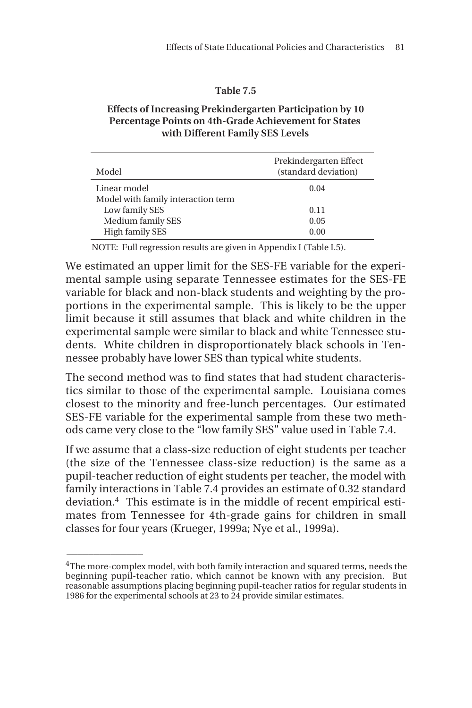### **Table 7.5**

### **Effects of Increasing Prekindergarten Participation by 10 Percentage Points on 4th-Grade Achievement for States with Different Family SES Levels**

| Model                              | Prekindergarten Effect<br>(standard deviation) |
|------------------------------------|------------------------------------------------|
| Linear model                       | 0.04                                           |
| Model with family interaction term |                                                |
| Low family SES                     | 0.11                                           |
| Medium family SES                  | 0.05                                           |
| <b>High family SES</b>             | 0.00                                           |

NOTE: Full regression results are given in Appendix I (Table I.5).

We estimated an upper limit for the SES-FE variable for the experimental sample using separate Tennessee estimates for the SES-FE variable for black and non-black students and weighting by the proportions in the experimental sample. This is likely to be the upper limit because it still assumes that black and white children in the experimental sample were similar to black and white Tennessee students. White children in disproportionately black schools in Tennessee probably have lower SES than typical white students.

The second method was to find states that had student characteristics similar to those of the experimental sample. Louisiana comes closest to the minority and free-lunch percentages. Our estimated SES-FE variable for the experimental sample from these two methods came very close to the "low family SES" value used in Table 7.4.

If we assume that a class-size reduction of eight students per teacher (the size of the Tennessee class-size reduction) is the same as a pupil-teacher reduction of eight students per teacher, the model with family interactions in Table 7.4 provides an estimate of 0.32 standard deviation.4 This estimate is in the middle of recent empirical estimates from Tennessee for 4th-grade gains for children in small classes for four years (Krueger, 1999a; Nye et al., 1999a).

 $\overline{\phantom{a}}$ 

<sup>&</sup>lt;sup>4</sup>The more-complex model, with both family interaction and squared terms, needs the beginning pupil-teacher ratio, which cannot be known with any precision. But reasonable assumptions placing beginning pupil-teacher ratios for regular students in 1986 for the experimental schools at 23 to 24 provide similar estimates.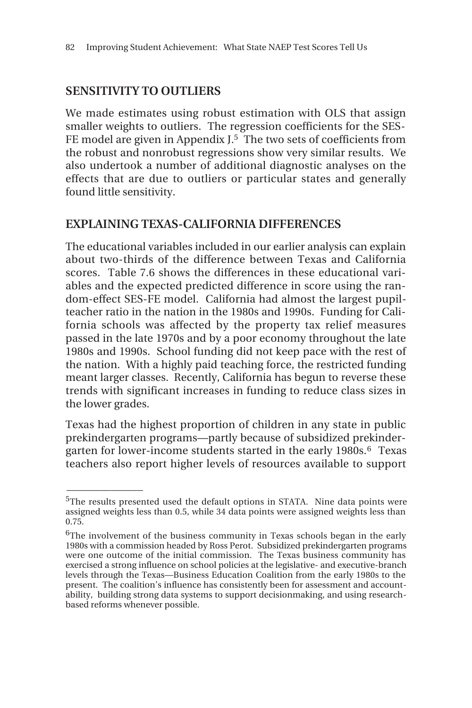# **SENSITIVITY TO OUTLIERS**

 $\overline{\phantom{a}}$ 

We made estimates using robust estimation with OLS that assign smaller weights to outliers. The regression coefficients for the SES-FE model are given in Appendix J.<sup>5</sup> The two sets of coefficients from the robust and nonrobust regressions show very similar results. We also undertook a number of additional diagnostic analyses on the effects that are due to outliers or particular states and generally found little sensitivity.

# **EXPLAINING TEXAS-CALIFORNIA DIFFERENCES**

The educational variables included in our earlier analysis can explain about two-thirds of the difference between Texas and California scores. Table 7.6 shows the differences in these educational variables and the expected predicted difference in score using the random-effect SES-FE model. California had almost the largest pupilteacher ratio in the nation in the 1980s and 1990s. Funding for California schools was affected by the property tax relief measures passed in the late 1970s and by a poor economy throughout the late 1980s and 1990s. School funding did not keep pace with the rest of the nation. With a highly paid teaching force, the restricted funding meant larger classes. Recently, California has begun to reverse these trends with significant increases in funding to reduce class sizes in the lower grades.

Texas had the highest proportion of children in any state in public prekindergarten programs—partly because of subsidized prekindergarten for lower-income students started in the early 1980s.<sup>6</sup> Texas teachers also report higher levels of resources available to support

<sup>&</sup>lt;sup>5</sup>The results presented used the default options in STATA. Nine data points were assigned weights less than 0.5, while 34 data points were assigned weights less than 0.75.

<sup>&</sup>lt;sup>6</sup>The involvement of the business community in Texas schools began in the early 1980s with a commission headed by Ross Perot. Subsidized prekindergarten programs were one outcome of the initial commission. The Texas business community has exercised a strong influence on school policies at the legislative- and executive-branch levels through the Texas—Business Education Coalition from the early 1980s to the present. The coalition's influence has consistently been for assessment and accountability, building strong data systems to support decisionmaking, and using researchbased reforms whenever possible.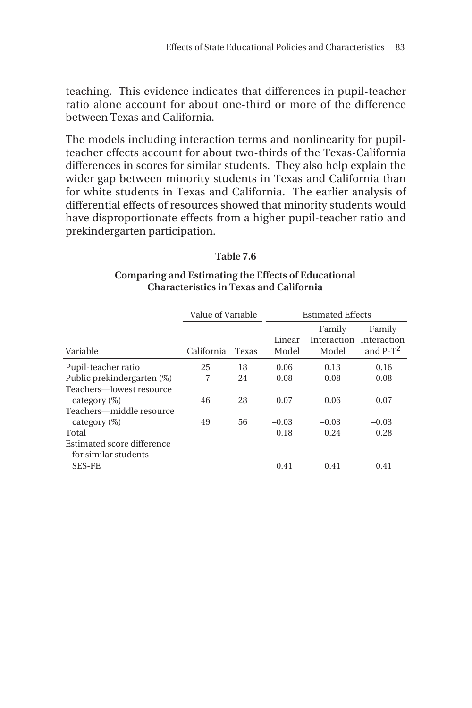teaching. This evidence indicates that differences in pupil-teacher ratio alone account for about one-third or more of the difference between Texas and California.

The models including interaction terms and nonlinearity for pupilteacher effects account for about two-thirds of the Texas-California differences in scores for similar students. They also help explain the wider gap between minority students in Texas and California than for white students in Texas and California. The earlier analysis of differential effects of resources showed that minority students would have disproportionate effects from a higher pupil-teacher ratio and prekindergarten participation.

### **Table 7.6**

### **Comparing and Estimating the Effects of Educational Characteristics in Texas and California**

|                                                     | Value of Variable |       |                 | <b>Estimated Effects</b>       |                                      |  |
|-----------------------------------------------------|-------------------|-------|-----------------|--------------------------------|--------------------------------------|--|
| Variable                                            | California        | Texas | Linear<br>Model | Family<br>Interaction<br>Model | Family<br>Interaction<br>and $P-T^2$ |  |
| Pupil-teacher ratio                                 | 25                | 18    | 0.06            | 0.13                           | 0.16                                 |  |
| Public prekindergarten (%)                          | 7                 | 24    | 0.08            | 0.08                           | 0.08                                 |  |
| Teachers-lowest resource<br>category $(\%)$         | 46                | 28    | 0.07            | 0.06                           | 0.07                                 |  |
| Teachers—middle resource                            |                   |       |                 |                                |                                      |  |
| category $(\%)$                                     | 49                | 56    | $-0.03$         | $-0.03$                        | $-0.03$                              |  |
| Total                                               |                   |       | 0.18            | 0.24                           | 0.28                                 |  |
| Estimated score difference<br>for similar students— |                   |       |                 |                                |                                      |  |
| <b>SES-FE</b>                                       |                   |       | 0.41            | 0.41                           | 0.41                                 |  |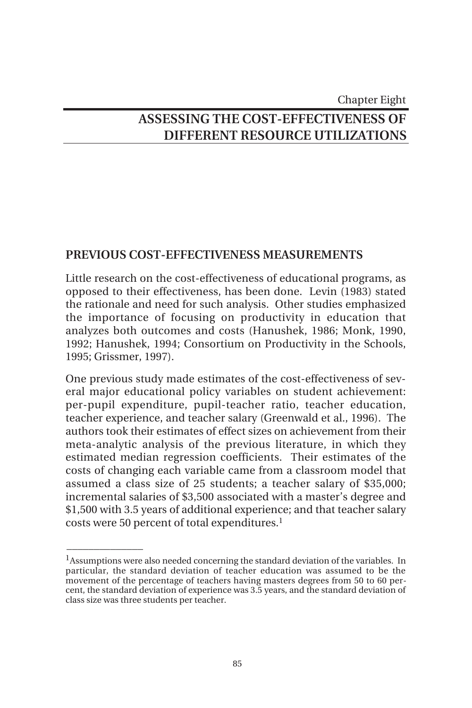# Chapter Eight **ASSESSING THE COST-EFFECTIVENESS OF DIFFERENT RESOURCE UTILIZATIONS**

# **PREVIOUS COST-EFFECTIVENESS MEASUREMENTS**

Little research on the cost-effectiveness of educational programs, as opposed to their effectiveness, has been done. Levin (1983) stated the rationale and need for such analysis. Other studies emphasized the importance of focusing on productivity in education that analyzes both outcomes and costs (Hanushek, 1986; Monk, 1990, 1992; Hanushek, 1994; Consortium on Productivity in the Schools, 1995; Grissmer, 1997).

One previous study made estimates of the cost-effectiveness of several major educational policy variables on student achievement: per-pupil expenditure, pupil-teacher ratio, teacher education, teacher experience, and teacher salary (Greenwald et al., 1996). The authors took their estimates of effect sizes on achievement from their meta-analytic analysis of the previous literature, in which they estimated median regression coefficients. Their estimates of the costs of changing each variable came from a classroom model that assumed a class size of 25 students; a teacher salary of \$35,000; incremental salaries of \$3,500 associated with a master's degree and \$1,500 with 3.5 years of additional experience; and that teacher salary costs were 50 percent of total expenditures.1

 $\overline{\phantom{a}}$ 

 $<sup>1</sup>$ Assumptions were also needed concerning the standard deviation of the variables. In</sup> particular, the standard deviation of teacher education was assumed to be the movement of the percentage of teachers having masters degrees from 50 to 60 percent, the standard deviation of experience was 3.5 years, and the standard deviation of class size was three students per teacher.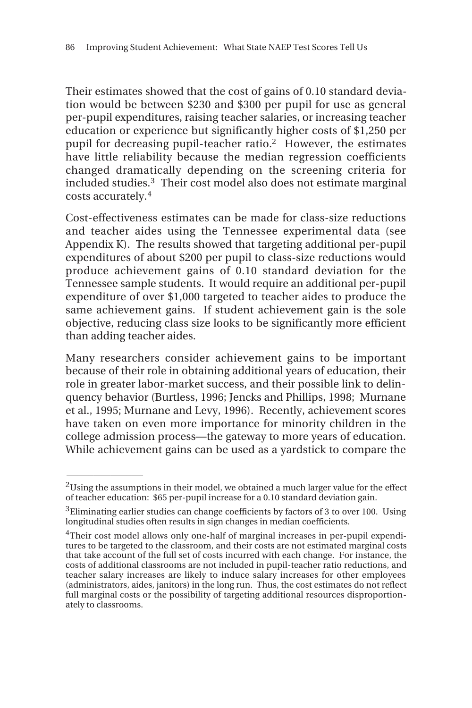Their estimates showed that the cost of gains of 0.10 standard deviation would be between \$230 and \$300 per pupil for use as general per-pupil expenditures, raising teacher salaries, or increasing teacher education or experience but significantly higher costs of \$1,250 per pupil for decreasing pupil-teacher ratio.2 However, the estimates have little reliability because the median regression coefficients changed dramatically depending on the screening criteria for included studies.3 Their cost model also does not estimate marginal costs accurately.4

Cost-effectiveness estimates can be made for class-size reductions and teacher aides using the Tennessee experimental data (see Appendix K). The results showed that targeting additional per-pupil expenditures of about \$200 per pupil to class-size reductions would produce achievement gains of 0.10 standard deviation for the Tennessee sample students. It would require an additional per-pupil expenditure of over \$1,000 targeted to teacher aides to produce the same achievement gains. If student achievement gain is the sole objective, reducing class size looks to be significantly more efficient than adding teacher aides.

Many researchers consider achievement gains to be important because of their role in obtaining additional years of education, their role in greater labor-market success, and their possible link to delinquency behavior (Burtless, 1996; Jencks and Phillips, 1998; Murnane et al., 1995; Murnane and Levy, 1996). Recently, achievement scores have taken on even more importance for minority children in the college admission process—the gateway to more years of education. While achievement gains can be used as a yardstick to compare the

 $\overline{\phantom{a}}$ 

 $2$ Using the assumptions in their model, we obtained a much larger value for the effect of teacher education: \$65 per-pupil increase for a 0.10 standard deviation gain.

<sup>&</sup>lt;sup>3</sup>Eliminating earlier studies can change coefficients by factors of 3 to over 100. Using longitudinal studies often results in sign changes in median coefficients.

<sup>&</sup>lt;sup>4</sup>Their cost model allows only one-half of marginal increases in per-pupil expenditures to be targeted to the classroom, and their costs are not estimated marginal costs that take account of the full set of costs incurred with each change. For instance, the costs of additional classrooms are not included in pupil-teacher ratio reductions, and teacher salary increases are likely to induce salary increases for other employees (administrators, aides, janitors) in the long run. Thus, the cost estimates do not reflect full marginal costs or the possibility of targeting additional resources disproportionately to classrooms.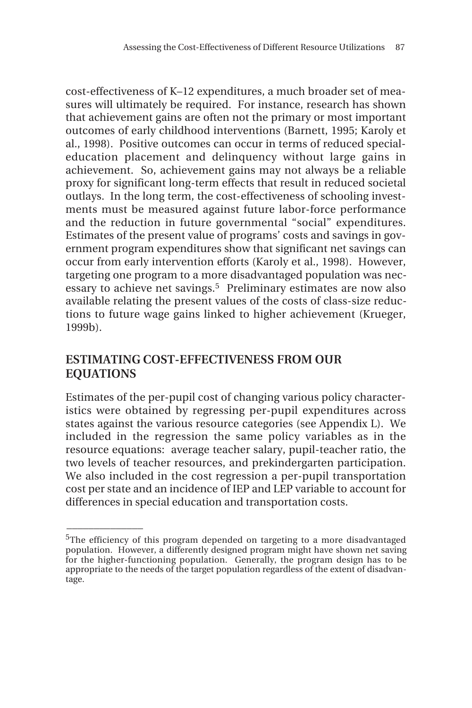cost-effectiveness of K–12 expenditures, a much broader set of measures will ultimately be required. For instance, research has shown that achievement gains are often not the primary or most important outcomes of early childhood interventions (Barnett, 1995; Karoly et al., 1998). Positive outcomes can occur in terms of reduced specialeducation placement and delinquency without large gains in achievement. So, achievement gains may not always be a reliable proxy for significant long-term effects that result in reduced societal outlays. In the long term, the cost-effectiveness of schooling investments must be measured against future labor-force performance and the reduction in future governmental "social" expenditures. Estimates of the present value of programs' costs and savings in government program expenditures show that significant net savings can occur from early intervention efforts (Karoly et al., 1998). However, targeting one program to a more disadvantaged population was necessary to achieve net savings.<sup>5</sup> Preliminary estimates are now also available relating the present values of the costs of class-size reductions to future wage gains linked to higher achievement (Krueger, 1999b).

# **ESTIMATING COST-EFFECTIVENESS FROM OUR EQUATIONS**

 $\overline{\phantom{a}}$ 

Estimates of the per-pupil cost of changing various policy characteristics were obtained by regressing per-pupil expenditures across states against the various resource categories (see Appendix L). We included in the regression the same policy variables as in the resource equations: average teacher salary, pupil-teacher ratio, the two levels of teacher resources, and prekindergarten participation. We also included in the cost regression a per-pupil transportation cost per state and an incidence of IEP and LEP variable to account for differences in special education and transportation costs.

 $5$ The efficiency of this program depended on targeting to a more disadvantaged population. However, a differently designed program might have shown net saving for the higher-functioning population. Generally, the program design has to be appropriate to the needs of the target population regardless of the extent of disadvantage.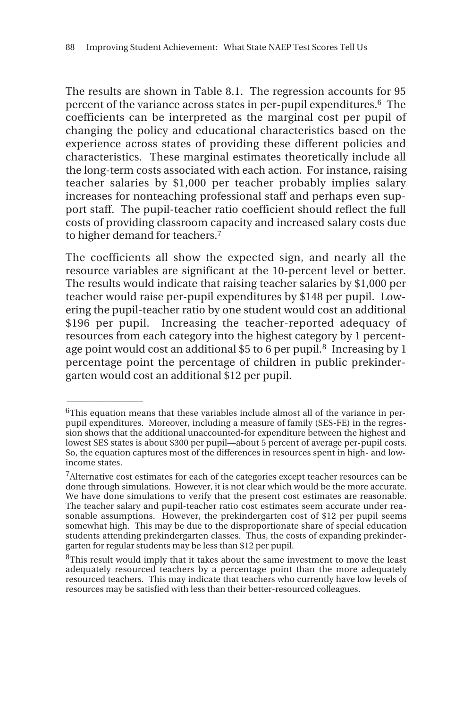The results are shown in Table 8.1. The regression accounts for 95 percent of the variance across states in per-pupil expenditures.<sup>6</sup> The coefficients can be interpreted as the marginal cost per pupil of changing the policy and educational characteristics based on the experience across states of providing these different policies and characteristics. These marginal estimates theoretically include all the long-term costs associated with each action. For instance, raising teacher salaries by \$1,000 per teacher probably implies salary increases for nonteaching professional staff and perhaps even support staff. The pupil-teacher ratio coefficient should reflect the full costs of providing classroom capacity and increased salary costs due to higher demand for teachers.7

The coefficients all show the expected sign, and nearly all the resource variables are significant at the 10-percent level or better. The results would indicate that raising teacher salaries by \$1,000 per teacher would raise per-pupil expenditures by \$148 per pupil. Lowering the pupil-teacher ratio by one student would cost an additional \$196 per pupil. Increasing the teacher-reported adequacy of resources from each category into the highest category by 1 percentage point would cost an additional \$5 to 6 per pupil.<sup>8</sup> Increasing by 1 percentage point the percentage of children in public prekindergarten would cost an additional \$12 per pupil.

 $\overline{\phantom{a}}$ 

 $6$ This equation means that these variables include almost all of the variance in perpupil expenditures. Moreover, including a measure of family (SES-FE) in the regression shows that the additional unaccounted-for expenditure between the highest and lowest SES states is about \$300 per pupil—about 5 percent of average per-pupil costs. So, the equation captures most of the differences in resources spent in high- and lowincome states.

<sup>&</sup>lt;sup>7</sup>Alternative cost estimates for each of the categories except teacher resources can be done through simulations. However, it is not clear which would be the more accurate. We have done simulations to verify that the present cost estimates are reasonable. The teacher salary and pupil-teacher ratio cost estimates seem accurate under reasonable assumptions. However, the prekindergarten cost of \$12 per pupil seems somewhat high. This may be due to the disproportionate share of special education students attending prekindergarten classes. Thus, the costs of expanding prekindergarten for regular students may be less than \$12 per pupil.

<sup>&</sup>lt;sup>8</sup>This result would imply that it takes about the same investment to move the least adequately resourced teachers by a percentage point than the more adequately resourced teachers. This may indicate that teachers who currently have low levels of resources may be satisfied with less than their better-resourced colleagues.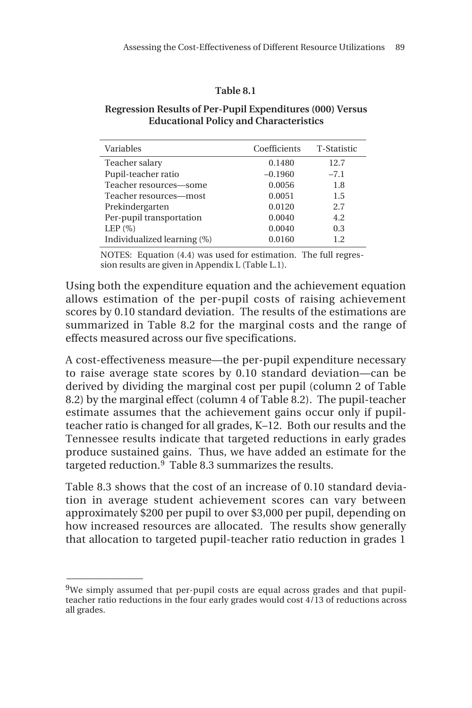### **Table 8.1**

### **Regression Results of Per-Pupil Expenditures (000) Versus Educational Policy and Characteristics**

| Variables                   | Coefficients | T-Statistic |
|-----------------------------|--------------|-------------|
| Teacher salary              | 0.1480       | 12.7        |
| Pupil-teacher ratio         | $-0.1960$    | $-7.1$      |
| Teacher resources-some      | 0.0056       | 1.8         |
| Teacher resources-most      | 0.0051       | 1.5         |
| Prekindergarten             | 0.0120       | 2.7         |
| Per-pupil transportation    | 0.0040       | 4.2         |
| LEP $(\%)$                  | 0.0040       | 0.3         |
| Individualized learning (%) | 0.0160       | 1.2         |

NOTES: Equation (4.4) was used for estimation. The full regression results are given in Appendix L (Table L.1).

Using both the expenditure equation and the achievement equation allows estimation of the per-pupil costs of raising achievement scores by 0.10 standard deviation. The results of the estimations are summarized in Table 8.2 for the marginal costs and the range of effects measured across our five specifications.

A cost-effectiveness measure—the per-pupil expenditure necessary to raise average state scores by 0.10 standard deviation—can be derived by dividing the marginal cost per pupil (column 2 of Table 8.2) by the marginal effect (column 4 of Table 8.2). The pupil-teacher estimate assumes that the achievement gains occur only if pupilteacher ratio is changed for all grades, K–12. Both our results and the Tennessee results indicate that targeted reductions in early grades produce sustained gains. Thus, we have added an estimate for the targeted reduction. $9$  Table 8.3 summarizes the results.

Table 8.3 shows that the cost of an increase of 0.10 standard deviation in average student achievement scores can vary between approximately \$200 per pupil to over \$3,000 per pupil, depending on how increased resources are allocated. The results show generally that allocation to targeted pupil-teacher ratio reduction in grades 1

 $\overline{\phantom{a}}$ 

 $9$ We simply assumed that per-pupil costs are equal across grades and that pupilteacher ratio reductions in the four early grades would cost 4/13 of reductions across all grades.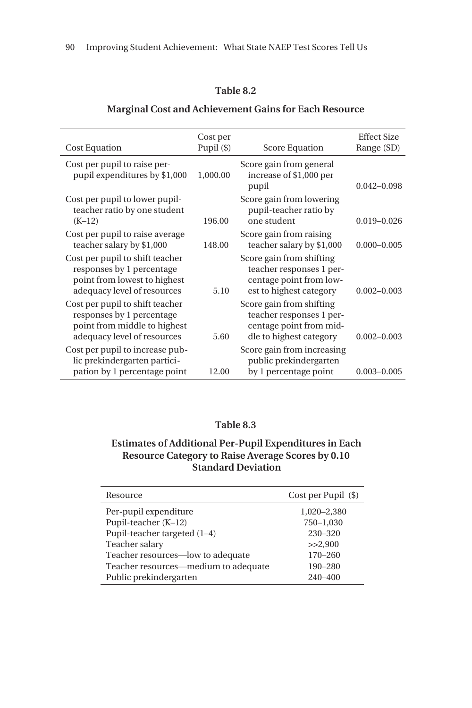### **Table 8.2**

#### Cost Equation Cost per Pupil (\$) Score Equation Effect Size Range (SD) Cost per pupil to raise perpupil expenditures by \$1,000 1,000.00 Score gain from general increase of \$1,000 per pupil 0.042–0.098 Cost per pupil to lower pupilteacher ratio by one student (K–12) 196.00 Score gain from lowering pupil-teacher ratio by one student 0.019–0.026 Cost per pupil to raise average teacher salary by \$1,000 148.00 Score gain from raising teacher salary by \$1,000 0.000-0.005 Cost per pupil to shift teacher responses by 1 percentage point from lowest to highest adequacy level of resources 5.10 Score gain from shifting teacher responses 1 percentage point from lowest to highest category 0.002–0.003 Cost per pupil to shift teacher responses by 1 percentage point from middle to highest adequacy level of resources 5.60 Score gain from shifting teacher responses 1 percentage point from middle to highest category 0.002–0.003 Cost per pupil to increase public prekindergarten participation by 1 percentage point 12.00 Score gain from increasing public prekindergarten by 1 percentage point 0.003–0.005

#### **Marginal Cost and Achievement Gains for Each Resource**

### **Table 8.3**

### **Estimates of Additional Per-Pupil Expenditures in Each Resource Category to Raise Average Scores by 0.10 Standard Deviation**

| Resource                             | Cost per Pupil (\$) |
|--------------------------------------|---------------------|
| Per-pupil expenditure                | 1,020-2,380         |
| Pupil-teacher (K-12)                 | 750-1,030           |
| Pupil-teacher targeted (1–4)         | 230-320             |
| Teacher salary                       | >>2.900             |
| Teacher resources—low to adequate    | $170 - 260$         |
| Teacher resources—medium to adequate | 190-280             |
| Public prekindergarten               | $240 - 400$         |
|                                      |                     |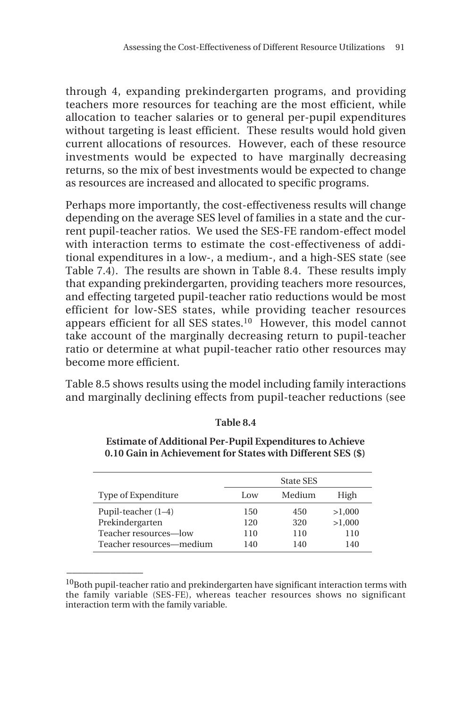through 4, expanding prekindergarten programs, and providing teachers more resources for teaching are the most efficient, while allocation to teacher salaries or to general per-pupil expenditures without targeting is least efficient. These results would hold given current allocations of resources. However, each of these resource investments would be expected to have marginally decreasing returns, so the mix of best investments would be expected to change as resources are increased and allocated to specific programs.

Perhaps more importantly, the cost-effectiveness results will change depending on the average SES level of families in a state and the current pupil-teacher ratios. We used the SES-FE random-effect model with interaction terms to estimate the cost-effectiveness of additional expenditures in a low-, a medium-, and a high-SES state (see Table 7.4). The results are shown in Table 8.4. These results imply that expanding prekindergarten, providing teachers more resources, and effecting targeted pupil-teacher ratio reductions would be most efficient for low-SES states, while providing teacher resources appears efficient for all SES states.<sup>10</sup> However, this model cannot take account of the marginally decreasing return to pupil-teacher ratio or determine at what pupil-teacher ratio other resources may become more efficient.

Table 8.5 shows results using the model including family interactions and marginally declining effects from pupil-teacher reductions (see

|                          | State SES |        |        |  |  |
|--------------------------|-----------|--------|--------|--|--|
| Type of Expenditure      | Low       | Medium | High   |  |  |
| Pupil-teacher $(1-4)$    | 150       | 450    | >1,000 |  |  |
| Prekindergarten          | 120       | 320    | >1,000 |  |  |
| Teacher resources-low    | 110       | 110    | 110    |  |  |
| Teacher resources—medium | 140       | 140    | 140    |  |  |

### **Table 8.4**

**Estimate of Additional Per-Pupil Expenditures to Achieve 0.10 Gain in Achievement for States with Different SES (\$)**

 $\overline{\phantom{a}}$ 

 $10$ Both pupil-teacher ratio and prekindergarten have significant interaction terms with the family variable (SES-FE), whereas teacher resources shows no significant interaction term with the family variable.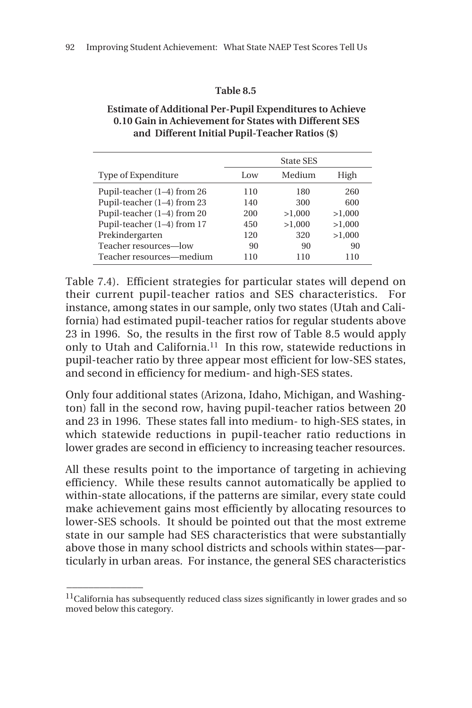### **Table 8.5**

| <b>Estimate of Additional Per-Pupil Expenditures to Achieve</b> |
|-----------------------------------------------------------------|
| 0.10 Gain in Achievement for States with Different SES          |
| and Different Initial Pupil-Teacher Ratios (\$)                 |

|                             | State SES |        |        |
|-----------------------------|-----------|--------|--------|
| Type of Expenditure         | Low       | Medium | High   |
| Pupil-teacher (1-4) from 26 | 110       | 180    | 260    |
| Pupil-teacher (1-4) from 23 | 140       | 300    | 600    |
| Pupil-teacher (1-4) from 20 | 200       | >1,000 | >1,000 |
| Pupil-teacher (1-4) from 17 | 450       | >1,000 | >1,000 |
| Prekindergarten             | 120       | 320    | >1,000 |
| Teacher resources—low       | 90        | 90     | 90     |
| Teacher resources—medium    | 110       | 110    | 110    |

Table 7.4). Efficient strategies for particular states will depend on their current pupil-teacher ratios and SES characteristics. For instance, among states in our sample, only two states (Utah and California) had estimated pupil-teacher ratios for regular students above 23 in 1996. So, the results in the first row of Table 8.5 would apply only to Utah and California.11 In this row, statewide reductions in pupil-teacher ratio by three appear most efficient for low-SES states, and second in efficiency for medium- and high-SES states.

Only four additional states (Arizona, Idaho, Michigan, and Washington) fall in the second row, having pupil-teacher ratios between 20 and 23 in 1996. These states fall into medium- to high-SES states, in which statewide reductions in pupil-teacher ratio reductions in lower grades are second in efficiency to increasing teacher resources.

All these results point to the importance of targeting in achieving efficiency. While these results cannot automatically be applied to within-state allocations, if the patterns are similar, every state could make achievement gains most efficiently by allocating resources to lower-SES schools. It should be pointed out that the most extreme state in our sample had SES characteristics that were substantially above those in many school districts and schools within states—particularly in urban areas. For instance, the general SES characteristics

\_\_\_\_\_\_\_\_\_\_\_\_\_\_

 $^{11}$ California has subsequently reduced class sizes significantly in lower grades and so moved below this category.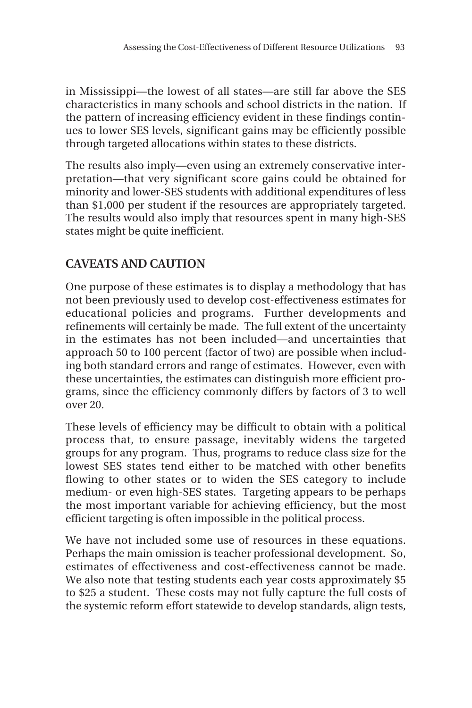in Mississippi—the lowest of all states—are still far above the SES characteristics in many schools and school districts in the nation. If the pattern of increasing efficiency evident in these findings continues to lower SES levels, significant gains may be efficiently possible through targeted allocations within states to these districts.

The results also imply—even using an extremely conservative interpretation—that very significant score gains could be obtained for minority and lower-SES students with additional expenditures of less than \$1,000 per student if the resources are appropriately targeted. The results would also imply that resources spent in many high-SES states might be quite inefficient.

# **CAVEATS AND CAUTION**

One purpose of these estimates is to display a methodology that has not been previously used to develop cost-effectiveness estimates for educational policies and programs. Further developments and refinements will certainly be made. The full extent of the uncertainty in the estimates has not been included—and uncertainties that approach 50 to 100 percent (factor of two) are possible when including both standard errors and range of estimates. However, even with these uncertainties, the estimates can distinguish more efficient programs, since the efficiency commonly differs by factors of 3 to well over 20.

These levels of efficiency may be difficult to obtain with a political process that, to ensure passage, inevitably widens the targeted groups for any program. Thus, programs to reduce class size for the lowest SES states tend either to be matched with other benefits flowing to other states or to widen the SES category to include medium- or even high-SES states. Targeting appears to be perhaps the most important variable for achieving efficiency, but the most efficient targeting is often impossible in the political process.

We have not included some use of resources in these equations. Perhaps the main omission is teacher professional development. So, estimates of effectiveness and cost-effectiveness cannot be made. We also note that testing students each year costs approximately \$5 to \$25 a student. These costs may not fully capture the full costs of the systemic reform effort statewide to develop standards, align tests,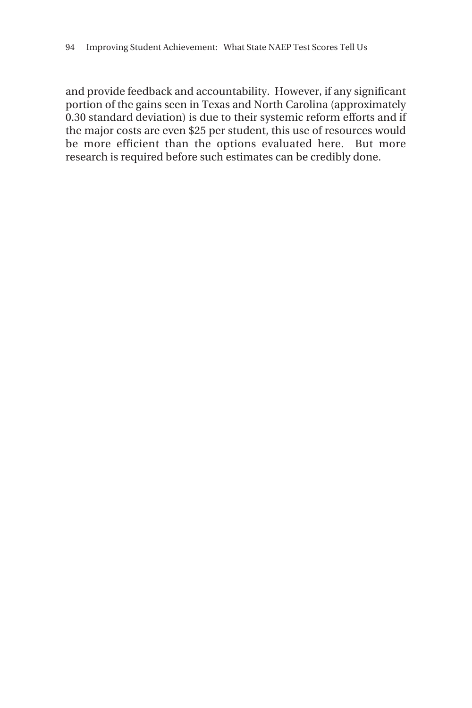and provide feedback and accountability. However, if any significant portion of the gains seen in Texas and North Carolina (approximately 0.30 standard deviation) is due to their systemic reform efforts and if the major costs are even \$25 per student, this use of resources would be more efficient than the options evaluated here. But more research is required before such estimates can be credibly done.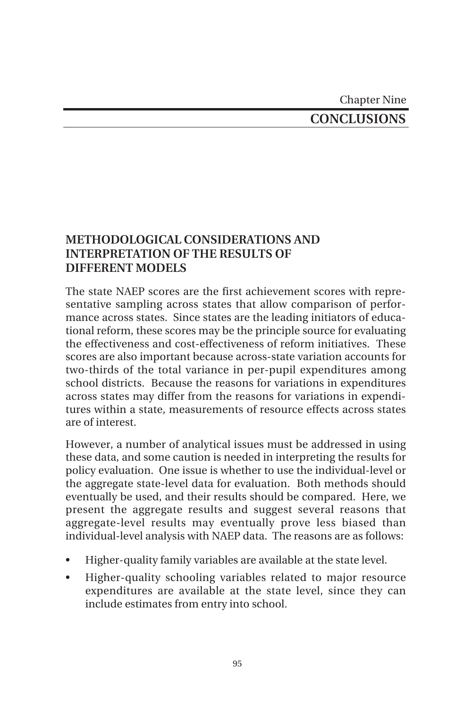Chapter Nine

# **CONCLUSIONS**

# **METHODOLOGICAL CONSIDERATIONS AND INTERPRETATION OF THE RESULTS OF DIFFERENT MODELS**

The state NAEP scores are the first achievement scores with representative sampling across states that allow comparison of performance across states. Since states are the leading initiators of educational reform, these scores may be the principle source for evaluating the effectiveness and cost-effectiveness of reform initiatives. These scores are also important because across-state variation accounts for two-thirds of the total variance in per-pupil expenditures among school districts. Because the reasons for variations in expenditures across states may differ from the reasons for variations in expenditures within a state, measurements of resource effects across states are of interest.

However, a number of analytical issues must be addressed in using these data, and some caution is needed in interpreting the results for policy evaluation. One issue is whether to use the individual-level or the aggregate state-level data for evaluation. Both methods should eventually be used, and their results should be compared. Here, we present the aggregate results and suggest several reasons that aggregate-level results may eventually prove less biased than individual-level analysis with NAEP data. The reasons are as follows:

- Higher-quality family variables are available at the state level.
- Higher-quality schooling variables related to major resource expenditures are available at the state level, since they can include estimates from entry into school.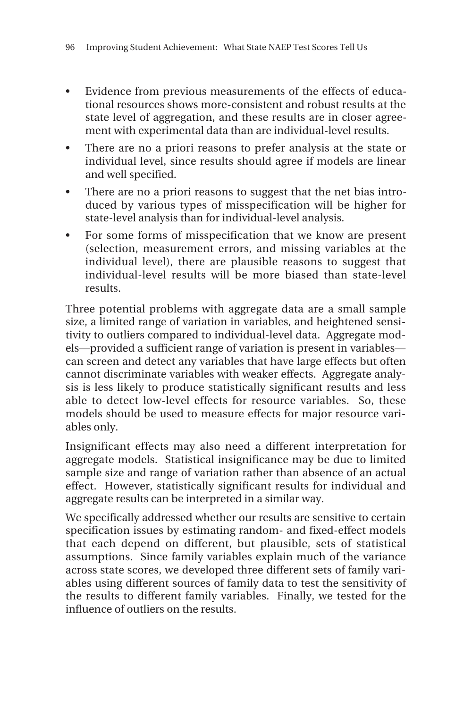- Evidence from previous measurements of the effects of educational resources shows more-consistent and robust results at the state level of aggregation, and these results are in closer agreement with experimental data than are individual-level results.
- There are no a priori reasons to prefer analysis at the state or individual level, since results should agree if models are linear and well specified.
- There are no a priori reasons to suggest that the net bias introduced by various types of misspecification will be higher for state-level analysis than for individual-level analysis.
- For some forms of misspecification that we know are present (selection, measurement errors, and missing variables at the individual level), there are plausible reasons to suggest that individual-level results will be more biased than state-level results.

Three potential problems with aggregate data are a small sample size, a limited range of variation in variables, and heightened sensitivity to outliers compared to individual-level data. Aggregate models—provided a sufficient range of variation is present in variables can screen and detect any variables that have large effects but often cannot discriminate variables with weaker effects. Aggregate analysis is less likely to produce statistically significant results and less able to detect low-level effects for resource variables. So, these models should be used to measure effects for major resource variables only.

Insignificant effects may also need a different interpretation for aggregate models. Statistical insignificance may be due to limited sample size and range of variation rather than absence of an actual effect. However, statistically significant results for individual and aggregate results can be interpreted in a similar way.

We specifically addressed whether our results are sensitive to certain specification issues by estimating random- and fixed-effect models that each depend on different, but plausible, sets of statistical assumptions. Since family variables explain much of the variance across state scores, we developed three different sets of family variables using different sources of family data to test the sensitivity of the results to different family variables. Finally, we tested for the influence of outliers on the results.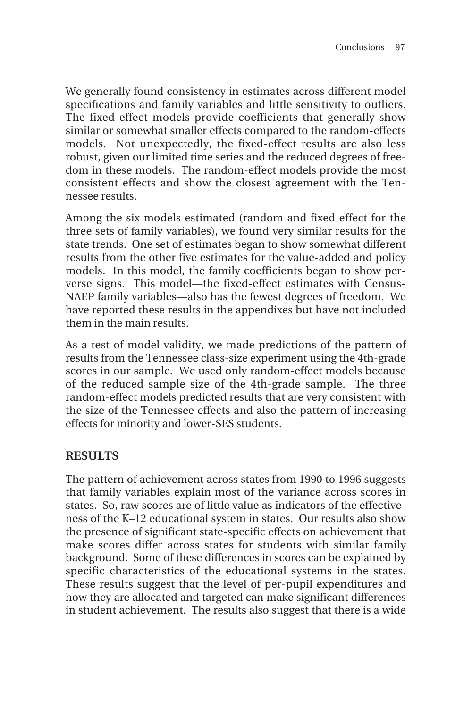We generally found consistency in estimates across different model specifications and family variables and little sensitivity to outliers. The fixed-effect models provide coefficients that generally show similar or somewhat smaller effects compared to the random-effects models. Not unexpectedly, the fixed-effect results are also less robust, given our limited time series and the reduced degrees of freedom in these models. The random-effect models provide the most consistent effects and show the closest agreement with the Tennessee results.

Among the six models estimated (random and fixed effect for the three sets of family variables), we found very similar results for the state trends. One set of estimates began to show somewhat different results from the other five estimates for the value-added and policy models. In this model, the family coefficients began to show perverse signs. This model—the fixed-effect estimates with Census-NAEP family variables—also has the fewest degrees of freedom. We have reported these results in the appendixes but have not included them in the main results.

As a test of model validity, we made predictions of the pattern of results from the Tennessee class-size experiment using the 4th-grade scores in our sample. We used only random-effect models because of the reduced sample size of the 4th-grade sample. The three random-effect models predicted results that are very consistent with the size of the Tennessee effects and also the pattern of increasing effects for minority and lower-SES students.

# **RESULTS**

The pattern of achievement across states from 1990 to 1996 suggests that family variables explain most of the variance across scores in states. So, raw scores are of little value as indicators of the effectiveness of the K–12 educational system in states. Our results also show the presence of significant state-specific effects on achievement that make scores differ across states for students with similar family background. Some of these differences in scores can be explained by specific characteristics of the educational systems in the states. These results suggest that the level of per-pupil expenditures and how they are allocated and targeted can make significant differences in student achievement. The results also suggest that there is a wide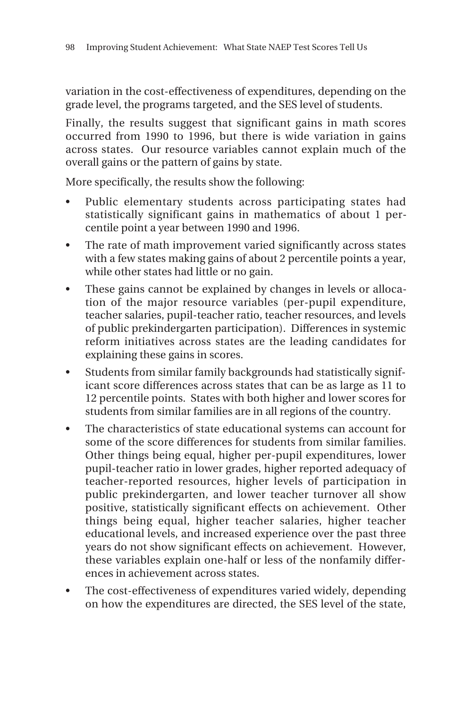variation in the cost-effectiveness of expenditures, depending on the grade level, the programs targeted, and the SES level of students.

Finally, the results suggest that significant gains in math scores occurred from 1990 to 1996, but there is wide variation in gains across states. Our resource variables cannot explain much of the overall gains or the pattern of gains by state.

More specifically, the results show the following:

- Public elementary students across participating states had statistically significant gains in mathematics of about 1 percentile point a year between 1990 and 1996.
- The rate of math improvement varied significantly across states with a few states making gains of about 2 percentile points a year, while other states had little or no gain.
- These gains cannot be explained by changes in levels or allocation of the major resource variables (per-pupil expenditure, teacher salaries, pupil-teacher ratio, teacher resources, and levels of public prekindergarten participation). Differences in systemic reform initiatives across states are the leading candidates for explaining these gains in scores.
- Students from similar family backgrounds had statistically significant score differences across states that can be as large as 11 to 12 percentile points. States with both higher and lower scores for students from similar families are in all regions of the country.
- The characteristics of state educational systems can account for some of the score differences for students from similar families. Other things being equal, higher per-pupil expenditures, lower pupil-teacher ratio in lower grades, higher reported adequacy of teacher-reported resources, higher levels of participation in public prekindergarten, and lower teacher turnover all show positive, statistically significant effects on achievement. Other things being equal, higher teacher salaries, higher teacher educational levels, and increased experience over the past three years do not show significant effects on achievement. However, these variables explain one-half or less of the nonfamily differences in achievement across states.
- The cost-effectiveness of expenditures varied widely, depending on how the expenditures are directed, the SES level of the state,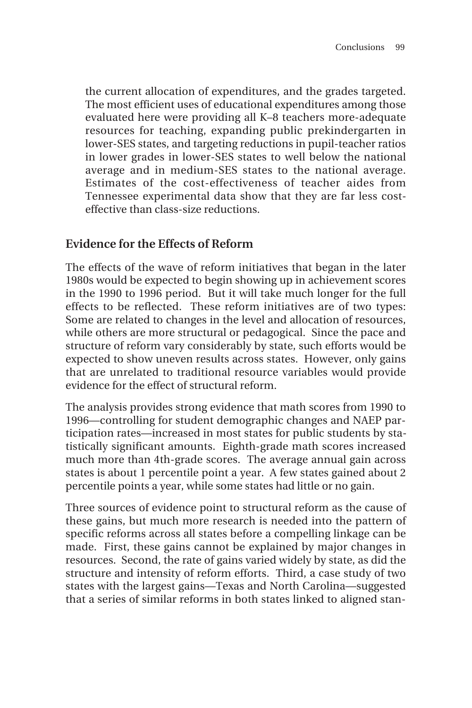the current allocation of expenditures, and the grades targeted. The most efficient uses of educational expenditures among those evaluated here were providing all K–8 teachers more-adequate resources for teaching, expanding public prekindergarten in lower-SES states, and targeting reductions in pupil-teacher ratios in lower grades in lower-SES states to well below the national average and in medium-SES states to the national average. Estimates of the cost-effectiveness of teacher aides from Tennessee experimental data show that they are far less costeffective than class-size reductions.

# **Evidence for the Effects of Reform**

The effects of the wave of reform initiatives that began in the later 1980s would be expected to begin showing up in achievement scores in the 1990 to 1996 period. But it will take much longer for the full effects to be reflected. These reform initiatives are of two types: Some are related to changes in the level and allocation of resources, while others are more structural or pedagogical. Since the pace and structure of reform vary considerably by state, such efforts would be expected to show uneven results across states. However, only gains that are unrelated to traditional resource variables would provide evidence for the effect of structural reform.

The analysis provides strong evidence that math scores from 1990 to 1996—controlling for student demographic changes and NAEP participation rates—increased in most states for public students by statistically significant amounts. Eighth-grade math scores increased much more than 4th-grade scores. The average annual gain across states is about 1 percentile point a year. A few states gained about 2 percentile points a year, while some states had little or no gain.

Three sources of evidence point to structural reform as the cause of these gains, but much more research is needed into the pattern of specific reforms across all states before a compelling linkage can be made. First, these gains cannot be explained by major changes in resources. Second, the rate of gains varied widely by state, as did the structure and intensity of reform efforts. Third, a case study of two states with the largest gains—Texas and North Carolina—suggested that a series of similar reforms in both states linked to aligned stan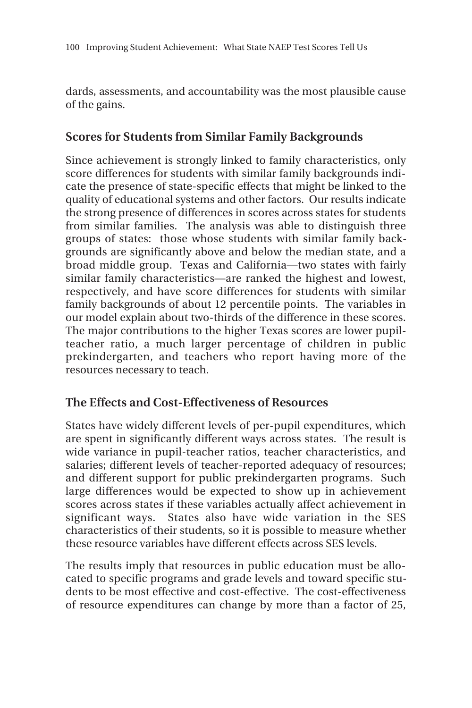dards, assessments, and accountability was the most plausible cause of the gains.

# **Scores for Students from Similar Family Backgrounds**

Since achievement is strongly linked to family characteristics, only score differences for students with similar family backgrounds indicate the presence of state-specific effects that might be linked to the quality of educational systems and other factors. Our results indicate the strong presence of differences in scores across states for students from similar families. The analysis was able to distinguish three groups of states: those whose students with similar family backgrounds are significantly above and below the median state, and a broad middle group. Texas and California—two states with fairly similar family characteristics—are ranked the highest and lowest, respectively, and have score differences for students with similar family backgrounds of about 12 percentile points. The variables in our model explain about two-thirds of the difference in these scores. The major contributions to the higher Texas scores are lower pupilteacher ratio, a much larger percentage of children in public prekindergarten, and teachers who report having more of the resources necessary to teach.

# **The Effects and Cost-Effectiveness of Resources**

States have widely different levels of per-pupil expenditures, which are spent in significantly different ways across states. The result is wide variance in pupil-teacher ratios, teacher characteristics, and salaries; different levels of teacher-reported adequacy of resources; and different support for public prekindergarten programs. Such large differences would be expected to show up in achievement scores across states if these variables actually affect achievement in significant ways. States also have wide variation in the SES characteristics of their students, so it is possible to measure whether these resource variables have different effects across SES levels.

The results imply that resources in public education must be allocated to specific programs and grade levels and toward specific students to be most effective and cost-effective. The cost-effectiveness of resource expenditures can change by more than a factor of 25,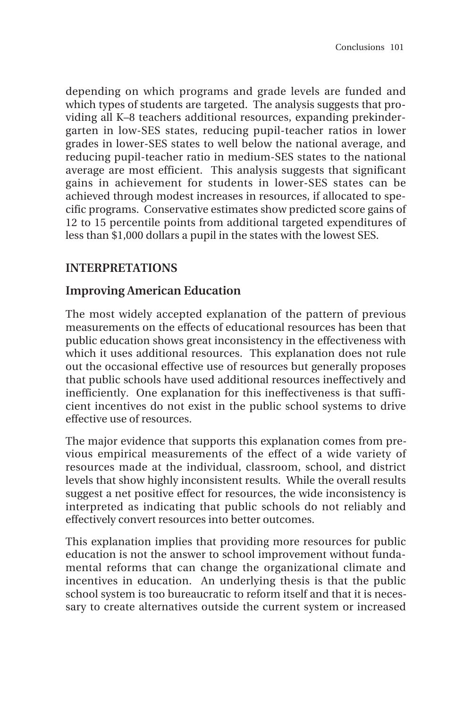depending on which programs and grade levels are funded and which types of students are targeted. The analysis suggests that providing all K–8 teachers additional resources, expanding prekindergarten in low-SES states, reducing pupil-teacher ratios in lower grades in lower-SES states to well below the national average, and reducing pupil-teacher ratio in medium-SES states to the national average are most efficient. This analysis suggests that significant gains in achievement for students in lower-SES states can be achieved through modest increases in resources, if allocated to specific programs. Conservative estimates show predicted score gains of 12 to 15 percentile points from additional targeted expenditures of less than \$1,000 dollars a pupil in the states with the lowest SES.

# **INTERPRETATIONS**

# **Improving American Education**

The most widely accepted explanation of the pattern of previous measurements on the effects of educational resources has been that public education shows great inconsistency in the effectiveness with which it uses additional resources. This explanation does not rule out the occasional effective use of resources but generally proposes that public schools have used additional resources ineffectively and inefficiently. One explanation for this ineffectiveness is that sufficient incentives do not exist in the public school systems to drive effective use of resources.

The major evidence that supports this explanation comes from previous empirical measurements of the effect of a wide variety of resources made at the individual, classroom, school, and district levels that show highly inconsistent results. While the overall results suggest a net positive effect for resources, the wide inconsistency is interpreted as indicating that public schools do not reliably and effectively convert resources into better outcomes.

This explanation implies that providing more resources for public education is not the answer to school improvement without fundamental reforms that can change the organizational climate and incentives in education. An underlying thesis is that the public school system is too bureaucratic to reform itself and that it is necessary to create alternatives outside the current system or increased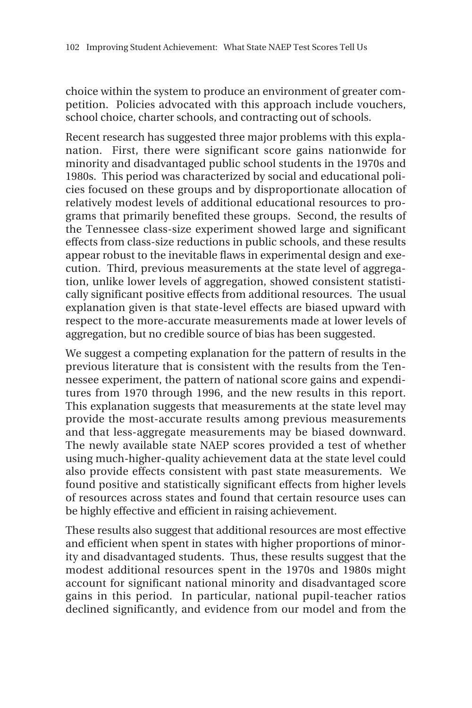choice within the system to produce an environment of greater competition. Policies advocated with this approach include vouchers, school choice, charter schools, and contracting out of schools.

Recent research has suggested three major problems with this explanation. First, there were significant score gains nationwide for minority and disadvantaged public school students in the 1970s and 1980s. This period was characterized by social and educational policies focused on these groups and by disproportionate allocation of relatively modest levels of additional educational resources to programs that primarily benefited these groups. Second, the results of the Tennessee class-size experiment showed large and significant effects from class-size reductions in public schools, and these results appear robust to the inevitable flaws in experimental design and execution. Third, previous measurements at the state level of aggregation, unlike lower levels of aggregation, showed consistent statistically significant positive effects from additional resources. The usual explanation given is that state-level effects are biased upward with respect to the more-accurate measurements made at lower levels of aggregation, but no credible source of bias has been suggested.

We suggest a competing explanation for the pattern of results in the previous literature that is consistent with the results from the Tennessee experiment, the pattern of national score gains and expenditures from 1970 through 1996, and the new results in this report. This explanation suggests that measurements at the state level may provide the most-accurate results among previous measurements and that less-aggregate measurements may be biased downward. The newly available state NAEP scores provided a test of whether using much-higher-quality achievement data at the state level could also provide effects consistent with past state measurements. We found positive and statistically significant effects from higher levels of resources across states and found that certain resource uses can be highly effective and efficient in raising achievement.

These results also suggest that additional resources are most effective and efficient when spent in states with higher proportions of minority and disadvantaged students. Thus, these results suggest that the modest additional resources spent in the 1970s and 1980s might account for significant national minority and disadvantaged score gains in this period. In particular, national pupil-teacher ratios declined significantly, and evidence from our model and from the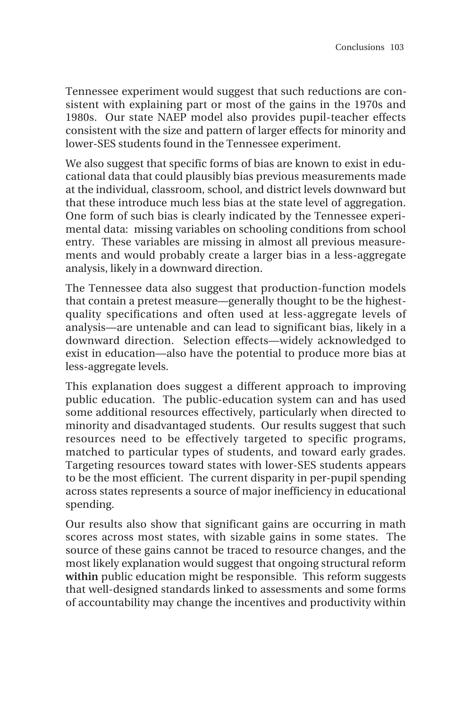Tennessee experiment would suggest that such reductions are consistent with explaining part or most of the gains in the 1970s and 1980s. Our state NAEP model also provides pupil-teacher effects consistent with the size and pattern of larger effects for minority and lower-SES students found in the Tennessee experiment.

We also suggest that specific forms of bias are known to exist in educational data that could plausibly bias previous measurements made at the individual, classroom, school, and district levels downward but that these introduce much less bias at the state level of aggregation. One form of such bias is clearly indicated by the Tennessee experimental data: missing variables on schooling conditions from school entry. These variables are missing in almost all previous measurements and would probably create a larger bias in a less-aggregate analysis, likely in a downward direction.

The Tennessee data also suggest that production-function models that contain a pretest measure—generally thought to be the highestquality specifications and often used at less-aggregate levels of analysis—are untenable and can lead to significant bias, likely in a downward direction. Selection effects—widely acknowledged to exist in education—also have the potential to produce more bias at less-aggregate levels.

This explanation does suggest a different approach to improving public education. The public-education system can and has used some additional resources effectively, particularly when directed to minority and disadvantaged students. Our results suggest that such resources need to be effectively targeted to specific programs, matched to particular types of students, and toward early grades. Targeting resources toward states with lower-SES students appears to be the most efficient. The current disparity in per-pupil spending across states represents a source of major inefficiency in educational spending.

Our results also show that significant gains are occurring in math scores across most states, with sizable gains in some states. The source of these gains cannot be traced to resource changes, and the most likely explanation would suggest that ongoing structural reform within public education might be responsible. This reform suggests that well-designed standards linked to assessments and some forms of accountability may change the incentives and productivity within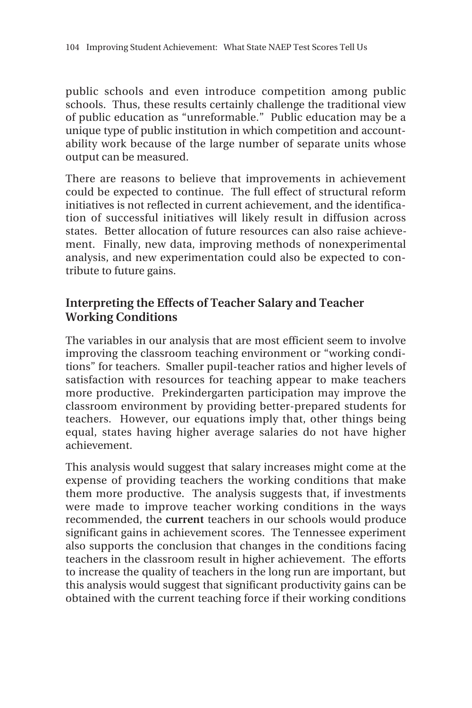public schools and even introduce competition among public schools. Thus, these results certainly challenge the traditional view of public education as "unreformable." Public education may be a unique type of public institution in which competition and accountability work because of the large number of separate units whose output can be measured.

There are reasons to believe that improvements in achievement could be expected to continue. The full effect of structural reform initiatives is not reflected in current achievement, and the identification of successful initiatives will likely result in diffusion across states. Better allocation of future resources can also raise achievement. Finally, new data, improving methods of nonexperimental analysis, and new experimentation could also be expected to contribute to future gains.

## **Interpreting the Effects of Teacher Salary and Teacher Working Conditions**

The variables in our analysis that are most efficient seem to involve improving the classroom teaching environment or "working conditions" for teachers. Smaller pupil-teacher ratios and higher levels of satisfaction with resources for teaching appear to make teachers more productive. Prekindergarten participation may improve the classroom environment by providing better-prepared students for teachers. However, our equations imply that, other things being equal, states having higher average salaries do not have higher achievement.

This analysis would suggest that salary increases might come at the expense of providing teachers the working conditions that make them more productive. The analysis suggests that, if investments were made to improve teacher working conditions in the ways recommended, the **current** teachers in our schools would produce significant gains in achievement scores. The Tennessee experiment also supports the conclusion that changes in the conditions facing teachers in the classroom result in higher achievement. The efforts to increase the quality of teachers in the long run are important, but this analysis would suggest that significant productivity gains can be obtained with the current teaching force if their working conditions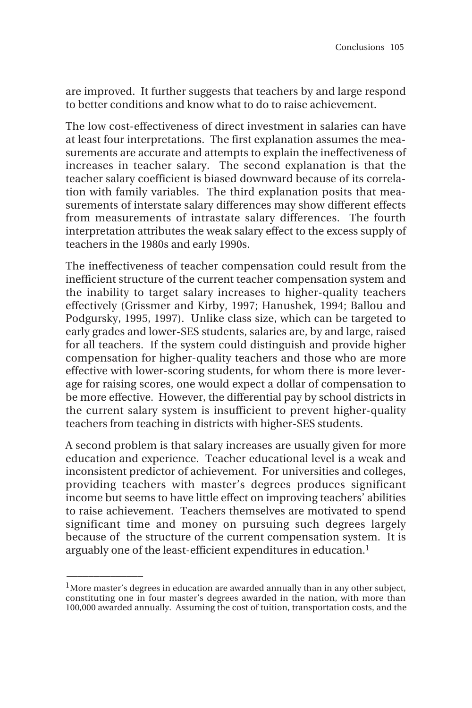are improved. It further suggests that teachers by and large respond to better conditions and know what to do to raise achievement.

The low cost-effectiveness of direct investment in salaries can have at least four interpretations. The first explanation assumes the measurements are accurate and attempts to explain the ineffectiveness of increases in teacher salary. The second explanation is that the teacher salary coefficient is biased downward because of its correlation with family variables. The third explanation posits that measurements of interstate salary differences may show different effects from measurements of intrastate salary differences. The fourth interpretation attributes the weak salary effect to the excess supply of teachers in the 1980s and early 1990s.

The ineffectiveness of teacher compensation could result from the inefficient structure of the current teacher compensation system and the inability to target salary increases to higher-quality teachers effectively (Grissmer and Kirby, 1997; Hanushek, 1994; Ballou and Podgursky, 1995, 1997). Unlike class size, which can be targeted to early grades and lower-SES students, salaries are, by and large, raised for all teachers. If the system could distinguish and provide higher compensation for higher-quality teachers and those who are more effective with lower-scoring students, for whom there is more leverage for raising scores, one would expect a dollar of compensation to be more effective. However, the differential pay by school districts in the current salary system is insufficient to prevent higher-quality teachers from teaching in districts with higher-SES students.

A second problem is that salary increases are usually given for more education and experience. Teacher educational level is a weak and inconsistent predictor of achievement. For universities and colleges, providing teachers with master's degrees produces significant income but seems to have little effect on improving teachers' abilities to raise achievement. Teachers themselves are motivated to spend significant time and money on pursuing such degrees largely because of the structure of the current compensation system. It is arguably one of the least-efficient expenditures in education.<sup>1</sup>

 $\overline{\phantom{a}}$ 

 $<sup>1</sup>$ More master's degrees in education are awarded annually than in any other subject,</sup> constituting one in four master's degrees awarded in the nation, with more than 100,000 awarded annually. Assuming the cost of tuition, transportation costs, and the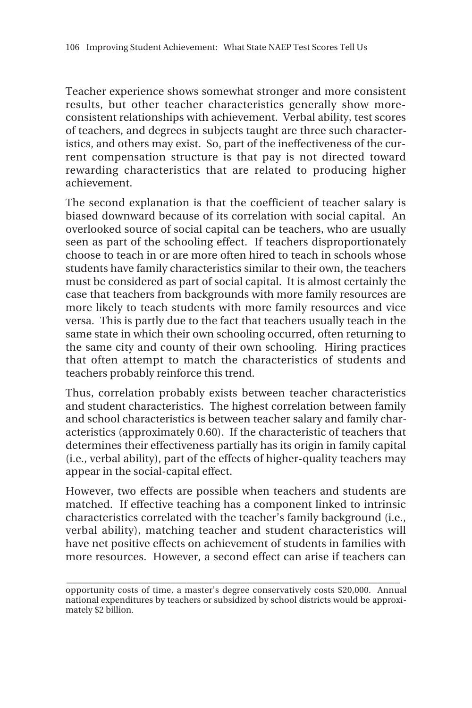Teacher experience shows somewhat stronger and more consistent results, but other teacher characteristics generally show moreconsistent relationships with achievement. Verbal ability, test scores of teachers, and degrees in subjects taught are three such characteristics, and others may exist. So, part of the ineffectiveness of the current compensation structure is that pay is not directed toward rewarding characteristics that are related to producing higher achievement.

The second explanation is that the coefficient of teacher salary is biased downward because of its correlation with social capital. An overlooked source of social capital can be teachers, who are usually seen as part of the schooling effect. If teachers disproportionately choose to teach in or are more often hired to teach in schools whose students have family characteristics similar to their own, the teachers must be considered as part of social capital. It is almost certainly the case that teachers from backgrounds with more family resources are more likely to teach students with more family resources and vice versa. This is partly due to the fact that teachers usually teach in the same state in which their own schooling occurred, often returning to the same city and county of their own schooling. Hiring practices that often attempt to match the characteristics of students and teachers probably reinforce this trend.

Thus, correlation probably exists between teacher characteristics and student characteristics. The highest correlation between family and school characteristics is between teacher salary and family characteristics (approximately 0.60). If the characteristic of teachers that determines their effectiveness partially has its origin in family capital (i.e., verbal ability), part of the effects of higher-quality teachers may appear in the social-capital effect.

However, two effects are possible when teachers and students are matched. If effective teaching has a component linked to intrinsic characteristics correlated with the teacher's family background (i.e., verbal ability), matching teacher and student characteristics will have net positive effects on achievement of students in families with more resources. However, a second effect can arise if teachers can

**\_\_\_\_\_\_\_\_\_\_\_\_\_\_\_\_\_\_\_\_\_\_\_\_\_\_\_\_\_\_\_\_\_\_\_\_\_\_\_\_\_\_\_\_\_\_\_\_\_\_\_\_\_\_\_\_\_\_\_\_\_**

opportunity costs of time, a master's degree conservatively costs \$20,000. Annual national expenditures by teachers or subsidized by school districts would be approximately \$2 billion.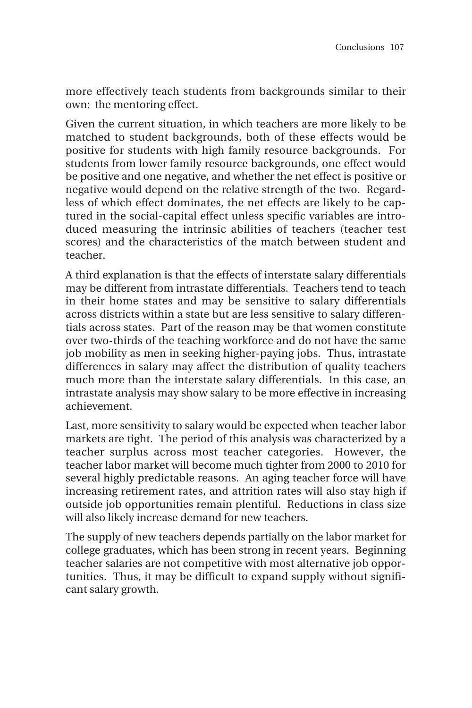more effectively teach students from backgrounds similar to their own: the mentoring effect.

Given the current situation, in which teachers are more likely to be matched to student backgrounds, both of these effects would be positive for students with high family resource backgrounds. For students from lower family resource backgrounds, one effect would be positive and one negative, and whether the net effect is positive or negative would depend on the relative strength of the two. Regardless of which effect dominates, the net effects are likely to be captured in the social-capital effect unless specific variables are introduced measuring the intrinsic abilities of teachers (teacher test scores) and the characteristics of the match between student and teacher.

A third explanation is that the effects of interstate salary differentials may be different from intrastate differentials. Teachers tend to teach in their home states and may be sensitive to salary differentials across districts within a state but are less sensitive to salary differentials across states. Part of the reason may be that women constitute over two-thirds of the teaching workforce and do not have the same job mobility as men in seeking higher-paying jobs. Thus, intrastate differences in salary may affect the distribution of quality teachers much more than the interstate salary differentials. In this case, an intrastate analysis may show salary to be more effective in increasing achievement.

Last, more sensitivity to salary would be expected when teacher labor markets are tight. The period of this analysis was characterized by a teacher surplus across most teacher categories. However, the teacher labor market will become much tighter from 2000 to 2010 for several highly predictable reasons. An aging teacher force will have increasing retirement rates, and attrition rates will also stay high if outside job opportunities remain plentiful. Reductions in class size will also likely increase demand for new teachers.

The supply of new teachers depends partially on the labor market for college graduates, which has been strong in recent years. Beginning teacher salaries are not competitive with most alternative job opportunities. Thus, it may be difficult to expand supply without significant salary growth.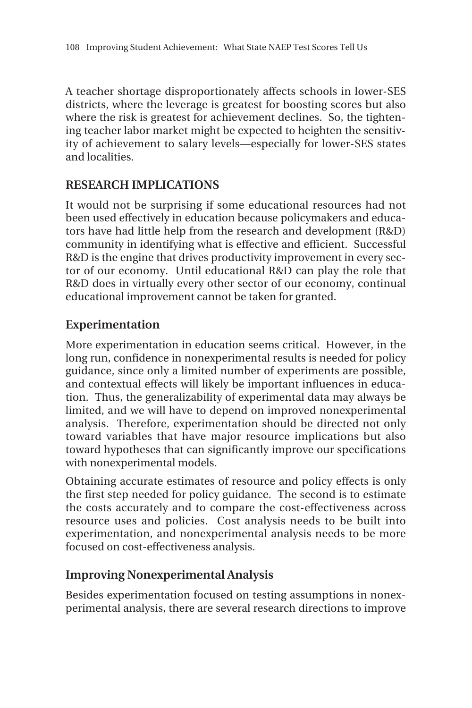A teacher shortage disproportionately affects schools in lower-SES districts, where the leverage is greatest for boosting scores but also where the risk is greatest for achievement declines. So, the tightening teacher labor market might be expected to heighten the sensitivity of achievement to salary levels—especially for lower-SES states and localities.

# **RESEARCH IMPLICATIONS**

It would not be surprising if some educational resources had not been used effectively in education because policymakers and educators have had little help from the research and development (R&D) community in identifying what is effective and efficient. Successful R&D is the engine that drives productivity improvement in every sector of our economy. Until educational R&D can play the role that R&D does in virtually every other sector of our economy, continual educational improvement cannot be taken for granted.

## **Experimentation**

More experimentation in education seems critical. However, in the long run, confidence in nonexperimental results is needed for policy guidance, since only a limited number of experiments are possible, and contextual effects will likely be important influences in education. Thus, the generalizability of experimental data may always be limited, and we will have to depend on improved nonexperimental analysis. Therefore, experimentation should be directed not only toward variables that have major resource implications but also toward hypotheses that can significantly improve our specifications with nonexperimental models.

Obtaining accurate estimates of resource and policy effects is only the first step needed for policy guidance. The second is to estimate the costs accurately and to compare the cost-effectiveness across resource uses and policies. Cost analysis needs to be built into experimentation, and nonexperimental analysis needs to be more focused on cost-effectiveness analysis.

## **Improving Nonexperimental Analysis**

Besides experimentation focused on testing assumptions in nonexperimental analysis, there are several research directions to improve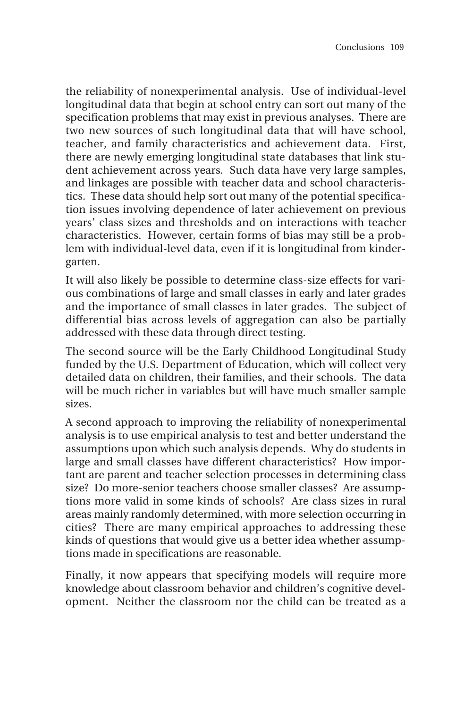the reliability of nonexperimental analysis. Use of individual-level longitudinal data that begin at school entry can sort out many of the specification problems that may exist in previous analyses. There are two new sources of such longitudinal data that will have school, teacher, and family characteristics and achievement data. First, there are newly emerging longitudinal state databases that link student achievement across years. Such data have very large samples, and linkages are possible with teacher data and school characteristics. These data should help sort out many of the potential specification issues involving dependence of later achievement on previous years' class sizes and thresholds and on interactions with teacher characteristics. However, certain forms of bias may still be a problem with individual-level data, even if it is longitudinal from kindergarten.

It will also likely be possible to determine class-size effects for various combinations of large and small classes in early and later grades and the importance of small classes in later grades. The subject of differential bias across levels of aggregation can also be partially addressed with these data through direct testing.

The second source will be the Early Childhood Longitudinal Study funded by the U.S. Department of Education, which will collect very detailed data on children, their families, and their schools. The data will be much richer in variables but will have much smaller sample sizes.

A second approach to improving the reliability of nonexperimental analysis is to use empirical analysis to test and better understand the assumptions upon which such analysis depends. Why do students in large and small classes have different characteristics? How important are parent and teacher selection processes in determining class size? Do more-senior teachers choose smaller classes? Are assumptions more valid in some kinds of schools? Are class sizes in rural areas mainly randomly determined, with more selection occurring in cities? There are many empirical approaches to addressing these kinds of questions that would give us a better idea whether assumptions made in specifications are reasonable.

Finally, it now appears that specifying models will require more knowledge about classroom behavior and children's cognitive development. Neither the classroom nor the child can be treated as a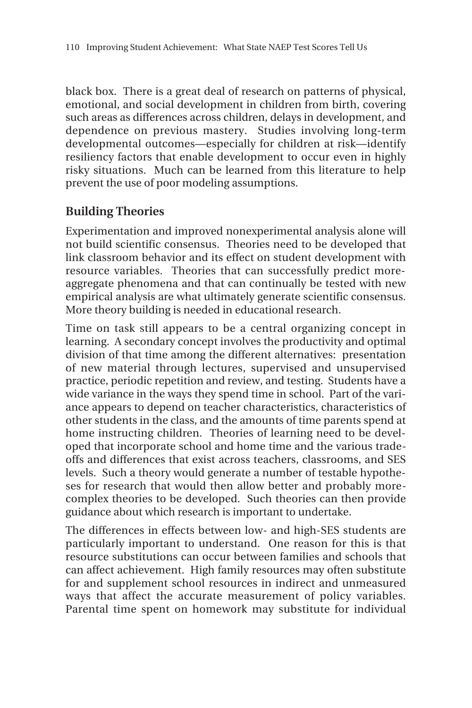black box. There is a great deal of research on patterns of physical, emotional, and social development in children from birth, covering such areas as differences across children, delays in development, and dependence on previous mastery. Studies involving long-term developmental outcomes—especially for children at risk—identify resiliency factors that enable development to occur even in highly risky situations. Much can be learned from this literature to help prevent the use of poor modeling assumptions.

# **Building Theories**

Experimentation and improved nonexperimental analysis alone will not build scientific consensus. Theories need to be developed that link classroom behavior and its effect on student development with resource variables. Theories that can successfully predict moreaggregate phenomena and that can continually be tested with new empirical analysis are what ultimately generate scientific consensus. More theory building is needed in educational research.

Time on task still appears to be a central organizing concept in learning. A secondary concept involves the productivity and optimal division of that time among the different alternatives: presentation of new material through lectures, supervised and unsupervised practice, periodic repetition and review, and testing. Students have a wide variance in the ways they spend time in school. Part of the variance appears to depend on teacher characteristics, characteristics of other students in the class, and the amounts of time parents spend at home instructing children. Theories of learning need to be developed that incorporate school and home time and the various tradeoffs and differences that exist across teachers, classrooms, and SES levels. Such a theory would generate a number of testable hypotheses for research that would then allow better and probably morecomplex theories to be developed. Such theories can then provide guidance about which research is important to undertake.

The differences in effects between low- and high-SES students are particularly important to understand. One reason for this is that resource substitutions can occur between families and schools that can affect achievement. High family resources may often substitute for and supplement school resources in indirect and unmeasured ways that affect the accurate measurement of policy variables. Parental time spent on homework may substitute for individual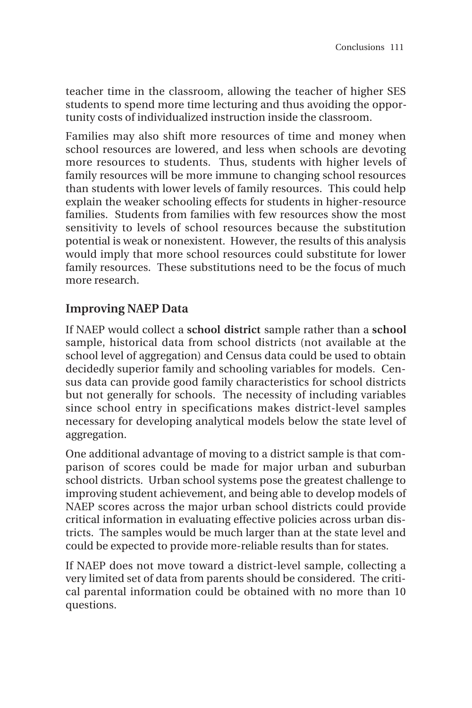teacher time in the classroom, allowing the teacher of higher SES students to spend more time lecturing and thus avoiding the opportunity costs of individualized instruction inside the classroom.

Families may also shift more resources of time and money when school resources are lowered, and less when schools are devoting more resources to students. Thus, students with higher levels of family resources will be more immune to changing school resources than students with lower levels of family resources. This could help explain the weaker schooling effects for students in higher-resource families. Students from families with few resources show the most sensitivity to levels of school resources because the substitution potential is weak or nonexistent. However, the results of this analysis would imply that more school resources could substitute for lower family resources. These substitutions need to be the focus of much more research.

## **Improving NAEP Data**

If NAEP would collect a **school district** sample rather than a **school** sample, historical data from school districts (not available at the school level of aggregation) and Census data could be used to obtain decidedly superior family and schooling variables for models. Census data can provide good family characteristics for school districts but not generally for schools. The necessity of including variables since school entry in specifications makes district-level samples necessary for developing analytical models below the state level of aggregation.

One additional advantage of moving to a district sample is that comparison of scores could be made for major urban and suburban school districts. Urban school systems pose the greatest challenge to improving student achievement, and being able to develop models of NAEP scores across the major urban school districts could provide critical information in evaluating effective policies across urban districts. The samples would be much larger than at the state level and could be expected to provide more-reliable results than for states.

If NAEP does not move toward a district-level sample, collecting a very limited set of data from parents should be considered. The critical parental information could be obtained with no more than 10 questions.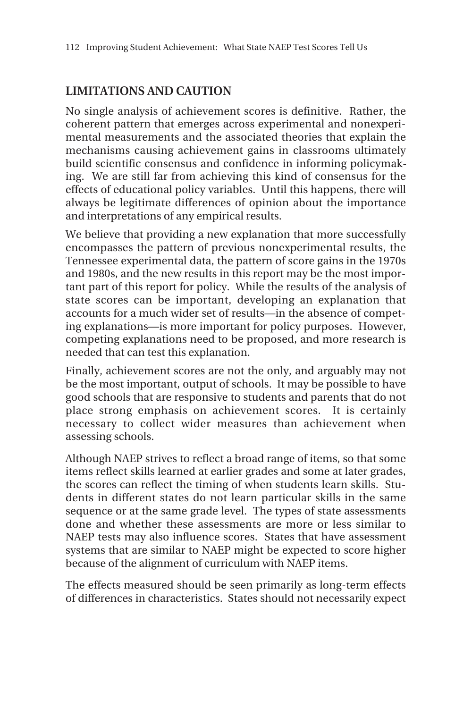# **LIMITATIONS AND CAUTION**

No single analysis of achievement scores is definitive. Rather, the coherent pattern that emerges across experimental and nonexperimental measurements and the associated theories that explain the mechanisms causing achievement gains in classrooms ultimately build scientific consensus and confidence in informing policymaking. We are still far from achieving this kind of consensus for the effects of educational policy variables. Until this happens, there will always be legitimate differences of opinion about the importance and interpretations of any empirical results.

We believe that providing a new explanation that more successfully encompasses the pattern of previous nonexperimental results, the Tennessee experimental data, the pattern of score gains in the 1970s and 1980s, and the new results in this report may be the most important part of this report for policy. While the results of the analysis of state scores can be important, developing an explanation that accounts for a much wider set of results—in the absence of competing explanations—is more important for policy purposes. However, competing explanations need to be proposed, and more research is needed that can test this explanation.

Finally, achievement scores are not the only, and arguably may not be the most important, output of schools. It may be possible to have good schools that are responsive to students and parents that do not place strong emphasis on achievement scores. It is certainly necessary to collect wider measures than achievement when assessing schools.

Although NAEP strives to reflect a broad range of items, so that some items reflect skills learned at earlier grades and some at later grades, the scores can reflect the timing of when students learn skills. Students in different states do not learn particular skills in the same sequence or at the same grade level. The types of state assessments done and whether these assessments are more or less similar to NAEP tests may also influence scores. States that have assessment systems that are similar to NAEP might be expected to score higher because of the alignment of curriculum with NAEP items.

The effects measured should be seen primarily as long-term effects of differences in characteristics. States should not necessarily expect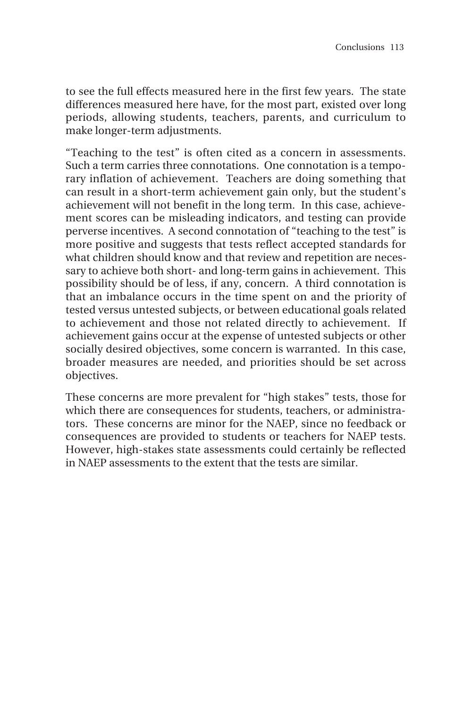to see the full effects measured here in the first few years. The state differences measured here have, for the most part, existed over long periods, allowing students, teachers, parents, and curriculum to make longer-term adjustments.

"Teaching to the test" is often cited as a concern in assessments. Such a term carries three connotations. One connotation is a temporary inflation of achievement. Teachers are doing something that can result in a short-term achievement gain only, but the student's achievement will not benefit in the long term. In this case, achievement scores can be misleading indicators, and testing can provide perverse incentives. A second connotation of "teaching to the test" is more positive and suggests that tests reflect accepted standards for what children should know and that review and repetition are necessary to achieve both short- and long-term gains in achievement. This possibility should be of less, if any, concern. A third connotation is that an imbalance occurs in the time spent on and the priority of tested versus untested subjects, or between educational goals related to achievement and those not related directly to achievement. If achievement gains occur at the expense of untested subjects or other socially desired objectives, some concern is warranted. In this case, broader measures are needed, and priorities should be set across objectives.

These concerns are more prevalent for "high stakes" tests, those for which there are consequences for students, teachers, or administrators. These concerns are minor for the NAEP, since no feedback or consequences are provided to students or teachers for NAEP tests. However, high-stakes state assessments could certainly be reflected in NAEP assessments to the extent that the tests are similar.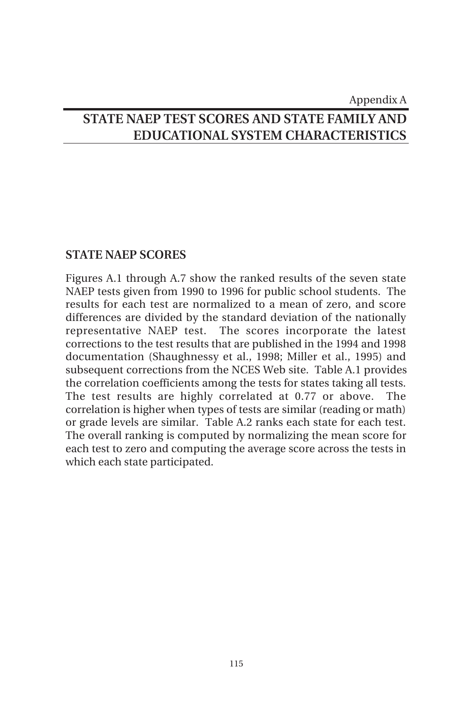### Appendix A

# **STATE NAEP TEST SCORES AND STATE FAMILY AND EDUCATIONAL SYSTEM CHARACTERISTICS**

### **STATE NAEP SCORES**

Figures A.1 through A.7 show the ranked results of the seven state NAEP tests given from 1990 to 1996 for public school students. The results for each test are normalized to a mean of zero, and score differences are divided by the standard deviation of the nationally representative NAEP test. The scores incorporate the latest corrections to the test results that are published in the 1994 and 1998 documentation (Shaughnessy et al., 1998; Miller et al., 1995) and subsequent corrections from the NCES Web site. Table A.1 provides the correlation coefficients among the tests for states taking all tests. The test results are highly correlated at 0.77 or above. The correlation is higher when types of tests are similar (reading or math) or grade levels are similar. Table A.2 ranks each state for each test. The overall ranking is computed by normalizing the mean score for each test to zero and computing the average score across the tests in which each state participated.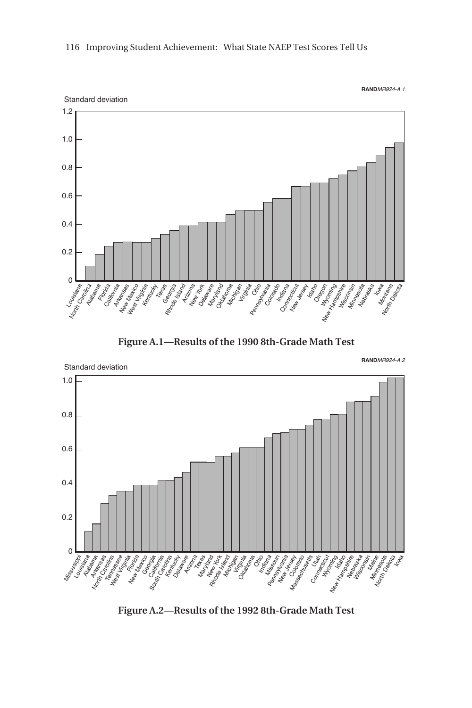





**Figure A.2—Results of the 1992 8th-Grade Math Test**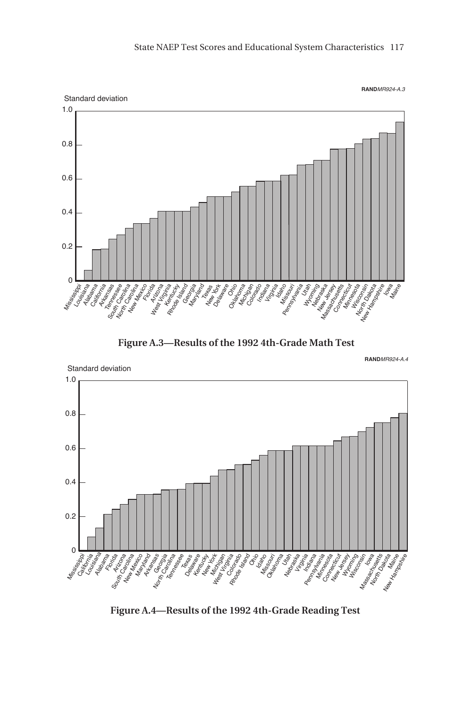





**Figure A.4—Results of the 1992 4th-Grade Reading Test**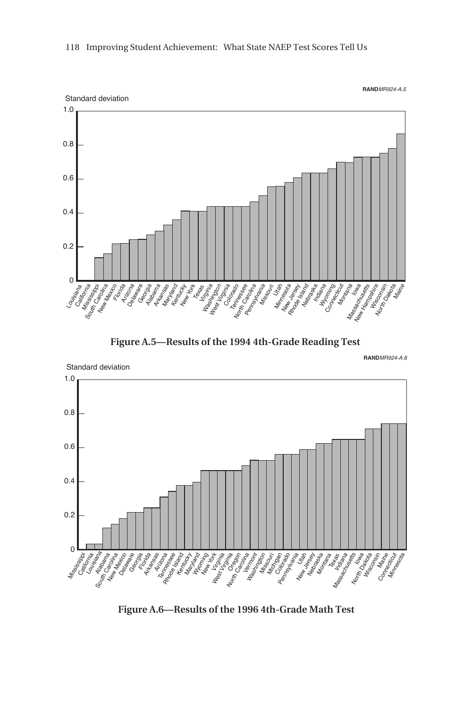





**Figure A.6—Results of the 1996 4th-Grade Math Test**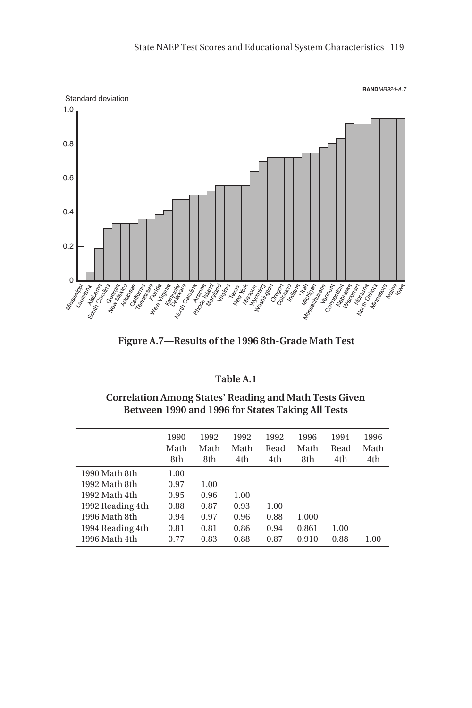

**Figure A.7—Results of the 1996 8th-Grade Math Test**

### **Table A.1**

**Correlation Among States' Reading and Math Tests Given Between 1990 and 1996 for States Taking All Tests**

|                  | 1990<br>Math<br>8th | 1992<br>Math<br>8th | 1992<br>Math<br>4th | 1992<br>Read<br>4th | 1996<br>Math<br>8th | 1994<br>Read<br>4th | 1996<br>Math<br>4th |
|------------------|---------------------|---------------------|---------------------|---------------------|---------------------|---------------------|---------------------|
| 1990 Math 8th    | 1.00                |                     |                     |                     |                     |                     |                     |
| 1992 Math 8th    | 0.97                | 1.00                |                     |                     |                     |                     |                     |
| 1992 Math 4th    | 0.95                | 0.96                | 1.00                |                     |                     |                     |                     |
| 1992 Reading 4th | 0.88                | 0.87                | 0.93                | 1.00                |                     |                     |                     |
| 1996 Math 8th    | 0.94                | 0.97                | 0.96                | 0.88                | 1.000               |                     |                     |
| 1994 Reading 4th | 0.81                | 0.81                | 0.86                | 0.94                | 0.861               | 1.00                |                     |
| 1996 Math 4th    | 0.77                | 0.83                | 0.88                | 0.87                | 0.910               | 0.88                | 1.00                |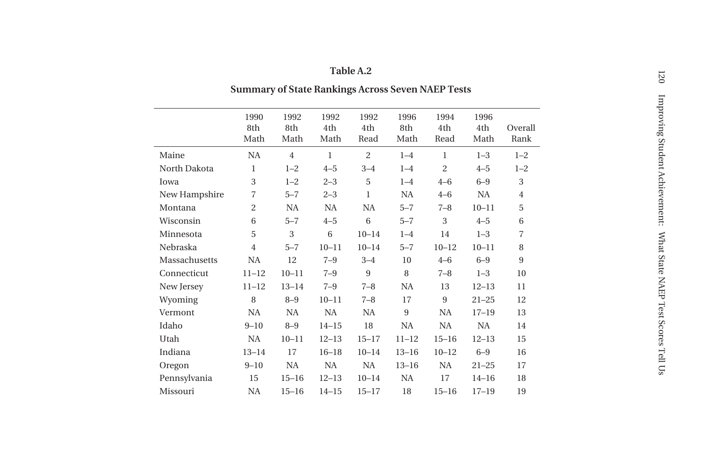|  | anie A |  |  |
|--|--------|--|--|
|  |        |  |  |

## **Summary of State Rankings Across Seven NAEP Tests**

|               | 1990<br>8th<br>Math | 1992<br>8th<br>Math | 1992<br>4th<br>Math | 1992<br>4th<br>Read | 1996<br>8th<br>Math | 1994<br>4th<br>Read | 1996<br>4th<br>Math | Overall<br>Rank |
|---------------|---------------------|---------------------|---------------------|---------------------|---------------------|---------------------|---------------------|-----------------|
| Maine         | NA                  | $\overline{4}$      | $\mathbf{1}$        | $\overline{c}$      | $1 - 4$             | $\mathbf{1}$        | $1 - 3$             | $1 - 2$         |
| North Dakota  | 1                   | $1 - 2$             | $4 - 5$             | $3 - 4$             | $1 - 4$             | $\overline{c}$      | $4 - 5$             | $1 - 2$         |
| Iowa          | 3                   | $1 - 2$             | $2 - 3$             | 5                   | $1 - 4$             | $4 - 6$             | $6 - 9$             | 3               |
| New Hampshire | $\overline{7}$      | $5 - 7$             | $2 - 3$             | $\mathbf{1}$        | <b>NA</b>           | $4 - 6$             | NA                  | $\overline{4}$  |
| Montana       | $\overline{2}$      | <b>NA</b>           | NA                  | NA                  | $5 - 7$             | $7 - 8$             | $10 - 11$           | 5               |
| Wisconsin     | 6                   | $5 - 7$             | $4 - 5$             | 6                   | $5 - 7$             | 3                   | $4 - 5$             | 6               |
| Minnesota     | 5                   | 3                   | 6                   | $10 - 14$           | $1 - 4$             | 14                  | $1 - 3$             | $\overline{7}$  |
| Nebraska      | $\overline{4}$      | $5 - 7$             | $10 - 11$           | $10 - 14$           | $5 - 7$             | $10 - 12$           | $10 - 11$           | 8               |
| Massachusetts | NA                  | 12                  | $7 - 9$             | $3 - 4$             | 10                  | $4 - 6$             | $6 - 9$             | 9               |
| Connecticut   | $11 - 12$           | $10 - 11$           | $7 - 9$             | 9                   | 8                   | $7 - 8$             | $1 - 3$             | 10              |
| New Jersey    | $11 - 12$           | $13 - 14$           | $7 - 9$             | $7 - 8$             | <b>NA</b>           | 13                  | $12 - 13$           | 11              |
| Wyoming       | 8                   | $8 - 9$             | $10 - 11$           | $7 - 8$             | 17                  | 9                   | $21 - 25$           | 12              |
| Vermont       | <b>NA</b>           | <b>NA</b>           | NA                  | NA                  | 9                   | NA                  | $17 - 19$           | 13              |
| Idaho         | $9 - 10$            | $8 - 9$             | $14 - 15$           | 18                  | <b>NA</b>           | <b>NA</b>           | <b>NA</b>           | 14              |
| Utah          | NA                  | $10 - 11$           | $12 - 13$           | $15 - 17$           | $11 - 12$           | $15 - 16$           | $12 - 13$           | 15              |
| Indiana       | $13 - 14$           | 17                  | $16 - 18$           | $10 - 14$           | $13 - 16$           | $10 - 12$           | $6 - 9$             | 16              |
| Oregon        | $9 - 10$            | <b>NA</b>           | NA                  | NA                  | $13 - 16$           | <b>NA</b>           | $21 - 25$           | 17              |
| Pennsylvania  | 15                  | $15 - 16$           | $12 - 13$           | $10 - 14$           | NA                  | 17                  | $14 - 16$           | 18              |
| Missouri      | <b>NA</b>           | $15 - 16$           | $14 - 15$           | $15 - 17$           | 18                  | $15 - 16$           | $17 - 19$           | 19              |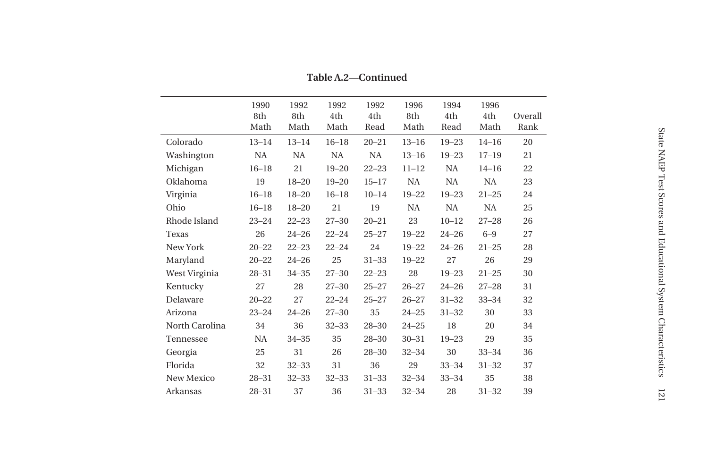|                | 1990<br>8th<br>Math | 1992<br>8th<br>Math | 1992<br>4th<br>Math | 1992<br>4th<br>Read | 1996<br>8th<br>Math | 1994<br>4th<br>Read | 1996<br>4th<br>Math | Overall<br>Rank |
|----------------|---------------------|---------------------|---------------------|---------------------|---------------------|---------------------|---------------------|-----------------|
| Colorado       | $13 - 14$           | $13 - 14$           | $16 - 18$           | $20 - 21$           | $13 - 16$           | $19 - 23$           | $14 - 16$           | 20              |
| Washington     | <b>NA</b>           | <b>NA</b>           | <b>NA</b>           | NA                  | $13 - 16$           | $19 - 23$           | $17 - 19$           | 21              |
| Michigan       | $16 - 18$           | 21                  | $19 - 20$           | $22 - 23$           | $11 - 12$           | <b>NA</b>           | $14 - 16$           | 22              |
| Oklahoma       | 19                  | $18 - 20$           | $19 - 20$           | $15 - 17$           | <b>NA</b>           | NA                  | <b>NA</b>           | 23              |
| Virginia       | $16 - 18$           | $18 - 20$           | $16 - 18$           | $10 - 14$           | $19 - 22$           | $19 - 23$           | $21 - 25$           | 24              |
| Ohio           | $16 - 18$           | $18 - 20$           | 21                  | 19                  | <b>NA</b>           | NA.                 | <b>NA</b>           | 25              |
| Rhode Island   | $23 - 24$           | $22 - 23$           | $27 - 30$           | $20 - 21$           | 23                  | $10 - 12$           | $27 - 28$           | 26              |
| Texas          | 26                  | $24 - 26$           | $22 - 24$           | $25 - 27$           | $19 - 22$           | $24 - 26$           | $6 - 9$             | 27              |
| New York       | $20 - 22$           | $22 - 23$           | $22 - 24$           | 24                  | $19 - 22$           | $24 - 26$           | $21 - 25$           | 28              |
| Maryland       | $20 - 22$           | $24 - 26$           | 25                  | $31 - 33$           | $19 - 22$           | 27                  | 26                  | 29              |
| West Virginia  | $28 - 31$           | $34 - 35$           | $27 - 30$           | $22 - 23$           | 28                  | $19 - 23$           | $21 - 25$           | 30              |
| Kentucky       | 27                  | 28                  | $27 - 30$           | $25 - 27$           | $26 - 27$           | $24 - 26$           | $27 - 28$           | 31              |
| Delaware       | $20 - 22$           | 27                  | $22 - 24$           | $25 - 27$           | $26 - 27$           | $31 - 32$           | $33 - 34$           | 32              |
| Arizona        | $23 - 24$           | $24 - 26$           | $27 - 30$           | 35                  | $24 - 25$           | $31 - 32$           | 30                  | 33              |
| North Carolina | 34                  | 36                  | $32 - 33$           | $28 - 30$           | $24 - 25$           | 18                  | 20                  | 34              |
| Tennessee      | NA                  | $34 - 35$           | 35                  | $28 - 30$           | $30 - 31$           | $19 - 23$           | 29                  | 35              |
| Georgia        | 25                  | 31                  | 26                  | $28 - 30$           | $32 - 34$           | 30                  | $33 - 34$           | 36              |
| Florida        | 32                  | $32 - 33$           | 31                  | 36                  | 29                  | $33 - 34$           | $31 - 32$           | 37              |
| New Mexico     | $28 - 31$           | $32 - 33$           | $32 - 33$           | $31 - 33$           | $32 - 34$           | $33 - 34$           | 35                  | 38              |
| Arkansas       | $28 - 31$           | 37                  | 36                  | $31 - 33$           | $32 - 34$           | 28                  | $31 - 32$           | 39              |

**Table A.2—Continued**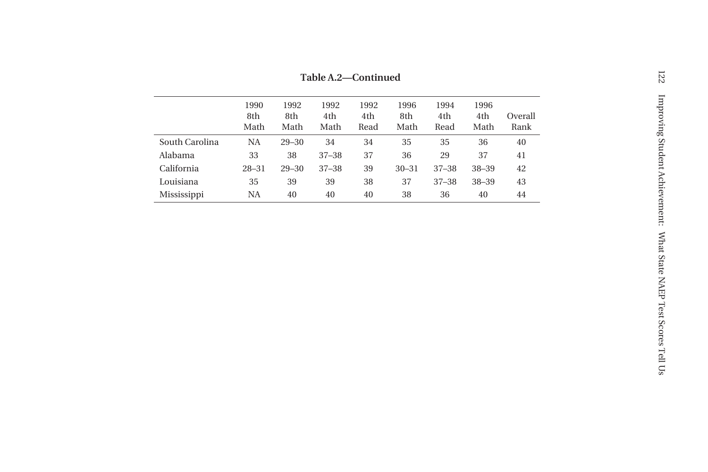|                | 1990<br>8th<br>Math | 1992<br>8th<br>Math | 1992<br>4th<br>Math | 1992<br>4th<br>Read | 1996<br>8th<br>Math | 1994<br>4th<br>Read | 1996<br>4th<br>Math | Overall<br>Rank |
|----------------|---------------------|---------------------|---------------------|---------------------|---------------------|---------------------|---------------------|-----------------|
| South Carolina | NA                  | $29 - 30$           | 34                  | 34                  | 35                  | 35                  | 36                  | 40              |
| Alabama        | 33                  | 38                  | $37 - 38$           | 37                  | 36                  | 29                  | 37                  | 41              |
| California     | $28 - 31$           | $29 - 30$           | $37 - 38$           | 39                  | $30 - 31$           | $37 - 38$           | 38-39               | 42              |
| Louisiana      | 35                  | 39                  | 39                  | 38                  | 37                  | $37 - 38$           | $38 - 39$           | 43              |
| Mississippi    | NA                  | 40                  | 40                  | 40                  | 38                  | 36                  | 40                  | 44              |

**Table A.2—Continued**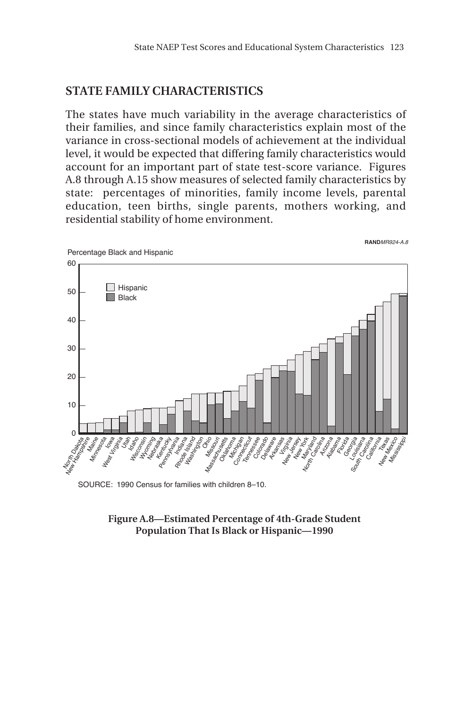### **STATE FAMILY CHARACTERISTICS**

The states have much variability in the average characteristics of their families, and since family characteristics explain most of the variance in cross-sectional models of achievement at the individual level, it would be expected that differing family characteristics would account for an important part of state test-score variance. Figures A.8 through A.15 show measures of selected family characteristics by state: percentages of minorities, family income levels, parental education, teen births, single parents, mothers working, and residential stability of home environment.



SOURCE: 1990 Census for families with children 8–10.

**Figure A.8—Estimated Percentage of 4th-Grade Student Population That Is Black or Hispanic—1990**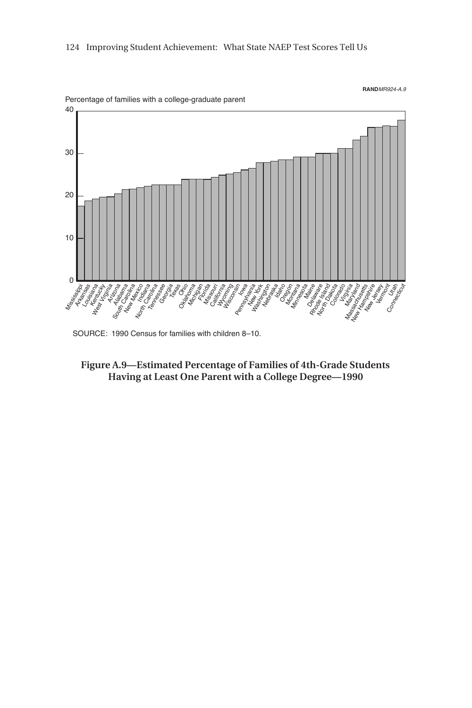

SOURCE: 1990 Census for families with children 8–10.

**Figure A.9—Estimated Percentage of Families of 4th-Grade Students Having at Least One Parent with a College Degree—1990**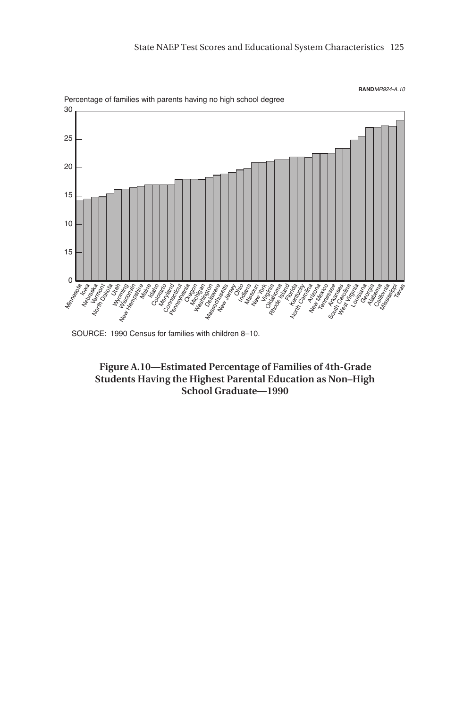

SOURCE: 1990 Census for families with children 8–10.

**Figure A.10—Estimated Percentage of Families of 4th-Grade Students Having the Highest Parental Education as Non–High School Graduate—1990**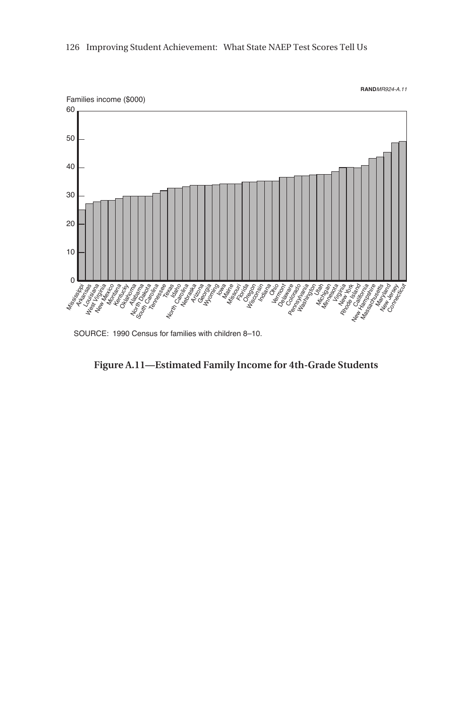

SOURCE: 1990 Census for families with children 8–10.

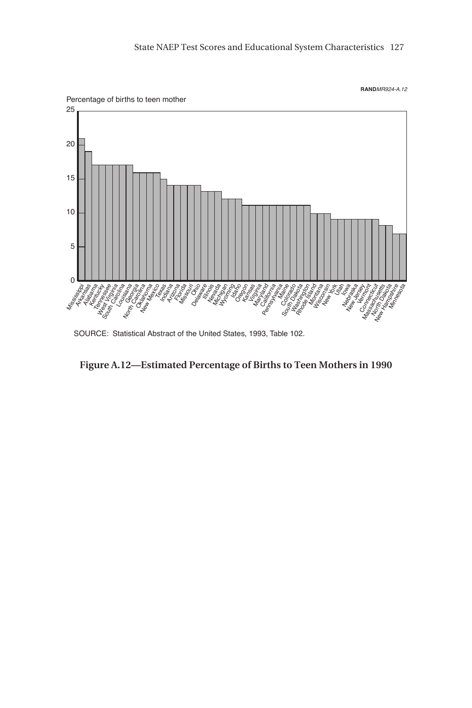

SOURCE: Statistical Abstract of the United States, 1993, Table 102.

**Figure A.12—Estimated Percentage of Births to Teen Mothers in 1990**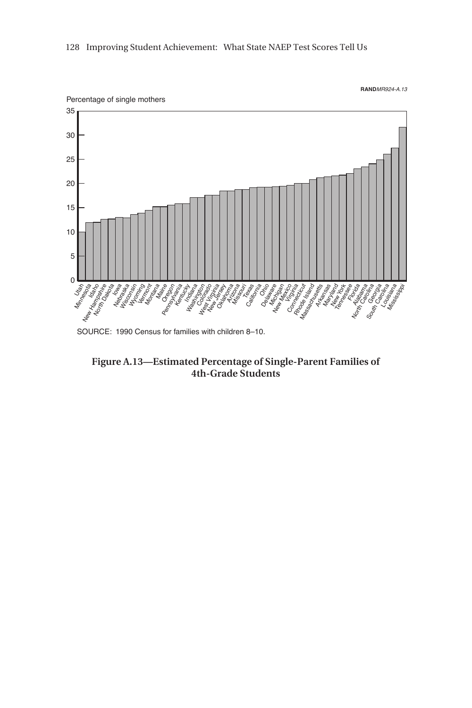

**Figure A.13—Estimated Percentage of Single-Parent Families of 4th-Grade Students**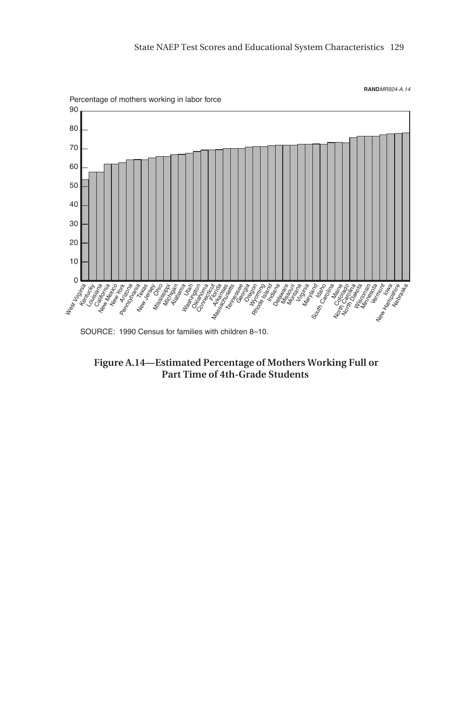

SOURCE: 1990 Census for families with children 8–10.

**Figure A.14—Estimated Percentage of Mothers Working Full or Part Time of 4th-Grade Students**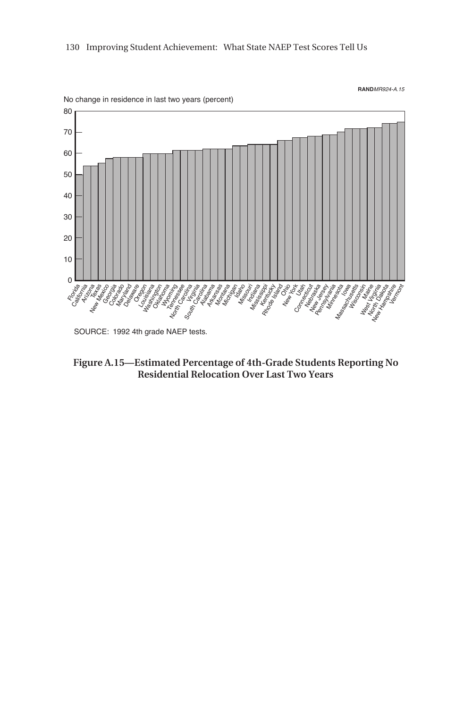

SOURCE: 1992 4th grade NAEP tests.

**Figure A.15—Estimated Percentage of 4th-Grade Students Reporting No Residential Relocation Over Last Two Years**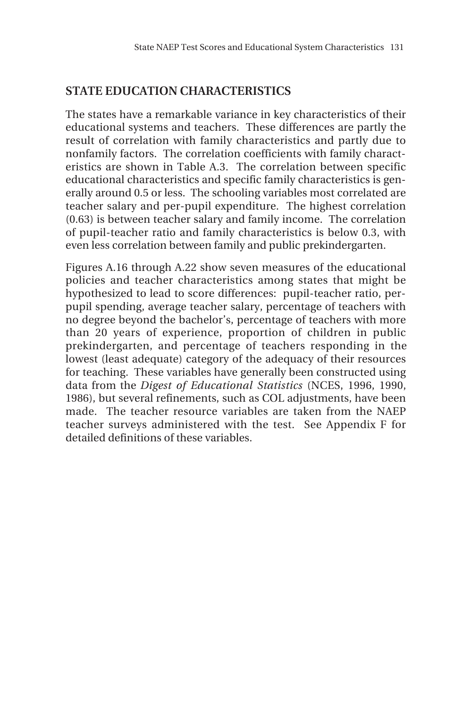## **STATE EDUCATION CHARACTERISTICS**

The states have a remarkable variance in key characteristics of their educational systems and teachers. These differences are partly the result of correlation with family characteristics and partly due to nonfamily factors. The correlation coefficients with family characteristics are shown in Table A.3. The correlation between specific educational characteristics and specific family characteristics is generally around 0.5 or less. The schooling variables most correlated are teacher salary and per-pupil expenditure. The highest correlation (0.63) is between teacher salary and family income. The correlation of pupil-teacher ratio and family characteristics is below 0.3, with even less correlation between family and public prekindergarten.

Figures A.16 through A.22 show seven measures of the educational policies and teacher characteristics among states that might be hypothesized to lead to score differences: pupil-teacher ratio, perpupil spending, average teacher salary, percentage of teachers with no degree beyond the bachelor's, percentage of teachers with more than 20 years of experience, proportion of children in public prekindergarten, and percentage of teachers responding in the lowest (least adequate) category of the adequacy of their resources for teaching. These variables have generally been constructed using data from the *Digest of Educational Statistics* (NCES, 1996, 1990, 1986), but several refinements, such as COL adjustments, have been made. The teacher resource variables are taken from the NAEP teacher surveys administered with the test. See Appendix F for detailed definitions of these variables.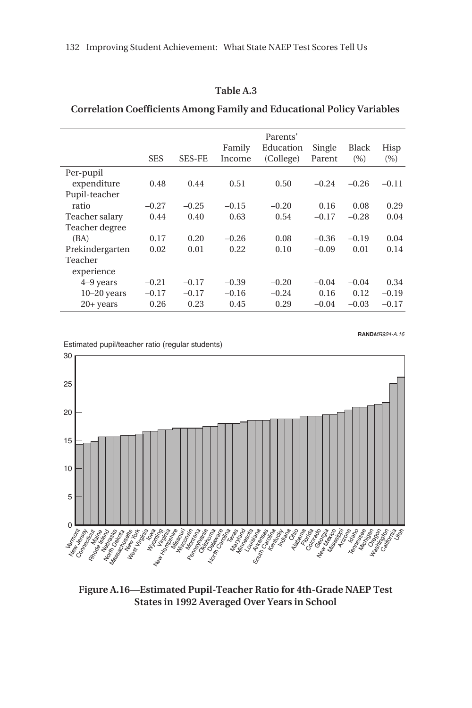#### **Table A.3**

### **Correlation Coefficients Among Family and Educational Policy Variables**

|                       | <b>SES</b> | <b>SES-FE</b> | Family<br>Income | Parents'<br>Education<br>(College) | Single<br>Parent | Black<br>$(\% )$ | Hisp<br>$(\%)$ |
|-----------------------|------------|---------------|------------------|------------------------------------|------------------|------------------|----------------|
| Per-pupil             |            |               |                  |                                    |                  |                  |                |
| expenditure           | 0.48       | 0.44          | 0.51             | 0.50                               | $-0.24$          | $-0.26$          | $-0.11$        |
| Pupil-teacher         |            |               |                  |                                    |                  |                  |                |
| ratio                 | $-0.27$    | $-0.25$       | $-0.15$          | $-0.20$                            | 0.16             | 0.08             | 0.29           |
| Teacher salary        | 0.44       | 0.40          | 0.63             | 0.54                               | $-0.17$          | $-0.28$          | 0.04           |
| Teacher degree        |            |               |                  |                                    |                  |                  |                |
| (BA)                  | 0.17       | 0.20          | $-0.26$          | 0.08                               | $-0.36$          | $-0.19$          | 0.04           |
| Prekindergarten       | 0.02       | 0.01          | 0.22             | 0.10                               | $-0.09$          | 0.01             | 0.14           |
| Teacher               |            |               |                  |                                    |                  |                  |                |
| experience            |            |               |                  |                                    |                  |                  |                |
| 4–9 years             | $-0.21$    | $-0.17$       | $-0.39$          | $-0.20$                            | $-0.04$          | $-0.04$          | 0.34           |
| $10-20$ years         | $-0.17$    | $-0.17$       | $-0.16$          | $-0.24$                            | 0.16             | 0.12             | $-0.19$        |
| $20 + \mathrm{years}$ | 0.26       | 0.23          | 0.45             | 0.29                               | $-0.04$          | $-0.03$          | $-0.17$        |

Estimated pupil/teacher ratio (regular students)



**Figure A.16—Estimated Pupil-Teacher Ratio for 4th-Grade NAEP Test States in 1992 Averaged Over Years in School**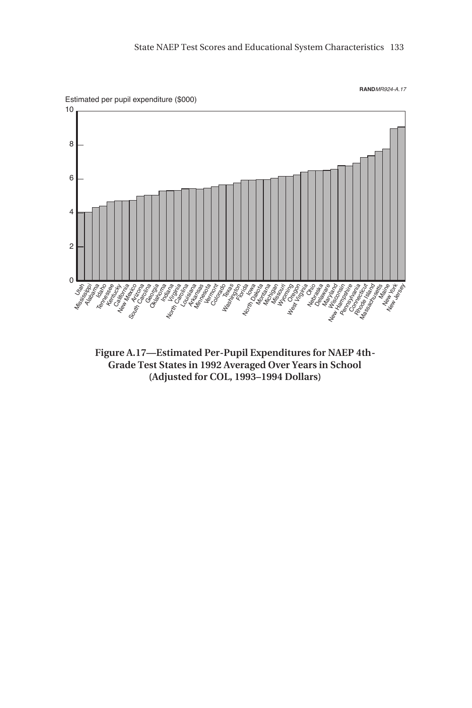



**Figure A.17—Estimated Per-Pupil Expenditures for NAEP 4th-Grade Test States in 1992 Averaged Over Years in School (Adjusted for COL, 1993–1994 Dollars)**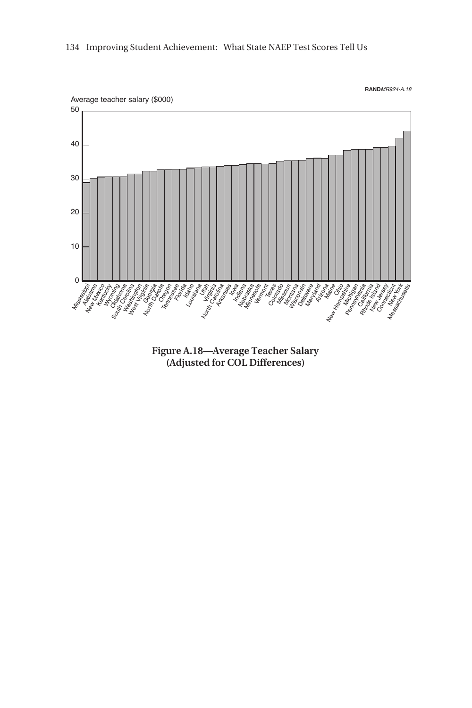

**Figure A.18—Average Teacher Salary (Adjusted for COL Differences)**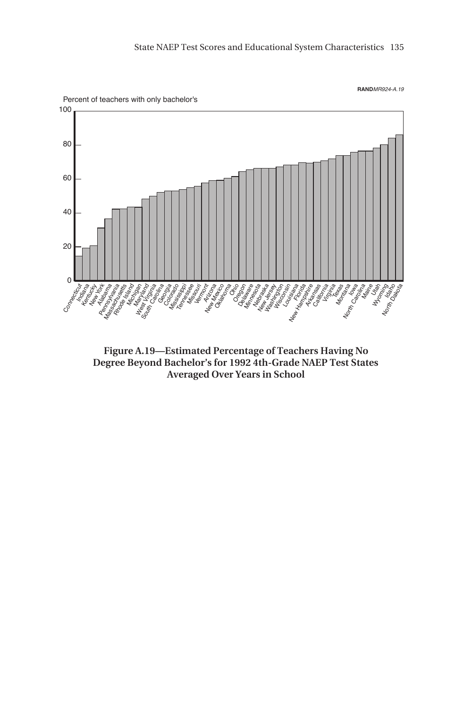

**Figure A.19—Estimated Percentage of Teachers Having No Degree Beyond Bachelor's for 1992 4th-Grade NAEP Test States Averaged Over Years in School**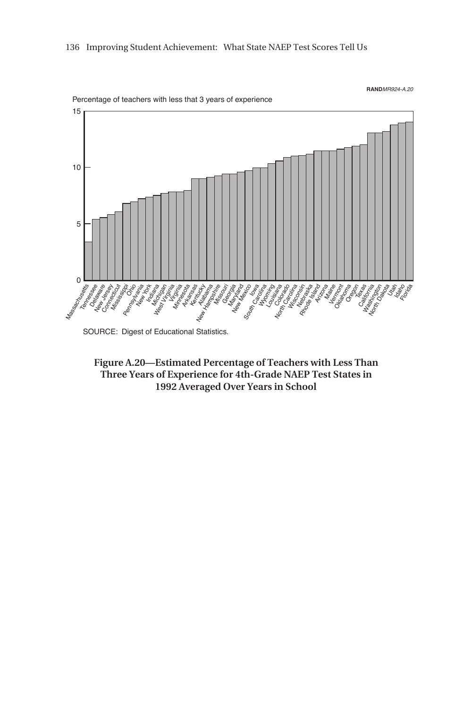

SOURCE: Digest of Educational Statistics.

**Figure A.20—Estimated Percentage of Teachers with Less Than Three Years of Experience for 4th-Grade NAEP Test States in 1992 Averaged Over Years in School**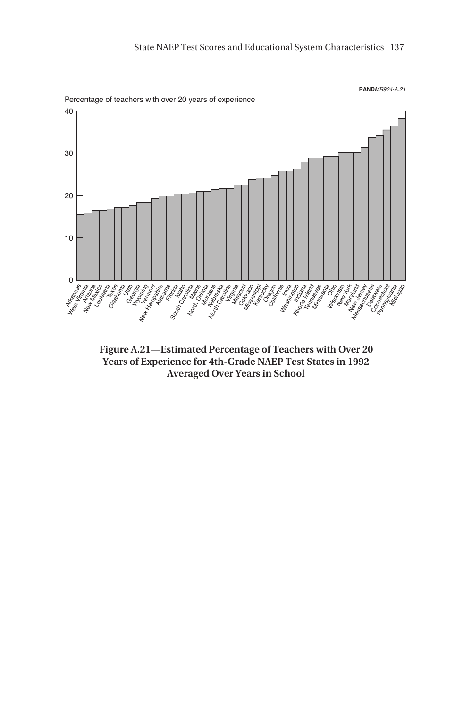

**Figure A.21—Estimated Percentage of Teachers with Over 20 Years of Experience for 4th-Grade NAEP Test States in 1992 Averaged Over Years in School**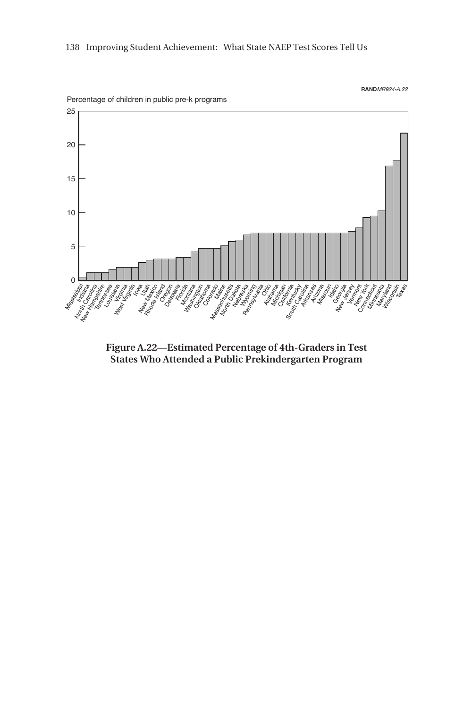

**Figure A.22—Estimated Percentage of 4th-Graders in Test States Who Attended a Public Prekindergarten Program**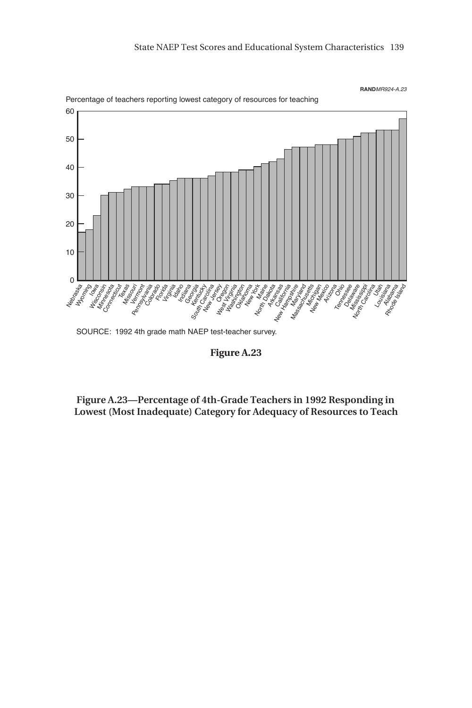

**Figure A.23**

**Figure A.23—Percentage of 4th-Grade Teachers in 1992 Responding in Lowest (Most Inadequate) Category for Adequacy of Resources to Teach**

Percentage of teachers reporting lowest category of resources for teaching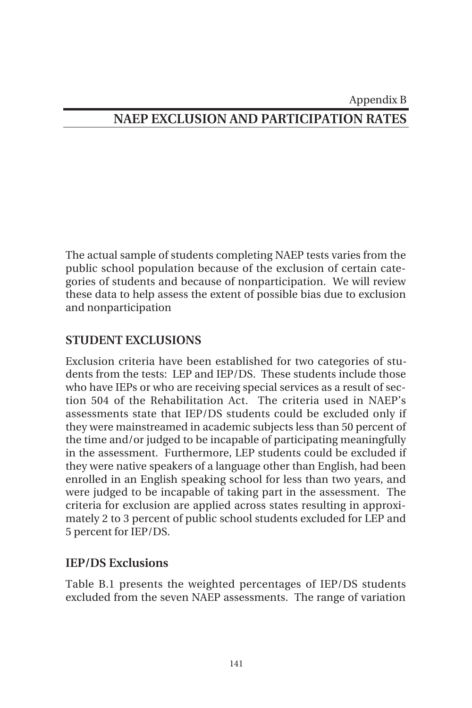## Appendix B **NAEP EXCLUSION AND PARTICIPATION RATES**

The actual sample of students completing NAEP tests varies from the public school population because of the exclusion of certain categories of students and because of nonparticipation. We will review these data to help assess the extent of possible bias due to exclusion and nonparticipation

### **STUDENT EXCLUSIONS**

Exclusion criteria have been established for two categories of students from the tests: LEP and IEP/DS. These students include those who have IEPs or who are receiving special services as a result of section 504 of the Rehabilitation Act. The criteria used in NAEP's assessments state that IEP/DS students could be excluded only if they were mainstreamed in academic subjects less than 50 percent of the time and/or judged to be incapable of participating meaningfully in the assessment. Furthermore, LEP students could be excluded if they were native speakers of a language other than English, had been enrolled in an English speaking school for less than two years, and were judged to be incapable of taking part in the assessment. The criteria for exclusion are applied across states resulting in approximately 2 to 3 percent of public school students excluded for LEP and 5 percent for IEP/DS.

### **IEP/DS Exclusions**

Table B.1 presents the weighted percentages of IEP/DS students excluded from the seven NAEP assessments. The range of variation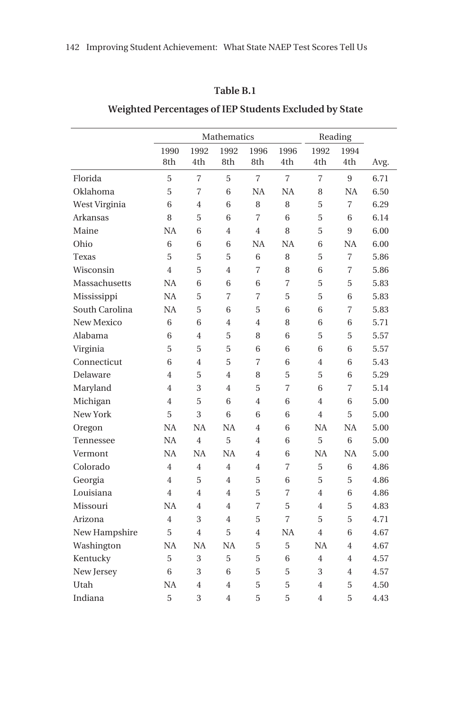### **Table B.1**

|                |                |                | Mathematics    |                | Reading        |                |           |      |
|----------------|----------------|----------------|----------------|----------------|----------------|----------------|-----------|------|
|                | 1990           | 1992           | 1992           | 1996           | 1996           | 1992           | 1994      |      |
|                | 8th            | 4th            | 8th            | 8th            | 4th            | 4th            | 4th       | Avg. |
| Florida        | 5              | 7              | 5              | $\overline{7}$ | $\overline{7}$ | 7              | 9         | 6.71 |
| Oklahoma       | 5              | $\overline{7}$ | 6              | NA             | <b>NA</b>      | 8              | NA        | 6.50 |
| West Virginia  | 6              | 4              | 6              | 8              | 8              | 5              | 7         | 6.29 |
| Arkansas       | 8              | 5              | 6              | $\overline{7}$ | 6              | 5              | 6         | 6.14 |
| Maine          | <b>NA</b>      | 6              | $\overline{4}$ | 4              | 8              | 5              | 9         | 6.00 |
| Ohio           | 6              | 6              | 6              | <b>NA</b>      | NA             | 6              | <b>NA</b> | 6.00 |
| Texas          | 5              | 5              | 5              | 6              | 8              | 5              | 7         | 5.86 |
| Wisconsin      | $\overline{4}$ | 5              | $\overline{4}$ | 7              | 8              | 6              | 7         | 5.86 |
| Massachusetts  | <b>NA</b>      | 6              | 6              | 6              | 7              | 5              | 5         | 5.83 |
| Mississippi    | <b>NA</b>      | 5              | 7              | 7              | 5              | 5              | 6         | 5.83 |
| South Carolina | <b>NA</b>      | 5              | 6              | 5              | 6              | 6              | 7         | 5.83 |
| New Mexico     | 6              | 6              | $\overline{4}$ | 4              | 8              | 6              | 6         | 5.71 |
| Alabama        | 6              | 4              | 5              | 8              | 6              | 5              | 5         | 5.57 |
| Virginia       | 5              | 5              | 5              | 6              | 6              | 6              | 6         | 5.57 |
| Connecticut    | 6              | 4              | 5              | $\overline{7}$ | 6              | $\overline{4}$ | 6         | 5.43 |
| Delaware       | $\overline{4}$ | 5              | $\overline{4}$ | 8              | 5              | 5              | 6         | 5.29 |
| Maryland       | $\overline{4}$ | 3              | $\overline{4}$ | 5              | 7              | 6              | 7         | 5.14 |
| Michigan       | $\overline{4}$ | 5              | 6              | 4              | 6              | 4              | 6         | 5.00 |
| New York       | 5              | 3              | 6              | 6              | 6              | $\overline{4}$ | 5         | 5.00 |
| Oregon         | <b>NA</b>      | <b>NA</b>      | <b>NA</b>      | 4              | 6              | <b>NA</b>      | <b>NA</b> | 5.00 |
| Tennessee      | <b>NA</b>      | $\overline{4}$ | 5              | 4              | 6              | 5              | 6         | 5.00 |
| Vermont        | <b>NA</b>      | <b>NA</b>      | <b>NA</b>      | 4              | 6              | NA             | NA        | 5.00 |
| Colorado       | $\overline{4}$ | 4              | $\overline{4}$ | 4              | $\overline{7}$ | 5              | 6         | 4.86 |
| Georgia        | $\overline{4}$ | 5              | $\overline{4}$ | 5              | 6              | 5              | 5         | 4.86 |
| Louisiana      | $\overline{4}$ | $\overline{4}$ | $\overline{4}$ | 5              | $\overline{7}$ | $\overline{4}$ | 6         | 4.86 |
| Missouri       | <b>NA</b>      | $\overline{4}$ | $\overline{4}$ | $\overline{7}$ | 5              | $\overline{4}$ | 5         | 4.83 |
| Arizona        | $\overline{4}$ | 3              | $\overline{4}$ | 5              | $\overline{7}$ | 5              | 5         | 4.71 |
| New Hampshire  | 5              | 4              | 5              | 4              | NA             | $\overline{4}$ | 6         | 4.67 |
| Washington     | <b>NA</b>      | <b>NA</b>      | <b>NA</b>      | 5              | 5              | <b>NA</b>      | 4         | 4.67 |
| Kentucky       | 5              | 3              | 5              | 5              | 6              | $\overline{4}$ | 4         | 4.57 |
| New Jersey     | 6              | 3              | 6              | 5              | 5              | 3              | 4         | 4.57 |
| Utah           | NA             | 4              | $\overline{4}$ | 5              | 5              | $\overline{4}$ | 5         | 4.50 |
| Indiana        | 5              | 3              | $\overline{4}$ | 5              | 5              | $\overline{4}$ | 5         | 4.43 |

### **Weighted Percentages of IEP Students Excluded by State**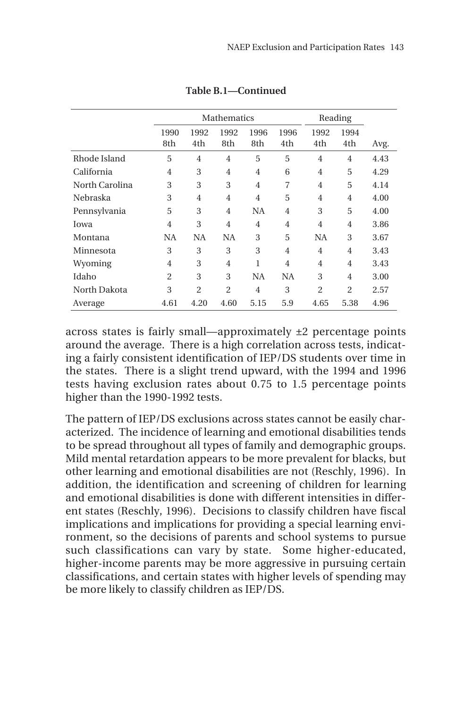|                |                |                | Mathematics    | Reading        |                |                |                |      |
|----------------|----------------|----------------|----------------|----------------|----------------|----------------|----------------|------|
|                | 1990<br>8th    | 1992<br>4th    | 1992<br>8th    | 1996<br>8th    | 1996<br>4th    | 1992<br>4th    | 1994<br>4th    | Avg. |
| Rhode Island   | 5              | $\overline{4}$ | $\overline{4}$ | 5              | 5              | $\overline{4}$ | $\overline{4}$ | 4.43 |
| California     | 4              | 3              | $\overline{4}$ | 4              | 6              | $\overline{4}$ | 5              | 4.29 |
| North Carolina | 3              | 3              | 3              | $\overline{4}$ | 7              | $\overline{4}$ | 5              | 4.14 |
| Nebraska       | 3              | $\overline{4}$ | $\overline{4}$ | $\overline{4}$ | 5              | $\overline{4}$ | $\overline{4}$ | 4.00 |
| Pennsylvania   | 5              | 3              | $\overline{4}$ | <b>NA</b>      | $\overline{4}$ | 3              | 5              | 4.00 |
| Iowa           | $\overline{4}$ | 3              | $\overline{4}$ | $\overline{4}$ | $\overline{4}$ | $\overline{4}$ | $\overline{4}$ | 3.86 |
| Montana        | <b>NA</b>      | <b>NA</b>      | <b>NA</b>      | 3              | 5              | <b>NA</b>      | 3              | 3.67 |
| Minnesota      | 3              | 3              | 3              | 3              | $\overline{4}$ | $\overline{4}$ | $\overline{4}$ | 3.43 |
| Wyoming        | 4              | 3              | 4              | 1              | $\overline{4}$ | $\overline{4}$ | 4              | 3.43 |
| Idaho          | $\overline{2}$ | 3              | 3              | <b>NA</b>      | <b>NA</b>      | 3              | $\overline{4}$ | 3.00 |
| North Dakota   | 3              | $\mathfrak{D}$ | $\overline{2}$ | $\overline{4}$ | 3              | $\overline{2}$ | $\overline{2}$ | 2.57 |
| Average        | 4.61           | 4.20           | 4.60           | 5.15           | 5.9            | 4.65           | 5.38           | 4.96 |

**Table B.1—Continued**

across states is fairly small—approximately ±2 percentage points around the average. There is a high correlation across tests, indicating a fairly consistent identification of IEP/DS students over time in the states. There is a slight trend upward, with the 1994 and 1996 tests having exclusion rates about 0.75 to 1.5 percentage points higher than the 1990-1992 tests.

The pattern of IEP/DS exclusions across states cannot be easily characterized. The incidence of learning and emotional disabilities tends to be spread throughout all types of family and demographic groups. Mild mental retardation appears to be more prevalent for blacks, but other learning and emotional disabilities are not (Reschly, 1996). In addition, the identification and screening of children for learning and emotional disabilities is done with different intensities in different states (Reschly, 1996). Decisions to classify children have fiscal implications and implications for providing a special learning environment, so the decisions of parents and school systems to pursue such classifications can vary by state. Some higher-educated, higher-income parents may be more aggressive in pursuing certain classifications, and certain states with higher levels of spending may be more likely to classify children as IEP/DS.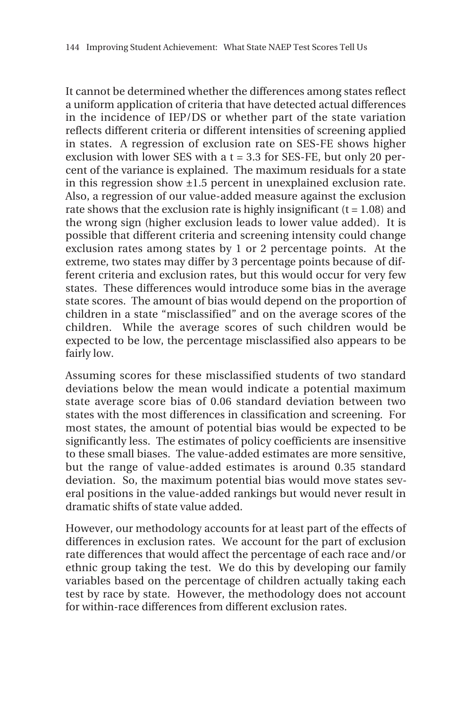It cannot be determined whether the differences among states reflect a uniform application of criteria that have detected actual differences in the incidence of IEP/DS or whether part of the state variation reflects different criteria or different intensities of screening applied in states. A regression of exclusion rate on SES-FE shows higher exclusion with lower SES with a  $t = 3.3$  for SES-FE, but only 20 percent of the variance is explained. The maximum residuals for a state in this regression show ±1.5 percent in unexplained exclusion rate. Also, a regression of our value-added measure against the exclusion rate shows that the exclusion rate is highly insignificant  $(t = 1.08)$  and the wrong sign (higher exclusion leads to lower value added). It is possible that different criteria and screening intensity could change exclusion rates among states by 1 or 2 percentage points. At the extreme, two states may differ by 3 percentage points because of different criteria and exclusion rates, but this would occur for very few states. These differences would introduce some bias in the average state scores. The amount of bias would depend on the proportion of children in a state "misclassified" and on the average scores of the children. While the average scores of such children would be expected to be low, the percentage misclassified also appears to be fairly low.

Assuming scores for these misclassified students of two standard deviations below the mean would indicate a potential maximum state average score bias of 0.06 standard deviation between two states with the most differences in classification and screening. For most states, the amount of potential bias would be expected to be significantly less. The estimates of policy coefficients are insensitive to these small biases. The value-added estimates are more sensitive, but the range of value-added estimates is around 0.35 standard deviation. So, the maximum potential bias would move states several positions in the value-added rankings but would never result in dramatic shifts of state value added.

However, our methodology accounts for at least part of the effects of differences in exclusion rates. We account for the part of exclusion rate differences that would affect the percentage of each race and/or ethnic group taking the test. We do this by developing our family variables based on the percentage of children actually taking each test by race by state. However, the methodology does not account for within-race differences from different exclusion rates.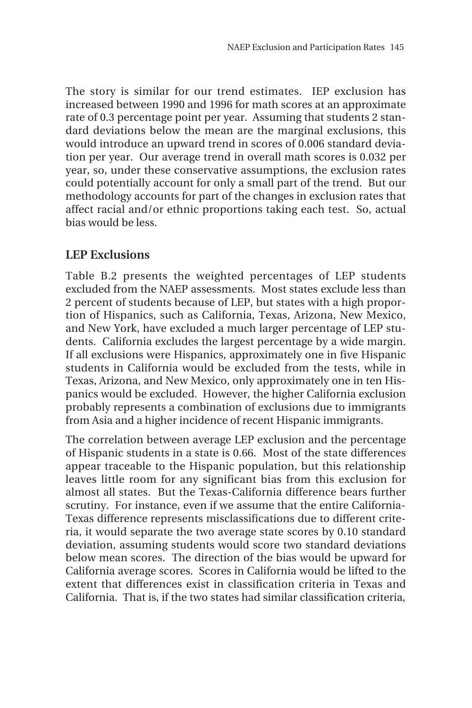The story is similar for our trend estimates. IEP exclusion has increased between 1990 and 1996 for math scores at an approximate rate of 0.3 percentage point per year. Assuming that students 2 standard deviations below the mean are the marginal exclusions, this would introduce an upward trend in scores of 0.006 standard deviation per year. Our average trend in overall math scores is 0.032 per year, so, under these conservative assumptions, the exclusion rates could potentially account for only a small part of the trend. But our methodology accounts for part of the changes in exclusion rates that affect racial and/or ethnic proportions taking each test. So, actual bias would be less.

### **LEP Exclusions**

Table B.2 presents the weighted percentages of LEP students excluded from the NAEP assessments. Most states exclude less than 2 percent of students because of LEP, but states with a high proportion of Hispanics, such as California, Texas, Arizona, New Mexico, and New York, have excluded a much larger percentage of LEP students. California excludes the largest percentage by a wide margin. If all exclusions were Hispanics, approximately one in five Hispanic students in California would be excluded from the tests, while in Texas, Arizona, and New Mexico, only approximately one in ten Hispanics would be excluded. However, the higher California exclusion probably represents a combination of exclusions due to immigrants from Asia and a higher incidence of recent Hispanic immigrants.

The correlation between average LEP exclusion and the percentage of Hispanic students in a state is 0.66. Most of the state differences appear traceable to the Hispanic population, but this relationship leaves little room for any significant bias from this exclusion for almost all states. But the Texas-California difference bears further scrutiny. For instance, even if we assume that the entire California-Texas difference represents misclassifications due to different criteria, it would separate the two average state scores by 0.10 standard deviation, assuming students would score two standard deviations below mean scores. The direction of the bias would be upward for California average scores. Scores in California would be lifted to the extent that differences exist in classification criteria in Texas and California. That is, if the two states had similar classification criteria,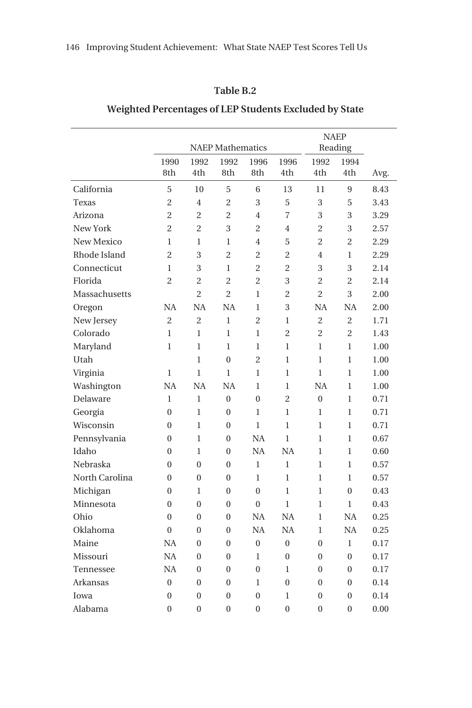### **Table B.2**

|                |                |                | <b>NAEP</b> Mathematics | <b>NAEP</b><br>Reading |                  |                |                  |      |
|----------------|----------------|----------------|-------------------------|------------------------|------------------|----------------|------------------|------|
|                | 1990<br>8th    | 1992<br>4th    | 1992<br>8th             | 1996<br>8th            | 1996<br>4th      | 1992<br>4th    | 1994<br>4th      | Avg. |
| California     | 5              | 10             | 5                       | 6                      | 13               | 11             | 9                | 8.43 |
| Texas          | $\overline{2}$ | $\overline{4}$ | $\overline{2}$          | 3                      | 5                | 3              | 5                | 3.43 |
| Arizona        | $\overline{2}$ | $\overline{2}$ | $\overline{2}$          | $\overline{4}$         | $\overline{7}$   | 3              | 3                | 3.29 |
| New York       | $\overline{c}$ | $\overline{c}$ | 3                       | $\overline{c}$         | $\overline{4}$   | $\overline{c}$ | 3                | 2.57 |
| New Mexico     | 1              | $\mathbf{1}$   | $\mathbf{1}$            | 4                      | 5                | $\overline{2}$ | $\overline{c}$   | 2.29 |
| Rhode Island   | $\overline{2}$ | 3              | $\overline{2}$          | $\overline{c}$         | $\overline{c}$   | $\overline{4}$ | $\mathbf{1}$     | 2.29 |
| Connecticut    | 1              | 3              | $\mathbf{1}$            | $\overline{2}$         | $\overline{c}$   | 3              | 3                | 2.14 |
| Florida        | $\overline{2}$ | $\overline{c}$ | $\overline{2}$          | $\overline{c}$         | 3                | $\overline{c}$ | $\overline{c}$   | 2.14 |
| Massachusetts  |                | $\overline{2}$ | $\overline{2}$          | $\mathbf{1}$           | $\overline{2}$   | $\overline{2}$ | 3                | 2.00 |
| Oregon         | <b>NA</b>      | <b>NA</b>      | <b>NA</b>               | $\mathbf{1}$           | 3                | <b>NA</b>      | NA               | 2.00 |
| New Jersey     | $\overline{c}$ | $\overline{2}$ | $\mathbf{1}$            | $\overline{c}$         | $\mathbf{1}$     | $\overline{c}$ | $\overline{c}$   | 1.71 |
| Colorado       | $\mathbf{1}$   | 1              | $\mathbf{1}$            | 1                      | $\overline{2}$   | 2              | $\overline{2}$   | 1.43 |
| Maryland       | $\mathbf{1}$   | $\mathbf{1}$   | $\mathbf{1}$            | 1                      | $\mathbf{1}$     | $\mathbf{1}$   | $\mathbf{1}$     | 1.00 |
| Utah           |                | $\mathbf{1}$   | $\overline{0}$          | $\overline{c}$         | $\mathbf{1}$     | $\mathbf{1}$   | $\mathbf{1}$     | 1.00 |
| Virginia       | 1              | 1              | 1                       | 1                      | $\mathbf{1}$     | $\mathbf{1}$   | $\mathbf{1}$     | 1.00 |
| Washington     | NA             | <b>NA</b>      | <b>NA</b>               | $\mathbf{1}$           | $\mathbf{1}$     | <b>NA</b>      | $\mathbf{1}$     | 1.00 |
| Delaware       | $\mathbf 1$    | $\mathbf{1}$   | $\overline{0}$          | $\overline{0}$         | $\overline{c}$   | $\overline{0}$ | $\mathbf{1}$     | 0.71 |
| Georgia        | $\theta$       | $\mathbf{1}$   | $\mathbf{0}$            | 1                      | $\mathbf{1}$     | $\mathbf{1}$   | $\mathbf{1}$     | 0.71 |
| Wisconsin      | $\overline{0}$ | $\mathbf{1}$   | $\overline{0}$          | $\mathbf{1}$           | $\mathbf{1}$     | $\mathbf{1}$   | $\mathbf{1}$     | 0.71 |
| Pennsylvania   | $\mathbf{0}$   | $\mathbf{1}$   | $\mathbf{0}$            | NA                     | $\mathbf{1}$     | $\mathbf{1}$   | $\mathbf{1}$     | 0.67 |
| Idaho          | $\Omega$       | 1              | $\overline{0}$          | NA                     | <b>NA</b>        | $\mathbf{1}$   | $\mathbf{1}$     | 0.60 |
| Nebraska       | $\mathbf{0}$   | $\theta$       | $\mathbf{0}$            | $\mathbf{1}$           | $\mathbf{1}$     | $\mathbf{1}$   | $\mathbf{1}$     | 0.57 |
| North Carolina | $\mathbf{0}$   | $\mathbf{0}$   | $\mathbf{0}$            | $\mathbf{1}$           | $\mathbf{1}$     | $\mathbf{1}$   | 1                | 0.57 |
| Michigan       | $\theta$       | 1              | $\theta$                | $\theta$               | $\mathbf{1}$     | $\mathbf{1}$   | $\theta$         | 0.43 |
| Minnesota      | $\theta$       | $\theta$       | $\overline{0}$          | $\overline{0}$         | $\mathbf{1}$     | $\mathbf{1}$   | $\mathbf{1}$     | 0.43 |
| Ohio           | $\overline{0}$ | $\overline{0}$ | $\overline{0}$          | NA                     | <b>NA</b>        | $\mathbf{1}$   | NA               | 0.25 |
| Oklahoma       | $\overline{0}$ | $\overline{0}$ | $\mathbf{0}$            | NA                     | NA               | $\mathbf{1}$   | NA               | 0.25 |
| Maine          | <b>NA</b>      | $\overline{0}$ | $\mathbf{0}$            | $\overline{0}$         | $\overline{0}$   | $\overline{0}$ | $\mathbf{1}$     | 0.17 |
| Missouri       | <b>NA</b>      | $\mathbf{0}$   | $\boldsymbol{0}$        | $\mathbf{1}$           | $\boldsymbol{0}$ | $\overline{0}$ | $\boldsymbol{0}$ | 0.17 |
| Tennessee      | <b>NA</b>      | $\mathbf{0}$   | $\boldsymbol{0}$        | $\overline{0}$         | $\mathbf{1}$     | $\overline{0}$ | $\boldsymbol{0}$ | 0.17 |
| Arkansas       | $\overline{0}$ | $\mathbf{0}$   | $\mathbf{0}$            | $\mathbf{1}$           | $\overline{0}$   | $\overline{0}$ | $\overline{0}$   | 0.14 |
| Iowa           | $\overline{0}$ | $\mathbf{0}$   | $\boldsymbol{0}$        | $\overline{0}$         | $\mathbf{1}$     | $\mathbf{0}$   | $\overline{0}$   | 0.14 |
| Alabama        | $\mathbf{0}$   | $\mathbf{0}$   | $\mathbf{0}$            | $\overline{0}$         | $\mathbf{0}$     | $\overline{0}$ | $\overline{0}$   | 0.00 |

### **Weighted Percentages of LEP Students Excluded by State**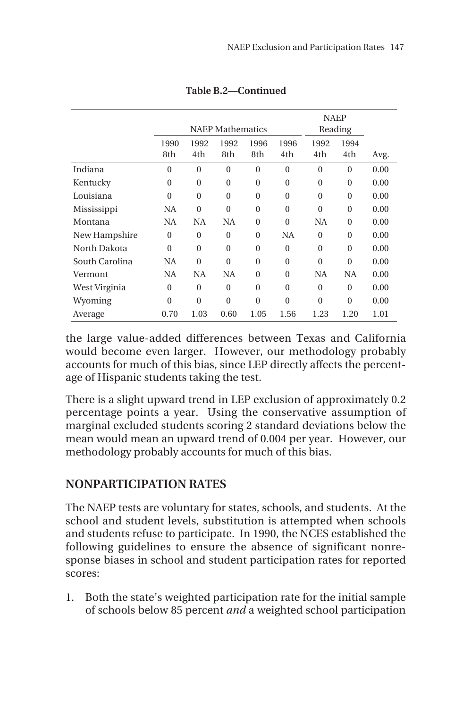|                |                |          | <b>NAEP</b> Mathematics | <b>NAEP</b><br>Reading |              |              |                  |      |
|----------------|----------------|----------|-------------------------|------------------------|--------------|--------------|------------------|------|
|                | 1990           | 1992     | 1992                    | 1996                   | 1996         | 1992         | 1994             |      |
|                | 8th            | 4th      | 8th                     | 8th                    | 4th          | 4th          | 4th              | Avg. |
| Indiana        | $\overline{0}$ | $\theta$ | $\overline{0}$          | $\mathbf{0}$           | $\mathbf{0}$ | $\mathbf{0}$ | $\mathbf{0}$     | 0.00 |
| Kentucky       | $\overline{0}$ | $\theta$ | $\mathbf{0}$            | $\theta$               | $\Omega$     | $\Omega$     | $\boldsymbol{0}$ | 0.00 |
| Louisiana      | $\theta$       | $\Omega$ | $\theta$                | $\Omega$               | $\Omega$     | $\Omega$     | $\Omega$         | 0.00 |
| Mississippi    | NA             | $\Omega$ | $\theta$                | $\theta$               | $\Omega$     | $\Omega$     | $\Omega$         | 0.00 |
| Montana        | NA             | NA       | NA                      | $\theta$               | $\Omega$     | <b>NA</b>    | $\mathbf{0}$     | 0.00 |
| New Hampshire  | $\theta$       | $\Omega$ | $\theta$                | $\theta$               | <b>NA</b>    | $\Omega$     | $\Omega$         | 0.00 |
| North Dakota   | $\theta$       | $\theta$ | $\theta$                | $\theta$               | $\Omega$     | $\Omega$     | $\Omega$         | 0.00 |
| South Carolina | NA             | $\Omega$ | $\theta$                | $\theta$               | $\Omega$     | $\Omega$     | $\theta$         | 0.00 |
| Vermont        | NA             | NA       | <b>NA</b>               | $\Omega$               | $\Omega$     | <b>NA</b>    | NA               | 0.00 |
| West Virginia  | $\mathbf{0}$   | $\Omega$ | $\mathbf{0}$            | $\theta$               | $\Omega$     | $\theta$     | $\Omega$         | 0.00 |
| Wyoming        | $\overline{0}$ | $\theta$ | $\theta$                | $\theta$               | $\theta$     | $\Omega$     | $\theta$         | 0.00 |
| Average        | 0.70           | 1.03     | 0.60                    | 1.05                   | 1.56         | 1.23         | 1.20             | 1.01 |

**Table B.2—Continued**

the large value-added differences between Texas and California would become even larger. However, our methodology probably accounts for much of this bias, since LEP directly affects the percentage of Hispanic students taking the test.

There is a slight upward trend in LEP exclusion of approximately 0.2 percentage points a year. Using the conservative assumption of marginal excluded students scoring 2 standard deviations below the mean would mean an upward trend of 0.004 per year. However, our methodology probably accounts for much of this bias.

## **NONPARTICIPATION RATES**

The NAEP tests are voluntary for states, schools, and students. At the school and student levels, substitution is attempted when schools and students refuse to participate. In 1990, the NCES established the following guidelines to ensure the absence of significant nonresponse biases in school and student participation rates for reported scores:

1. Both the state's weighted participation rate for the initial sample of schools below 85 percent *and* a weighted school participation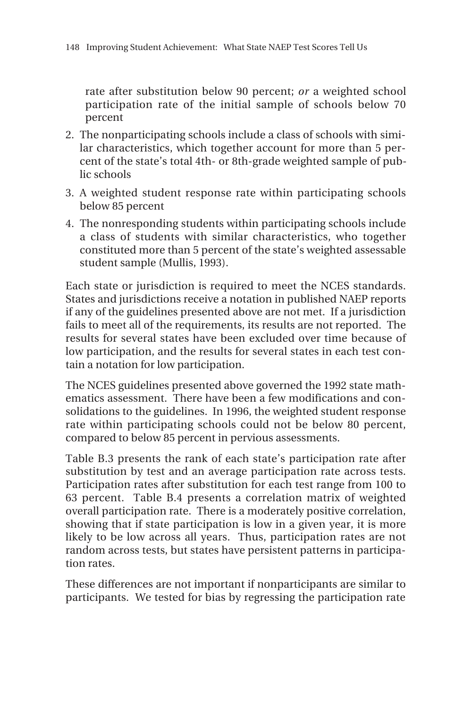rate after substitution below 90 percent; *or* a weighted school participation rate of the initial sample of schools below 70 percent

- 2. The nonparticipating schools include a class of schools with similar characteristics, which together account for more than 5 percent of the state's total 4th- or 8th-grade weighted sample of public schools
- 3. A weighted student response rate within participating schools below 85 percent
- 4. The nonresponding students within participating schools include a class of students with similar characteristics, who together constituted more than 5 percent of the state's weighted assessable student sample (Mullis, 1993).

Each state or jurisdiction is required to meet the NCES standards. States and jurisdictions receive a notation in published NAEP reports if any of the guidelines presented above are not met. If a jurisdiction fails to meet all of the requirements, its results are not reported. The results for several states have been excluded over time because of low participation, and the results for several states in each test contain a notation for low participation.

The NCES guidelines presented above governed the 1992 state mathematics assessment. There have been a few modifications and consolidations to the guidelines. In 1996, the weighted student response rate within participating schools could not be below 80 percent, compared to below 85 percent in pervious assessments.

Table B.3 presents the rank of each state's participation rate after substitution by test and an average participation rate across tests. Participation rates after substitution for each test range from 100 to 63 percent. Table B.4 presents a correlation matrix of weighted overall participation rate. There is a moderately positive correlation, showing that if state participation is low in a given year, it is more likely to be low across all years. Thus, participation rates are not random across tests, but states have persistent patterns in participation rates.

These differences are not important if nonparticipants are similar to participants. We tested for bias by regressing the participation rate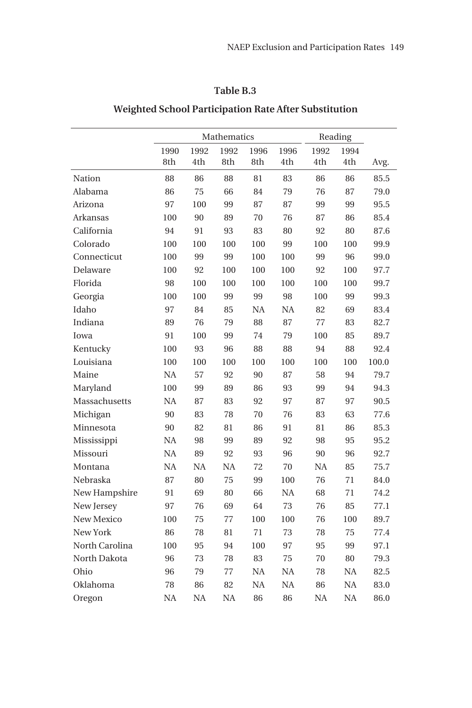### **Table B.3**

## **Weighted School Participation Rate After Substitution**

|                |           |           | Mathematics | Reading   |           |           |           |       |
|----------------|-----------|-----------|-------------|-----------|-----------|-----------|-----------|-------|
|                | 1990      | 1992      | 1992        | 1996      | 1996      | 1992      | 1994      |       |
|                | 8th       | 4th       | 8th         | 8th       | 4th       | 4th       | 4th       | Avg.  |
| Nation         | 88        | 86        | 88          | 81        | 83        | 86        | 86        | 85.5  |
| Alabama        | 86        | 75        | 66          | 84        | 79        | 76        | 87        | 79.0  |
| Arizona        | 97        | 100       | 99          | 87        | 87        | 99        | 99        | 95.5  |
| Arkansas       | 100       | 90        | 89          | 70        | 76        | 87        | 86        | 85.4  |
| California     | 94        | 91        | 93          | 83        | 80        | 92        | 80        | 87.6  |
| Colorado       | 100       | 100       | 100         | 100       | 99        | 100       | 100       | 99.9  |
| Connecticut    | 100       | 99        | 99          | 100       | 100       | 99        | 96        | 99.0  |
| Delaware       | 100       | 92        | 100         | 100       | 100       | 92        | 100       | 97.7  |
| Florida        | 98        | 100       | 100         | 100       | 100       | 100       | 100       | 99.7  |
| Georgia        | 100       | 100       | 99          | 99        | 98        | 100       | 99        | 99.3  |
| Idaho          | 97        | 84        | 85          | <b>NA</b> | <b>NA</b> | 82        | 69        | 83.4  |
| Indiana        | 89        | 76        | 79          | 88        | 87        | 77        | 83        | 82.7  |
| Iowa           | 91        | 100       | 99          | 74        | 79        | 100       | 85        | 89.7  |
| Kentucky       | 100       | 93        | 96          | 88        | 88        | 94        | 88        | 92.4  |
| Louisiana      | 100       | 100       | 100         | 100       | 100       | 100       | 100       | 100.0 |
| Maine          | <b>NA</b> | 57        | 92          | 90        | 87        | 58        | 94        | 79.7  |
| Maryland       | 100       | 99        | 89          | 86        | 93        | 99        | 94        | 94.3  |
| Massachusetts  | <b>NA</b> | 87        | 83          | 92        | 97        | 87        | 97        | 90.5  |
| Michigan       | 90        | 83        | 78          | 70        | 76        | 83        | 63        | 77.6  |
| Minnesota      | 90        | 82        | 81          | 86        | 91        | 81        | 86        | 85.3  |
| Mississippi    | <b>NA</b> | 98        | 99          | 89        | 92        | 98        | 95        | 95.2  |
| Missouri       | NA        | 89        | 92          | 93        | 96        | 90        | 96        | 92.7  |
| Montana        | NA        | <b>NA</b> | NA          | 72        | 70        | <b>NA</b> | 85        | 75.7  |
| Nebraska       | 87        | 80        | 75          | 99        | 100       | 76        | 71        | 84.0  |
| New Hampshire  | 91        | 69        | 80          | 66        | <b>NA</b> | 68        | 71        | 74.2  |
| New Jersey     | 97        | 76        | 69          | 64        | 73        | 76        | 85        | 77.1  |
| New Mexico     | 100       | 75        | 77          | 100       | 100       | 76        | 100       | 89.7  |
| New York       | 86        | 78        | 81          | 71        | 73        | 78        | 75        | 77.4  |
| North Carolina | 100       | 95        | 94          | 100       | 97        | 95        | 99        | 97.1  |
| North Dakota   | 96        | 73        | 78          | 83        | 75        | 70        | 80        | 79.3  |
| Ohio           | 96        | 79        | 77          | NA        | NA        | 78        | NA        | 82.5  |
| Oklahoma       | 78        | 86        | 82          | <b>NA</b> | <b>NA</b> | 86        | <b>NA</b> | 83.0  |
| Oregon         | NA        | <b>NA</b> | NA          | 86        | 86        | NA        | NA        | 86.0  |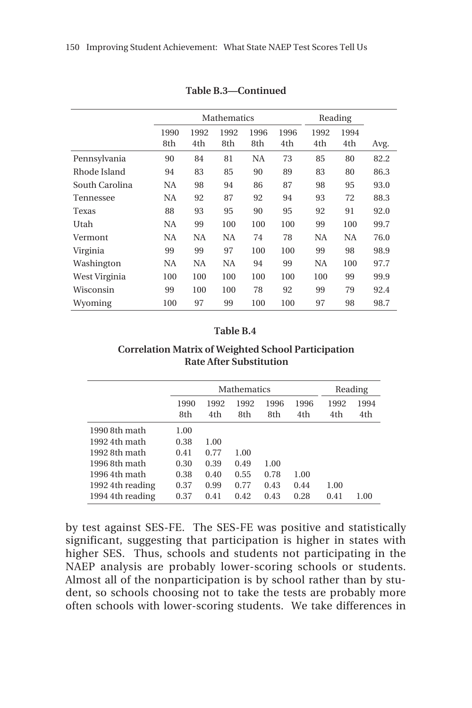|                |             |             | Mathematics | Reading     |             |             |             |      |
|----------------|-------------|-------------|-------------|-------------|-------------|-------------|-------------|------|
|                | 1990<br>8th | 1992<br>4th | 1992<br>8th | 1996<br>8th | 1996<br>4th | 1992<br>4th | 1994<br>4th | Avg. |
| Pennsylvania   | 90          | 84          | 81          | NA          | 73          | 85          | 80          | 82.2 |
| Rhode Island   | 94          | 83          | 85          | 90          | 89          | 83          | 80          | 86.3 |
| South Carolina | NA          | 98          | 94          | 86          | 87          | 98          | 95          | 93.0 |
| Tennessee      | NA          | 92          | 87          | 92          | 94          | 93          | 72          | 88.3 |
| Texas          | 88          | 93          | 95          | 90          | 95          | 92          | 91          | 92.0 |
| Utah           | NA          | 99          | 100         | 100         | 100         | 99          | 100         | 99.7 |
| Vermont        | NA          | NA          | NA          | 74          | 78          | NA          | <b>NA</b>   | 76.0 |
| Virginia       | 99          | 99          | 97          | 100         | 100         | 99          | 98          | 98.9 |
| Washington     | NA          | NA          | NA          | 94          | 99          | NA          | 100         | 97.7 |
| West Virginia  | 100         | 100         | 100         | 100         | 100         | 100         | 99          | 99.9 |
| Wisconsin      | 99          | 100         | 100         | 78          | 92          | 99          | 79          | 92.4 |
| Wyoming        | 100         | 97          | 99          | 100         | 100         | 97          | 98          | 98.7 |

**Table B.3—Continued**

#### **Table B.4**

#### **Correlation Matrix of Weighted School Participation Rate After Substitution**

|                  |      | <b>Mathematics</b> | Reading |      |      |      |      |
|------------------|------|--------------------|---------|------|------|------|------|
|                  | 1990 | 1992               | 1992    | 1996 | 1996 | 1992 | 1994 |
|                  | 8th  | 4th                | 8th     | 8th  | 4th  | 4th  | 4th  |
| 1990 8th math    | 1.00 |                    |         |      |      |      |      |
| 1992 4th math    | 0.38 | 1.00               |         |      |      |      |      |
| 1992 8th math    | 0.41 | 0.77               | 1.00    |      |      |      |      |
| 1996 8th math    | 0.30 | 0.39               | 0.49    | 1.00 |      |      |      |
| 1996 4th math    | 0.38 | 0.40               | 0.55    | 0.78 | 1.00 |      |      |
| 1992 4th reading | 0.37 | 0.99               | 0.77    | 0.43 | 0.44 | 1.00 |      |
| 1994 4th reading | 0.37 | 0.41               | 0.42    | 0.43 | 0.28 | 0.41 | 1.00 |

by test against SES-FE. The SES-FE was positive and statistically significant, suggesting that participation is higher in states with higher SES. Thus, schools and students not participating in the NAEP analysis are probably lower-scoring schools or students. Almost all of the nonparticipation is by school rather than by student, so schools choosing not to take the tests are probably more often schools with lower-scoring students. We take differences in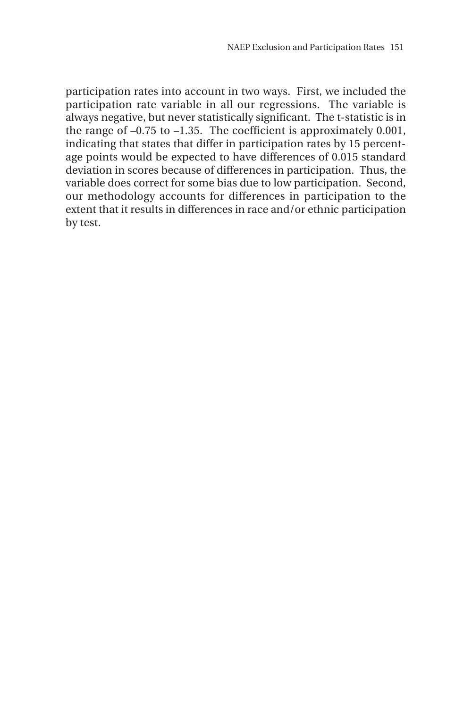participation rates into account in two ways. First, we included the participation rate variable in all our regressions. The variable is always negative, but never statistically significant. The t-statistic is in the range of –0.75 to –1.35. The coefficient is approximately 0.001, indicating that states that differ in participation rates by 15 percentage points would be expected to have differences of 0.015 standard deviation in scores because of differences in participation. Thus, the variable does correct for some bias due to low participation. Second, our methodology accounts for differences in participation to the extent that it results in differences in race and/or ethnic participation by test.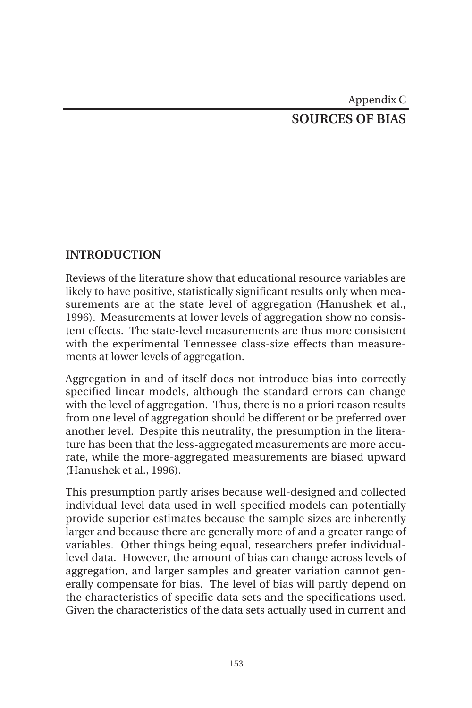## Appendix C **SOURCES OF BIAS**

### **INTRODUCTION**

Reviews of the literature show that educational resource variables are likely to have positive, statistically significant results only when measurements are at the state level of aggregation (Hanushek et al., 1996). Measurements at lower levels of aggregation show no consistent effects. The state-level measurements are thus more consistent with the experimental Tennessee class-size effects than measurements at lower levels of aggregation.

Aggregation in and of itself does not introduce bias into correctly specified linear models, although the standard errors can change with the level of aggregation. Thus, there is no a priori reason results from one level of aggregation should be different or be preferred over another level. Despite this neutrality, the presumption in the literature has been that the less-aggregated measurements are more accurate, while the more-aggregated measurements are biased upward (Hanushek et al., 1996).

This presumption partly arises because well-designed and collected individual-level data used in well-specified models can potentially provide superior estimates because the sample sizes are inherently larger and because there are generally more of and a greater range of variables. Other things being equal, researchers prefer individuallevel data. However, the amount of bias can change across levels of aggregation, and larger samples and greater variation cannot generally compensate for bias. The level of bias will partly depend on the characteristics of specific data sets and the specifications used. Given the characteristics of the data sets actually used in current and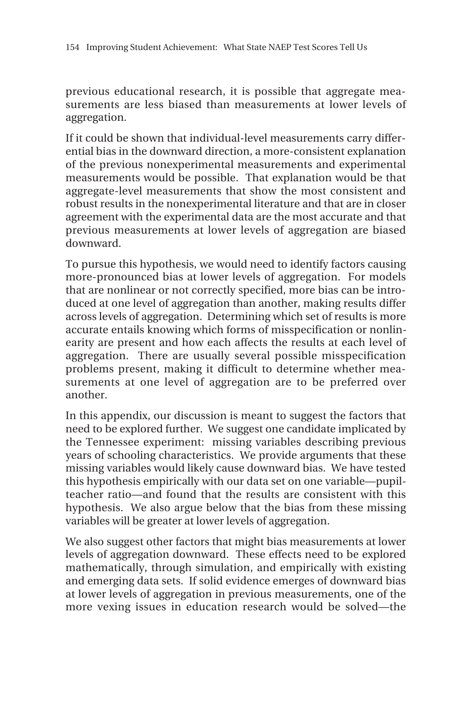previous educational research, it is possible that aggregate measurements are less biased than measurements at lower levels of aggregation.

If it could be shown that individual-level measurements carry differential bias in the downward direction, a more-consistent explanation of the previous nonexperimental measurements and experimental measurements would be possible. That explanation would be that aggregate-level measurements that show the most consistent and robust results in the nonexperimental literature and that are in closer agreement with the experimental data are the most accurate and that previous measurements at lower levels of aggregation are biased downward.

To pursue this hypothesis, we would need to identify factors causing more-pronounced bias at lower levels of aggregation. For models that are nonlinear or not correctly specified, more bias can be introduced at one level of aggregation than another, making results differ across levels of aggregation. Determining which set of results is more accurate entails knowing which forms of misspecification or nonlinearity are present and how each affects the results at each level of aggregation. There are usually several possible misspecification problems present, making it difficult to determine whether measurements at one level of aggregation are to be preferred over another.

In this appendix, our discussion is meant to suggest the factors that need to be explored further. We suggest one candidate implicated by the Tennessee experiment: missing variables describing previous years of schooling characteristics. We provide arguments that these missing variables would likely cause downward bias. We have tested this hypothesis empirically with our data set on one variable—pupilteacher ratio—and found that the results are consistent with this hypothesis. We also argue below that the bias from these missing variables will be greater at lower levels of aggregation.

We also suggest other factors that might bias measurements at lower levels of aggregation downward. These effects need to be explored mathematically, through simulation, and empirically with existing and emerging data sets. If solid evidence emerges of downward bias at lower levels of aggregation in previous measurements, one of the more vexing issues in education research would be solved—the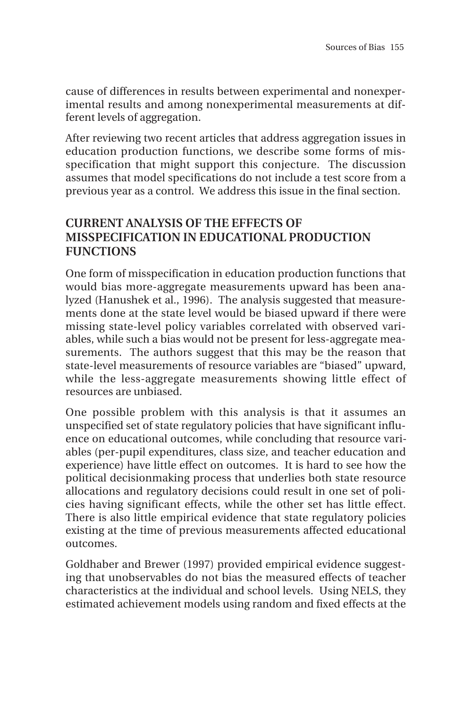cause of differences in results between experimental and nonexperimental results and among nonexperimental measurements at different levels of aggregation.

After reviewing two recent articles that address aggregation issues in education production functions, we describe some forms of misspecification that might support this conjecture. The discussion assumes that model specifications do not include a test score from a previous year as a control. We address this issue in the final section.

### **CURRENT ANALYSIS OF THE EFFECTS OF MISSPECIFICATION IN EDUCATIONAL PRODUCTION FUNCTIONS**

One form of misspecification in education production functions that would bias more-aggregate measurements upward has been analyzed (Hanushek et al., 1996). The analysis suggested that measurements done at the state level would be biased upward if there were missing state-level policy variables correlated with observed variables, while such a bias would not be present for less-aggregate measurements. The authors suggest that this may be the reason that state-level measurements of resource variables are "biased" upward, while the less-aggregate measurements showing little effect of resources are unbiased.

One possible problem with this analysis is that it assumes an unspecified set of state regulatory policies that have significant influence on educational outcomes, while concluding that resource variables (per-pupil expenditures, class size, and teacher education and experience) have little effect on outcomes. It is hard to see how the political decisionmaking process that underlies both state resource allocations and regulatory decisions could result in one set of policies having significant effects, while the other set has little effect. There is also little empirical evidence that state regulatory policies existing at the time of previous measurements affected educational outcomes.

Goldhaber and Brewer (1997) provided empirical evidence suggesting that unobservables do not bias the measured effects of teacher characteristics at the individual and school levels. Using NELS, they estimated achievement models using random and fixed effects at the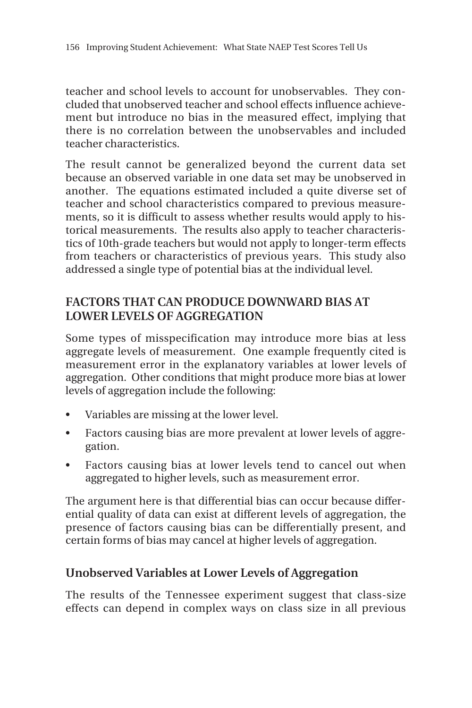teacher and school levels to account for unobservables. They concluded that unobserved teacher and school effects influence achievement but introduce no bias in the measured effect, implying that there is no correlation between the unobservables and included teacher characteristics.

The result cannot be generalized beyond the current data set because an observed variable in one data set may be unobserved in another. The equations estimated included a quite diverse set of teacher and school characteristics compared to previous measurements, so it is difficult to assess whether results would apply to historical measurements. The results also apply to teacher characteristics of 10th-grade teachers but would not apply to longer-term effects from teachers or characteristics of previous years. This study also addressed a single type of potential bias at the individual level.

### **FACTORS THAT CAN PRODUCE DOWNWARD BIAS AT LOWER LEVELS OF AGGREGATION**

Some types of misspecification may introduce more bias at less aggregate levels of measurement. One example frequently cited is measurement error in the explanatory variables at lower levels of aggregation. Other conditions that might produce more bias at lower levels of aggregation include the following:

- Variables are missing at the lower level.
- Factors causing bias are more prevalent at lower levels of aggregation.
- Factors causing bias at lower levels tend to cancel out when aggregated to higher levels, such as measurement error.

The argument here is that differential bias can occur because differential quality of data can exist at different levels of aggregation, the presence of factors causing bias can be differentially present, and certain forms of bias may cancel at higher levels of aggregation.

### **Unobserved Variables at Lower Levels of Aggregation**

The results of the Tennessee experiment suggest that class-size effects can depend in complex ways on class size in all previous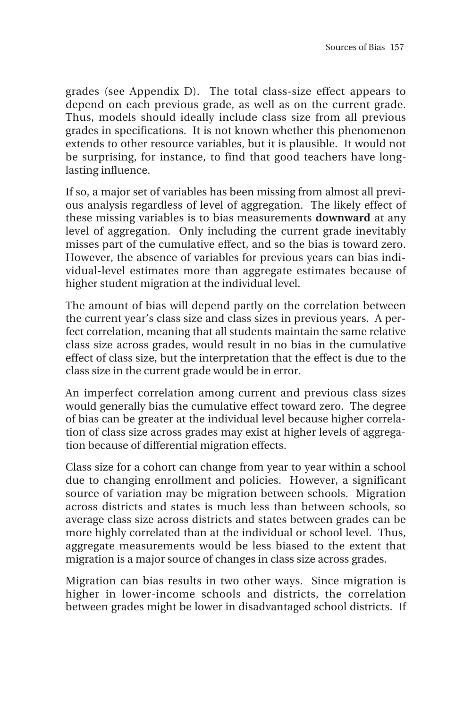grades (see Appendix D). The total class-size effect appears to depend on each previous grade, as well as on the current grade. Thus, models should ideally include class size from all previous grades in specifications. It is not known whether this phenomenon extends to other resource variables, but it is plausible. It would not be surprising, for instance, to find that good teachers have longlasting influence.

If so, a major set of variables has been missing from almost all previous analysis regardless of level of aggregation. The likely effect of these missing variables is to bias measurements **downward** at any level of aggregation. Only including the current grade inevitably misses part of the cumulative effect, and so the bias is toward zero. However, the absence of variables for previous years can bias individual-level estimates more than aggregate estimates because of higher student migration at the individual level.

The amount of bias will depend partly on the correlation between the current year's class size and class sizes in previous years. A perfect correlation, meaning that all students maintain the same relative class size across grades, would result in no bias in the cumulative effect of class size, but the interpretation that the effect is due to the class size in the current grade would be in error.

An imperfect correlation among current and previous class sizes would generally bias the cumulative effect toward zero. The degree of bias can be greater at the individual level because higher correlation of class size across grades may exist at higher levels of aggregation because of differential migration effects.

Class size for a cohort can change from year to year within a school due to changing enrollment and policies. However, a significant source of variation may be migration between schools. Migration across districts and states is much less than between schools, so average class size across districts and states between grades can be more highly correlated than at the individual or school level. Thus, aggregate measurements would be less biased to the extent that migration is a major source of changes in class size across grades.

Migration can bias results in two other ways. Since migration is higher in lower-income schools and districts, the correlation between grades might be lower in disadvantaged school districts. If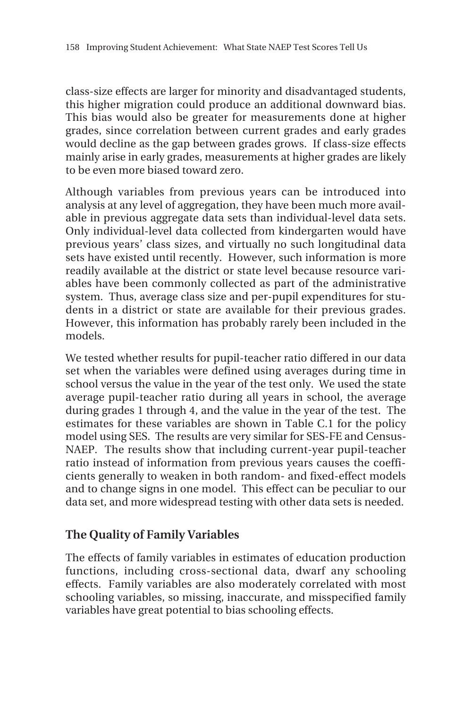class-size effects are larger for minority and disadvantaged students, this higher migration could produce an additional downward bias. This bias would also be greater for measurements done at higher grades, since correlation between current grades and early grades would decline as the gap between grades grows. If class-size effects mainly arise in early grades, measurements at higher grades are likely to be even more biased toward zero.

Although variables from previous years can be introduced into analysis at any level of aggregation, they have been much more available in previous aggregate data sets than individual-level data sets. Only individual-level data collected from kindergarten would have previous years' class sizes, and virtually no such longitudinal data sets have existed until recently. However, such information is more readily available at the district or state level because resource variables have been commonly collected as part of the administrative system. Thus, average class size and per-pupil expenditures for students in a district or state are available for their previous grades. However, this information has probably rarely been included in the models.

We tested whether results for pupil-teacher ratio differed in our data set when the variables were defined using averages during time in school versus the value in the year of the test only. We used the state average pupil-teacher ratio during all years in school, the average during grades 1 through 4, and the value in the year of the test. The estimates for these variables are shown in Table C.1 for the policy model using SES. The results are very similar for SES-FE and Census-NAEP. The results show that including current-year pupil-teacher ratio instead of information from previous years causes the coefficients generally to weaken in both random- and fixed-effect models and to change signs in one model. This effect can be peculiar to our data set, and more widespread testing with other data sets is needed.

### **The Quality of Family Variables**

The effects of family variables in estimates of education production functions, including cross-sectional data, dwarf any schooling effects. Family variables are also moderately correlated with most schooling variables, so missing, inaccurate, and misspecified family variables have great potential to bias schooling effects.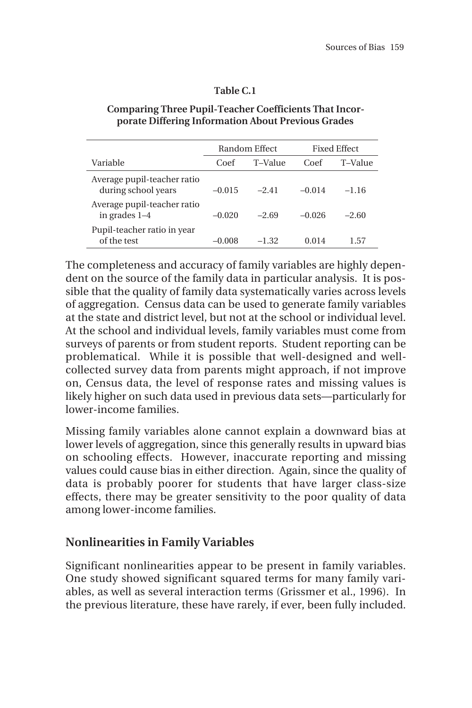#### **Table C.1**

## **Comparing Three Pupil-Teacher Coefficients That Incorporate Differing Information About Previous Grades**

|                                                    |          | Random Effect |          | <b>Fixed Effect</b> |
|----------------------------------------------------|----------|---------------|----------|---------------------|
| Variable                                           | Coef     | T-Value       | Coef     | T-Value             |
| Average pupil-teacher ratio<br>during school years | $-0.015$ | $-2.41$       | $-0.014$ | $-1.16$             |
| Average pupil-teacher ratio<br>in grades $1-4$     | $-0.020$ | $-2.69$       | $-0.026$ | $-2.60$             |
| Pupil-teacher ratio in year<br>of the test         | $-0.008$ | $-1.32$       | 0.014    | 1.57                |

The completeness and accuracy of family variables are highly dependent on the source of the family data in particular analysis. It is possible that the quality of family data systematically varies across levels of aggregation. Census data can be used to generate family variables at the state and district level, but not at the school or individual level. At the school and individual levels, family variables must come from surveys of parents or from student reports. Student reporting can be problematical. While it is possible that well-designed and wellcollected survey data from parents might approach, if not improve on, Census data, the level of response rates and missing values is likely higher on such data used in previous data sets—particularly for lower-income families.

Missing family variables alone cannot explain a downward bias at lower levels of aggregation, since this generally results in upward bias on schooling effects. However, inaccurate reporting and missing values could cause bias in either direction. Again, since the quality of data is probably poorer for students that have larger class-size effects, there may be greater sensitivity to the poor quality of data among lower-income families.

### **Nonlinearities in Family Variables**

Significant nonlinearities appear to be present in family variables. One study showed significant squared terms for many family variables, as well as several interaction terms (Grissmer et al., 1996). In the previous literature, these have rarely, if ever, been fully included.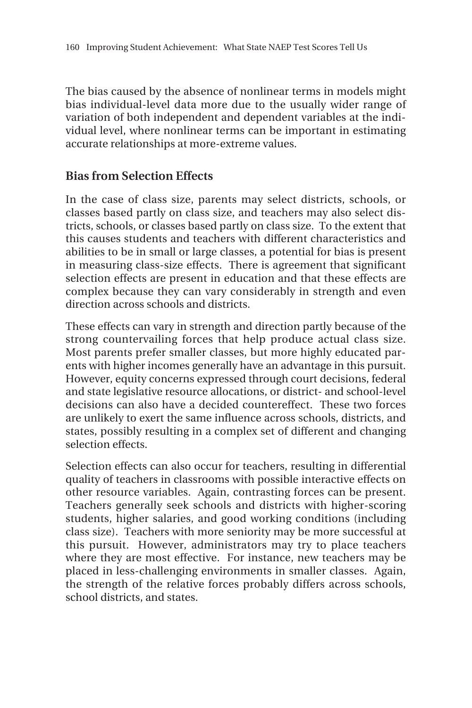The bias caused by the absence of nonlinear terms in models might bias individual-level data more due to the usually wider range of variation of both independent and dependent variables at the individual level, where nonlinear terms can be important in estimating accurate relationships at more-extreme values.

### **Bias from Selection Effects**

In the case of class size, parents may select districts, schools, or classes based partly on class size, and teachers may also select districts, schools, or classes based partly on class size. To the extent that this causes students and teachers with different characteristics and abilities to be in small or large classes, a potential for bias is present in measuring class-size effects. There is agreement that significant selection effects are present in education and that these effects are complex because they can vary considerably in strength and even direction across schools and districts.

These effects can vary in strength and direction partly because of the strong countervailing forces that help produce actual class size. Most parents prefer smaller classes, but more highly educated parents with higher incomes generally have an advantage in this pursuit. However, equity concerns expressed through court decisions, federal and state legislative resource allocations, or district- and school-level decisions can also have a decided countereffect. These two forces are unlikely to exert the same influence across schools, districts, and states, possibly resulting in a complex set of different and changing selection effects.

Selection effects can also occur for teachers, resulting in differential quality of teachers in classrooms with possible interactive effects on other resource variables. Again, contrasting forces can be present. Teachers generally seek schools and districts with higher-scoring students, higher salaries, and good working conditions (including class size). Teachers with more seniority may be more successful at this pursuit. However, administrators may try to place teachers where they are most effective. For instance, new teachers may be placed in less-challenging environments in smaller classes. Again, the strength of the relative forces probably differs across schools, school districts, and states.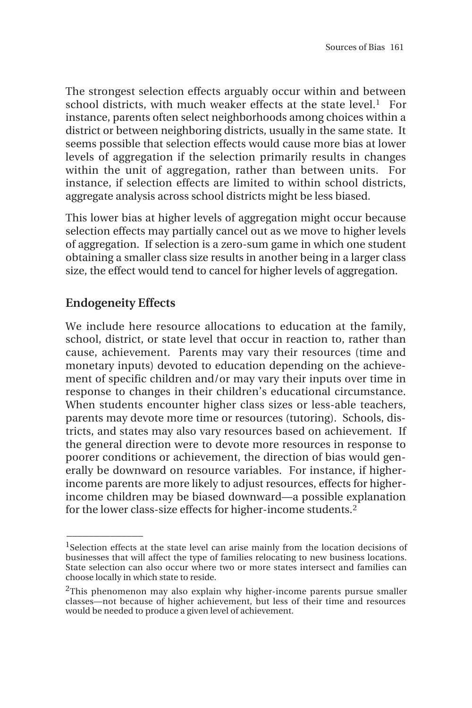The strongest selection effects arguably occur within and between school districts, with much weaker effects at the state level.<sup>1</sup> For instance, parents often select neighborhoods among choices within a district or between neighboring districts, usually in the same state. It seems possible that selection effects would cause more bias at lower levels of aggregation if the selection primarily results in changes within the unit of aggregation, rather than between units. For instance, if selection effects are limited to within school districts, aggregate analysis across school districts might be less biased.

This lower bias at higher levels of aggregation might occur because selection effects may partially cancel out as we move to higher levels of aggregation. If selection is a zero-sum game in which one student obtaining a smaller class size results in another being in a larger class size, the effect would tend to cancel for higher levels of aggregation.

## **Endogeneity Effects**

 $\overline{\phantom{a}}$ 

We include here resource allocations to education at the family, school, district, or state level that occur in reaction to, rather than cause, achievement. Parents may vary their resources (time and monetary inputs) devoted to education depending on the achievement of specific children and/or may vary their inputs over time in response to changes in their children's educational circumstance. When students encounter higher class sizes or less-able teachers, parents may devote more time or resources (tutoring). Schools, districts, and states may also vary resources based on achievement. If the general direction were to devote more resources in response to poorer conditions or achievement, the direction of bias would generally be downward on resource variables. For instance, if higherincome parents are more likely to adjust resources, effects for higherincome children may be biased downward—a possible explanation for the lower class-size effects for higher-income students.2

<sup>&</sup>lt;sup>1</sup>Selection effects at the state level can arise mainly from the location decisions of businesses that will affect the type of families relocating to new business locations. State selection can also occur where two or more states intersect and families can choose locally in which state to reside.

 $2$ This phenomenon may also explain why higher-income parents pursue smaller classes—not because of higher achievement, but less of their time and resources would be needed to produce a given level of achievement.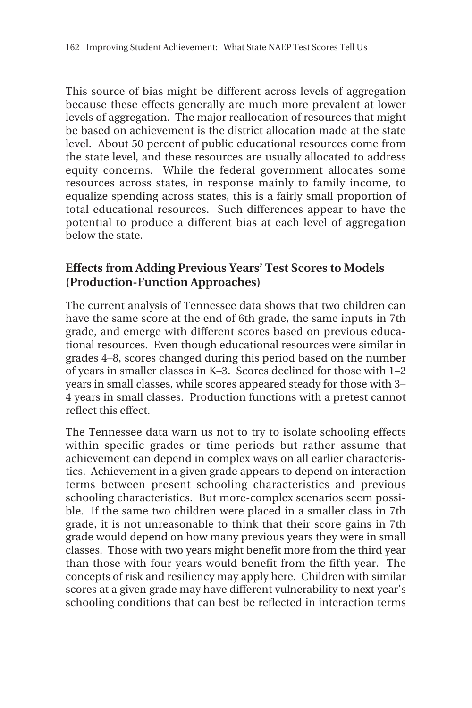This source of bias might be different across levels of aggregation because these effects generally are much more prevalent at lower levels of aggregation. The major reallocation of resources that might be based on achievement is the district allocation made at the state level. About 50 percent of public educational resources come from the state level, and these resources are usually allocated to address equity concerns. While the federal government allocates some resources across states, in response mainly to family income, to equalize spending across states, this is a fairly small proportion of total educational resources. Such differences appear to have the potential to produce a different bias at each level of aggregation below the state.

### **Effects from Adding Previous Years' Test Scores to Models (Production-Function Approaches)**

The current analysis of Tennessee data shows that two children can have the same score at the end of 6th grade, the same inputs in 7th grade, and emerge with different scores based on previous educational resources. Even though educational resources were similar in grades 4–8, scores changed during this period based on the number of years in smaller classes in K–3. Scores declined for those with 1–2 years in small classes, while scores appeared steady for those with 3– 4 years in small classes. Production functions with a pretest cannot reflect this effect.

The Tennessee data warn us not to try to isolate schooling effects within specific grades or time periods but rather assume that achievement can depend in complex ways on all earlier characteristics. Achievement in a given grade appears to depend on interaction terms between present schooling characteristics and previous schooling characteristics. But more-complex scenarios seem possible. If the same two children were placed in a smaller class in 7th grade, it is not unreasonable to think that their score gains in 7th grade would depend on how many previous years they were in small classes. Those with two years might benefit more from the third year than those with four years would benefit from the fifth year. The concepts of risk and resiliency may apply here. Children with similar scores at a given grade may have different vulnerability to next year's schooling conditions that can best be reflected in interaction terms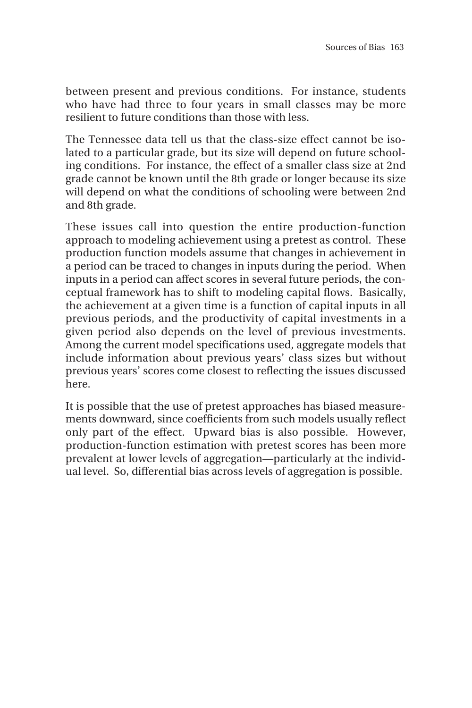between present and previous conditions. For instance, students who have had three to four years in small classes may be more resilient to future conditions than those with less.

The Tennessee data tell us that the class-size effect cannot be isolated to a particular grade, but its size will depend on future schooling conditions. For instance, the effect of a smaller class size at 2nd grade cannot be known until the 8th grade or longer because its size will depend on what the conditions of schooling were between 2nd and 8th grade.

These issues call into question the entire production-function approach to modeling achievement using a pretest as control. These production function models assume that changes in achievement in a period can be traced to changes in inputs during the period. When inputs in a period can affect scores in several future periods, the conceptual framework has to shift to modeling capital flows. Basically, the achievement at a given time is a function of capital inputs in all previous periods, and the productivity of capital investments in a given period also depends on the level of previous investments. Among the current model specifications used, aggregate models that include information about previous years' class sizes but without previous years' scores come closest to reflecting the issues discussed here.

It is possible that the use of pretest approaches has biased measurements downward, since coefficients from such models usually reflect only part of the effect. Upward bias is also possible. However, production-function estimation with pretest scores has been more prevalent at lower levels of aggregation—particularly at the individual level. So, differential bias across levels of aggregation is possible.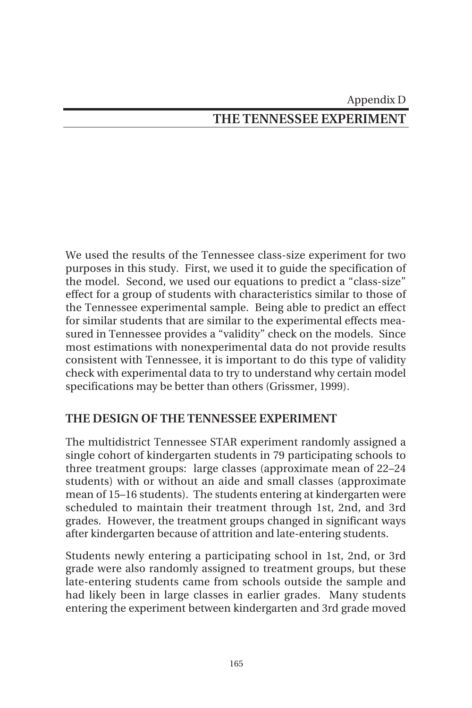# Appendix D **THE TENNESSEE EXPERIMENT**

We used the results of the Tennessee class-size experiment for two purposes in this study. First, we used it to guide the specification of the model. Second, we used our equations to predict a "class-size" effect for a group of students with characteristics similar to those of the Tennessee experimental sample. Being able to predict an effect for similar students that are similar to the experimental effects measured in Tennessee provides a "validity" check on the models. Since most estimations with nonexperimental data do not provide results consistent with Tennessee, it is important to do this type of validity check with experimental data to try to understand why certain model specifications may be better than others (Grissmer, 1999).

### **THE DESIGN OF THE TENNESSEE EXPERIMENT**

The multidistrict Tennessee STAR experiment randomly assigned a single cohort of kindergarten students in 79 participating schools to three treatment groups: large classes (approximate mean of 22–24 students) with or without an aide and small classes (approximate mean of 15–16 students). The students entering at kindergarten were scheduled to maintain their treatment through 1st, 2nd, and 3rd grades. However, the treatment groups changed in significant ways after kindergarten because of attrition and late-entering students.

Students newly entering a participating school in 1st, 2nd, or 3rd grade were also randomly assigned to treatment groups, but these late-entering students came from schools outside the sample and had likely been in large classes in earlier grades. Many students entering the experiment between kindergarten and 3rd grade moved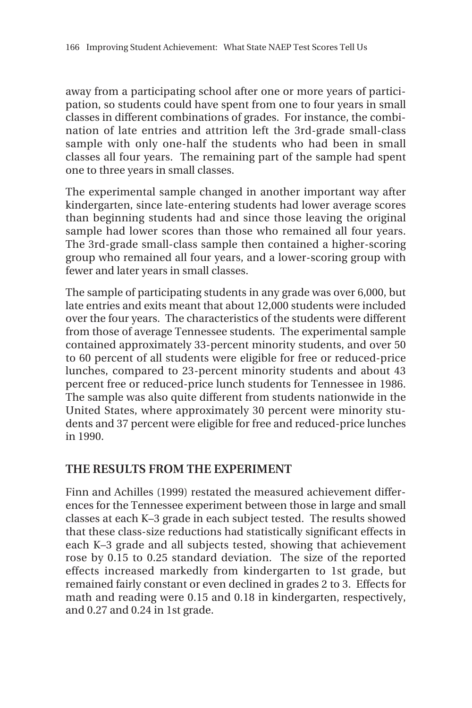away from a participating school after one or more years of participation, so students could have spent from one to four years in small classes in different combinations of grades. For instance, the combination of late entries and attrition left the 3rd-grade small-class sample with only one-half the students who had been in small classes all four years. The remaining part of the sample had spent one to three years in small classes.

The experimental sample changed in another important way after kindergarten, since late-entering students had lower average scores than beginning students had and since those leaving the original sample had lower scores than those who remained all four years. The 3rd-grade small-class sample then contained a higher-scoring group who remained all four years, and a lower-scoring group with fewer and later years in small classes.

The sample of participating students in any grade was over 6,000, but late entries and exits meant that about 12,000 students were included over the four years. The characteristics of the students were different from those of average Tennessee students. The experimental sample contained approximately 33-percent minority students, and over 50 to 60 percent of all students were eligible for free or reduced-price lunches, compared to 23-percent minority students and about 43 percent free or reduced-price lunch students for Tennessee in 1986. The sample was also quite different from students nationwide in the United States, where approximately 30 percent were minority students and 37 percent were eligible for free and reduced-price lunches in 1990.

### **THE RESULTS FROM THE EXPERIMENT**

Finn and Achilles (1999) restated the measured achievement differences for the Tennessee experiment between those in large and small classes at each K–3 grade in each subject tested. The results showed that these class-size reductions had statistically significant effects in each K–3 grade and all subjects tested, showing that achievement rose by 0.15 to 0.25 standard deviation. The size of the reported effects increased markedly from kindergarten to 1st grade, but remained fairly constant or even declined in grades 2 to 3. Effects for math and reading were 0.15 and 0.18 in kindergarten, respectively, and 0.27 and 0.24 in 1st grade.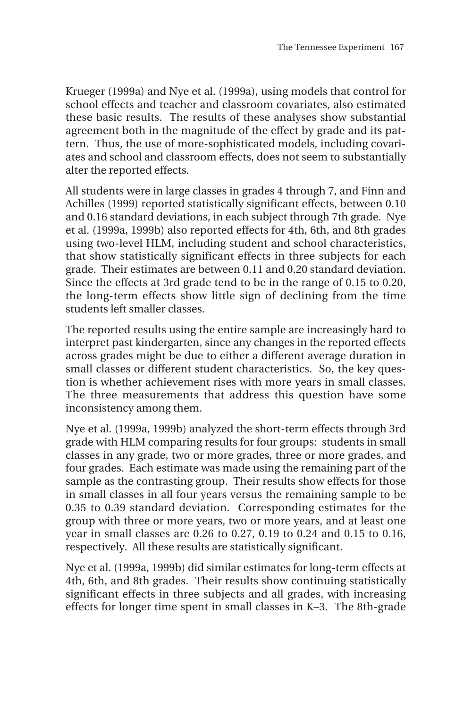Krueger (1999a) and Nye et al. (1999a), using models that control for school effects and teacher and classroom covariates, also estimated these basic results. The results of these analyses show substantial agreement both in the magnitude of the effect by grade and its pattern. Thus, the use of more-sophisticated models, including covariates and school and classroom effects, does not seem to substantially alter the reported effects.

All students were in large classes in grades 4 through 7, and Finn and Achilles (1999) reported statistically significant effects, between 0.10 and 0.16 standard deviations, in each subject through 7th grade. Nye et al. (1999a, 1999b) also reported effects for 4th, 6th, and 8th grades using two-level HLM, including student and school characteristics, that show statistically significant effects in three subjects for each grade. Their estimates are between 0.11 and 0.20 standard deviation. Since the effects at 3rd grade tend to be in the range of 0.15 to 0.20, the long-term effects show little sign of declining from the time students left smaller classes.

The reported results using the entire sample are increasingly hard to interpret past kindergarten, since any changes in the reported effects across grades might be due to either a different average duration in small classes or different student characteristics. So, the key question is whether achievement rises with more years in small classes. The three measurements that address this question have some inconsistency among them.

Nye et al. (1999a, 1999b) analyzed the short-term effects through 3rd grade with HLM comparing results for four groups: students in small classes in any grade, two or more grades, three or more grades, and four grades. Each estimate was made using the remaining part of the sample as the contrasting group. Their results show effects for those in small classes in all four years versus the remaining sample to be 0.35 to 0.39 standard deviation. Corresponding estimates for the group with three or more years, two or more years, and at least one year in small classes are 0.26 to 0.27, 0.19 to 0.24 and 0.15 to 0.16, respectively. All these results are statistically significant.

Nye et al. (1999a, 1999b) did similar estimates for long-term effects at 4th, 6th, and 8th grades. Their results show continuing statistically significant effects in three subjects and all grades, with increasing effects for longer time spent in small classes in K–3. The 8th-grade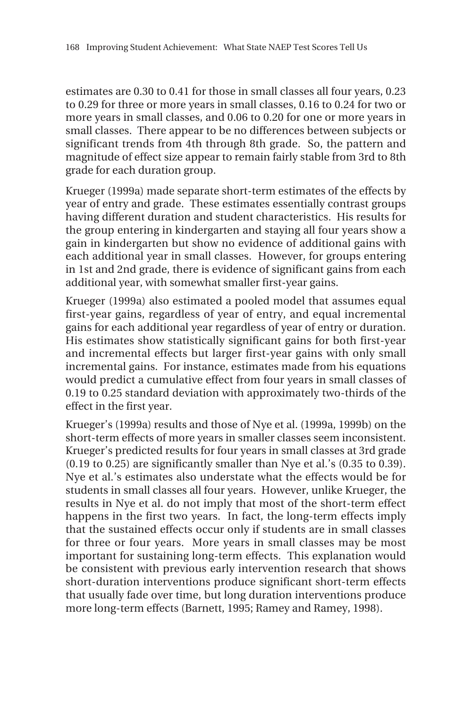estimates are 0.30 to 0.41 for those in small classes all four years, 0.23 to 0.29 for three or more years in small classes, 0.16 to 0.24 for two or more years in small classes, and 0.06 to 0.20 for one or more years in small classes. There appear to be no differences between subjects or significant trends from 4th through 8th grade. So, the pattern and magnitude of effect size appear to remain fairly stable from 3rd to 8th grade for each duration group.

Krueger (1999a) made separate short-term estimates of the effects by year of entry and grade. These estimates essentially contrast groups having different duration and student characteristics. His results for the group entering in kindergarten and staying all four years show a gain in kindergarten but show no evidence of additional gains with each additional year in small classes. However, for groups entering in 1st and 2nd grade, there is evidence of significant gains from each additional year, with somewhat smaller first-year gains.

Krueger (1999a) also estimated a pooled model that assumes equal first-year gains, regardless of year of entry, and equal incremental gains for each additional year regardless of year of entry or duration. His estimates show statistically significant gains for both first-year and incremental effects but larger first-year gains with only small incremental gains. For instance, estimates made from his equations would predict a cumulative effect from four years in small classes of 0.19 to 0.25 standard deviation with approximately two-thirds of the effect in the first year.

Krueger's (1999a) results and those of Nye et al. (1999a, 1999b) on the short-term effects of more years in smaller classes seem inconsistent. Krueger's predicted results for four years in small classes at 3rd grade (0.19 to 0.25) are significantly smaller than Nye et al.'s (0.35 to 0.39). Nye et al.'s estimates also understate what the effects would be for students in small classes all four years. However, unlike Krueger, the results in Nye et al. do not imply that most of the short-term effect happens in the first two years. In fact, the long-term effects imply that the sustained effects occur only if students are in small classes for three or four years. More years in small classes may be most important for sustaining long-term effects. This explanation would be consistent with previous early intervention research that shows short-duration interventions produce significant short-term effects that usually fade over time, but long duration interventions produce more long-term effects (Barnett, 1995; Ramey and Ramey, 1998).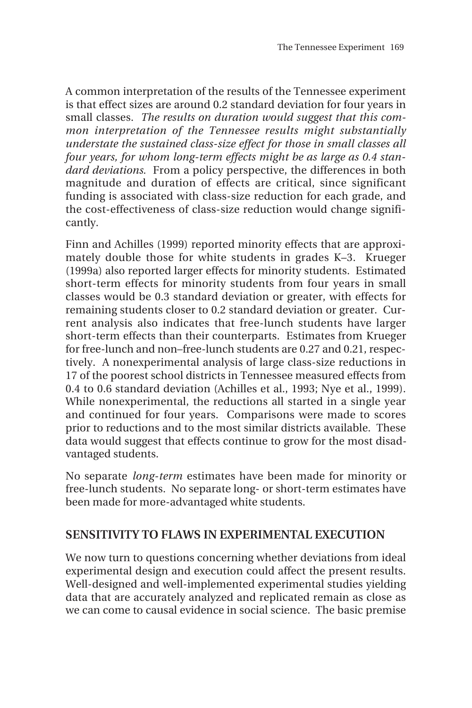A common interpretation of the results of the Tennessee experiment is that effect sizes are around 0.2 standard deviation for four years in small classes. *The results on duration would suggest that this common interpretation of the Tennessee results might substantially understate the sustained class-size effect for those in small classes all four years, for whom long-term effects might be as large as 0.4 standard deviations.* From a policy perspective, the differences in both magnitude and duration of effects are critical, since significant funding is associated with class-size reduction for each grade, and the cost-effectiveness of class-size reduction would change significantly.

Finn and Achilles (1999) reported minority effects that are approximately double those for white students in grades K–3. Krueger (1999a) also reported larger effects for minority students. Estimated short-term effects for minority students from four years in small classes would be 0.3 standard deviation or greater, with effects for remaining students closer to 0.2 standard deviation or greater. Current analysis also indicates that free-lunch students have larger short-term effects than their counterparts. Estimates from Krueger for free-lunch and non–free-lunch students are 0.27 and 0.21, respectively. A nonexperimental analysis of large class-size reductions in 17 of the poorest school districts in Tennessee measured effects from 0.4 to 0.6 standard deviation (Achilles et al., 1993; Nye et al., 1999). While nonexperimental, the reductions all started in a single year and continued for four years. Comparisons were made to scores prior to reductions and to the most similar districts available. These data would suggest that effects continue to grow for the most disadvantaged students.

No separate *long-term* estimates have been made for minority or free-lunch students. No separate long- or short-term estimates have been made for more-advantaged white students.

### **SENSITIVITY TO FLAWS IN EXPERIMENTAL EXECUTION**

We now turn to questions concerning whether deviations from ideal experimental design and execution could affect the present results. Well-designed and well-implemented experimental studies yielding data that are accurately analyzed and replicated remain as close as we can come to causal evidence in social science. The basic premise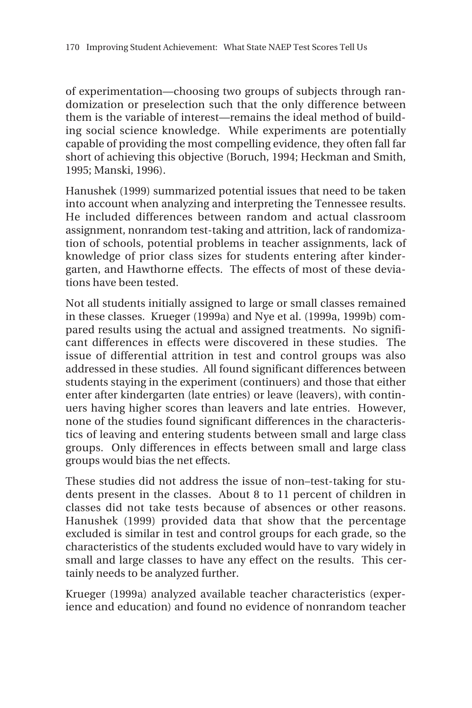of experimentation—choosing two groups of subjects through randomization or preselection such that the only difference between them is the variable of interest—remains the ideal method of building social science knowledge. While experiments are potentially capable of providing the most compelling evidence, they often fall far short of achieving this objective (Boruch, 1994; Heckman and Smith, 1995; Manski, 1996).

Hanushek (1999) summarized potential issues that need to be taken into account when analyzing and interpreting the Tennessee results. He included differences between random and actual classroom assignment, nonrandom test-taking and attrition, lack of randomization of schools, potential problems in teacher assignments, lack of knowledge of prior class sizes for students entering after kindergarten, and Hawthorne effects. The effects of most of these deviations have been tested.

Not all students initially assigned to large or small classes remained in these classes. Krueger (1999a) and Nye et al. (1999a, 1999b) compared results using the actual and assigned treatments. No significant differences in effects were discovered in these studies. The issue of differential attrition in test and control groups was also addressed in these studies. All found significant differences between students staying in the experiment (continuers) and those that either enter after kindergarten (late entries) or leave (leavers), with continuers having higher scores than leavers and late entries. However, none of the studies found significant differences in the characteristics of leaving and entering students between small and large class groups. Only differences in effects between small and large class groups would bias the net effects.

These studies did not address the issue of non–test-taking for students present in the classes. About 8 to 11 percent of children in classes did not take tests because of absences or other reasons. Hanushek (1999) provided data that show that the percentage excluded is similar in test and control groups for each grade, so the characteristics of the students excluded would have to vary widely in small and large classes to have any effect on the results. This certainly needs to be analyzed further.

Krueger (1999a) analyzed available teacher characteristics (experience and education) and found no evidence of nonrandom teacher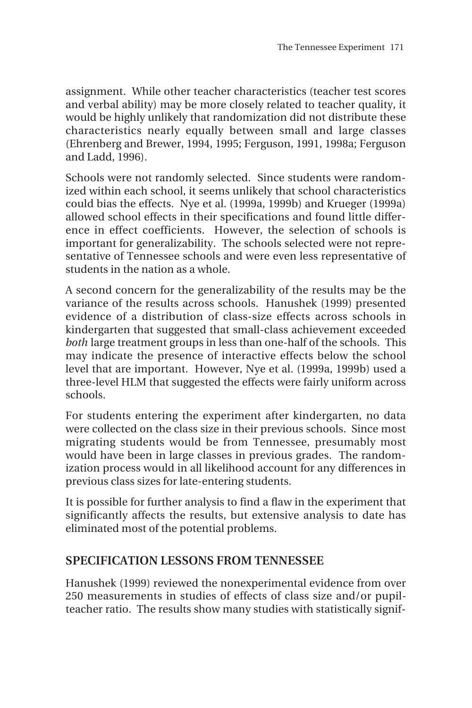assignment. While other teacher characteristics (teacher test scores and verbal ability) may be more closely related to teacher quality, it would be highly unlikely that randomization did not distribute these characteristics nearly equally between small and large classes (Ehrenberg and Brewer, 1994, 1995; Ferguson, 1991, 1998a; Ferguson and Ladd, 1996).

Schools were not randomly selected. Since students were randomized within each school, it seems unlikely that school characteristics could bias the effects. Nye et al. (1999a, 1999b) and Krueger (1999a) allowed school effects in their specifications and found little difference in effect coefficients. However, the selection of schools is important for generalizability. The schools selected were not representative of Tennessee schools and were even less representative of students in the nation as a whole.

A second concern for the generalizability of the results may be the variance of the results across schools. Hanushek (1999) presented evidence of a distribution of class-size effects across schools in kindergarten that suggested that small-class achievement exceeded *both* large treatment groups in less than one-half of the schools. This may indicate the presence of interactive effects below the school level that are important. However, Nye et al. (1999a, 1999b) used a three-level HLM that suggested the effects were fairly uniform across schools.

For students entering the experiment after kindergarten, no data were collected on the class size in their previous schools. Since most migrating students would be from Tennessee, presumably most would have been in large classes in previous grades. The randomization process would in all likelihood account for any differences in previous class sizes for late-entering students.

It is possible for further analysis to find a flaw in the experiment that significantly affects the results, but extensive analysis to date has eliminated most of the potential problems.

### **SPECIFICATION LESSONS FROM TENNESSEE**

Hanushek (1999) reviewed the nonexperimental evidence from over 250 measurements in studies of effects of class size and/or pupilteacher ratio. The results show many studies with statistically signif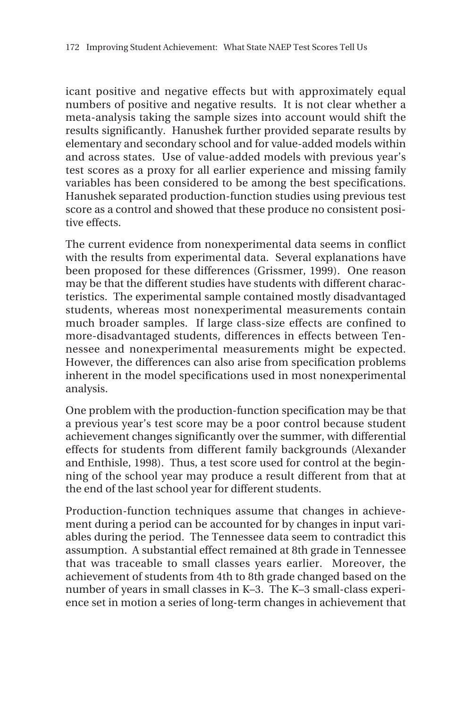icant positive and negative effects but with approximately equal numbers of positive and negative results. It is not clear whether a meta-analysis taking the sample sizes into account would shift the results significantly. Hanushek further provided separate results by elementary and secondary school and for value-added models within and across states. Use of value-added models with previous year's test scores as a proxy for all earlier experience and missing family variables has been considered to be among the best specifications. Hanushek separated production-function studies using previous test score as a control and showed that these produce no consistent positive effects.

The current evidence from nonexperimental data seems in conflict with the results from experimental data. Several explanations have been proposed for these differences (Grissmer, 1999). One reason may be that the different studies have students with different characteristics. The experimental sample contained mostly disadvantaged students, whereas most nonexperimental measurements contain much broader samples. If large class-size effects are confined to more-disadvantaged students, differences in effects between Tennessee and nonexperimental measurements might be expected. However, the differences can also arise from specification problems inherent in the model specifications used in most nonexperimental analysis.

One problem with the production-function specification may be that a previous year's test score may be a poor control because student achievement changes significantly over the summer, with differential effects for students from different family backgrounds (Alexander and Enthisle, 1998). Thus, a test score used for control at the beginning of the school year may produce a result different from that at the end of the last school year for different students.

Production-function techniques assume that changes in achievement during a period can be accounted for by changes in input variables during the period. The Tennessee data seem to contradict this assumption. A substantial effect remained at 8th grade in Tennessee that was traceable to small classes years earlier. Moreover, the achievement of students from 4th to 8th grade changed based on the number of years in small classes in K–3. The K–3 small-class experience set in motion a series of long-term changes in achievement that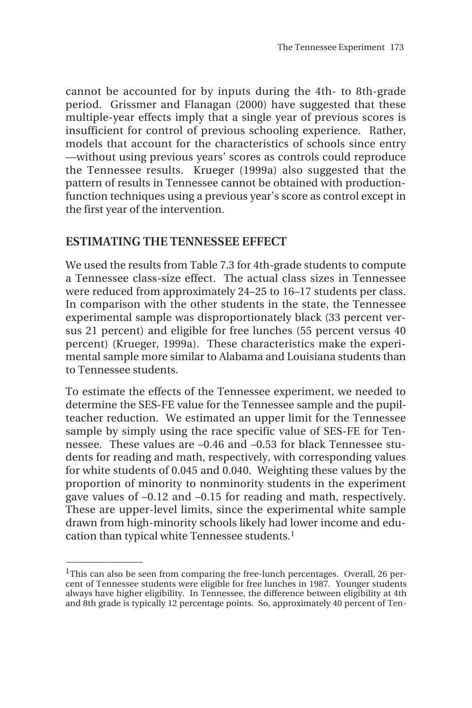cannot be accounted for by inputs during the 4th- to 8th-grade period. Grissmer and Flanagan (2000) have suggested that these multiple-year effects imply that a single year of previous scores is insufficient for control of previous schooling experience. Rather, models that account for the characteristics of schools since entry —without using previous years' scores as controls could reproduce the Tennessee results. Krueger (1999a) also suggested that the pattern of results in Tennessee cannot be obtained with productionfunction techniques using a previous year's score as control except in the first year of the intervention.

### **ESTIMATING THE TENNESSEE EFFECT**

 $\overline{\phantom{a}}$ 

We used the results from Table 7.3 for 4th-grade students to compute a Tennessee class-size effect. The actual class sizes in Tennessee were reduced from approximately 24–25 to 16–17 students per class. In comparison with the other students in the state, the Tennessee experimental sample was disproportionately black (33 percent versus 21 percent) and eligible for free lunches (55 percent versus 40 percent) (Krueger, 1999a). These characteristics make the experimental sample more similar to Alabama and Louisiana students than to Tennessee students.

To estimate the effects of the Tennessee experiment, we needed to determine the SES-FE value for the Tennessee sample and the pupilteacher reduction. We estimated an upper limit for the Tennessee sample by simply using the race specific value of SES-FE for Tennessee. These values are –0.46 and –0.53 for black Tennessee students for reading and math, respectively, with corresponding values for white students of 0.045 and 0.040. Weighting these values by the proportion of minority to nonminority students in the experiment gave values of –0.12 and –0.15 for reading and math, respectively. These are upper-level limits, since the experimental white sample drawn from high-minority schools likely had lower income and education than typical white Tennessee students.<sup>1</sup>

<sup>&</sup>lt;sup>1</sup>This can also be seen from comparing the free-lunch percentages. Overall, 26 percent of Tennessee students were eligible for free lunches in 1987. Younger students always have higher eligibility. In Tennessee, the difference between eligibility at 4th and 8th grade is typically 12 percentage points. So, approximately 40 percent of Ten-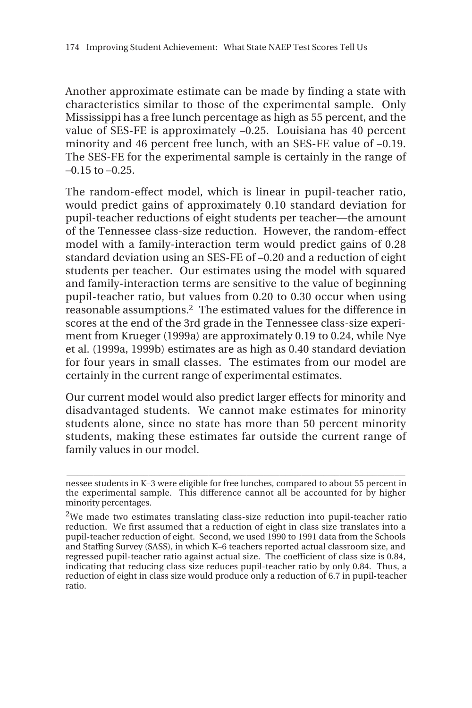Another approximate estimate can be made by finding a state with characteristics similar to those of the experimental sample. Only Mississippi has a free lunch percentage as high as 55 percent, and the value of SES-FE is approximately –0.25. Louisiana has 40 percent minority and 46 percent free lunch, with an SES-FE value of –0.19. The SES-FE for the experimental sample is certainly in the range of  $-0.15$  to  $-0.25$ .

The random-effect model, which is linear in pupil-teacher ratio, would predict gains of approximately 0.10 standard deviation for pupil-teacher reductions of eight students per teacher—the amount of the Tennessee class-size reduction. However, the random-effect model with a family-interaction term would predict gains of 0.28 standard deviation using an SES-FE of –0.20 and a reduction of eight students per teacher. Our estimates using the model with squared and family-interaction terms are sensitive to the value of beginning pupil-teacher ratio, but values from 0.20 to 0.30 occur when using reasonable assumptions.2 The estimated values for the difference in scores at the end of the 3rd grade in the Tennessee class-size experiment from Krueger (1999a) are approximately 0.19 to 0.24, while Nye et al. (1999a, 1999b) estimates are as high as 0.40 standard deviation for four years in small classes. The estimates from our model are certainly in the current range of experimental estimates.

Our current model would also predict larger effects for minority and disadvantaged students. We cannot make estimates for minority students alone, since no state has more than 50 percent minority students, making these estimates far outside the current range of family values in our model.

**\_\_\_\_\_\_\_\_\_\_\_\_\_\_\_\_\_\_\_\_\_\_\_\_\_\_\_\_\_\_\_\_\_\_\_\_\_\_\_\_\_\_\_\_\_\_\_\_\_\_\_\_\_\_\_\_\_\_\_\_\_\_** nessee students in K–3 were eligible for free lunches, compared to about 55 percent in the experimental sample. This difference cannot all be accounted for by higher minority percentages.

<sup>&</sup>lt;sup>2</sup>We made two estimates translating class-size reduction into pupil-teacher ratio reduction. We first assumed that a reduction of eight in class size translates into a pupil-teacher reduction of eight. Second, we used 1990 to 1991 data from the Schools and Staffing Survey (SASS), in which K–6 teachers reported actual classroom size, and regressed pupil-teacher ratio against actual size. The coefficient of class size is 0.84, indicating that reducing class size reduces pupil-teacher ratio by only 0.84. Thus, a reduction of eight in class size would produce only a reduction of 6.7 in pupil-teacher ratio.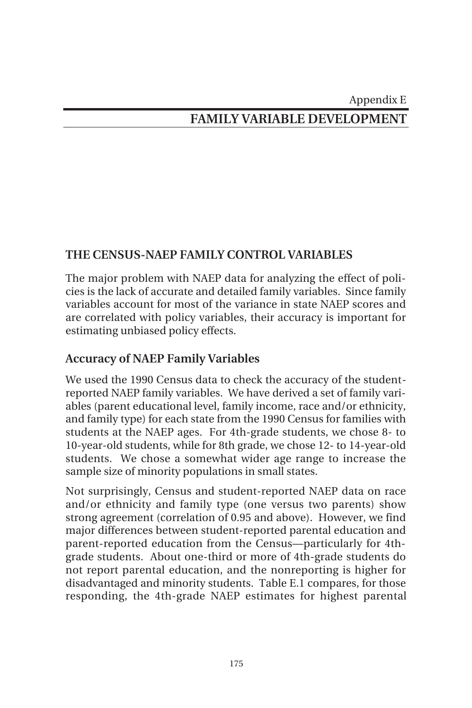### Appendix E

# **FAMILY VARIABLE DEVELOPMENT**

### **THE CENSUS-NAEP FAMILY CONTROL VARIABLES**

The major problem with NAEP data for analyzing the effect of policies is the lack of accurate and detailed family variables. Since family variables account for most of the variance in state NAEP scores and are correlated with policy variables, their accuracy is important for estimating unbiased policy effects.

### **Accuracy of NAEP Family Variables**

We used the 1990 Census data to check the accuracy of the studentreported NAEP family variables. We have derived a set of family variables (parent educational level, family income, race and/or ethnicity, and family type) for each state from the 1990 Census for families with students at the NAEP ages. For 4th-grade students, we chose 8- to 10-year-old students, while for 8th grade, we chose 12- to 14-year-old students. We chose a somewhat wider age range to increase the sample size of minority populations in small states.

Not surprisingly, Census and student-reported NAEP data on race and/or ethnicity and family type (one versus two parents) show strong agreement (correlation of 0.95 and above). However, we find major differences between student-reported parental education and parent-reported education from the Census—particularly for 4thgrade students. About one-third or more of 4th-grade students do not report parental education, and the nonreporting is higher for disadvantaged and minority students. Table E.1 compares, for those responding, the 4th-grade NAEP estimates for highest parental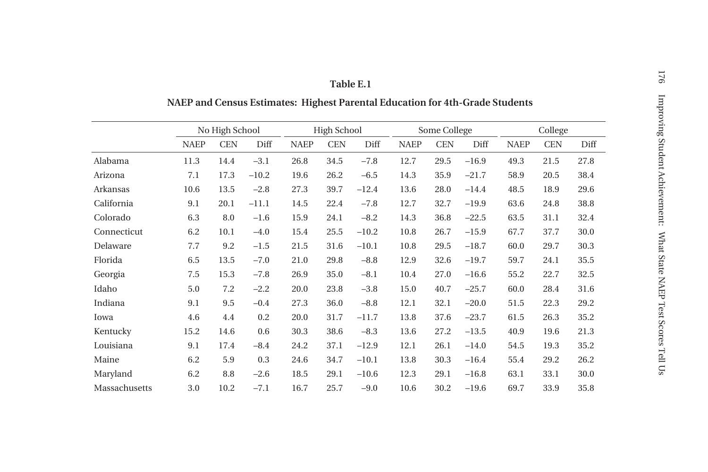|               |             | No High School |         |             | <b>High School</b> |         |             | Some College |         |             | College    |      |  |
|---------------|-------------|----------------|---------|-------------|--------------------|---------|-------------|--------------|---------|-------------|------------|------|--|
|               | <b>NAEP</b> | <b>CEN</b>     | Diff    | <b>NAEP</b> | <b>CEN</b>         | Diff    | <b>NAEP</b> | <b>CEN</b>   | Diff    | <b>NAEP</b> | <b>CEN</b> | Diff |  |
| Alabama       | 11.3        | 14.4           | $-3.1$  | 26.8        | 34.5               | $-7.8$  | 12.7        | 29.5         | $-16.9$ | 49.3        | 21.5       | 27.8 |  |
| Arizona       | 7.1         | 17.3           | $-10.2$ | 19.6        | 26.2               | $-6.5$  | 14.3        | 35.9         | $-21.7$ | 58.9        | 20.5       | 38.4 |  |
| Arkansas      | 10.6        | 13.5           | $-2.8$  | 27.3        | 39.7               | $-12.4$ | 13.6        | 28.0         | $-14.4$ | 48.5        | 18.9       | 29.6 |  |
| California    | 9.1         | 20.1           | $-11.1$ | 14.5        | 22.4               | $-7.8$  | 12.7        | 32.7         | $-19.9$ | 63.6        | 24.8       | 38.8 |  |
| Colorado      | 6.3         | 8.0            | $-1.6$  | 15.9        | 24.1               | $-8.2$  | 14.3        | 36.8         | $-22.5$ | 63.5        | 31.1       | 32.4 |  |
| Connecticut   | 6.2         | 10.1           | $-4.0$  | 15.4        | 25.5               | $-10.2$ | 10.8        | 26.7         | $-15.9$ | 67.7        | 37.7       | 30.0 |  |
| Delaware      | 7.7         | 9.2            | $-1.5$  | 21.5        | 31.6               | $-10.1$ | 10.8        | 29.5         | $-18.7$ | 60.0        | 29.7       | 30.3 |  |
| Florida       | 6.5         | 13.5           | $-7.0$  | 21.0        | 29.8               | $-8.8$  | 12.9        | 32.6         | $-19.7$ | 59.7        | 24.1       | 35.5 |  |
| Georgia       | 7.5         | 15.3           | $-7.8$  | 26.9        | 35.0               | $-8.1$  | 10.4        | 27.0         | $-16.6$ | 55.2        | 22.7       | 32.5 |  |
| Idaho         | 5.0         | 7.2            | $-2.2$  | 20.0        | 23.8               | $-3.8$  | 15.0        | 40.7         | $-25.7$ | 60.0        | 28.4       | 31.6 |  |
| Indiana       | 9.1         | 9.5            | $-0.4$  | 27.3        | 36.0               | $-8.8$  | 12.1        | 32.1         | $-20.0$ | 51.5        | 22.3       | 29.2 |  |
| Iowa          | 4.6         | 4.4            | 0.2     | 20.0        | 31.7               | $-11.7$ | 13.8        | 37.6         | $-23.7$ | 61.5        | 26.3       | 35.2 |  |
| Kentucky      | 15.2        | 14.6           | 0.6     | 30.3        | 38.6               | $-8.3$  | 13.6        | 27.2         | $-13.5$ | 40.9        | 19.6       | 21.3 |  |
| Louisiana     | 9.1         | 17.4           | $-8.4$  | 24.2        | 37.1               | $-12.9$ | 12.1        | 26.1         | $-14.0$ | 54.5        | 19.3       | 35.2 |  |
| Maine         | 6.2         | 5.9            | 0.3     | 24.6        | 34.7               | $-10.1$ | 13.8        | 30.3         | $-16.4$ | 55.4        | 29.2       | 26.2 |  |
| Maryland      | 6.2         | 8.8            | $-2.6$  | 18.5        | 29.1               | $-10.6$ | 12.3        | 29.1         | $-16.8$ | 63.1        | 33.1       | 30.0 |  |
| Massachusetts | 3.0         | 10.2           | $-7.1$  | 16.7        | 25.7               | $-9.0$  | 10.6        | 30.2         | $-19.6$ | 69.7        | 33.9       | 35.8 |  |

## **NAEP and Census Estimates: Highest Parental Education for 4th-Grade Students**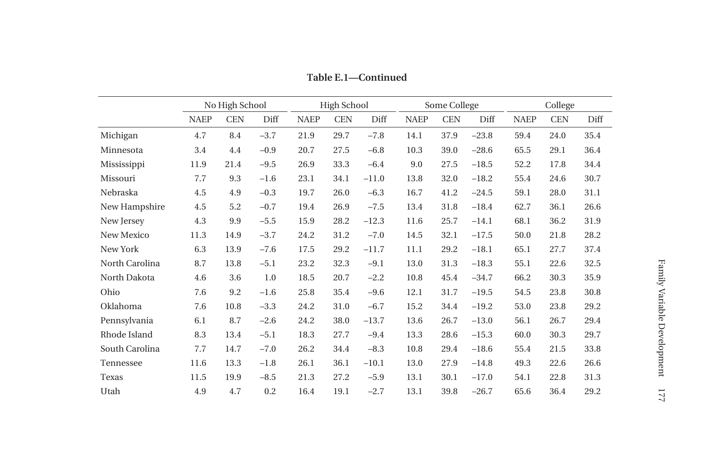|                | No High School |            | <b>High School</b> |             |            | Some College |             |            | College |             |            |      |
|----------------|----------------|------------|--------------------|-------------|------------|--------------|-------------|------------|---------|-------------|------------|------|
|                | <b>NAEP</b>    | <b>CEN</b> | Diff               | <b>NAEP</b> | <b>CEN</b> | Diff         | <b>NAEP</b> | <b>CEN</b> | Diff    | <b>NAEP</b> | <b>CEN</b> | Diff |
| Michigan       | 4.7            | 8.4        | $-3.7$             | 21.9        | 29.7       | $-7.8$       | 14.1        | 37.9       | $-23.8$ | 59.4        | 24.0       | 35.4 |
| Minnesota      | 3.4            | 4.4        | $-0.9$             | 20.7        | 27.5       | $-6.8$       | 10.3        | 39.0       | $-28.6$ | 65.5        | 29.1       | 36.4 |
| Mississippi    | 11.9           | 21.4       | $-9.5$             | 26.9        | 33.3       | $-6.4$       | 9.0         | 27.5       | $-18.5$ | 52.2        | 17.8       | 34.4 |
| Missouri       | 7.7            | 9.3        | $-1.6$             | 23.1        | 34.1       | $-11.0$      | 13.8        | 32.0       | $-18.2$ | 55.4        | 24.6       | 30.7 |
| Nebraska       | 4.5            | 4.9        | $-0.3$             | 19.7        | 26.0       | $-6.3$       | 16.7        | 41.2       | $-24.5$ | 59.1        | 28.0       | 31.1 |
| New Hampshire  | 4.5            | 5.2        | $-0.7$             | 19.4        | 26.9       | $-7.5$       | 13.4        | 31.8       | $-18.4$ | 62.7        | 36.1       | 26.6 |
| New Jersey     | 4.3            | 9.9        | $-5.5$             | 15.9        | 28.2       | $-12.3$      | 11.6        | 25.7       | $-14.1$ | 68.1        | 36.2       | 31.9 |
| New Mexico     | 11.3           | 14.9       | $-3.7$             | 24.2        | 31.2       | $-7.0$       | 14.5        | 32.1       | $-17.5$ | 50.0        | 21.8       | 28.2 |
| New York       | 6.3            | 13.9       | $-7.6$             | 17.5        | 29.2       | $-11.7$      | 11.1        | 29.2       | $-18.1$ | 65.1        | 27.7       | 37.4 |
| North Carolina | 8.7            | 13.8       | $-5.1$             | 23.2        | 32.3       | $-9.1$       | 13.0        | 31.3       | $-18.3$ | 55.1        | 22.6       | 32.5 |
| North Dakota   | 4.6            | 3.6        | 1.0                | 18.5        | 20.7       | $-2.2$       | 10.8        | 45.4       | $-34.7$ | 66.2        | 30.3       | 35.9 |
| Ohio           | 7.6            | 9.2        | $-1.6$             | 25.8        | 35.4       | $-9.6$       | 12.1        | 31.7       | $-19.5$ | 54.5        | 23.8       | 30.8 |
| Oklahoma       | 7.6            | 10.8       | $-3.3$             | 24.2        | 31.0       | $-6.7$       | 15.2        | 34.4       | $-19.2$ | 53.0        | 23.8       | 29.2 |
| Pennsylvania   | 6.1            | 8.7        | $-2.6$             | 24.2        | 38.0       | $-13.7$      | 13.6        | 26.7       | $-13.0$ | 56.1        | 26.7       | 29.4 |
| Rhode Island   | 8.3            | 13.4       | $-5.1$             | 18.3        | 27.7       | $-9.4$       | 13.3        | 28.6       | $-15.3$ | 60.0        | 30.3       | 29.7 |
| South Carolina | 7.7            | 14.7       | $-7.0$             | 26.2        | 34.4       | $-8.3$       | 10.8        | 29.4       | $-18.6$ | 55.4        | 21.5       | 33.8 |
| Tennessee      | 11.6           | 13.3       | $-1.8$             | 26.1        | 36.1       | $-10.1$      | 13.0        | 27.9       | $-14.8$ | 49.3        | 22.6       | 26.6 |
| Texas          | 11.5           | 19.9       | $-8.5$             | 21.3        | 27.2       | $-5.9$       | 13.1        | 30.1       | $-17.0$ | 54.1        | 22.8       | 31.3 |
| Utah           | 4.9            | 4.7        | 0.2                | 16.4        | 19.1       | $-2.7$       | 13.1        | 39.8       | $-26.7$ | 65.6        | 36.4       | 29.2 |

**Table E.1—Continued**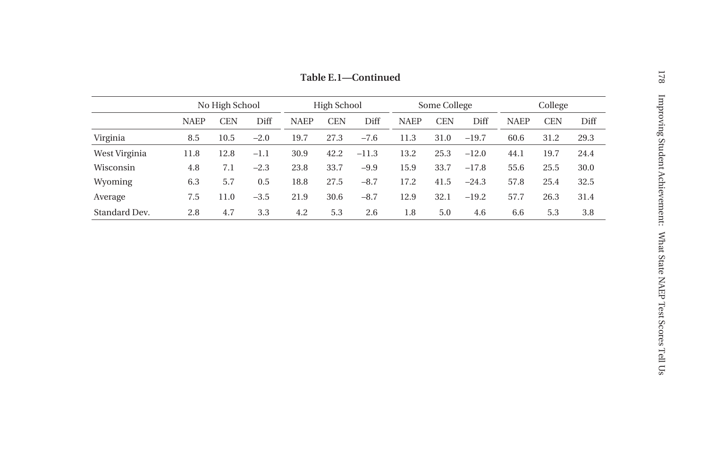|               |             | No High School |        | High School |            |         | Some College |            |         | College     |            |      |
|---------------|-------------|----------------|--------|-------------|------------|---------|--------------|------------|---------|-------------|------------|------|
|               | <b>NAEP</b> | <b>CEN</b>     | Diff   | <b>NAEP</b> | <b>CEN</b> | Diff    | <b>NAEP</b>  | <b>CEN</b> | Diff    | <b>NAEP</b> | <b>CEN</b> | Diff |
| Virginia      | 8.5         | 10.5           | $-2.0$ | 19.7        | 27.3       | $-7.6$  | 11.3         | 31.0       | $-19.7$ | 60.6        | 31.2       | 29.3 |
| West Virginia | 11.8        | 12.8           | $-1.1$ | 30.9        | 42.2       | $-11.3$ | 13.2         | 25.3       | $-12.0$ | 44.1        | 19.7       | 24.4 |
| Wisconsin     | 4.8         | 7.1            | $-2.3$ | 23.8        | 33.7       | $-9.9$  | 15.9         | 33.7       | $-17.8$ | 55.6        | 25.5       | 30.0 |
| Wyoming       | 6.3         | 5.7            | 0.5    | 18.8        | 27.5       | $-8.7$  | 17.2         | 41.5       | $-24.3$ | 57.8        | 25.4       | 32.5 |
| Average       | 7.5         | 11.0           | $-3.5$ | 21.9        | 30.6       | $-8.7$  | 12.9         | 32.1       | $-19.2$ | 57.7        | 26.3       | 31.4 |
| Standard Dev. | 2.8         | 4.7            | 3.3    | 4.2         | 5.3        | 2.6     | 1.8          | 5.0        | 4.6     | 6.6         | 5.3        | 3.8  |

**Table E.1—Continued**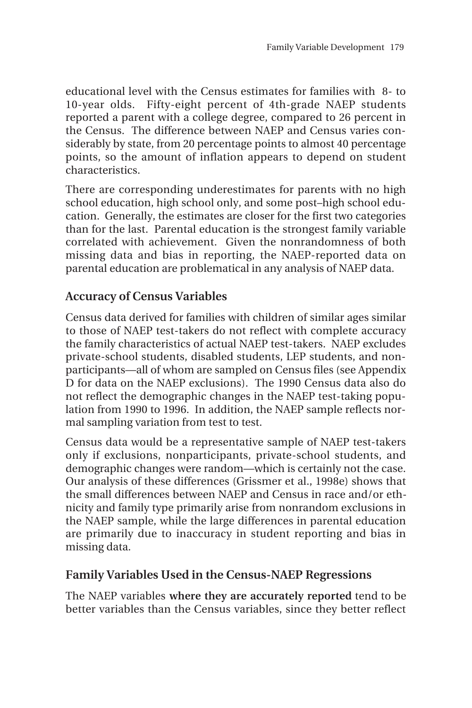educational level with the Census estimates for families with 8- to 10-year olds. Fifty-eight percent of 4th-grade NAEP students reported a parent with a college degree, compared to 26 percent in the Census. The difference between NAEP and Census varies considerably by state, from 20 percentage points to almost 40 percentage points, so the amount of inflation appears to depend on student characteristics.

There are corresponding underestimates for parents with no high school education, high school only, and some post–high school education. Generally, the estimates are closer for the first two categories than for the last. Parental education is the strongest family variable correlated with achievement. Given the nonrandomness of both missing data and bias in reporting, the NAEP-reported data on parental education are problematical in any analysis of NAEP data.

## **Accuracy of Census Variables**

Census data derived for families with children of similar ages similar to those of NAEP test-takers do not reflect with complete accuracy the family characteristics of actual NAEP test-takers. NAEP excludes private-school students, disabled students, LEP students, and nonparticipants—all of whom are sampled on Census files (see Appendix D for data on the NAEP exclusions). The 1990 Census data also do not reflect the demographic changes in the NAEP test-taking population from 1990 to 1996. In addition, the NAEP sample reflects normal sampling variation from test to test.

Census data would be a representative sample of NAEP test-takers only if exclusions, nonparticipants, private-school students, and demographic changes were random—which is certainly not the case. Our analysis of these differences (Grissmer et al., 1998e) shows that the small differences between NAEP and Census in race and/or ethnicity and family type primarily arise from nonrandom exclusions in the NAEP sample, while the large differences in parental education are primarily due to inaccuracy in student reporting and bias in missing data.

## **Family Variables Used in the Census-NAEP Regressions**

The NAEP variables **where they are accurately reported** tend to be better variables than the Census variables, since they better reflect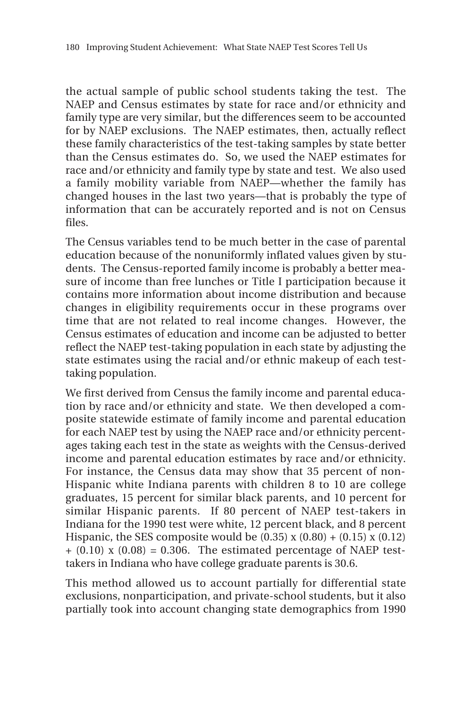the actual sample of public school students taking the test. The NAEP and Census estimates by state for race and/or ethnicity and family type are very similar, but the differences seem to be accounted for by NAEP exclusions. The NAEP estimates, then, actually reflect these family characteristics of the test-taking samples by state better than the Census estimates do. So, we used the NAEP estimates for race and/or ethnicity and family type by state and test. We also used a family mobility variable from NAEP—whether the family has changed houses in the last two years—that is probably the type of information that can be accurately reported and is not on Census files.

The Census variables tend to be much better in the case of parental education because of the nonuniformly inflated values given by students. The Census-reported family income is probably a better measure of income than free lunches or Title I participation because it contains more information about income distribution and because changes in eligibility requirements occur in these programs over time that are not related to real income changes. However, the Census estimates of education and income can be adjusted to better reflect the NAEP test-taking population in each state by adjusting the state estimates using the racial and/or ethnic makeup of each testtaking population.

We first derived from Census the family income and parental education by race and/or ethnicity and state. We then developed a composite statewide estimate of family income and parental education for each NAEP test by using the NAEP race and/or ethnicity percentages taking each test in the state as weights with the Census-derived income and parental education estimates by race and/or ethnicity. For instance, the Census data may show that 35 percent of non-Hispanic white Indiana parents with children 8 to 10 are college graduates, 15 percent for similar black parents, and 10 percent for similar Hispanic parents. If 80 percent of NAEP test-takers in Indiana for the 1990 test were white, 12 percent black, and 8 percent Hispanic, the SES composite would be  $(0.35)$  x  $(0.80) + (0.15)$  x  $(0.12)$  $+$  (0.10) x (0.08) = 0.306. The estimated percentage of NAEP testtakers in Indiana who have college graduate parents is 30.6.

This method allowed us to account partially for differential state exclusions, nonparticipation, and private-school students, but it also partially took into account changing state demographics from 1990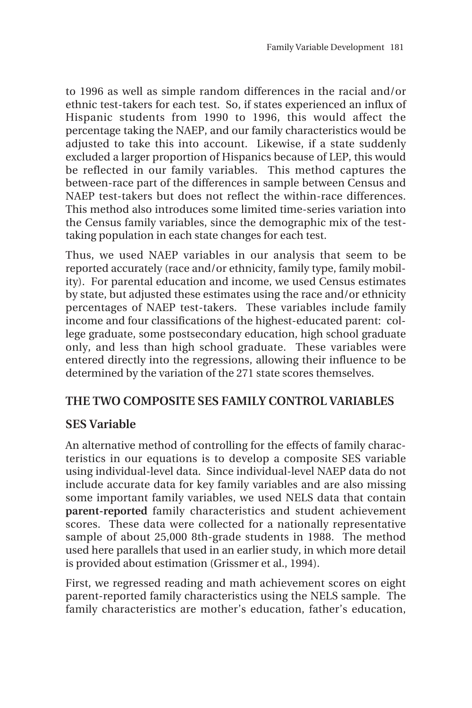to 1996 as well as simple random differences in the racial and/or ethnic test-takers for each test. So, if states experienced an influx of Hispanic students from 1990 to 1996, this would affect the percentage taking the NAEP, and our family characteristics would be adjusted to take this into account. Likewise, if a state suddenly excluded a larger proportion of Hispanics because of LEP, this would be reflected in our family variables. This method captures the between-race part of the differences in sample between Census and NAEP test-takers but does not reflect the within-race differences. This method also introduces some limited time-series variation into the Census family variables, since the demographic mix of the testtaking population in each state changes for each test.

Thus, we used NAEP variables in our analysis that seem to be reported accurately (race and/or ethnicity, family type, family mobility). For parental education and income, we used Census estimates by state, but adjusted these estimates using the race and/or ethnicity percentages of NAEP test-takers. These variables include family income and four classifications of the highest-educated parent: college graduate, some postsecondary education, high school graduate only, and less than high school graduate. These variables were entered directly into the regressions, allowing their influence to be determined by the variation of the 271 state scores themselves.

# **THE TWO COMPOSITE SES FAMILY CONTROL VARIABLES**

# **SES Variable**

An alternative method of controlling for the effects of family characteristics in our equations is to develop a composite SES variable using individual-level data. Since individual-level NAEP data do not include accurate data for key family variables and are also missing some important family variables, we used NELS data that contain **parent-reported** family characteristics and student achievement scores. These data were collected for a nationally representative sample of about 25,000 8th-grade students in 1988. The method used here parallels that used in an earlier study, in which more detail is provided about estimation (Grissmer et al., 1994).

First, we regressed reading and math achievement scores on eight parent-reported family characteristics using the NELS sample. The family characteristics are mother's education, father's education,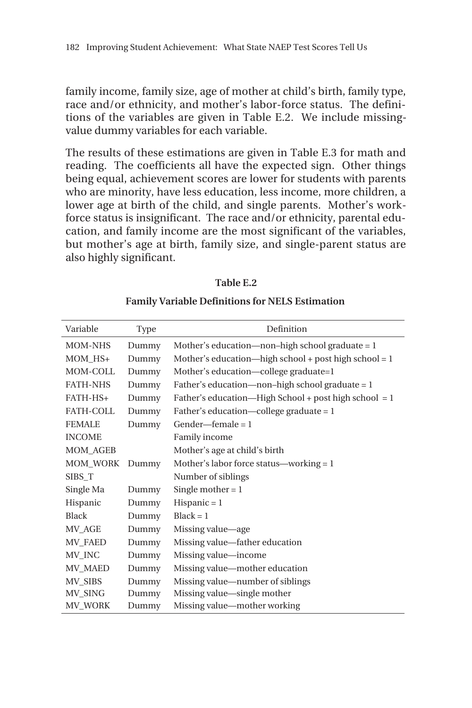family income, family size, age of mother at child's birth, family type, race and/or ethnicity, and mother's labor-force status. The definitions of the variables are given in Table E.2. We include missingvalue dummy variables for each variable.

The results of these estimations are given in Table E.3 for math and reading. The coefficients all have the expected sign. Other things being equal, achievement scores are lower for students with parents who are minority, have less education, less income, more children, a lower age at birth of the child, and single parents. Mother's workforce status is insignificant. The race and/or ethnicity, parental education, and family income are the most significant of the variables, but mother's age at birth, family size, and single-parent status are also highly significant.

| æ<br>ın<br>Н |  |
|--------------|--|
|--------------|--|

| Variable         | Type  | Definition                                            |
|------------------|-------|-------------------------------------------------------|
| MOM-NHS          | Dummy | Mother's education—non-high school graduate = $1$     |
| MOM HS+          | Dummy | Mother's education—high school + post high school = 1 |
| MOM-COLL         | Dummy | Mother's education—college graduate=1                 |
| <b>FATH-NHS</b>  | Dummy | Father's education—non-high school graduate $= 1$     |
| FATH-HS+         | Dummy | Father's education—High School + post high school = 1 |
| <b>FATH-COLL</b> | Dummy | Father's education—college graduate = $1$             |
| <b>FEMALE</b>    | Dummy | $Gender$ $-$ female = 1                               |
| <b>INCOME</b>    |       | Family income                                         |
| <b>MOM_AGEB</b>  |       | Mother's age at child's birth                         |
| <b>MOM WORK</b>  | Dummy | Mother's labor force status—working $= 1$             |
| SIBS_T           |       | Number of siblings                                    |
| Single Ma        | Dummy | Single mother $= 1$                                   |
| Hispanic         | Dummy | $Hispanic = 1$                                        |
| <b>Black</b>     | Dummy | $Black = 1$                                           |
| MV_AGE           | Dummy | Missing value—age                                     |
| <b>MV_FAED</b>   | Dummy | Missing value—father education                        |
| MV_INC           | Dummy | Missing value—income                                  |
| MV MAED          | Dummy | Missing value—mother education                        |
| MV_SIBS          | Dummy | Missing value—number of siblings                      |
| MV_SING          | Dummy | Missing value—single mother                           |
| <b>MV_WORK</b>   | Dummy | Missing value—mother working                          |

#### **Family Variable Definitions for NELS Estimation**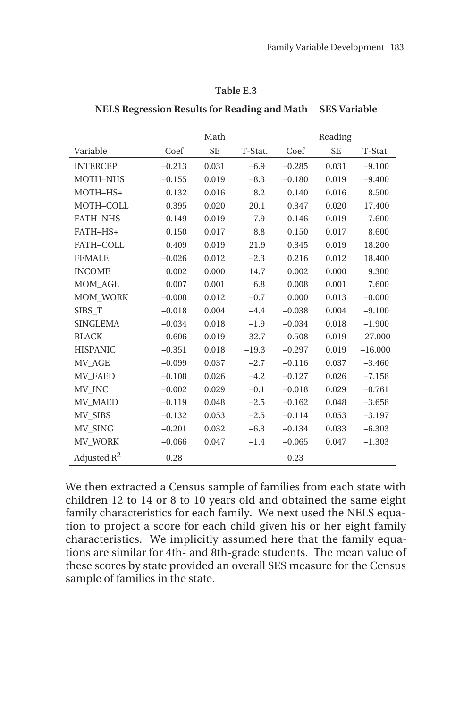#### **Table E.3**

|                 |          | Math      |         |          | Reading   |           |
|-----------------|----------|-----------|---------|----------|-----------|-----------|
| Variable        | Coef     | <b>SE</b> | T-Stat. | Coef     | <b>SE</b> | T-Stat.   |
| <b>INTERCEP</b> | $-0.213$ | 0.031     | $-6.9$  | $-0.285$ | 0.031     | $-9.100$  |
| MOTH-NHS        | $-0.155$ | 0.019     | $-8.3$  | $-0.180$ | 0.019     | $-9.400$  |
| MOTH-HS+        | 0.132    | 0.016     | 8.2     | 0.140    | 0.016     | 8.500     |
| MOTH-COLL       | 0.395    | 0.020     | 20.1    | 0.347    | 0.020     | 17.400    |
| <b>FATH-NHS</b> | $-0.149$ | 0.019     | $-7.9$  | $-0.146$ | 0.019     | $-7.600$  |
| FATH-HS+        | 0.150    | 0.017     | 8.8     | 0.150    | 0.017     | 8.600     |
| FATH-COLL       | 0.409    | 0.019     | 21.9    | 0.345    | 0.019     | 18.200    |
| <b>FEMALE</b>   | $-0.026$ | 0.012     | $-2.3$  | 0.216    | 0.012     | 18.400    |
| <b>INCOME</b>   | 0.002    | 0.000     | 14.7    | 0.002    | 0.000     | 9.300     |
| <b>MOM AGE</b>  | 0.007    | 0.001     | 6.8     | 0.008    | 0.001     | 7.600     |
| <b>MOM WORK</b> | $-0.008$ | 0.012     | $-0.7$  | 0.000    | 0.013     | $-0.000$  |
| SIBS T          | $-0.018$ | 0.004     | $-4.4$  | $-0.038$ | 0.004     | $-9.100$  |
| <b>SINGLEMA</b> | $-0.034$ | 0.018     | $-1.9$  | $-0.034$ | 0.018     | $-1.900$  |
| <b>BLACK</b>    | $-0.606$ | 0.019     | $-32.7$ | $-0.508$ | 0.019     | $-27.000$ |
| <b>HISPANIC</b> | $-0.351$ | 0.018     | $-19.3$ | $-0.297$ | 0.019     | $-16,000$ |
| MV AGE          | $-0.099$ | 0.037     | $-2.7$  | $-0.116$ | 0.037     | $-3.460$  |
| <b>MV FAED</b>  | $-0.108$ | 0.026     | $-4.2$  | $-0.127$ | 0.026     | $-7.158$  |
| MV INC          | $-0.002$ | 0.029     | $-0.1$  | $-0.018$ | 0.029     | $-0.761$  |
| MV MAED         | $-0.119$ | 0.048     | $-2.5$  | $-0.162$ | 0.048     | $-3.658$  |
| MV_SIBS         | $-0.132$ | 0.053     | $-2.5$  | $-0.114$ | 0.053     | $-3.197$  |
| MV SING         | $-0.201$ | 0.032     | $-6.3$  | $-0.134$ | 0.033     | $-6.303$  |
| MV WORK         | $-0.066$ | 0.047     | $-1.4$  | $-0.065$ | 0.047     | $-1.303$  |
| Adjusted $R^2$  | 0.28     |           |         | 0.23     |           |           |

**NELS Regression Results for Reading and Math —SES Variable**

We then extracted a Census sample of families from each state with children 12 to 14 or 8 to 10 years old and obtained the same eight family characteristics for each family. We next used the NELS equation to project a score for each child given his or her eight family characteristics. We implicitly assumed here that the family equations are similar for 4th- and 8th-grade students. The mean value of these scores by state provided an overall SES measure for the Census sample of families in the state.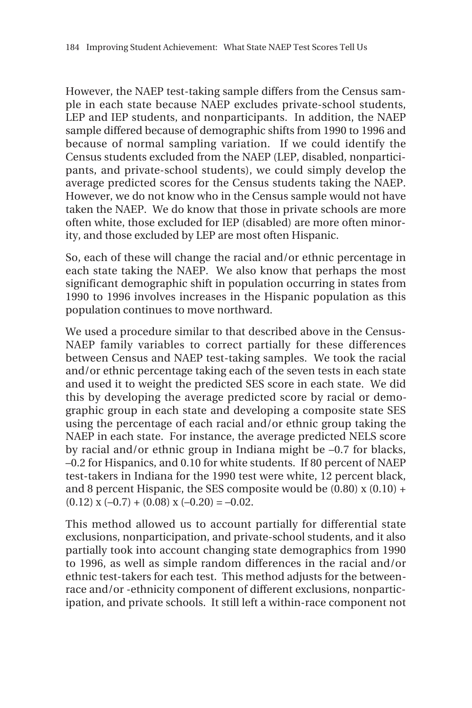However, the NAEP test-taking sample differs from the Census sample in each state because NAEP excludes private-school students, LEP and IEP students, and nonparticipants. In addition, the NAEP sample differed because of demographic shifts from 1990 to 1996 and because of normal sampling variation. If we could identify the Census students excluded from the NAEP (LEP, disabled, nonparticipants, and private-school students), we could simply develop the average predicted scores for the Census students taking the NAEP. However, we do not know who in the Census sample would not have taken the NAEP. We do know that those in private schools are more often white, those excluded for IEP (disabled) are more often minority, and those excluded by LEP are most often Hispanic.

So, each of these will change the racial and/or ethnic percentage in each state taking the NAEP. We also know that perhaps the most significant demographic shift in population occurring in states from 1990 to 1996 involves increases in the Hispanic population as this population continues to move northward.

We used a procedure similar to that described above in the Census-NAEP family variables to correct partially for these differences between Census and NAEP test-taking samples. We took the racial and/or ethnic percentage taking each of the seven tests in each state and used it to weight the predicted SES score in each state. We did this by developing the average predicted score by racial or demographic group in each state and developing a composite state SES using the percentage of each racial and/or ethnic group taking the NAEP in each state. For instance, the average predicted NELS score by racial and/or ethnic group in Indiana might be –0.7 for blacks, –0.2 for Hispanics, and 0.10 for white students. If 80 percent of NAEP test-takers in Indiana for the 1990 test were white, 12 percent black, and 8 percent Hispanic, the SES composite would be  $(0.80)$  x  $(0.10)$  +  $(0.12)$  x  $(-0.7) + (0.08)$  x  $(-0.20) = -0.02$ .

This method allowed us to account partially for differential state exclusions, nonparticipation, and private-school students, and it also partially took into account changing state demographics from 1990 to 1996, as well as simple random differences in the racial and/or ethnic test-takers for each test. This method adjusts for the betweenrace and/or -ethnicity component of different exclusions, nonparticipation, and private schools. It still left a within-race component not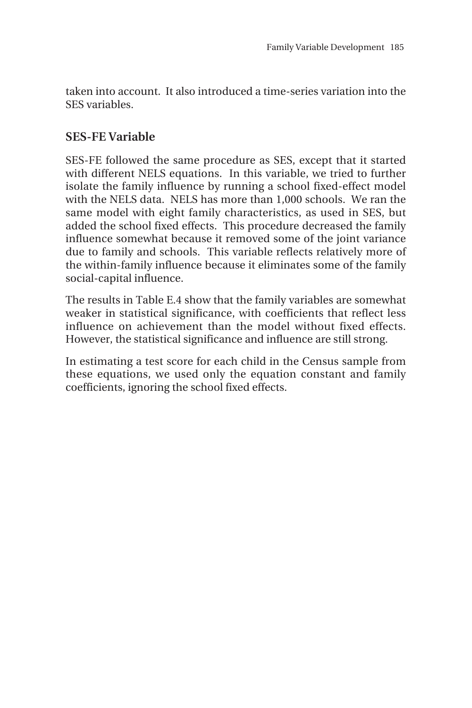taken into account. It also introduced a time-series variation into the SES variables.

# **SES-FE Variable**

SES-FE followed the same procedure as SES, except that it started with different NELS equations. In this variable, we tried to further isolate the family influence by running a school fixed-effect model with the NELS data. NELS has more than 1,000 schools. We ran the same model with eight family characteristics, as used in SES, but added the school fixed effects. This procedure decreased the family influence somewhat because it removed some of the joint variance due to family and schools. This variable reflects relatively more of the within-family influence because it eliminates some of the family social-capital influence.

The results in Table E.4 show that the family variables are somewhat weaker in statistical significance, with coefficients that reflect less influence on achievement than the model without fixed effects. However, the statistical significance and influence are still strong.

In estimating a test score for each child in the Census sample from these equations, we used only the equation constant and family coefficients, ignoring the school fixed effects.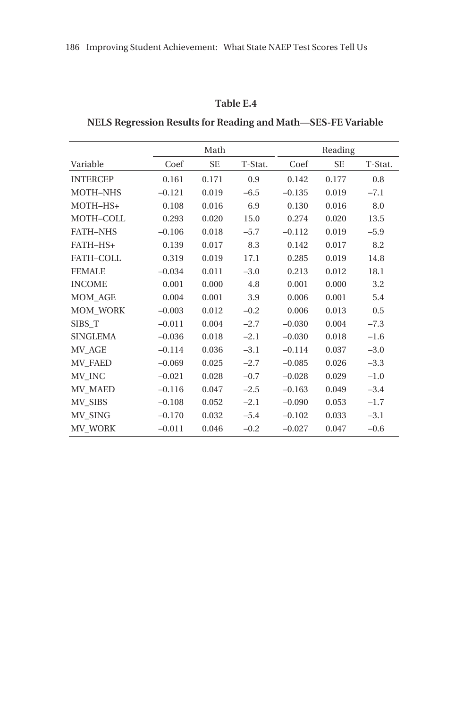## **Table E.4**

## **NELS Regression Results for Reading and Math—SES-FE Variable**

|                 |          | Math      |         |          | Reading   |         |
|-----------------|----------|-----------|---------|----------|-----------|---------|
| Variable        | Coef     | <b>SE</b> | T-Stat. | Coef     | <b>SE</b> | T-Stat. |
| <b>INTERCEP</b> | 0.161    | 0.171     | 0.9     | 0.142    | 0.177     | 0.8     |
| <b>MOTH-NHS</b> | $-0.121$ | 0.019     | $-6.5$  | $-0.135$ | 0.019     | $-7.1$  |
| MOTH-HS+        | 0.108    | 0.016     | 6.9     | 0.130    | 0.016     | 8.0     |
| MOTH-COLL       | 0.293    | 0.020     | 15.0    | 0.274    | 0.020     | 13.5    |
| <b>FATH-NHS</b> | $-0.106$ | 0.018     | $-5.7$  | $-0.112$ | 0.019     | $-5.9$  |
| FATH-HS+        | 0.139    | 0.017     | 8.3     | 0.142    | 0.017     | 8.2     |
| FATH-COLL       | 0.319    | 0.019     | 17.1    | 0.285    | 0.019     | 14.8    |
| <b>FEMALE</b>   | $-0.034$ | 0.011     | $-3.0$  | 0.213    | 0.012     | 18.1    |
| <b>INCOME</b>   | 0.001    | 0.000     | 4.8     | 0.001    | 0.000     | 3.2     |
| <b>MOM_AGE</b>  | 0.004    | 0.001     | 3.9     | 0.006    | 0.001     | 5.4     |
| <b>MOM_WORK</b> | $-0.003$ | 0.012     | $-0.2$  | 0.006    | 0.013     | 0.5     |
| SIBS T          | $-0.011$ | 0.004     | $-2.7$  | $-0.030$ | 0.004     | $-7.3$  |
| <b>SINGLEMA</b> | $-0.036$ | 0.018     | $-2.1$  | $-0.030$ | 0.018     | $-1.6$  |
| MV AGE          | $-0.114$ | 0.036     | $-3.1$  | $-0.114$ | 0.037     | $-3.0$  |
| MV FAED         | $-0.069$ | 0.025     | $-2.7$  | $-0.085$ | 0.026     | $-3.3$  |
| MV INC          | $-0.021$ | 0.028     | $-0.7$  | $-0.028$ | 0.029     | $-1.0$  |
| <b>MV_MAED</b>  | $-0.116$ | 0.047     | $-2.5$  | $-0.163$ | 0.049     | $-3.4$  |
| MV_SIBS         | $-0.108$ | 0.052     | $-2.1$  | $-0.090$ | 0.053     | $-1.7$  |
| MV_SING         | $-0.170$ | 0.032     | $-5.4$  | $-0.102$ | 0.033     | $-3.1$  |
| MV_WORK         | $-0.011$ | 0.046     | $-0.2$  | $-0.027$ | 0.047     | $-0.6$  |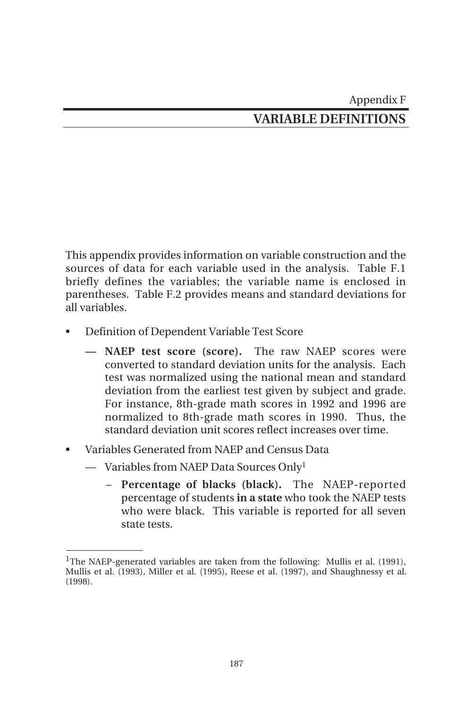This appendix provides information on variable construction and the sources of data for each variable used in the analysis. Table F.1 briefly defines the variables; the variable name is enclosed in parentheses. Table F.2 provides means and standard deviations for all variables.

- Definition of Dependent Variable Test Score
	- **NAEP test score (score).** The raw NAEP scores were converted to standard deviation units for the analysis. Each test was normalized using the national mean and standard deviation from the earliest test given by subject and grade. For instance, 8th-grade math scores in 1992 and 1996 are normalized to 8th-grade math scores in 1990. Thus, the standard deviation unit scores reflect increases over time.
- Variables Generated from NAEP and Census Data
	- Variables from NAEP Data Sources Only<sup>1</sup>

 $\overline{\phantom{a}}$ 

– **Percentage of blacks (black).** The NAEP-reported percentage of students **in a state** who took the NAEP tests who were black. This variable is reported for all seven state tests.

<sup>&</sup>lt;sup>1</sup>The NAEP-generated variables are taken from the following: Mullis et al. (1991). Mullis et al. (1993), Miller et al. (1995), Reese et al. (1997), and Shaughnessy et al. (1998).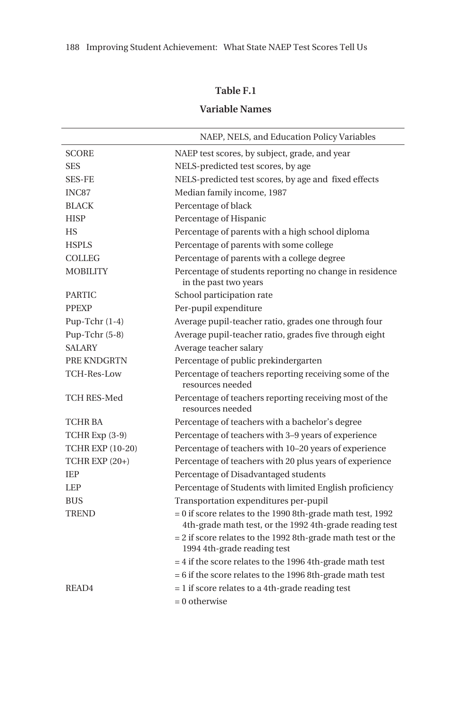## **Table F.1**

# **Variable Names**

|                         | NAEP, NELS, and Education Policy Variables                                                                              |
|-------------------------|-------------------------------------------------------------------------------------------------------------------------|
| <b>SCORE</b>            | NAEP test scores, by subject, grade, and year                                                                           |
| <b>SES</b>              | NELS-predicted test scores, by age                                                                                      |
| <b>SES-FE</b>           | NELS-predicted test scores, by age and fixed effects                                                                    |
| INC87                   | Median family income, 1987                                                                                              |
| <b>BLACK</b>            | Percentage of black                                                                                                     |
| <b>HISP</b>             | Percentage of Hispanic                                                                                                  |
| <b>HS</b>               | Percentage of parents with a high school diploma                                                                        |
| <b>HSPLS</b>            | Percentage of parents with some college                                                                                 |
| <b>COLLEG</b>           | Percentage of parents with a college degree                                                                             |
| <b>MOBILITY</b>         | Percentage of students reporting no change in residence<br>in the past two years                                        |
| <b>PARTIC</b>           | School participation rate                                                                                               |
| <b>PPEXP</b>            | Per-pupil expenditure                                                                                                   |
| Pup-Tchr $(1-4)$        | Average pupil-teacher ratio, grades one through four                                                                    |
| Pup-Tchr (5-8)          | Average pupil-teacher ratio, grades five through eight                                                                  |
| <b>SALARY</b>           | Average teacher salary                                                                                                  |
| PRE KNDGRTN             | Percentage of public prekindergarten                                                                                    |
| <b>TCH-Res-Low</b>      | Percentage of teachers reporting receiving some of the<br>resources needed                                              |
| <b>TCH RES-Med</b>      | Percentage of teachers reporting receiving most of the<br>resources needed                                              |
| <b>TCHR BA</b>          | Percentage of teachers with a bachelor's degree                                                                         |
| TCHR Exp (3-9)          | Percentage of teachers with 3-9 years of experience                                                                     |
| <b>TCHR EXP (10-20)</b> | Percentage of teachers with 10–20 years of experience                                                                   |
| TCHR EXP (20+)          | Percentage of teachers with 20 plus years of experience                                                                 |
| IEP                     | Percentage of Disadvantaged students                                                                                    |
| <b>LEP</b>              | Percentage of Students with limited English proficiency                                                                 |
| <b>BUS</b>              | Transportation expenditures per-pupil                                                                                   |
| <b>TREND</b>            | $= 0$ if score relates to the 1990 8th-grade math test, 1992<br>4th-grade math test, or the 1992 4th-grade reading test |
|                         | = 2 if score relates to the 1992 8th-grade math test or the<br>1994 4th-grade reading test                              |
|                         | $=$ 4 if the score relates to the 1996 4th-grade math test                                                              |
|                         | $= 6$ if the score relates to the 1996 8th-grade math test                                                              |
| READ <sub>4</sub>       | $= 1$ if score relates to a 4th-grade reading test                                                                      |
|                         | = 0 otherwise                                                                                                           |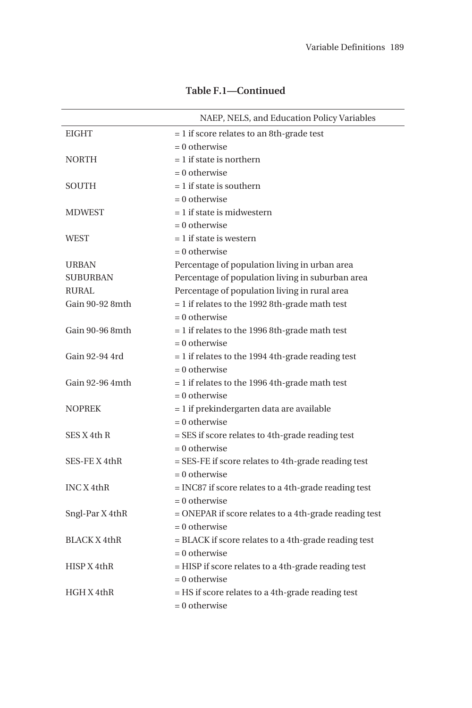|                 | NAEP, NELS, and Education Policy Variables              |
|-----------------|---------------------------------------------------------|
| <b>EIGHT</b>    | $= 1$ if score relates to an 8th-grade test             |
|                 | $= 0$ otherwise                                         |
| <b>NORTH</b>    | $= 1$ if state is northern                              |
|                 | $= 0$ otherwise                                         |
| <b>SOUTH</b>    | $= 1$ if state is southern                              |
|                 | $= 0$ otherwise                                         |
| <b>MDWEST</b>   | $= 1$ if state is midwestern                            |
|                 | $= 0$ otherwise                                         |
| <b>WEST</b>     | $= 1$ if state is western                               |
|                 | $= 0$ otherwise                                         |
| <b>URBAN</b>    | Percentage of population living in urban area           |
| <b>SUBURBAN</b> | Percentage of population living in suburban area        |
| RURAL           | Percentage of population living in rural area           |
| Gain 90-92 8mth | $= 1$ if relates to the 1992 8th-grade math test        |
|                 | $= 0$ otherwise                                         |
| Gain 90-96 8mth | $= 1$ if relates to the 1996 8th-grade math test        |
|                 | $= 0$ otherwise                                         |
| Gain 92-94 4rd  | $= 1$ if relates to the 1994 4th-grade reading test     |
|                 | $= 0$ otherwise                                         |
| Gain 92-96 4mth | $= 1$ if relates to the 1996 4th-grade math test        |
|                 | $= 0$ otherwise                                         |
| <b>NOPREK</b>   | $= 1$ if prekindergarten data are available             |
|                 | $= 0$ otherwise                                         |
| SES X 4th R     | = SES if score relates to 4th-grade reading test        |
|                 | $= 0$ otherwise                                         |
| SES-FEX4thR     | $=$ SES-FE if score relates to 4th-grade reading test   |
|                 | $= 0$ otherwise                                         |
| INC X 4thR      | = INC87 if score relates to a 4th-grade reading test    |
|                 | $= 0$ otherwise                                         |
| Sngl-Par X 4thR | $=$ ONEPAR if score relates to a 4th-grade reading test |
|                 | $= 0$ otherwise                                         |
| BLACK X 4thR    | = BLACK if score relates to a 4th-grade reading test    |
|                 | $= 0$ otherwise                                         |
| HISP X 4thR     | $=$ HISP if score relates to a 4th-grade reading test   |
|                 | $= 0$ otherwise                                         |
| HGHX4thR        | $=$ HS if score relates to a 4th-grade reading test     |
|                 | $= 0$ otherwise                                         |

## **Table F.1—Continued**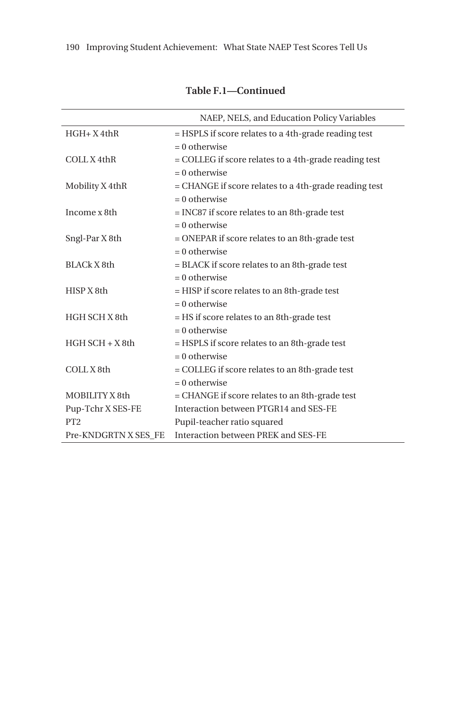|                      | NAEP, NELS, and Education Policy Variables            |
|----------------------|-------------------------------------------------------|
| $HGH+X4thR$          | = HSPLS if score relates to a 4th-grade reading test  |
|                      | $= 0$ otherwise                                       |
| COLL X 4thR          | = COLLEG if score relates to a 4th-grade reading test |
|                      | $= 0$ otherwise                                       |
| Mobility X 4thR      | = CHANGE if score relates to a 4th-grade reading test |
|                      | $= 0$ otherwise                                       |
| Income x 8th         | = INC87 if score relates to an 8th-grade test         |
|                      | $= 0$ otherwise                                       |
| Sngl-Par X 8th       | = ONEPAR if score relates to an 8th-grade test        |
|                      | $= 0$ otherwise                                       |
| BLACk X 8th          | = BLACK if score relates to an 8th-grade test         |
|                      | $= 0$ otherwise                                       |
| HISP X 8th           | = HISP if score relates to an 8th-grade test          |
|                      | $= 0$ otherwise                                       |
| HGH SCH X 8th        | = HS if score relates to an 8th-grade test            |
|                      | $= 0$ otherwise                                       |
| $HGH$ SCH $+ X8$ th  | = HSPLS if score relates to an 8th-grade test         |
|                      | $= 0$ otherwise                                       |
| COLL X 8th           | = COLLEG if score relates to an 8th-grade test        |
|                      | $= 0$ otherwise                                       |
| MOBILITY X 8th       | = CHANGE if score relates to an 8th-grade test        |
| Pup-Tchr X SES-FE    | Interaction between PTGR14 and SES-FE                 |
| PT <sub>2</sub>      | Pupil-teacher ratio squared                           |
| Pre-KNDGRTN X SES FE | Interaction between PREK and SES-FE                   |

**Table F.1—Continued**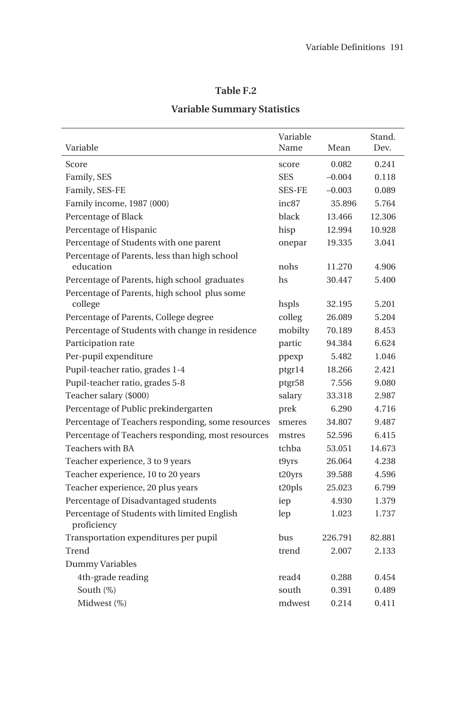## **Table F.2**

# **Variable Summary Statistics**

|                                                                                              | Variable          |          | Stand. |
|----------------------------------------------------------------------------------------------|-------------------|----------|--------|
| Variable                                                                                     | Name              | Mean     | Dev.   |
| Score                                                                                        | score             | 0.082    | 0.241  |
| Family, SES                                                                                  | <b>SES</b>        | $-0.004$ | 0.118  |
| Family, SES-FE                                                                               | <b>SES-FE</b>     | $-0.003$ | 0.089  |
| Family income, 1987 (000)                                                                    | inc <sub>87</sub> | 35.896   | 5.764  |
| Percentage of Black                                                                          | black             | 13.466   | 12.306 |
| Percentage of Hispanic                                                                       | hisp              | 12.994   | 10.928 |
| Percentage of Students with one parent                                                       | onepar            | 19.335   | 3.041  |
| Percentage of Parents, less than high school<br>education                                    | nohs              | 11.270   | 4.906  |
|                                                                                              | hs                | 30.447   | 5.400  |
| Percentage of Parents, high school graduates<br>Percentage of Parents, high school plus some |                   |          |        |
| college                                                                                      | hspls             | 32.195   | 5.201  |
| Percentage of Parents, College degree                                                        | colleg            | 26.089   | 5.204  |
| Percentage of Students with change in residence                                              | mobilty           | 70.189   | 8.453  |
| Participation rate                                                                           | partic            | 94.384   | 6.624  |
| Per-pupil expenditure                                                                        | ppexp             | 5.482    | 1.046  |
| Pupil-teacher ratio, grades 1-4                                                              | ptgr14            | 18.266   | 2.421  |
| Pupil-teacher ratio, grades 5-8                                                              | ptgr58            | 7.556    | 9.080  |
| Teacher salary (\$000)                                                                       | salary            | 33.318   | 2.987  |
| Percentage of Public prekindergarten                                                         | prek              | 6.290    | 4.716  |
| Percentage of Teachers responding, some resources                                            | smeres            | 34.807   | 9.487  |
| Percentage of Teachers responding, most resources                                            | mstres            | 52.596   | 6.415  |
| <b>Teachers with BA</b>                                                                      | tchba             | 53.051   | 14.673 |
| Teacher experience, 3 to 9 years                                                             | t9yrs             | 26.064   | 4.238  |
| Teacher experience, 10 to 20 years                                                           | t20yrs            | 39.588   | 4.596  |
| Teacher experience, 20 plus years                                                            | t20pls            | 25.023   | 6.799  |
| Percentage of Disadvantaged students                                                         | iep               | 4.930    | 1.379  |
| Percentage of Students with limited English<br>proficiency                                   | lep               | 1.023    | 1.737  |
| Transportation expenditures per pupil                                                        | bus               | 226.791  | 82.881 |
| Trend                                                                                        | trend             | 2.007    | 2.133  |
| Dummy Variables                                                                              |                   |          |        |
| 4th-grade reading                                                                            | read4             | 0.288    | 0.454  |
| South (%)                                                                                    | south             | 0.391    | 0.489  |
| Midwest (%)                                                                                  | mdwest            | 0.214    | 0.411  |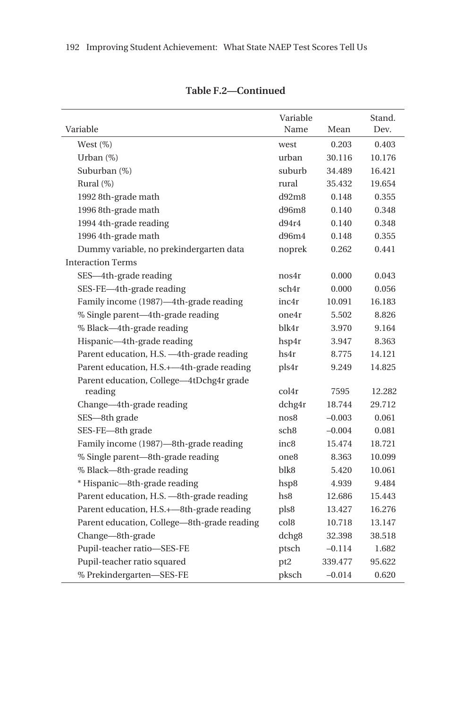| Variable                                    | Variable<br>Name | Mean     | Stand. |
|---------------------------------------------|------------------|----------|--------|
|                                             |                  |          | Dev.   |
| West $(\%)$                                 | west             | 0.203    | 0.403  |
| Urban $(\%)$                                | urban            | 30.116   | 10.176 |
| Suburban (%)                                | suburb           | 34.489   | 16.421 |
| Rural (%)                                   | rural            | 35.432   | 19.654 |
| 1992 8th-grade math                         | d92m8            | 0.148    | 0.355  |
| 1996 8th-grade math                         | d96m8            | 0.140    | 0.348  |
| 1994 4th-grade reading                      | d94r4            | 0.140    | 0.348  |
| 1996 4th-grade math                         | d96m4            | 0.148    | 0.355  |
| Dummy variable, no prekindergarten data     | noprek           | 0.262    | 0.441  |
| <b>Interaction Terms</b>                    |                  |          |        |
| SES-4th-grade reading                       | nos4r            | 0.000    | 0.043  |
| SES-FE-4th-grade reading                    | sch4r            | 0.000    | 0.056  |
| Family income (1987)-4th-grade reading      | inc4r            | 10.091   | 16.183 |
| % Single parent-4th-grade reading           | one4r            | 5.502    | 8.826  |
| % Black-4th-grade reading                   | blk4r            | 3.970    | 9.164  |
| Hispanic-4th-grade reading                  | hsp4r            | 3.947    | 8.363  |
| Parent education, H.S. -4th-grade reading   | hs4r             | 8.775    | 14.121 |
| Parent education, H.S.+-4th-grade reading   | pls4r            | 9.249    | 14.825 |
| Parent education, College-4tDchg4r grade    |                  |          |        |
| reading                                     | col4r            | 7595     | 12.282 |
| Change-4th-grade reading                    | dchg4r           | 18.744   | 29.712 |
| SES-8th grade                               | nos8             | $-0.003$ | 0.061  |
| SES-FE-8th grade                            | sch <sub>8</sub> | $-0.004$ | 0.081  |
| Family income (1987)-8th-grade reading      | inc8             | 15.474   | 18.721 |
| % Single parent—8th-grade reading           | one8             | 8.363    | 10.099 |
| % Black—8th-grade reading                   | blk8             | 5.420    | 10.061 |
| * Hispanic-8th-grade reading                | hsp8             | 4.939    | 9.484  |
| Parent education, H.S. -8th-grade reading   | hs8              | 12.686   | 15.443 |
| Parent education, H.S.+-8th-grade reading   | pls8             | 13.427   | 16.276 |
| Parent education, College-8th-grade reading | col8             | 10.718   | 13.147 |
| Change-8th-grade                            | dchg8            | 32.398   | 38.518 |
| Pupil-teacher ratio-SES-FE                  | ptsch            | $-0.114$ | 1.682  |
| Pupil-teacher ratio squared                 | pt <sub>2</sub>  | 339.477  | 95.622 |
| % Prekindergarten-SES-FE                    | pksch            | $-0.014$ | 0.620  |

**Table F.2—Continued**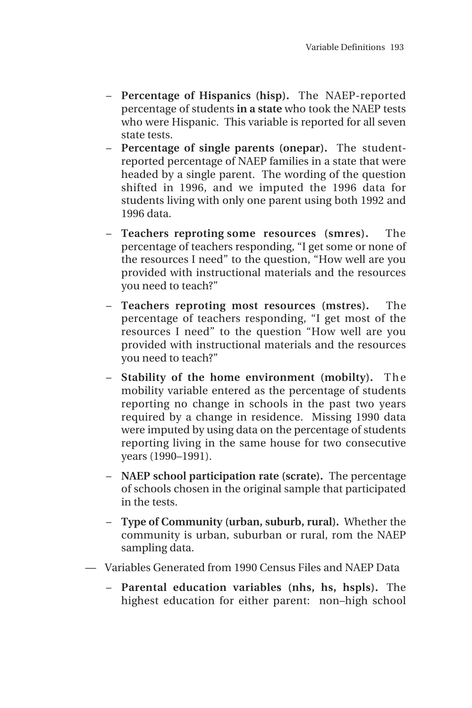- **Percentage of Hispanics (hisp).** The NAEP-reported percentage of students **in a state** who took the NAEP tests who were Hispanic. This variable is reported for all seven state tests.
- **Percentage of single parents (onepar).** The studentreported percentage of NAEP families in a state that were headed by a single parent. The wording of the question shifted in 1996, and we imputed the 1996 data for students living with only one parent using both 1992 and 1996 data.
- **Teachers reproting some resources (smres).** The percentage of teachers responding, "I get some or none of the resources I need" to the question, "How well are you provided with instructional materials and the resources you need to teach?"
- **Teachers reproting most resources (mstres).** The percentage of teachers responding, "I get most of the resources I need" to the question "How well are you provided with instructional materials and the resources you need to teach?"
- **Stability of the home environment (mobilty).** The mobility variable entered as the percentage of students reporting no change in schools in the past two years required by a change in residence. Missing 1990 data were imputed by using data on the percentage of students reporting living in the same house for two consecutive years (1990–1991).
- **NAEP school participation rate (scrate).** The percentage of schools chosen in the original sample that participated in the tests.
- **Type of Community (urban, suburb, rural).** Whether the community is urban, suburban or rural, rom the NAEP sampling data.
- Variables Generated from 1990 Census Files and NAEP Data
	- **Parental education variables (nhs, hs, hspls).** The highest education for either parent: non–high school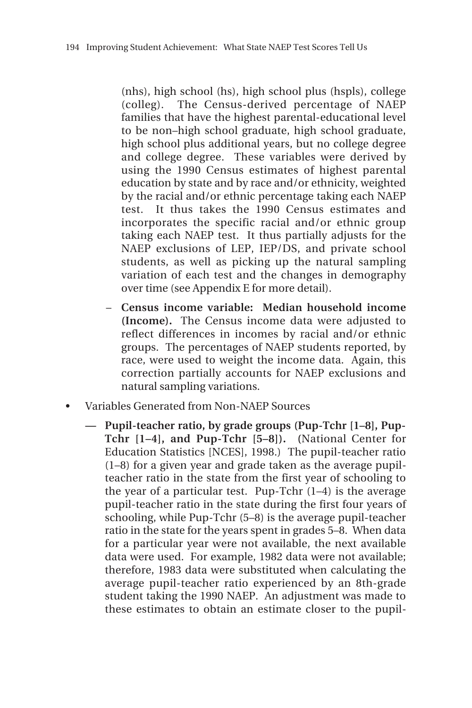(nhs), high school (hs), high school plus (hspls), college (colleg). The Census-derived percentage of NAEP families that have the highest parental-educational level to be non–high school graduate, high school graduate, high school plus additional years, but no college degree and college degree. These variables were derived by using the 1990 Census estimates of highest parental education by state and by race and/or ethnicity, weighted by the racial and/or ethnic percentage taking each NAEP test. It thus takes the 1990 Census estimates and incorporates the specific racial and/or ethnic group taking each NAEP test. It thus partially adjusts for the NAEP exclusions of LEP, IEP/DS, and private school students, as well as picking up the natural sampling variation of each test and the changes in demography over time (see Appendix E for more detail).

- **Census income variable: Median household income (Income).** The Census income data were adjusted to reflect differences in incomes by racial and/or ethnic groups. The percentages of NAEP students reported, by race, were used to weight the income data. Again, this correction partially accounts for NAEP exclusions and natural sampling variations.
- Variables Generated from Non-NAEP Sources
	- **Pupil-teacher ratio, by grade groups (Pup-Tchr [1–8], Pup-Tchr [1–4], and Pup-Tchr [5–8]). (**National Center for Education Statistics [NCES], 1998.) The pupil-teacher ratio (1–8) for a given year and grade taken as the average pupilteacher ratio in the state from the first year of schooling to the year of a particular test. Pup-Tchr  $(1-4)$  is the average pupil-teacher ratio in the state during the first four years of schooling, while Pup-Tchr (5–8) is the average pupil-teacher ratio in the state for the years spent in grades 5–8. When data for a particular year were not available, the next available data were used. For example, 1982 data were not available; therefore, 1983 data were substituted when calculating the average pupil-teacher ratio experienced by an 8th-grade student taking the 1990 NAEP. An adjustment was made to these estimates to obtain an estimate closer to the pupil-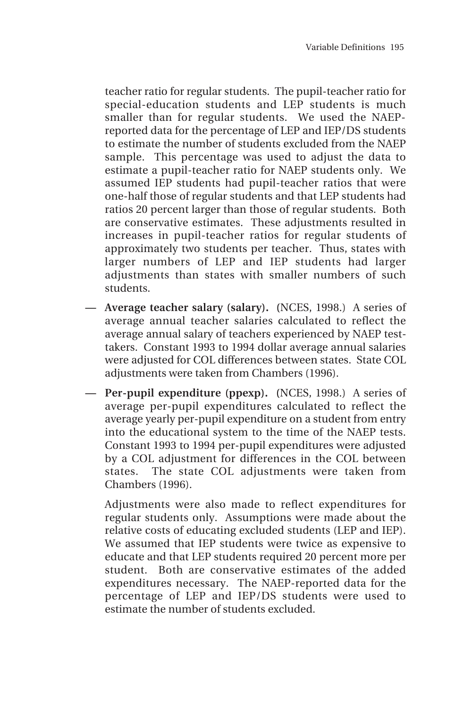teacher ratio for regular students. The pupil-teacher ratio for special-education students and LEP students is much smaller than for regular students. We used the NAEPreported data for the percentage of LEP and IEP/DS students to estimate the number of students excluded from the NAEP sample. This percentage was used to adjust the data to estimate a pupil-teacher ratio for NAEP students only. We assumed IEP students had pupil-teacher ratios that were one-half those of regular students and that LEP students had ratios 20 percent larger than those of regular students. Both are conservative estimates. These adjustments resulted in increases in pupil-teacher ratios for regular students of approximately two students per teacher. Thus, states with larger numbers of LEP and IEP students had larger adjustments than states with smaller numbers of such students.

- **Average teacher salary (salary). (**NCES, 1998.) A series of average annual teacher salaries calculated to reflect the average annual salary of teachers experienced by NAEP testtakers. Constant 1993 to 1994 dollar average annual salaries were adjusted for COL differences between states. State COL adjustments were taken from Chambers (1996).
- **Per-pupil expenditure (ppexp). (**NCES, 1998.) A series of average per-pupil expenditures calculated to reflect the average yearly per-pupil expenditure on a student from entry into the educational system to the time of the NAEP tests. Constant 1993 to 1994 per-pupil expenditures were adjusted by a COL adjustment for differences in the COL between states. The state COL adjustments were taken from Chambers (1996).

Adjustments were also made to reflect expenditures for regular students only. Assumptions were made about the relative costs of educating excluded students (LEP and IEP). We assumed that IEP students were twice as expensive to educate and that LEP students required 20 percent more per student. Both are conservative estimates of the added expenditures necessary. The NAEP-reported data for the percentage of LEP and IEP/DS students were used to estimate the number of students excluded.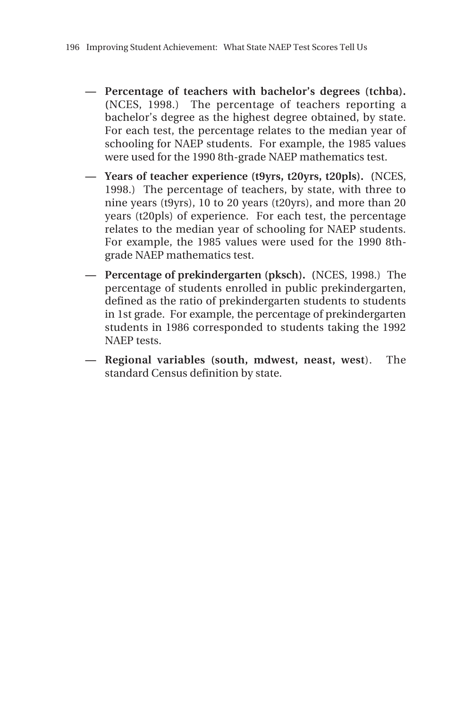- **Percentage of teachers with bachelor's degrees (tchba). (**NCES, 1998.) The percentage of teachers reporting a bachelor's degree as the highest degree obtained, by state. For each test, the percentage relates to the median year of schooling for NAEP students. For example, the 1985 values were used for the 1990 8th-grade NAEP mathematics test.
- **Years of teacher experience (t9yrs, t20yrs, t20pls). (**NCES, 1998.) The percentage of teachers, by state, with three to nine years (t9yrs), 10 to 20 years (t20yrs), and more than 20 years (t20pls) of experience. For each test, the percentage relates to the median year of schooling for NAEP students. For example, the 1985 values were used for the 1990 8thgrade NAEP mathematics test.
- **Percentage of prekindergarten (pksch). (**NCES, 1998.) The percentage of students enrolled in public prekindergarten, defined as the ratio of prekindergarten students to students in 1st grade. For example, the percentage of prekindergarten students in 1986 corresponded to students taking the 1992 NAEP tests.
- **Regional variables (south, mdwest, neast, west**). The standard Census definition by state.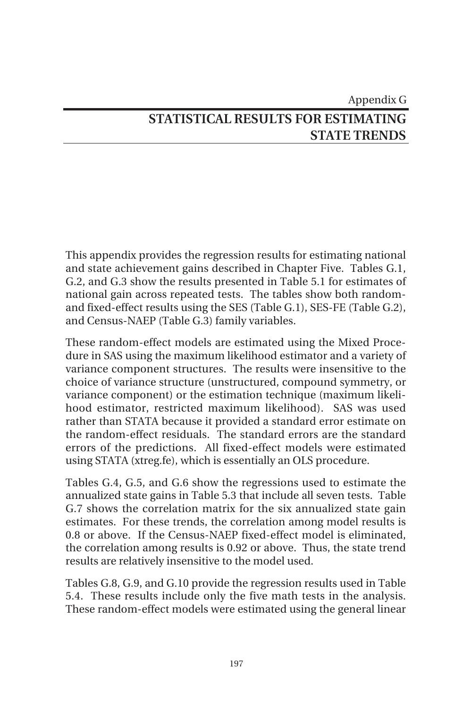# Appendix G **STATISTICAL RESULTS FOR ESTIMATING STATE TRENDS**

This appendix provides the regression results for estimating national and state achievement gains described in Chapter Five. Tables G.1, G.2, and G.3 show the results presented in Table 5.1 for estimates of national gain across repeated tests. The tables show both randomand fixed-effect results using the SES (Table G.1), SES-FE (Table G.2), and Census-NAEP (Table G.3) family variables.

These random-effect models are estimated using the Mixed Procedure in SAS using the maximum likelihood estimator and a variety of variance component structures. The results were insensitive to the choice of variance structure (unstructured, compound symmetry, or variance component) or the estimation technique (maximum likelihood estimator, restricted maximum likelihood). SAS was used rather than STATA because it provided a standard error estimate on the random-effect residuals. The standard errors are the standard errors of the predictions. All fixed-effect models were estimated using STATA (xtreg.fe), which is essentially an OLS procedure.

Tables G.4, G.5, and G.6 show the regressions used to estimate the annualized state gains in Table 5.3 that include all seven tests. Table G.7 shows the correlation matrix for the six annualized state gain estimates. For these trends, the correlation among model results is 0.8 or above. If the Census-NAEP fixed-effect model is eliminated, the correlation among results is 0.92 or above. Thus, the state trend results are relatively insensitive to the model used.

Tables G.8, G.9, and G.10 provide the regression results used in Table 5.4. These results include only the five math tests in the analysis. These random-effect models were estimated using the general linear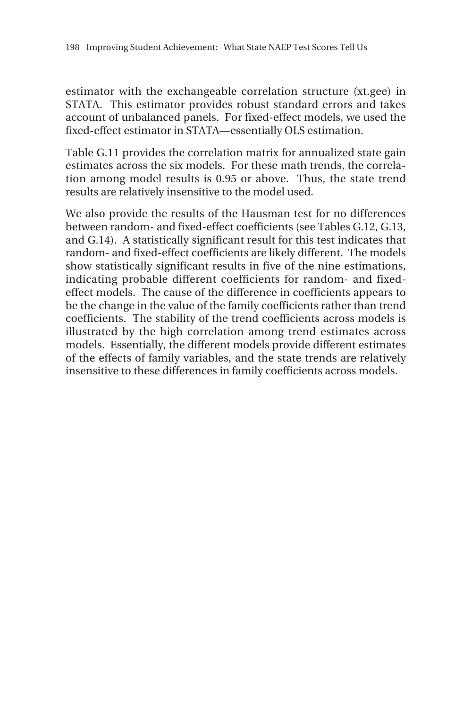estimator with the exchangeable correlation structure (xt.gee) in STATA. This estimator provides robust standard errors and takes account of unbalanced panels. For fixed-effect models, we used the fixed-effect estimator in STATA—essentially OLS estimation.

Table G.11 provides the correlation matrix for annualized state gain estimates across the six models. For these math trends, the correlation among model results is 0.95 or above. Thus, the state trend results are relatively insensitive to the model used.

We also provide the results of the Hausman test for no differences between random- and fixed-effect coefficients (see Tables G.12, G.13, and G.14). A statistically significant result for this test indicates that random- and fixed-effect coefficients are likely different. The models show statistically significant results in five of the nine estimations, indicating probable different coefficients for random- and fixedeffect models. The cause of the difference in coefficients appears to be the change in the value of the family coefficients rather than trend coefficients. The stability of the trend coefficients across models is illustrated by the high correlation among trend estimates across models. Essentially, the different models provide different estimates of the effects of family variables, and the state trends are relatively insensitive to these differences in family coefficients across models.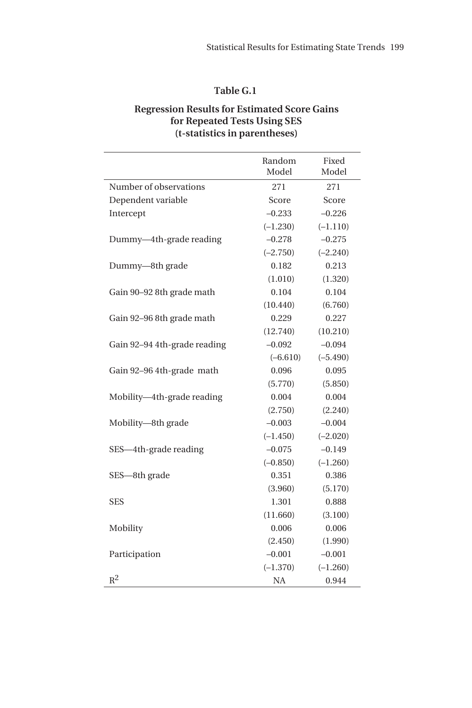#### **Regression Results for Estimated Score Gains for Repeated Tests Using SES (t-statistics in parentheses)**

|                              | Random<br>Model | Fixed<br>Model |
|------------------------------|-----------------|----------------|
| Number of observations       | 271             | 271            |
| Dependent variable           | Score           | Score          |
| Intercept                    | $-0.233$        | $-0.226$       |
|                              | $(-1.230)$      | $(-1.110)$     |
| Dummy-4th-grade reading      | $-0.278$        | $-0.275$       |
|                              | $(-2.750)$      | $(-2.240)$     |
| Dummy-8th grade              | 0.182           | 0.213          |
|                              | (1.010)         | (1.320)        |
| Gain 90-92 8th grade math    | 0.104           | 0.104          |
|                              | (10.440)        | (6.760)        |
| Gain 92-96 8th grade math    | 0.229           | 0.227          |
|                              | (12.740)        | (10.210)       |
| Gain 92-94 4th-grade reading | $-0.092$        | $-0.094$       |
|                              | $(-6.610)$      | $(-5.490)$     |
| Gain 92-96 4th-grade math    | 0.096           | 0.095          |
|                              | (5.770)         | (5.850)        |
| Mobility-4th-grade reading   | 0.004           | 0.004          |
|                              | (2.750)         | (2.240)        |
| Mobility-8th grade           | $-0.003$        | $-0.004$       |
|                              | $(-1.450)$      | $(-2.020)$     |
| SES—4th-grade reading        | $-0.075$        | $-0.149$       |
|                              | $(-0.850)$      | $(-1.260)$     |
| SES-8th grade                | 0.351           | 0.386          |
|                              | (3.960)         | (5.170)        |
| <b>SES</b>                   | 1.301           | 0.888          |
|                              | (11.660)        | (3.100)        |
| Mobility                     | 0.006           | 0.006          |
|                              | (2.450)         | (1.990)        |
| Participation                | $-0.001$        | $-0.001$       |
|                              | $(-1.370)$      | $(-1.260)$     |
| $R^2$                        | <b>NA</b>       | 0.944          |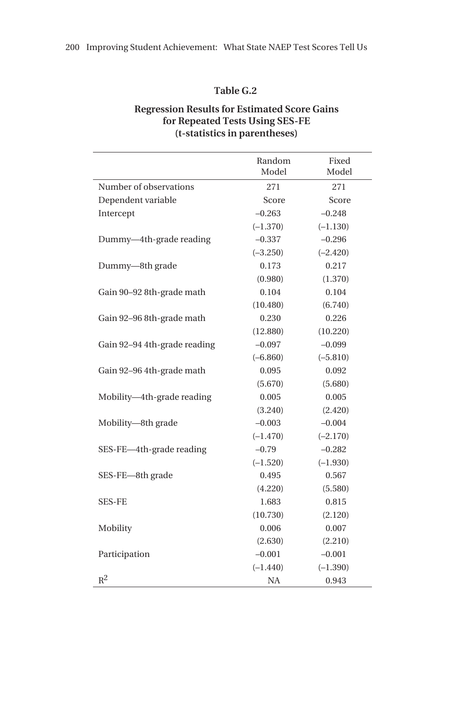#### **Regression Results for Estimated Score Gains for Repeated Tests Using SES-FE (t-statistics in parentheses)**

|                              | Random<br>Model | Fixed<br>Model |
|------------------------------|-----------------|----------------|
| Number of observations       | 271             | 271            |
| Dependent variable           | Score           | Score          |
| Intercept                    | $-0.263$        | $-0.248$       |
|                              | $(-1.370)$      | $(-1.130)$     |
| Dummy-4th-grade reading      | $-0.337$        | $-0.296$       |
|                              | $(-3.250)$      | $(-2.420)$     |
| Dummy-8th grade              | 0.173           | 0.217          |
|                              | (0.980)         | (1.370)        |
| Gain 90-92 8th-grade math    | 0.104           | 0.104          |
|                              | (10.480)        | (6.740)        |
| Gain 92-96 8th-grade math    | 0.230           | 0.226          |
|                              | (12.880)        | (10.220)       |
| Gain 92–94 4th-grade reading | $-0.097$        | $-0.099$       |
|                              | $(-6.860)$      | $(-5.810)$     |
| Gain 92-96 4th-grade math    | 0.095           | 0.092          |
|                              | (5.670)         | (5.680)        |
| Mobility-4th-grade reading   | 0.005           | 0.005          |
|                              | (3.240)         | (2.420)        |
| Mobility-8th grade           | $-0.003$        | $-0.004$       |
|                              | $(-1.470)$      | $(-2.170)$     |
| SES-FE-4th-grade reading     | $-0.79$         | $-0.282$       |
|                              | $(-1.520)$      | $(-1.930)$     |
| SES-FE-8th grade             | 0.495           | 0.567          |
|                              | (4.220)         | (5.580)        |
| <b>SES-FE</b>                | 1.683           | 0.815          |
|                              | (10.730)        | (2.120)        |
| Mobility                     | 0.006           | 0.007          |
|                              | (2.630)         | (2.210)        |
| Participation                | $-0.001$        | $-0.001$       |
|                              | $(-1.440)$      | $(-1.390)$     |
| $R^2$                        | <b>NA</b>       | 0.943          |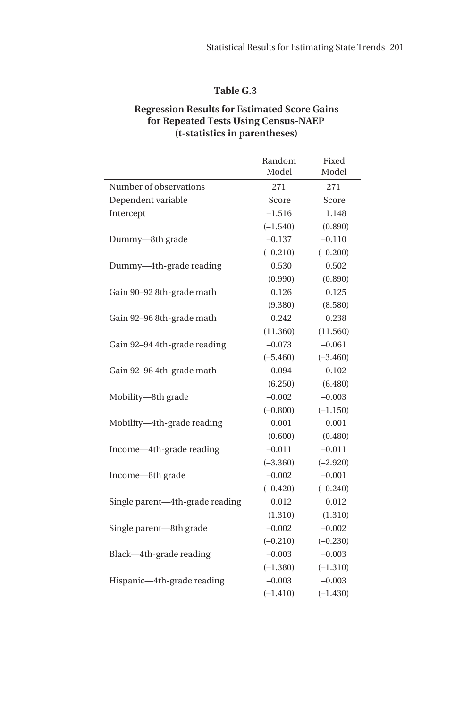#### **Regression Results for Estimated Score Gains for Repeated Tests Using Census-NAEP (t-statistics in parentheses)**

|                                 | Random<br>Model | Fixed<br>Model |
|---------------------------------|-----------------|----------------|
| Number of observations          | 271             | 271            |
| Dependent variable              | Score           | Score          |
| Intercept                       | $-1.516$        | 1.148          |
|                                 | $(-1.540)$      | (0.890)        |
| Dummy-8th grade                 | $-0.137$        | $-0.110$       |
|                                 | $(-0.210)$      | $(-0.200)$     |
| Dummy-4th-grade reading         | 0.530           | 0.502          |
|                                 | (0.990)         | (0.890)        |
| Gain 90-92 8th-grade math       | 0.126           | 0.125          |
|                                 | (9.380)         | (8.580)        |
| Gain 92-96 8th-grade math       | 0.242           | 0.238          |
|                                 | (11.360)        | (11.560)       |
| Gain 92-94 4th-grade reading    | $-0.073$        | $-0.061$       |
|                                 | $(-5.460)$      | $(-3.460)$     |
| Gain 92-96 4th-grade math       | 0.094           | 0.102          |
|                                 | (6.250)         | (6.480)        |
| Mobility-8th grade              | $-0.002$        | $-0.003$       |
|                                 | $(-0.800)$      | $(-1.150)$     |
| Mobility-4th-grade reading      | 0.001           | 0.001          |
|                                 | (0.600)         | (0.480)        |
| Income-4th-grade reading        | $-0.011$        | $-0.011$       |
|                                 | $(-3.360)$      | $(-2.920)$     |
| Income-8th grade                | $-0.002$        | $-0.001$       |
|                                 | $(-0.420)$      | $(-0.240)$     |
| Single parent-4th-grade reading | 0.012           | 0.012          |
|                                 | (1.310)         | (1.310)        |
| Single parent-8th grade         | $-0.002$        | $-0.002$       |
|                                 | $(-0.210)$      | $(-0.230)$     |
| Black—4th-grade reading         | $-0.003$        | $-0.003$       |
|                                 | $(-1.380)$      | $(-1.310)$     |
| Hispanic-4th-grade reading      | $-0.003$        | $-0.003$       |
|                                 | $(-1.410)$      | $(-1.430)$     |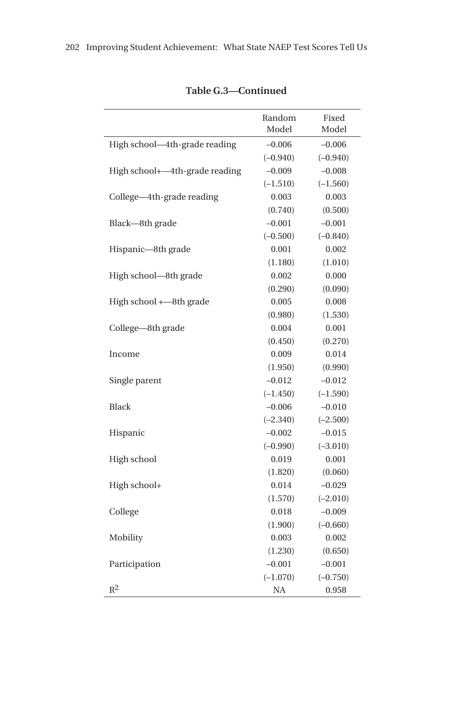|                                | Random<br>Model | Fixed<br>Model |
|--------------------------------|-----------------|----------------|
| High school-4th-grade reading  | $-0.006$        | $-0.006$       |
|                                | $(-0.940)$      | $(-0.940)$     |
| High school+-4th-grade reading | $-0.009$        | $-0.008$       |
|                                | $(-1.510)$      | $(-1.560)$     |
| College-4th-grade reading      | 0.003           | 0.003          |
|                                | (0.740)         | (0.500)        |
| Black-8th grade                | $-0.001$        | $-0.001$       |
|                                | $(-0.500)$      | $(-0.840)$     |
| Hispanic-8th grade             | 0.001           | 0.002          |
|                                | (1.180)         | (1.010)        |
| High school—8th grade          | 0.002           | 0.000          |
|                                | (0.290)         | (0.090)        |
| High school +-8th grade        | 0.005           | 0.008          |
|                                | (0.980)         | (1.530)        |
| College-8th grade              | 0.004           | 0.001          |
|                                | (0.450)         | (0.270)        |
| Income                         | 0.009           | 0.014          |
|                                | (1.950)         | (0.990)        |
| Single parent                  | $-0.012$        | $-0.012$       |
|                                | $(-1.450)$      | $(-1.590)$     |
| <b>Black</b>                   | $-0.006$        | $-0.010$       |
|                                | $(-2.340)$      | $(-2.500)$     |
| Hispanic                       | $-0.002$        | $-0.015$       |
|                                | $(-0.990)$      | $(-3.010)$     |
| High school                    | 0.019           | 0.001          |
|                                | (1.820)         | (0.060)        |
| High school+                   | 0.014           | $-0.029$       |
|                                | (1.570)         | $(-2.010)$     |
| College                        | 0.018           | $-0.009$       |
|                                | (1.900)         | $(-0.660)$     |
| Mobility                       | 0.003           | 0.002          |
|                                | (1.230)         | (0.650)        |
| Participation                  | $-0.001$        | $-0.001$       |
|                                | $(-1.070)$      | $(-0.750)$     |
| $\mathbb{R}^2$                 | NA              | 0.958          |

## **Table G.3—Continued**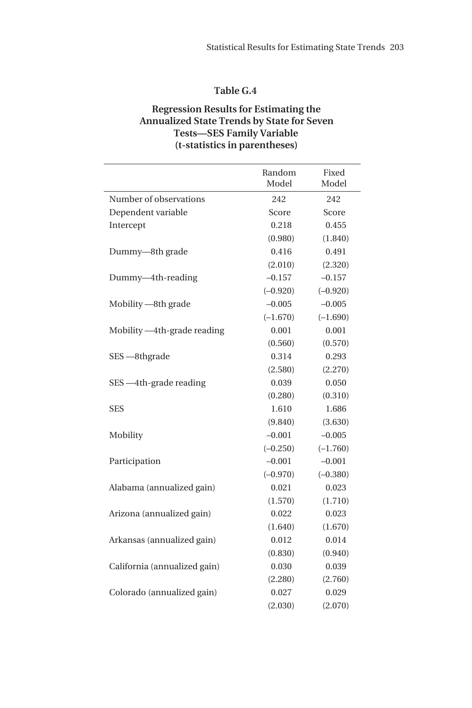### **Regression Results for Estimating the Annualized State Trends by State for Seven Tests—SES Family Variable (t-statistics in parentheses)**

|                              | Random     | Fixed      |
|------------------------------|------------|------------|
|                              | Model      | Model      |
| Number of observations       | 242        | 242        |
| Dependent variable           | Score      | Score      |
| Intercept                    | 0.218      | 0.455      |
|                              | (0.980)    | (1.840)    |
| Dummy-8th grade              | 0.416      | 0.491      |
|                              | (2.010)    | (2.320)    |
| Dummy-4th-reading            | $-0.157$   | $-0.157$   |
|                              | $(-0.920)$ | $(-0.920)$ |
| Mobility -8th grade          | $-0.005$   | $-0.005$   |
|                              | $(-1.670)$ | $(-1.690)$ |
| Mobility -4th-grade reading  | 0.001      | 0.001      |
|                              | (0.560)    | (0.570)    |
| SES - 8thgrade               | 0.314      | 0.293      |
|                              | (2.580)    | (2.270)    |
| SES -4th-grade reading       | 0.039      | 0.050      |
|                              | (0.280)    | (0.310)    |
| SES                          | 1.610      | 1.686      |
|                              | (9.840)    | (3.630)    |
| Mobility                     | $-0.001$   | $-0.005$   |
|                              | $(-0.250)$ | $(-1.760)$ |
| Participation                | $-0.001$   | $-0.001$   |
|                              | $(-0.970)$ | $(-0.380)$ |
| Alabama (annualized gain)    | 0.021      | 0.023      |
|                              | (1.570)    | (1.710)    |
| Arizona (annualized gain)    | 0.022      | 0.023      |
|                              | (1.640)    | (1.670)    |
| Arkansas (annualized gain)   | 0.012      | 0.014      |
|                              | (0.830)    | (0.940)    |
| California (annualized gain) | 0.030      | 0.039      |
|                              | (2.280)    | (2.760)    |
| Colorado (annualized gain)   | 0.027      | 0.029      |
|                              | (2.030)    | (2.070)    |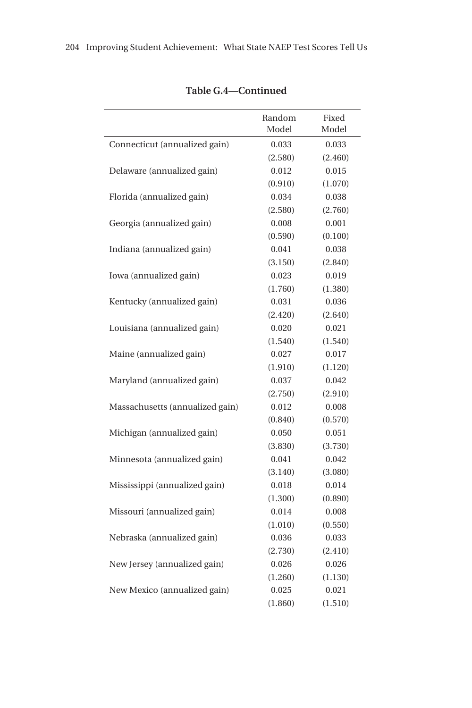|                                 | Random<br>Model | Fixed<br>Model |
|---------------------------------|-----------------|----------------|
| Connecticut (annualized gain)   | 0.033           | 0.033          |
|                                 | (2.580)         | (2.460)        |
| Delaware (annualized gain)      | 0.012           | 0.015          |
|                                 | (0.910)         | (1.070)        |
| Florida (annualized gain)       | 0.034           | 0.038          |
|                                 | (2.580)         | (2.760)        |
| Georgia (annualized gain)       | 0.008           | 0.001          |
|                                 | (0.590)         | (0.100)        |
| Indiana (annualized gain)       | 0.041           | 0.038          |
|                                 | (3.150)         | (2.840)        |
| Iowa (annualized gain)          | 0.023           | 0.019          |
|                                 | (1.760)         | (1.380)        |
| Kentucky (annualized gain)      | 0.031           | 0.036          |
|                                 | (2.420)         | (2.640)        |
| Louisiana (annualized gain)     | 0.020           | 0.021          |
|                                 | (1.540)         | (1.540)        |
| Maine (annualized gain)         | 0.027           | 0.017          |
|                                 | (1.910)         | (1.120)        |
| Maryland (annualized gain)      | 0.037           | 0.042          |
|                                 | (2.750)         | (2.910)        |
| Massachusetts (annualized gain) | 0.012           | 0.008          |
|                                 | (0.840)         | (0.570)        |
| Michigan (annualized gain)      | 0.050           | 0.051          |
|                                 | (3.830)         | (3.730)        |
| Minnesota (annualized gain)     | 0.041           | 0.042          |
|                                 | (3.140)         | (3.080)        |
| Mississippi (annualized gain)   | 0.018           | 0.014          |
|                                 | (1.300)         | (0.890)        |
| Missouri (annualized gain)      | 0.014           | 0.008          |
|                                 | (1.010)         | (0.550)        |
| Nebraska (annualized gain)      | 0.036           | 0.033          |
|                                 | (2.730)         | (2.410)        |
| New Jersey (annualized gain)    | 0.026           | 0.026          |
|                                 | (1.260)         | (1.130)        |
| New Mexico (annualized gain)    | 0.025           | 0.021          |
|                                 | (1.860)         | (1.510)        |

### **Table G.4—Continued**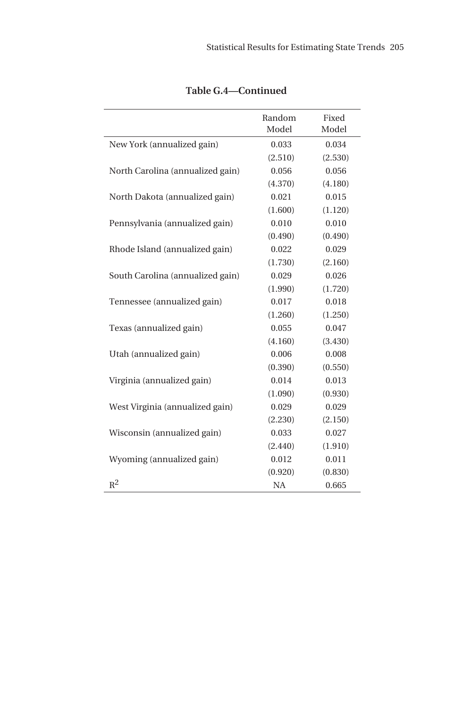|                                  | Random<br>Model | Fixed<br>Model |
|----------------------------------|-----------------|----------------|
| New York (annualized gain)       | 0.033           | 0.034          |
|                                  | (2.510)         | (2.530)        |
| North Carolina (annualized gain) | 0.056           | 0.056          |
|                                  | (4.370)         | (4.180)        |
| North Dakota (annualized gain)   | 0.021           | 0.015          |
|                                  | (1.600)         | (1.120)        |
| Pennsylvania (annualized gain)   | 0.010           | 0.010          |
|                                  | (0.490)         | (0.490)        |
| Rhode Island (annualized gain)   | 0.022           | 0.029          |
|                                  | (1.730)         | (2.160)        |
| South Carolina (annualized gain) | 0.029           | 0.026          |
|                                  | (1.990)         | (1.720)        |
| Tennessee (annualized gain)      | 0.017           | 0.018          |
|                                  | (1.260)         | (1.250)        |
| Texas (annualized gain)          | 0.055           | 0.047          |
|                                  | (4.160)         | (3.430)        |
| Utah (annualized gain)           | 0.006           | 0.008          |
|                                  | (0.390)         | (0.550)        |
| Virginia (annualized gain)       | 0.014           | 0.013          |
|                                  | (1.090)         | (0.930)        |
| West Virginia (annualized gain)  | 0.029           | 0.029          |
|                                  | (2.230)         | (2.150)        |
| Wisconsin (annualized gain)      | 0.033           | 0.027          |
|                                  | (2.440)         | (1.910)        |
| Wyoming (annualized gain)        | 0.012           | 0.011          |
|                                  | (0.920)         | (0.830)        |
| $R^2$                            | <b>NA</b>       | 0.665          |

**Table G.4—Continued**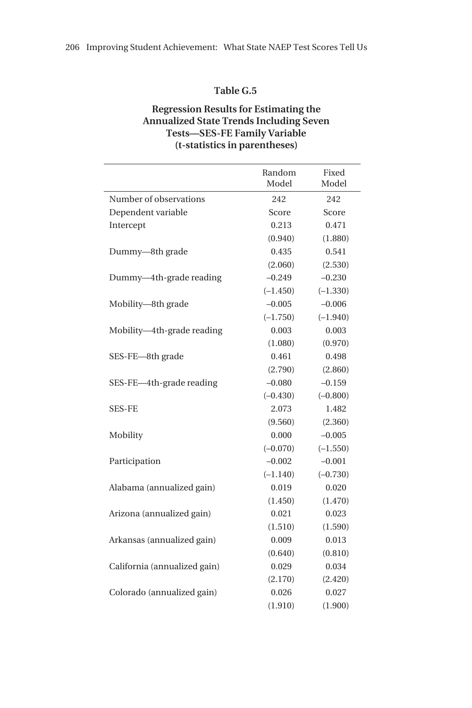#### **Regression Results for Estimating the Annualized State Trends Including Seven Tests—SES-FE Family Variable (t-statistics in parentheses)**

|                              | Random     | Fixed      |
|------------------------------|------------|------------|
|                              | Model      | Model      |
| Number of observations       | 242        | 242        |
| Dependent variable           | Score      | Score      |
| Intercept                    | 0.213      | 0.471      |
|                              | (0.940)    | (1.880)    |
| Dummy-8th grade              | 0.435      | 0.541      |
|                              | (2.060)    | (2.530)    |
| Dummy-4th-grade reading      | $-0.249$   | $-0.230$   |
|                              | $(-1.450)$ | $(-1.330)$ |
| Mobility-8th grade           | $-0.005$   | $-0.006$   |
|                              | $(-1.750)$ | $(-1.940)$ |
| Mobility-4th-grade reading   | 0.003      | 0.003      |
|                              | (1.080)    | (0.970)    |
| SES-FE-8th grade             | 0.461      | 0.498      |
|                              | (2.790)    | (2.860)    |
| SES-FE-4th-grade reading     | $-0.080$   | $-0.159$   |
|                              | $(-0.430)$ | $(-0.800)$ |
| SES-FE                       | 2.073      | 1.482      |
|                              | (9.560)    | (2.360)    |
| Mobility                     | 0.000      | $-0.005$   |
|                              | $(-0.070)$ | $(-1.550)$ |
| Participation                | $-0.002$   | $-0.001$   |
|                              | $(-1.140)$ | $(-0.730)$ |
| Alabama (annualized gain)    | 0.019      | 0.020      |
|                              | (1.450)    | (1.470)    |
| Arizona (annualized gain)    | 0.021      | 0.023      |
|                              | (1.510)    | (1.590)    |
| Arkansas (annualized gain)   | 0.009      | 0.013      |
|                              | (0.640)    | (0.810)    |
| California (annualized gain) | 0.029      | 0.034      |
|                              | (2.170)    | (2.420)    |
| Colorado (annualized gain)   | 0.026      | 0.027      |
|                              | (1.910)    | (1.900)    |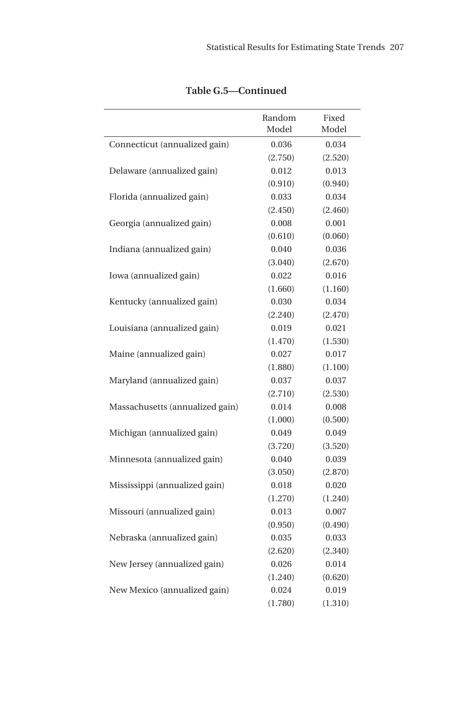|                                 | Random<br>Model | Fixed<br>Model |
|---------------------------------|-----------------|----------------|
| Connecticut (annualized gain)   | 0.036           | 0.034          |
|                                 | (2.750)         | (2.520)        |
| Delaware (annualized gain)      | 0.012           | 0.013          |
|                                 | (0.910)         | (0.940)        |
| Florida (annualized gain)       | 0.033           | 0.034          |
|                                 | (2.450)         | (2.460)        |
| Georgia (annualized gain)       | 0.008           | 0.001          |
|                                 | (0.610)         | (0.060)        |
| Indiana (annualized gain)       | 0.040           | 0.036          |
|                                 | (3.040)         | (2.670)        |
| Iowa (annualized gain)          | 0.022           | 0.016          |
|                                 | (1.660)         | (1.160)        |
| Kentucky (annualized gain)      | 0.030           | 0.034          |
|                                 | (2.240)         | (2.470)        |
| Louisiana (annualized gain)     | 0.019           | 0.021          |
|                                 | (1.470)         | (1.530)        |
| Maine (annualized gain)         | 0.027           | 0.017          |
|                                 | (1.880)         | (1.100)        |
| Maryland (annualized gain)      | 0.037           | 0.037          |
|                                 | (2.710)         | (2.530)        |
| Massachusetts (annualized gain) | 0.014           | 0.008          |
|                                 | (1.000)         | (0.500)        |
| Michigan (annualized gain)      | 0.049           | 0.049          |
|                                 | (3.720)         | (3.520)        |
| Minnesota (annualized gain)     | 0.040           | 0.039          |
|                                 | (3.050)         | (2.870)        |
| Mississippi (annualized gain)   | 0.018           | 0.020          |
|                                 | (1.270)         | (1.240)        |
| Missouri (annualized gain)      | 0.013           | 0.007          |
|                                 | (0.950)         | (0.490)        |
| Nebraska (annualized gain)      | 0.035           | 0.033          |
|                                 | (2.620)         | (2.340)        |
| New Jersey (annualized gain)    | 0.026           | 0.014          |
|                                 | (1.240)         | (0.620)        |
| New Mexico (annualized gain)    | 0.024           | 0.019          |
|                                 | (1.780)         | (1.310)        |

**Table G.5—Continued**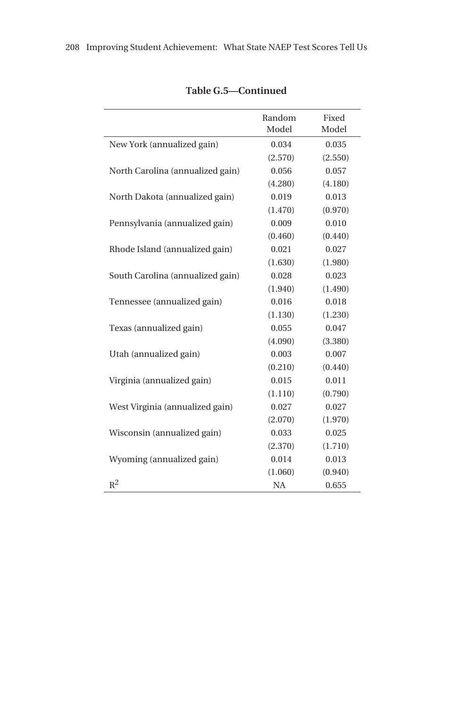|                                  | Random<br>Model | Fixed<br>Model |
|----------------------------------|-----------------|----------------|
| New York (annualized gain)       | 0.034           | 0.035          |
|                                  | (2.570)         | (2.550)        |
| North Carolina (annualized gain) | 0.056           | 0.057          |
|                                  | (4.280)         | (4.180)        |
| North Dakota (annualized gain)   | 0.019           | 0.013          |
|                                  | (1.470)         | (0.970)        |
| Pennsylvania (annualized gain)   | 0.009           | 0.010          |
|                                  | (0.460)         | (0.440)        |
| Rhode Island (annualized gain)   | 0.021           | 0.027          |
|                                  | (1.630)         | (1.980)        |
| South Carolina (annualized gain) | 0.028           | 0.023          |
|                                  | (1.940)         | (1.490)        |
| Tennessee (annualized gain)      | 0.016           | 0.018          |
|                                  | (1.130)         | (1.230)        |
| Texas (annualized gain)          | 0.055           | 0.047          |
|                                  | (4.090)         | (3.380)        |
| Utah (annualized gain)           | 0.003           | 0.007          |
|                                  | (0.210)         | (0.440)        |
| Virginia (annualized gain)       | 0.015           | 0.011          |
|                                  | (1.110)         | (0.790)        |
| West Virginia (annualized gain)  | 0.027           | 0.027          |
|                                  | (2.070)         | (1.970)        |
| Wisconsin (annualized gain)      | 0.033           | 0.025          |
|                                  | (2.370)         | (1.710)        |
| Wyoming (annualized gain)        | 0.014           | 0.013          |
|                                  | (1.060)         | (0.940)        |
| $R^2$                            | <b>NA</b>       | 0.655          |

## **Table G.5—Continued**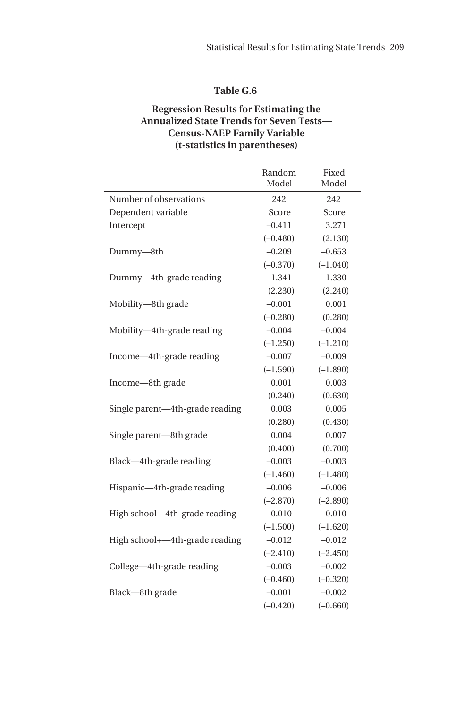#### **Regression Results for Estimating the Annualized State Trends for Seven Tests— Census-NAEP Family Variable (t-statistics in parentheses)**

|                                 | Random     | Fixed      |
|---------------------------------|------------|------------|
|                                 | Model      | Model      |
| Number of observations          | 242        | 242        |
| Dependent variable              | Score      | Score      |
| Intercept                       | $-0.411$   | 3.271      |
|                                 | $(-0.480)$ | (2.130)    |
| Dummy-8th                       | $-0.209$   | $-0.653$   |
|                                 | $(-0.370)$ | $(-1.040)$ |
| Dummy-4th-grade reading         | 1.341      | 1.330      |
|                                 | (2.230)    | (2.240)    |
| Mobility-8th grade              | $-0.001$   | 0.001      |
|                                 | $(-0.280)$ | (0.280)    |
| Mobility-4th-grade reading      | $-0.004$   | $-0.004$   |
|                                 | $(-1.250)$ | $(-1.210)$ |
| Income-4th-grade reading        | $-0.007$   | $-0.009$   |
|                                 | $(-1.590)$ | $(-1.890)$ |
| Income-8th grade                | 0.001      | 0.003      |
|                                 | (0.240)    | (0.630)    |
| Single parent-4th-grade reading | 0.003      | 0.005      |
|                                 | (0.280)    | (0.430)    |
| Single parent-8th grade         | 0.004      | 0.007      |
|                                 | (0.400)    | (0.700)    |
| Black-4th-grade reading         | $-0.003$   | $-0.003$   |
|                                 | $(-1.460)$ | $(-1.480)$ |
| Hispanic-4th-grade reading      | $-0.006$   | $-0.006$   |
|                                 | $(-2.870)$ | $(-2.890)$ |
| High school-4th-grade reading   | $-0.010$   | $-0.010$   |
|                                 | $(-1.500)$ | $(-1.620)$ |
| High school+-4th-grade reading  | $-0.012$   | $-0.012$   |
|                                 | $(-2.410)$ | $(-2.450)$ |
| College-4th-grade reading       | $-0.003$   | $-0.002$   |
|                                 | $(-0.460)$ | $(-0.320)$ |
| Black-8th grade                 | $-0.001$   | $-0.002$   |
|                                 | $(-0.420)$ | $(-0.660)$ |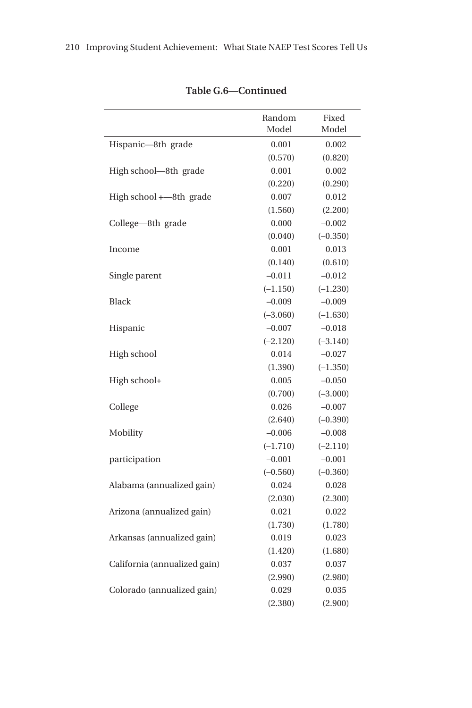|                              | Random<br>Model | Fixed<br>Model |
|------------------------------|-----------------|----------------|
| Hispanic-8th grade           | 0.001           | 0.002          |
|                              | (0.570)         | (0.820)        |
| High school-8th grade        | 0.001           | 0.002          |
|                              | (0.220)         | (0.290)        |
| High school $+-8$ th grade   | 0.007           | 0.012          |
|                              | (1.560)         | (2.200)        |
| College-8th grade            | 0.000           | $-0.002$       |
|                              | (0.040)         | $(-0.350)$     |
| Income                       | 0.001           | 0.013          |
|                              | (0.140)         | (0.610)        |
| Single parent                | $-0.011$        | $-0.012$       |
|                              | $(-1.150)$      | $(-1.230)$     |
| <b>Black</b>                 | $-0.009$        | $-0.009$       |
|                              | $(-3.060)$      | $(-1.630)$     |
| Hispanic                     | $-0.007$        | $-0.018$       |
|                              | $(-2.120)$      | $(-3.140)$     |
| High school                  | 0.014           | $-0.027$       |
|                              | (1.390)         | $(-1.350)$     |
| High school+                 | 0.005           | $-0.050$       |
|                              | (0.700)         | $(-3.000)$     |
| College                      | 0.026           | $-0.007$       |
|                              | (2.640)         | $(-0.390)$     |
| Mobility                     | $-0.006$        | $-0.008$       |
|                              | $(-1.710)$      | $(-2.110)$     |
| participation                | $-0.001$        | $-0.001$       |
|                              | $(-0.560)$      | $(-0.360)$     |
| Alabama (annualized gain)    | 0.024           | 0.028          |
|                              | (2.030)         | (2.300)        |
| Arizona (annualized gain)    | 0.021           | 0.022          |
|                              | (1.730)         | (1.780)        |
| Arkansas (annualized gain)   | 0.019           | 0.023          |
|                              | (1.420)         | (1.680)        |
| California (annualized gain) | 0.037           | 0.037          |
|                              | (2.990)         | (2.980)        |
| Colorado (annualized gain)   | 0.029           | 0.035          |
|                              | (2.380)         | (2.900)        |

**Table G.6—Continued**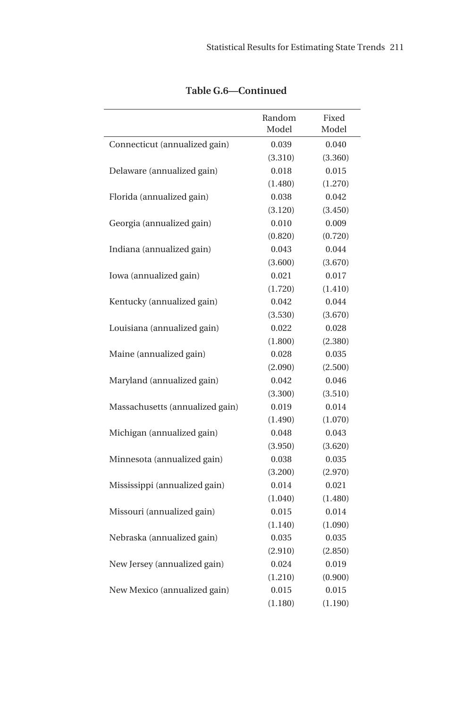|                                 | Random<br>Model | Fixed<br>Model |
|---------------------------------|-----------------|----------------|
| Connecticut (annualized gain)   | 0.039           | 0.040          |
|                                 | (3.310)         | (3.360)        |
| Delaware (annualized gain)      | 0.018           | 0.015          |
|                                 | (1.480)         | (1.270)        |
| Florida (annualized gain)       | 0.038           | 0.042          |
|                                 | (3.120)         | (3.450)        |
| Georgia (annualized gain)       | 0.010           | 0.009          |
|                                 | (0.820)         | (0.720)        |
| Indiana (annualized gain)       | 0.043           | 0.044          |
|                                 | (3.600)         | (3.670)        |
| Iowa (annualized gain)          | 0.021           | 0.017          |
|                                 | (1.720)         | (1.410)        |
| Kentucky (annualized gain)      | 0.042           | 0.044          |
|                                 | (3.530)         | (3.670)        |
| Louisiana (annualized gain)     | 0.022           | 0.028          |
|                                 | (1.800)         | (2.380)        |
| Maine (annualized gain)         | 0.028           | 0.035          |
|                                 | (2.090)         | (2.500)        |
| Maryland (annualized gain)      | 0.042           | 0.046          |
|                                 | (3.300)         | (3.510)        |
| Massachusetts (annualized gain) | 0.019           | 0.014          |
|                                 | (1.490)         | (1.070)        |
| Michigan (annualized gain)      | 0.048           | 0.043          |
|                                 | (3.950)         | (3.620)        |
| Minnesota (annualized gain)     | 0.038           | 0.035          |
|                                 | (3.200)         | (2.970)        |
| Mississippi (annualized gain)   | 0.014           | 0.021          |
|                                 | (1.040)         | (1.480)        |
| Missouri (annualized gain)      | 0.015           | 0.014          |
|                                 | (1.140)         | (1.090)        |
| Nebraska (annualized gain)      | 0.035           | 0.035          |
|                                 | (2.910)         | (2.850)        |
| New Jersey (annualized gain)    | 0.024           | 0.019          |
|                                 | (1.210)         | (0.900)        |
| New Mexico (annualized gain)    | 0.015           | 0.015          |
|                                 | (1.180)         | (1.190)        |

**Table G.6—Continued**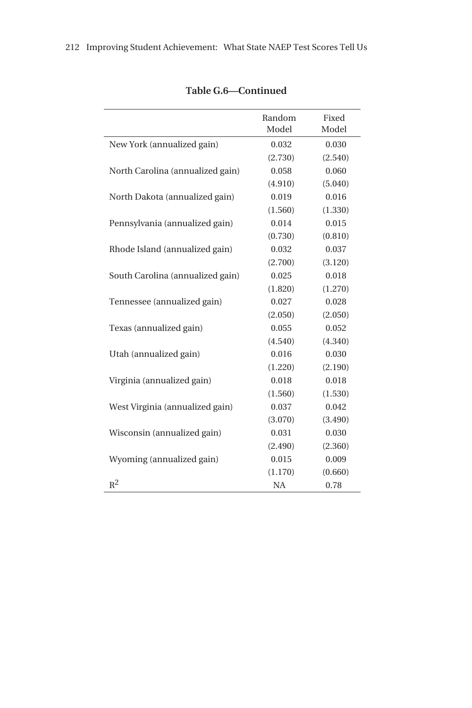|                                  | Random<br>Model | Fixed<br>Model |
|----------------------------------|-----------------|----------------|
| New York (annualized gain)       | 0.032           | 0.030          |
|                                  | (2.730)         | (2.540)        |
| North Carolina (annualized gain) | 0.058           | 0.060          |
|                                  | (4.910)         | (5.040)        |
| North Dakota (annualized gain)   | 0.019           | 0.016          |
|                                  | (1.560)         | (1.330)        |
| Pennsylvania (annualized gain)   | 0.014           | 0.015          |
|                                  | (0.730)         | (0.810)        |
| Rhode Island (annualized gain)   | 0.032           | 0.037          |
|                                  | (2.700)         | (3.120)        |
| South Carolina (annualized gain) | 0.025           | 0.018          |
|                                  | (1.820)         | (1.270)        |
| Tennessee (annualized gain)      | 0.027           | 0.028          |
|                                  | (2.050)         | (2.050)        |
| Texas (annualized gain)          | 0.055           | 0.052          |
|                                  | (4.540)         | (4.340)        |
| Utah (annualized gain)           | 0.016           | 0.030          |
|                                  | (1.220)         | (2.190)        |
| Virginia (annualized gain)       | 0.018           | 0.018          |
|                                  | (1.560)         | (1.530)        |
| West Virginia (annualized gain)  | 0.037           | 0.042          |
|                                  | (3.070)         | (3.490)        |
| Wisconsin (annualized gain)      | 0.031           | 0.030          |
|                                  | (2.490)         | (2.360)        |
| Wyoming (annualized gain)        | 0.015           | 0.009          |
|                                  | (1.170)         | (0.660)        |
| $R^2$                            | <b>NA</b>       | 0.78           |

# **Table G.6—Continued**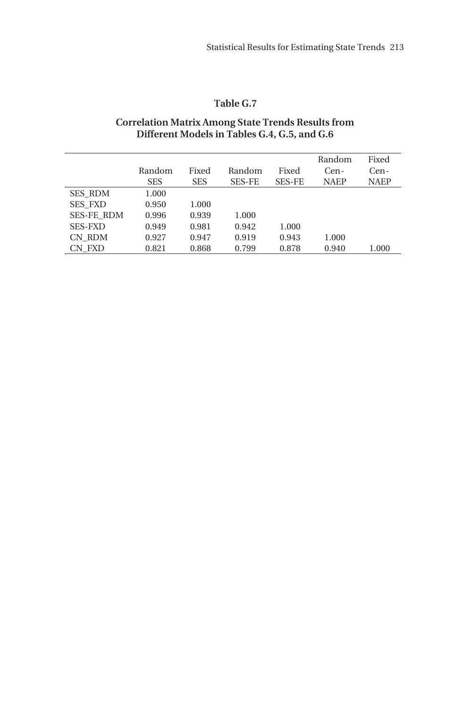#### **Correlation Matrix Among State Trends Results from Different Models in Tables G.4, G.5, and G.6**

|                   | Random<br><b>SES</b> | Fixed<br><b>SES</b> | Random<br><b>SES-FE</b> | Fixed<br><b>SES-FE</b> | Random<br>Cen-<br><b>NAEP</b> | Fixed<br>Cen-<br><b>NAEP</b> |
|-------------------|----------------------|---------------------|-------------------------|------------------------|-------------------------------|------------------------------|
| <b>SES RDM</b>    | 1.000                |                     |                         |                        |                               |                              |
| <b>SES FXD</b>    | 0.950                | 1.000               |                         |                        |                               |                              |
| <b>SES-FE RDM</b> | 0.996                | 0.939               | 1.000                   |                        |                               |                              |
| <b>SES-FXD</b>    | 0.949                | 0.981               | 0.942                   | 1.000                  |                               |                              |
| CN RDM            | 0.927                | 0.947               | 0.919                   | 0.943                  | 1.000                         |                              |
| CN FXD            | 0.821                | 0.868               | 0.799                   | 0.878                  | 0.940                         | 1.000                        |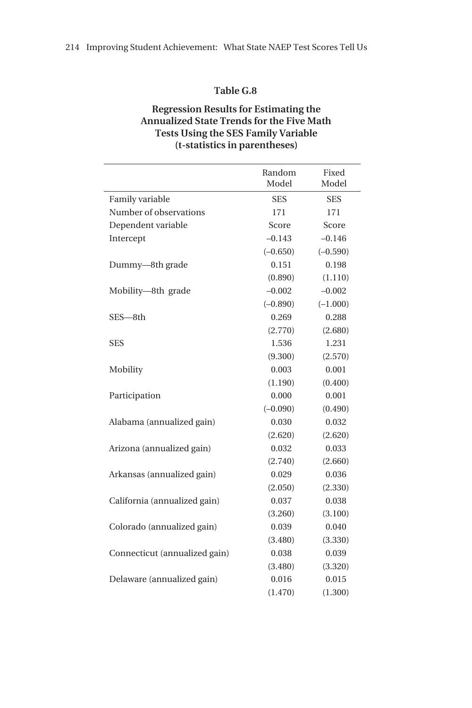## **Regression Results for Estimating the Annualized State Trends for the Five Math Tests Using the SES Family Variable (t-statistics in parentheses)**

|                               | Random     | Fixed      |
|-------------------------------|------------|------------|
|                               | Model      | Model      |
| Family variable               | <b>SES</b> | <b>SES</b> |
| Number of observations        | 171        | 171        |
| Dependent variable            | Score      | Score      |
| Intercept                     | $-0.143$   | $-0.146$   |
|                               | $(-0.650)$ | $(-0.590)$ |
| Dummy-8th grade               | 0.151      | 0.198      |
|                               | (0.890)    | (1.110)    |
| Mobility-8th grade            | $-0.002$   | $-0.002$   |
|                               | $(-0.890)$ | $(-1.000)$ |
| SES-8th                       | 0.269      | 0.288      |
|                               | (2.770)    | (2.680)    |
| <b>SES</b>                    | 1.536      | 1.231      |
|                               | (9.300)    | (2.570)    |
| Mobility                      | 0.003      | 0.001      |
|                               | (1.190)    | (0.400)    |
| Participation                 | 0.000      | 0.001      |
|                               | $(-0.090)$ | (0.490)    |
| Alabama (annualized gain)     | 0.030      | 0.032      |
|                               | (2.620)    | (2.620)    |
| Arizona (annualized gain)     | 0.032      | 0.033      |
|                               | (2.740)    | (2.660)    |
| Arkansas (annualized gain)    | 0.029      | 0.036      |
|                               | (2.050)    | (2.330)    |
| California (annualized gain)  | 0.037      | 0.038      |
|                               | (3.260)    | (3.100)    |
| Colorado (annualized gain)    | 0.039      | 0.040      |
|                               | (3.480)    | (3.330)    |
| Connecticut (annualized gain) | 0.038      | 0.039      |
|                               | (3.480)    | (3.320)    |
| Delaware (annualized gain)    | 0.016      | 0.015      |
|                               | (1.470)    | (1.300)    |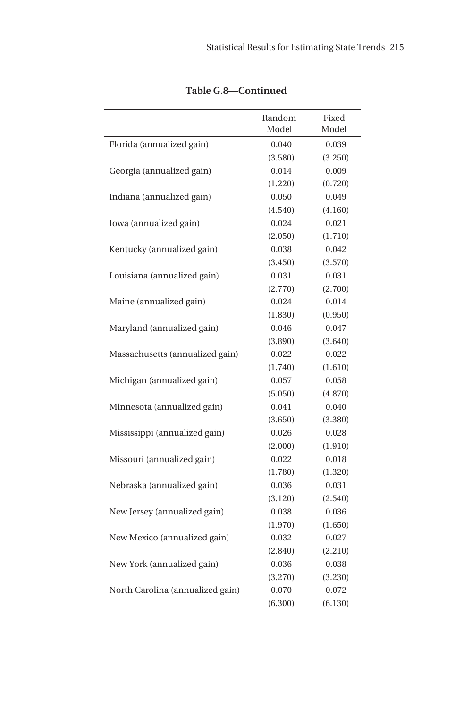|                                  | Random<br>Model | Fixed<br>Model |
|----------------------------------|-----------------|----------------|
| Florida (annualized gain)        | 0.040           | 0.039          |
|                                  | (3.580)         | (3.250)        |
| Georgia (annualized gain)        | 0.014           | 0.009          |
|                                  | (1.220)         | (0.720)        |
| Indiana (annualized gain)        | 0.050           | 0.049          |
|                                  | (4.540)         | (4.160)        |
| Iowa (annualized gain)           | 0.024           | 0.021          |
|                                  | (2.050)         | (1.710)        |
| Kentucky (annualized gain)       | 0.038           | 0.042          |
|                                  | (3.450)         | (3.570)        |
| Louisiana (annualized gain)      | 0.031           | 0.031          |
|                                  | (2.770)         | (2.700)        |
| Maine (annualized gain)          | 0.024           | 0.014          |
|                                  | (1.830)         | (0.950)        |
| Maryland (annualized gain)       | 0.046           | 0.047          |
|                                  | (3.890)         | (3.640)        |
| Massachusetts (annualized gain)  | 0.022           | 0.022          |
|                                  | (1.740)         | (1.610)        |
| Michigan (annualized gain)       | 0.057           | 0.058          |
|                                  | (5.050)         | (4.870)        |
| Minnesota (annualized gain)      | 0.041           | 0.040          |
|                                  | (3.650)         | (3.380)        |
| Mississippi (annualized gain)    | 0.026           | 0.028          |
|                                  | (2.000)         | (1.910)        |
| Missouri (annualized gain)       | 0.022           | 0.018          |
|                                  | (1.780)         | (1.320)        |
| Nebraska (annualized gain)       | 0.036           | 0.031          |
|                                  | (3.120)         | (2.540)        |
| New Jersey (annualized gain)     | 0.038           | 0.036          |
|                                  | (1.970)         | (1.650)        |
| New Mexico (annualized gain)     | 0.032           | 0.027          |
|                                  | (2.840)         | (2.210)        |
| New York (annualized gain)       | 0.036           | 0.038          |
|                                  | (3.270)         | (3.230)        |
| North Carolina (annualized gain) | 0.070           | 0.072          |
|                                  | (6.300)         | (6.130)        |

**Table G.8—Continued**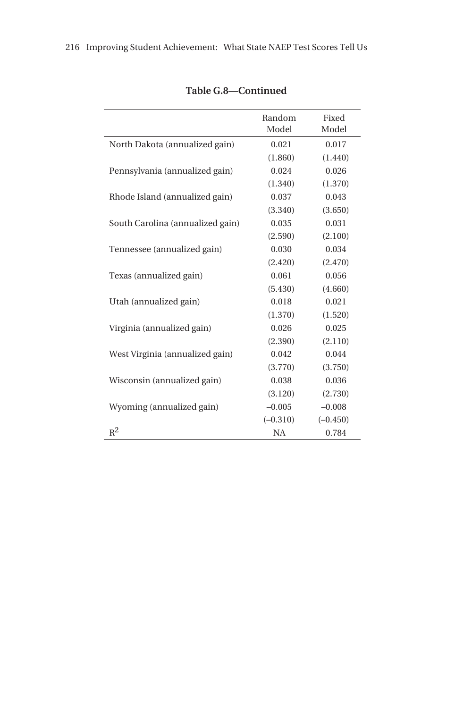|                                  | Random<br>Model | Fixed<br>Model |
|----------------------------------|-----------------|----------------|
| North Dakota (annualized gain)   | 0.021           | 0.017          |
|                                  | (1.860)         | (1.440)        |
| Pennsylvania (annualized gain)   | 0.024           | 0.026          |
|                                  | (1.340)         | (1.370)        |
| Rhode Island (annualized gain)   | 0.037           | 0.043          |
|                                  | (3.340)         | (3.650)        |
| South Carolina (annualized gain) | 0.035           | 0.031          |
|                                  | (2.590)         | (2.100)        |
| Tennessee (annualized gain)      | 0.030           | 0.034          |
|                                  | (2.420)         | (2.470)        |
| Texas (annualized gain)          | 0.061           | 0.056          |
|                                  | (5.430)         | (4.660)        |
| Utah (annualized gain)           | 0.018           | 0.021          |
|                                  | (1.370)         | (1.520)        |
| Virginia (annualized gain)       | 0.026           | 0.025          |
|                                  | (2.390)         | (2.110)        |
| West Virginia (annualized gain)  | 0.042           | 0.044          |
|                                  | (3.770)         | (3.750)        |
| Wisconsin (annualized gain)      | 0.038           | 0.036          |
|                                  | (3.120)         | (2.730)        |
| Wyoming (annualized gain)        | $-0.005$        | $-0.008$       |
|                                  | $(-0.310)$      | $(-0.450)$     |
| $R^2$                            | <b>NA</b>       | 0.784          |

| Table G.8—Continued |  |  |
|---------------------|--|--|
|                     |  |  |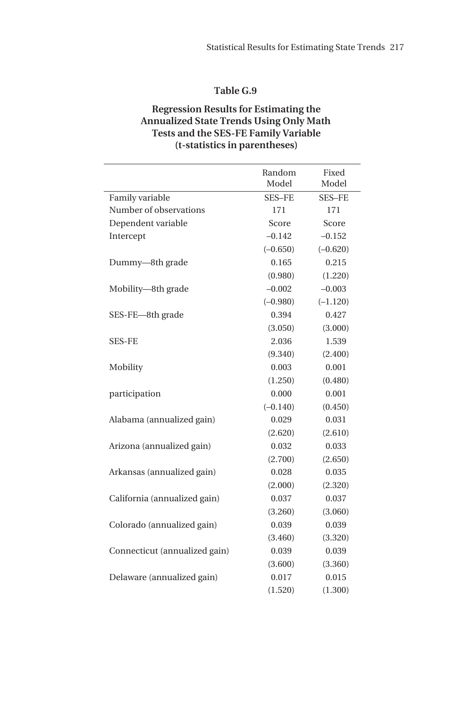## **Regression Results for Estimating the Annualized State Trends Using Only Math Tests and the SES-FE Family Variable (t-statistics in parentheses)**

|                               | Random        | Fixed         |
|-------------------------------|---------------|---------------|
|                               | Model         | Model         |
| Family variable               | <b>SES-FE</b> | <b>SES-FE</b> |
| Number of observations        | 171           | 171           |
| Dependent variable            | Score         | Score         |
| Intercept                     | $-0.142$      | $-0.152$      |
|                               | $(-0.650)$    | $(-0.620)$    |
| Dummy-8th grade               | 0.165         | 0.215         |
|                               | (0.980)       | (1.220)       |
| Mobility-8th grade            | $-0.002$      | $-0.003$      |
|                               | $(-0.980)$    | $(-1.120)$    |
| SES-FE-8th grade              | 0.394         | 0.427         |
|                               | (3.050)       | (3.000)       |
| <b>SES-FE</b>                 | 2.036         | 1.539         |
|                               | (9.340)       | (2.400)       |
| Mobility                      | 0.003         | 0.001         |
|                               | (1.250)       | (0.480)       |
| participation                 | 0.000         | 0.001         |
|                               | $(-0.140)$    | (0.450)       |
| Alabama (annualized gain)     | 0.029         | 0.031         |
|                               | (2.620)       | (2.610)       |
| Arizona (annualized gain)     | 0.032         | 0.033         |
|                               | (2.700)       | (2.650)       |
| Arkansas (annualized gain)    | 0.028         | 0.035         |
|                               | (2.000)       | (2.320)       |
| California (annualized gain)  | 0.037         | 0.037         |
|                               | (3.260)       | (3.060)       |
| Colorado (annualized gain)    | 0.039         | 0.039         |
|                               | (3.460)       | (3.320)       |
| Connecticut (annualized gain) | 0.039         | 0.039         |
|                               | (3.600)       | (3.360)       |
| Delaware (annualized gain)    | 0.017         | 0.015         |
|                               | (1.520)       | (1.300)       |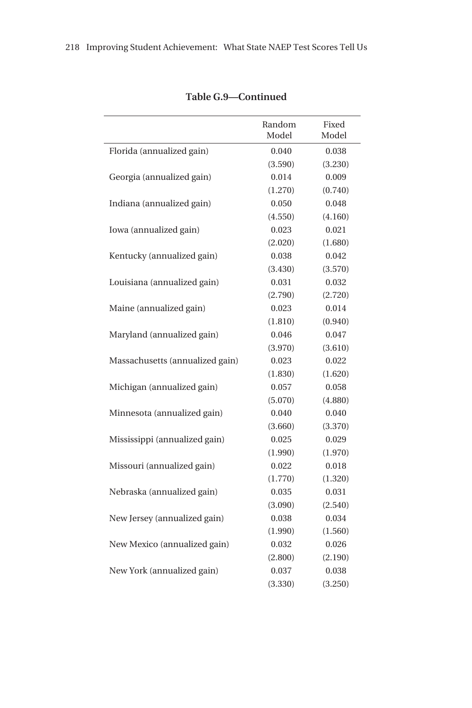|                                 | Random<br>Model | Fixed<br>Model |
|---------------------------------|-----------------|----------------|
| Florida (annualized gain)       | 0.040           | 0.038          |
|                                 | (3.590)         | (3.230)        |
| Georgia (annualized gain)       | 0.014           | 0.009          |
|                                 | (1.270)         | (0.740)        |
| Indiana (annualized gain)       | 0.050           | 0.048          |
|                                 | (4.550)         | (4.160)        |
| Iowa (annualized gain)          | 0.023           | 0.021          |
|                                 | (2.020)         | (1.680)        |
| Kentucky (annualized gain)      | 0.038           | 0.042          |
|                                 | (3.430)         | (3.570)        |
| Louisiana (annualized gain)     | 0.031           | 0.032          |
|                                 | (2.790)         | (2.720)        |
| Maine (annualized gain)         | 0.023           | 0.014          |
|                                 | (1.810)         | (0.940)        |
| Maryland (annualized gain)      | 0.046           | 0.047          |
|                                 | (3.970)         | (3.610)        |
| Massachusetts (annualized gain) | 0.023           | 0.022          |
|                                 | (1.830)         | (1.620)        |
| Michigan (annualized gain)      | 0.057           | 0.058          |
|                                 | (5.070)         | (4.880)        |
| Minnesota (annualized gain)     | 0.040           | 0.040          |
|                                 | (3.660)         | (3.370)        |
| Mississippi (annualized gain)   | 0.025           | 0.029          |
|                                 | (1.990)         | (1.970)        |
| Missouri (annualized gain)      | 0.022           | 0.018          |
|                                 | (1.770)         | (1.320)        |
| Nebraska (annualized gain)      | 0.035           | 0.031          |
|                                 | (3.090)         | (2.540)        |
| New Jersey (annualized gain)    | 0.038           | 0.034          |
|                                 | (1.990)         | (1.560)        |
| New Mexico (annualized gain)    | 0.032           | 0.026          |
|                                 | (2.800)         | (2.190)        |
| New York (annualized gain)      | 0.037           | 0.038          |
|                                 | (3.330)         | (3.250)        |
|                                 |                 |                |

# **Table G.9—Continued**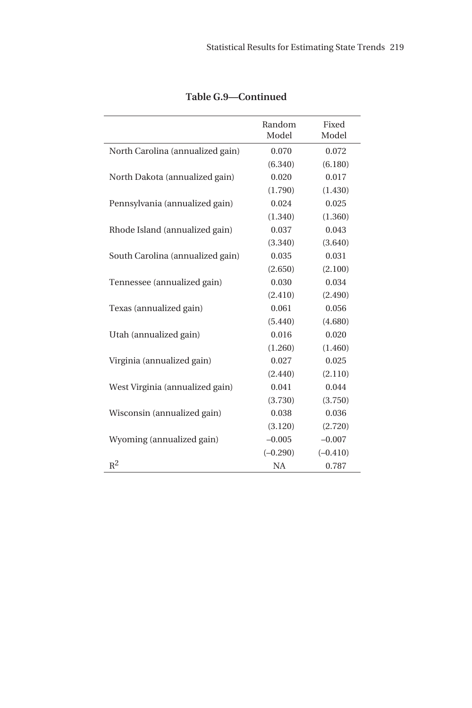|                                  | Random<br>Model | Fixed<br>Model |
|----------------------------------|-----------------|----------------|
| North Carolina (annualized gain) | 0.070           | 0.072          |
|                                  | (6.340)         | (6.180)        |
| North Dakota (annualized gain)   | 0.020           | 0.017          |
|                                  | (1.790)         | (1.430)        |
| Pennsylvania (annualized gain)   | 0.024           | 0.025          |
|                                  | (1.340)         | (1.360)        |
| Rhode Island (annualized gain)   | 0.037           | 0.043          |
|                                  | (3.340)         | (3.640)        |
| South Carolina (annualized gain) | 0.035           | 0.031          |
|                                  | (2.650)         | (2.100)        |
| Tennessee (annualized gain)      | 0.030           | 0.034          |
|                                  | (2.410)         | (2.490)        |
| Texas (annualized gain)          | 0.061           | 0.056          |
|                                  | (5.440)         | (4.680)        |
| Utah (annualized gain)           | 0.016           | 0.020          |
|                                  | (1.260)         | (1.460)        |
| Virginia (annualized gain)       | 0.027           | 0.025          |
|                                  | (2.440)         | (2.110)        |
| West Virginia (annualized gain)  | 0.041           | 0.044          |
|                                  | (3.730)         | (3.750)        |
| Wisconsin (annualized gain)      | 0.038           | 0.036          |
|                                  | (3.120)         | (2.720)        |
| Wyoming (annualized gain)        | $-0.005$        | $-0.007$       |
|                                  | $(-0.290)$      | $(-0.410)$     |
| $R^2$                            | <b>NA</b>       | 0.787          |

**Table G.9—Continued**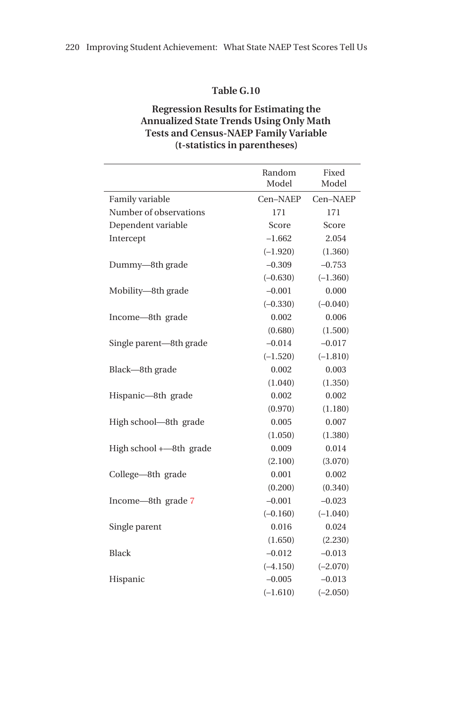## **Regression Results for Estimating the Annualized State Trends Using Only Math Tests and Census-NAEP Family Variable (t-statistics in parentheses)**

|                         | Random     | Fixed      |
|-------------------------|------------|------------|
|                         | Model      | Model      |
| Family variable         | Cen-NAEP   | Cen-NAEP   |
| Number of observations  | 171        | 171        |
| Dependent variable      | Score      | Score      |
| Intercept               | $-1.662$   | 2.054      |
|                         | $(-1.920)$ | (1.360)    |
| Dummy-8th grade         | $-0.309$   | $-0.753$   |
|                         | $(-0.630)$ | $(-1.360)$ |
| Mobility-8th grade      | $-0.001$   | 0.000      |
|                         | $(-0.330)$ | $(-0.040)$ |
| Income-8th grade        | 0.002      | 0.006      |
|                         | (0.680)    | (1.500)    |
| Single parent—8th grade | $-0.014$   | $-0.017$   |
|                         | $(-1.520)$ | $(-1.810)$ |
| Black-8th grade         | 0.002      | 0.003      |
|                         | (1.040)    | (1.350)    |
| Hispanic-8th grade      | 0.002      | 0.002      |
|                         | (0.970)    | (1.180)    |
| High school—8th grade   | 0.005      | 0.007      |
|                         | (1.050)    | (1.380)    |
| High school +-8th grade | 0.009      | 0.014      |
|                         | (2.100)    | (3.070)    |
| College—8th grade       | 0.001      | 0.002      |
|                         | (0.200)    | (0.340)    |
| Income-8th grade 7      | $-0.001$   | $-0.023$   |
|                         | $(-0.160)$ | $(-1.040)$ |
| Single parent           | 0.016      | 0.024      |
|                         | (1.650)    | (2.230)    |
| <b>Black</b>            | $-0.012$   | $-0.013$   |
|                         | $(-4.150)$ | $(-2.070)$ |
| Hispanic                | $-0.005$   | $-0.013$   |
|                         | $(-1.610)$ | $(-2.050)$ |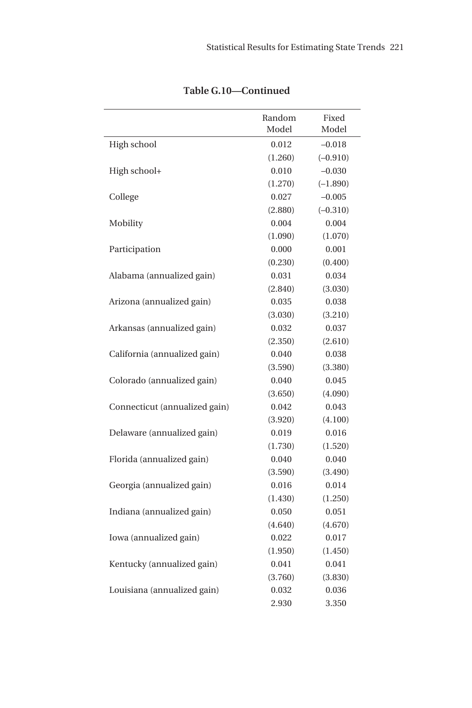|                               | Random<br>Model | Fixed<br>Model |
|-------------------------------|-----------------|----------------|
| High school                   | 0.012           | $-0.018$       |
|                               | (1.260)         | $(-0.910)$     |
| High school+                  | 0.010           | $-0.030$       |
|                               | (1.270)         | $(-1.890)$     |
| College                       | 0.027           | $-0.005$       |
|                               | (2.880)         | $(-0.310)$     |
| Mobility                      | 0.004           | 0.004          |
|                               | (1.090)         | (1.070)        |
| Participation                 | 0.000           | 0.001          |
|                               | (0.230)         | (0.400)        |
| Alabama (annualized gain)     | 0.031           | 0.034          |
|                               | (2.840)         | (3.030)        |
| Arizona (annualized gain)     | 0.035           | 0.038          |
|                               | (3.030)         | (3.210)        |
| Arkansas (annualized gain)    | 0.032           | 0.037          |
|                               | (2.350)         | (2.610)        |
| California (annualized gain)  | 0.040           | 0.038          |
|                               | (3.590)         | (3.380)        |
| Colorado (annualized gain)    | 0.040           | 0.045          |
|                               | (3.650)         | (4.090)        |
| Connecticut (annualized gain) | 0.042           | 0.043          |
|                               | (3.920)         | (4.100)        |
| Delaware (annualized gain)    | 0.019           | 0.016          |
|                               | (1.730)         | (1.520)        |
| Florida (annualized gain)     | 0.040           | 0.040          |
|                               | (3.590)         | (3.490)        |
| Georgia (annualized gain)     | 0.016           | 0.014          |
|                               | (1.430)         | (1.250)        |
| Indiana (annualized gain)     | 0.050           | 0.051          |
|                               | (4.640)         | (4.670)        |
| Iowa (annualized gain)        | 0.022           | 0.017          |
|                               | (1.950)         | (1.450)        |
| Kentucky (annualized gain)    | 0.041           | 0.041          |
|                               | (3.760)         | (3.830)        |
| Louisiana (annualized gain)   | 0.032           | 0.036          |
|                               | 2.930           | 3.350          |

**Table G.10—Continued**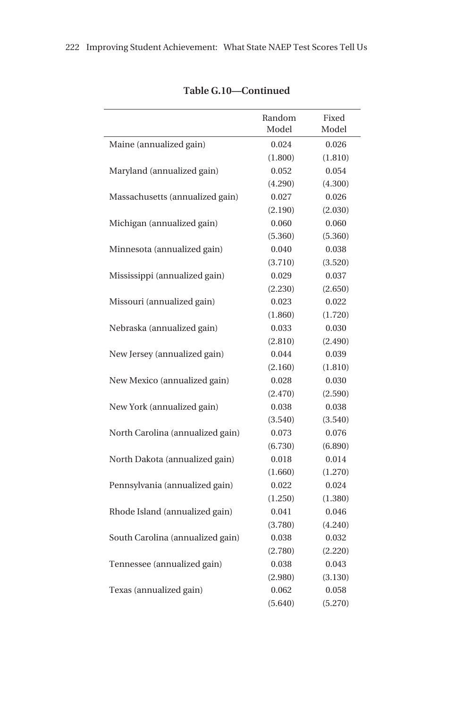|                                  | Random<br>Model | Fixed<br>Model |
|----------------------------------|-----------------|----------------|
| Maine (annualized gain)          | 0.024           | 0.026          |
|                                  | (1.800)         | (1.810)        |
| Maryland (annualized gain)       | 0.052           | 0.054          |
|                                  | (4.290)         | (4.300)        |
| Massachusetts (annualized gain)  | 0.027           | 0.026          |
|                                  | (2.190)         | (2.030)        |
| Michigan (annualized gain)       | 0.060           | 0.060          |
|                                  | (5.360)         | (5.360)        |
| Minnesota (annualized gain)      | 0.040           | 0.038          |
|                                  | (3.710)         | (3.520)        |
| Mississippi (annualized gain)    | 0.029           | 0.037          |
|                                  | (2.230)         | (2.650)        |
| Missouri (annualized gain)       | 0.023           | 0.022          |
|                                  | (1.860)         | (1.720)        |
| Nebraska (annualized gain)       | 0.033           | 0.030          |
|                                  | (2.810)         | (2.490)        |
| New Jersey (annualized gain)     | 0.044           | 0.039          |
|                                  | (2.160)         | (1.810)        |
| New Mexico (annualized gain)     | 0.028           | 0.030          |
|                                  | (2.470)         | (2.590)        |
| New York (annualized gain)       | 0.038           | 0.038          |
|                                  | (3.540)         | (3.540)        |
| North Carolina (annualized gain) | 0.073           | 0.076          |
|                                  | (6.730)         | (6.890)        |
| North Dakota (annualized gain)   | 0.018           | 0.014          |
|                                  | (1.660)         | (1.270)        |
| Pennsylvania (annualized gain)   | 0.022           | 0.024          |
|                                  | (1.250)         | (1.380)        |
| Rhode Island (annualized gain)   | 0.041           | 0.046          |
|                                  | (3.780)         | (4.240)        |
| South Carolina (annualized gain) | 0.038           | 0.032          |
|                                  | (2.780)         | (2.220)        |
| Tennessee (annualized gain)      | 0.038           | 0.043          |
|                                  | (2.980)         | (3.130)        |
| Texas (annualized gain)          | 0.062           | 0.058          |
|                                  | (5.640)         | (5.270)        |

# **Table G.10—Continued**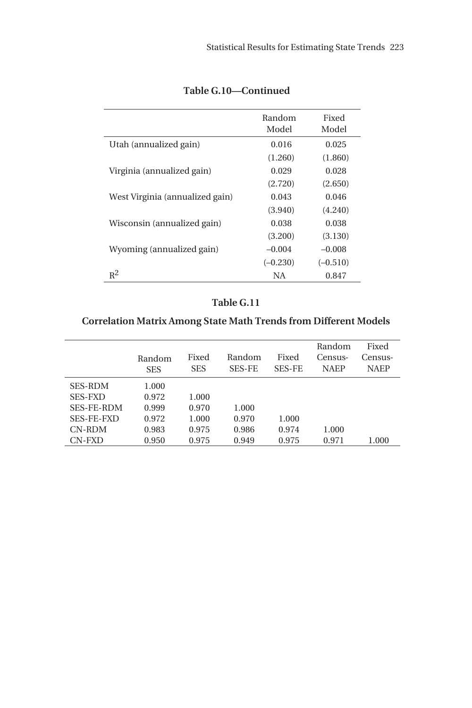|                                 | Random<br>Model | Fixed<br>Model |
|---------------------------------|-----------------|----------------|
| Utah (annualized gain)          | 0.016           | 0.025          |
|                                 | (1.260)         | (1.860)        |
| Virginia (annualized gain)      | 0.029           | 0.028          |
|                                 | (2.720)         | (2.650)        |
| West Virginia (annualized gain) | 0.043           | 0.046          |
|                                 | (3.940)         | (4.240)        |
| Wisconsin (annualized gain)     | 0.038           | 0.038          |
|                                 | (3.200)         | (3.130)        |
| Wyoming (annualized gain)       | $-0.004$        | $-0.008$       |
|                                 | $(-0.230)$      | $(-0.510)$     |
| $R^2$                           | NA              | 0.847          |

# **Table G.10—Continued**

# **Table G.11**

# **Correlation Matrix Among State Math Trends from Different Models**

|                   | Random<br><b>SES</b> | Fixed<br><b>SES</b> | Random<br><b>SES-FE</b> | Fixed<br><b>SES-FE</b> | Random<br>Census-<br><b>NAEP</b> | Fixed<br>Census-<br><b>NAEP</b> |
|-------------------|----------------------|---------------------|-------------------------|------------------------|----------------------------------|---------------------------------|
| <b>SES-RDM</b>    | 1.000                |                     |                         |                        |                                  |                                 |
| <b>SES-FXD</b>    | 0.972                | 1.000               |                         |                        |                                  |                                 |
| <b>SES-FE-RDM</b> | 0.999                | 0.970               | 1.000                   |                        |                                  |                                 |
| <b>SES-FE-FXD</b> | 0.972                | 1.000               | 0.970                   | 1.000                  |                                  |                                 |
| CN-RDM            | 0.983                | 0.975               | 0.986                   | 0.974                  | 1.000                            |                                 |
| CN-FXD            | 0.950                | 0.975               | 0.949                   | 0.975                  | 0.971                            | 1.000                           |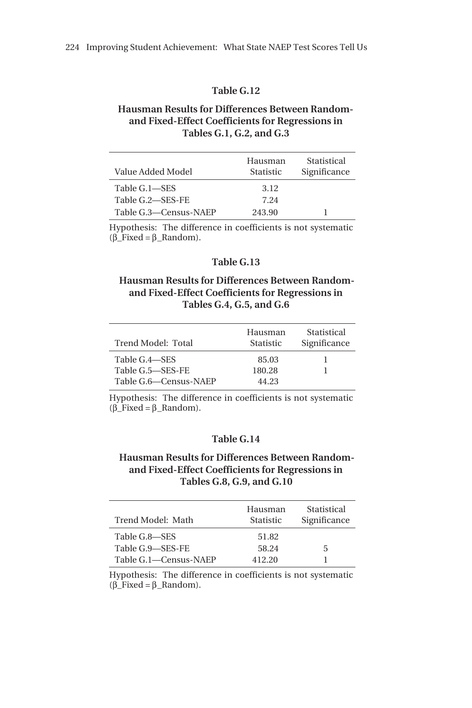### **Hausman Results for Differences Between Randomand Fixed-Effect Coefficients for Regressions in Tables G.1, G.2, and G.3**

| Value Added Model     | Hausman<br><b>Statistic</b> | Statistical<br>Significance |
|-----------------------|-----------------------------|-----------------------------|
| Table G.1—SES         | 3.12                        |                             |
| Table G.2-SES-FE      | 7.24                        |                             |
| Table G.3—Census-NAEP | 243.90                      |                             |

Hypothesis: The difference in coefficients is not systematic (β\_Fixed = β\_Random).

#### **Table G.13**

#### **Hausman Results for Differences Between Randomand Fixed-Effect Coefficients for Regressions in Tables G.4, G.5, and G.6**

| Trend Model: Total    | Hausman<br><b>Statistic</b> | Statistical<br>Significance |
|-----------------------|-----------------------------|-----------------------------|
| Table G.4—SES         | 85.03                       |                             |
| Table G.5-SES-FE      | 180.28                      |                             |
| Table G.6—Census-NAEP | 44.23                       |                             |

Hypothesis: The difference in coefficients is not systematic  $(\beta \text{Fixed} = \beta \text{Random}).$ 

#### **Table G.14**

#### **Hausman Results for Differences Between Randomand Fixed-Effect Coefficients for Regressions in Tables G.8, G.9, and G.10**

| Trend Model: Math     | Hausman<br><b>Statistic</b> | Statistical<br>Significance |
|-----------------------|-----------------------------|-----------------------------|
| Table G.8-SES         | 51.82                       |                             |
| Table G.9-SES-FE      | 58.24                       | 5                           |
| Table G.1—Census-NAEP | 412.20                      |                             |

Hypothesis: The difference in coefficients is not systematic  $(\beta \text{Fixed} = \beta \text{Random}).$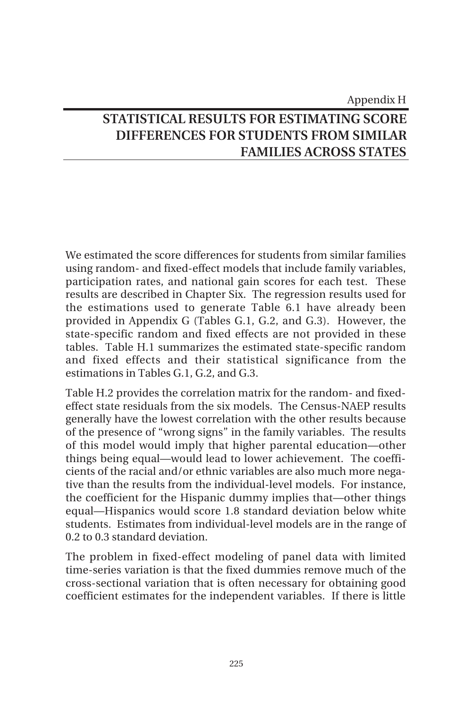# Appendix H **STATISTICAL RESULTS FOR ESTIMATING SCORE DIFFERENCES FOR STUDENTS FROM SIMILAR FAMILIES ACROSS STATES**

We estimated the score differences for students from similar families using random- and fixed-effect models that include family variables, participation rates, and national gain scores for each test. These results are described in Chapter Six. The regression results used for the estimations used to generate Table 6.1 have already been provided in Appendix G (Tables G.1, G.2, and G.3). However, the state-specific random and fixed effects are not provided in these tables. Table H.1 summarizes the estimated state-specific random and fixed effects and their statistical significance from the estimations in Tables G.1, G.2, and G.3.

Table H.2 provides the correlation matrix for the random- and fixedeffect state residuals from the six models. The Census-NAEP results generally have the lowest correlation with the other results because of the presence of "wrong signs" in the family variables. The results of this model would imply that higher parental education—other things being equal—would lead to lower achievement. The coefficients of the racial and/or ethnic variables are also much more negative than the results from the individual-level models. For instance, the coefficient for the Hispanic dummy implies that—other things equal—Hispanics would score 1.8 standard deviation below white students. Estimates from individual-level models are in the range of 0.2 to 0.3 standard deviation.

The problem in fixed-effect modeling of panel data with limited time-series variation is that the fixed dummies remove much of the cross-sectional variation that is often necessary for obtaining good coefficient estimates for the independent variables. If there is little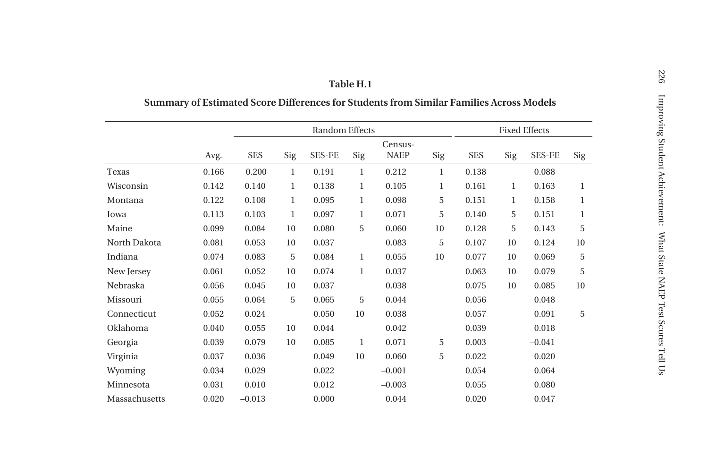|               |       |            |              | Random Effects |              |             |              |            |             | <b>Fixed Effects</b> |     |
|---------------|-------|------------|--------------|----------------|--------------|-------------|--------------|------------|-------------|----------------------|-----|
|               |       |            |              |                |              | Census-     |              |            |             |                      |     |
|               | Avg.  | <b>SES</b> | Sig          | <b>SES-FE</b>  | Sig          | <b>NAEP</b> | Sig          | <b>SES</b> | Sig         | <b>SES-FE</b>        | Sig |
| Texas         | 0.166 | 0.200      | 1            | 0.191          | $\mathbf{1}$ | 0.212       | $\mathbf{1}$ | 0.138      |             | 0.088                |     |
| Wisconsin     | 0.142 | 0.140      | $\mathbf{1}$ | 0.138          | $\mathbf{1}$ | 0.105       | 1            | 0.161      | 1           | 0.163                | 1   |
| Montana       | 0.122 | 0.108      | $\mathbf{1}$ | 0.095          | $\mathbf{1}$ | 0.098       | 5            | 0.151      | $\mathbf 1$ | 0.158                | 1   |
| Iowa          | 0.113 | $0.103\,$  | 1            | 0.097          | 1            | 0.071       | 5            | 0.140      | 5           | 0.151                | 1   |
| Maine         | 0.099 | 0.084      | 10           | 0.080          | 5            | 0.060       | 10           | 0.128      | 5           | 0.143                | 5   |
| North Dakota  | 0.081 | 0.053      | 10           | 0.037          |              | 0.083       | 5            | 0.107      | 10          | 0.124                | 10  |
| Indiana       | 0.074 | 0.083      | 5            | 0.084          | $\mathbf{1}$ | 0.055       | 10           | 0.077      | 10          | 0.069                | 5   |
| New Jersey    | 0.061 | 0.052      | 10           | 0.074          | $\mathbf{1}$ | 0.037       |              | 0.063      | 10          | 0.079                | 5   |
| Nebraska      | 0.056 | 0.045      | 10           | 0.037          |              | 0.038       |              | 0.075      | 10          | 0.085                | 10  |
| Missouri      | 0.055 | 0.064      | 5            | 0.065          | 5            | 0.044       |              | 0.056      |             | 0.048                |     |
| Connecticut   | 0.052 | 0.024      |              | 0.050          | 10           | 0.038       |              | 0.057      |             | 0.091                | 5   |
| Oklahoma      | 0.040 | 0.055      | 10           | 0.044          |              | 0.042       |              | 0.039      |             | 0.018                |     |
| Georgia       | 0.039 | 0.079      | 10           | 0.085          | $\mathbf{1}$ | 0.071       | 5            | 0.003      |             | $-0.041$             |     |
| Virginia      | 0.037 | 0.036      |              | 0.049          | 10           | 0.060       | 5            | 0.022      |             | 0.020                |     |
| Wyoming       | 0.034 | 0.029      |              | 0.022          |              | $-0.001$    |              | 0.054      |             | 0.064                |     |
| Minnesota     | 0.031 | 0.010      |              | 0.012          |              | $-0.003$    |              | 0.055      |             | 0.080                |     |
| Massachusetts | 0.020 | $-0.013$   |              | 0.000          |              | 0.044       |              | 0.020      |             | 0.047                |     |

# **Summary of Estimated Score Differences for Students from Similar Families Across Models**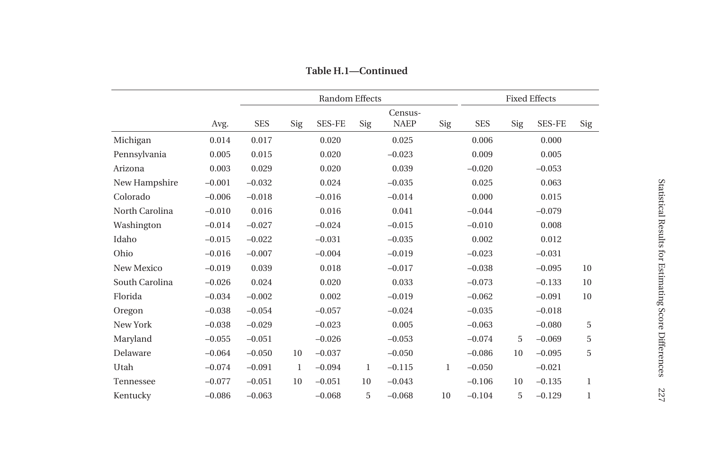|                |          |            |             | <b>Random Effects</b> |     |             |     |            |     | <b>Fixed Effects</b> |              |
|----------------|----------|------------|-------------|-----------------------|-----|-------------|-----|------------|-----|----------------------|--------------|
|                |          |            |             |                       |     | Census-     |     |            |     |                      |              |
|                | Avg.     | <b>SES</b> | Sig         | <b>SES-FE</b>         | Sig | <b>NAEP</b> | Sig | <b>SES</b> | Sig | <b>SES-FE</b>        | Sig          |
| Michigan       | 0.014    | 0.017      |             | 0.020                 |     | 0.025       |     | 0.006      |     | 0.000                |              |
| Pennsylvania   | 0.005    | 0.015      |             | 0.020                 |     | $-0.023$    |     | 0.009      |     | 0.005                |              |
| Arizona        | 0.003    | 0.029      |             | 0.020                 |     | 0.039       |     | $-0.020$   |     | $-0.053$             |              |
| New Hampshire  | $-0.001$ | $-0.032$   |             | 0.024                 |     | $-0.035$    |     | 0.025      |     | 0.063                |              |
| Colorado       | $-0.006$ | $-0.018$   |             | $-0.016$              |     | $-0.014$    |     | 0.000      |     | 0.015                |              |
| North Carolina | $-0.010$ | 0.016      |             | 0.016                 |     | 0.041       |     | $-0.044$   |     | $-0.079$             |              |
| Washington     | $-0.014$ | $-0.027$   |             | $-0.024$              |     | $-0.015$    |     | $-0.010$   |     | 0.008                |              |
| Idaho          | $-0.015$ | $-0.022$   |             | $-0.031$              |     | $-0.035$    |     | 0.002      |     | 0.012                |              |
| Ohio           | $-0.016$ | $-0.007$   |             | $-0.004$              |     | $-0.019$    |     | $-0.023$   |     | $-0.031$             |              |
| New Mexico     | $-0.019$ | 0.039      |             | 0.018                 |     | $-0.017$    |     | $-0.038$   |     | $-0.095$             | 10           |
| South Carolina | $-0.026$ | 0.024      |             | 0.020                 |     | 0.033       |     | $-0.073$   |     | $-0.133$             | 10           |
| Florida        | $-0.034$ | $-0.002$   |             | 0.002                 |     | $-0.019$    |     | $-0.062$   |     | $-0.091$             | 10           |
| Oregon         | $-0.038$ | $-0.054$   |             | $-0.057$              |     | $-0.024$    |     | $-0.035$   |     | $-0.018$             |              |
| New York       | $-0.038$ | $-0.029$   |             | $-0.023$              |     | 0.005       |     | $-0.063$   |     | $-0.080$             | 5            |
| Maryland       | $-0.055$ | $-0.051$   |             | $-0.026$              |     | $-0.053$    |     | $-0.074$   | 5   | $-0.069$             | 5            |
| Delaware       | $-0.064$ | $-0.050$   | 10          | $-0.037$              |     | $-0.050$    |     | $-0.086$   | 10  | $-0.095$             | 5            |
| Utah           | $-0.074$ | $-0.091$   | $\mathbf 1$ | $-0.094$              | 1   | $-0.115$    | 1   | $-0.050$   |     | $-0.021$             |              |
| Tennessee      | $-0.077$ | $-0.051$   | 10          | $-0.051$              | 10  | $-0.043$    |     | $-0.106$   | 10  | $-0.135$             | $\mathbf{1}$ |
| Kentucky       | $-0.086$ | $-0.063$   |             | $-0.068$              | 5   | $-0.068$    | 10  | $-0.104$   | 5   | $-0.129$             | $\mathbf{1}$ |

**Table H.1—Continued**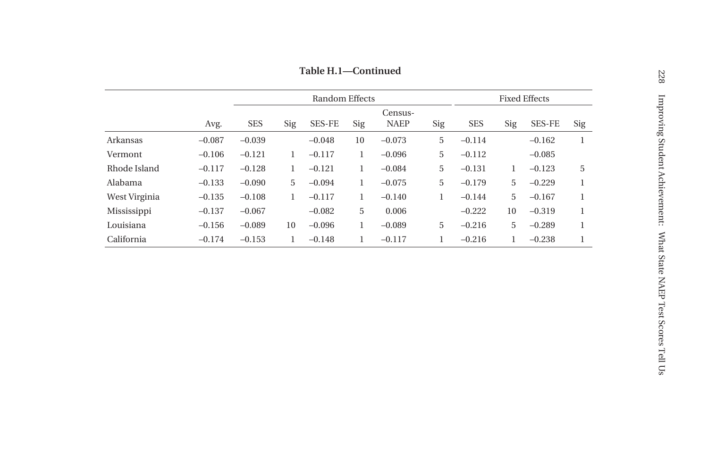**Table H.1—Continued**

|               |          |            |     | Random Effects |     |                        |     |            | <b>Fixed Effects</b> |               |     |
|---------------|----------|------------|-----|----------------|-----|------------------------|-----|------------|----------------------|---------------|-----|
|               | Avg.     | <b>SES</b> | Sig | <b>SES-FE</b>  | Sig | Census-<br><b>NAEP</b> | Sig | <b>SES</b> | Sig                  | <b>SES-FE</b> | Sig |
| Arkansas      | $-0.087$ | $-0.039$   |     | $-0.048$       | 10  | $-0.073$               | 5   | $-0.114$   |                      | $-0.162$      | 1   |
| Vermont       | $-0.106$ | $-0.121$   | 1   | $-0.117$       |     | $-0.096$               | 5   | $-0.112$   |                      | $-0.085$      |     |
| Rhode Island  | $-0.117$ | $-0.128$   | 1   | $-0.121$       |     | $-0.084$               | 5   | $-0.131$   |                      | $-0.123$      | 5   |
| Alabama       | $-0.133$ | $-0.090$   | 5   | $-0.094$       | 1   | $-0.075$               | 5   | $-0.179$   | 5                    | $-0.229$      |     |
| West Virginia | $-0.135$ | $-0.108$   | 1   | $-0.117$       | 1   | $-0.140$               | 1   | $-0.144$   | 5                    | $-0.167$      |     |
| Mississippi   | $-0.137$ | $-0.067$   |     | $-0.082$       | 5   | 0.006                  |     | $-0.222$   | 10                   | $-0.319$      |     |
| Louisiana     | $-0.156$ | $-0.089$   | 10  | $-0.096$       | 1   | $-0.089$               | 5   | $-0.216$   | 5                    | $-0.289$      | 1   |
| California    | $-0.174$ | $-0.153$   | 1   | $-0.148$       | 1   | $-0.117$               |     | $-0.216$   |                      | $-0.238$      |     |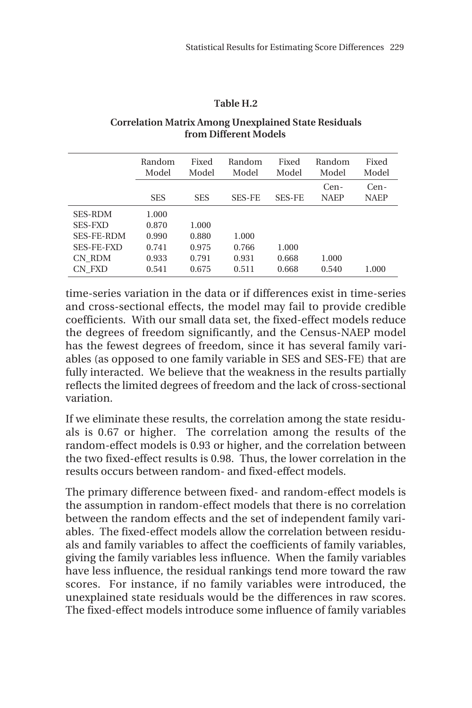#### **Table H.2**

#### **Correlation Matrix Among Unexplained State Residuals from Different Models**

|                   | Random<br>Model | Fixed<br>Model | Random<br>Model | Fixed<br>Model | Random<br>Model     | Fixed<br>Model      |
|-------------------|-----------------|----------------|-----------------|----------------|---------------------|---------------------|
|                   | <b>SES</b>      | <b>SES</b>     | <b>SES-FE</b>   | <b>SES-FE</b>  | Cen-<br><b>NAEP</b> | Cen-<br><b>NAEP</b> |
| <b>SES-RDM</b>    | 1.000           |                |                 |                |                     |                     |
| <b>SES-FXD</b>    | 0.870           | 1.000          |                 |                |                     |                     |
| <b>SES-FE-RDM</b> | 0.990           | 0.880          | 1.000           |                |                     |                     |
| <b>SES-FE-FXD</b> | 0.741           | 0.975          | 0.766           | 1.000          |                     |                     |
| CN RDM            | 0.933           | 0.791          | 0.931           | 0.668          | 1.000               |                     |
| CN FXD            | 0.541           | 0.675          | 0.511           | 0.668          | 0.540               | 1.000               |

time-series variation in the data or if differences exist in time-series and cross-sectional effects, the model may fail to provide credible coefficients. With our small data set, the fixed-effect models reduce the degrees of freedom significantly, and the Census-NAEP model has the fewest degrees of freedom, since it has several family variables (as opposed to one family variable in SES and SES-FE) that are fully interacted. We believe that the weakness in the results partially reflects the limited degrees of freedom and the lack of cross-sectional variation.

If we eliminate these results, the correlation among the state residuals is 0.67 or higher. The correlation among the results of the random-effect models is 0.93 or higher, and the correlation between the two fixed-effect results is 0.98. Thus, the lower correlation in the results occurs between random- and fixed-effect models.

The primary difference between fixed- and random-effect models is the assumption in random-effect models that there is no correlation between the random effects and the set of independent family variables. The fixed-effect models allow the correlation between residuals and family variables to affect the coefficients of family variables, giving the family variables less influence. When the family variables have less influence, the residual rankings tend more toward the raw scores. For instance, if no family variables were introduced, the unexplained state residuals would be the differences in raw scores. The fixed-effect models introduce some influence of family variables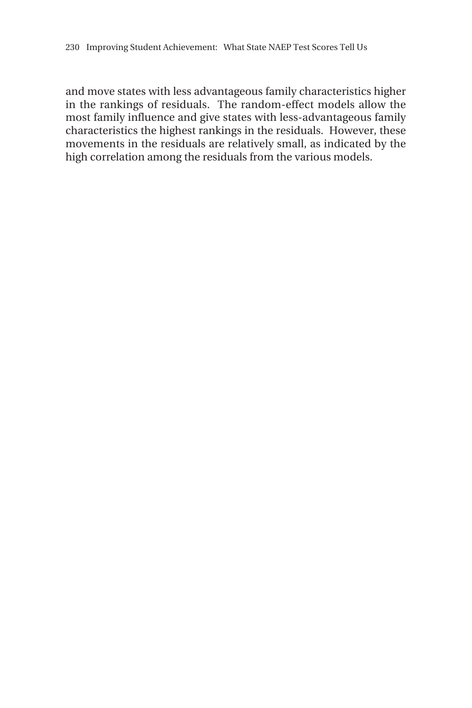and move states with less advantageous family characteristics higher in the rankings of residuals. The random-effect models allow the most family influence and give states with less-advantageous family characteristics the highest rankings in the residuals. However, these movements in the residuals are relatively small, as indicated by the high correlation among the residuals from the various models.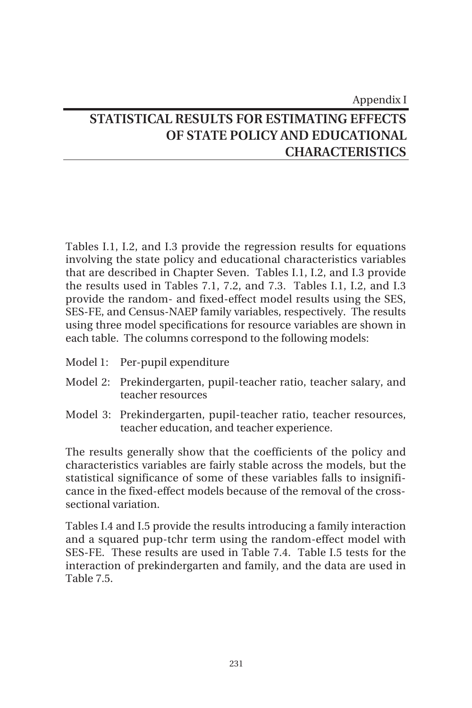# Appendix I **STATISTICAL RESULTS FOR ESTIMATING EFFECTS OF STATE POLICY AND EDUCATIONAL CHARACTERISTICS**

Tables I.1, I.2, and I.3 provide the regression results for equations involving the state policy and educational characteristics variables that are described in Chapter Seven. Tables I.1, I.2, and I.3 provide the results used in Tables 7.1, 7.2, and 7.3. Tables I.1, I.2, and I.3 provide the random- and fixed-effect model results using the SES, SES-FE, and Census-NAEP family variables, respectively. The results using three model specifications for resource variables are shown in each table. The columns correspond to the following models:

- Model 1: Per-pupil expenditure
- Model 2: Prekindergarten, pupil-teacher ratio, teacher salary, and teacher resources
- Model 3: Prekindergarten, pupil-teacher ratio, teacher resources, teacher education, and teacher experience.

The results generally show that the coefficients of the policy and characteristics variables are fairly stable across the models, but the statistical significance of some of these variables falls to insignificance in the fixed-effect models because of the removal of the crosssectional variation.

Tables I.4 and I.5 provide the results introducing a family interaction and a squared pup-tchr term using the random-effect model with SES-FE. These results are used in Table 7.4. Table I.5 tests for the interaction of prekindergarten and family, and the data are used in Table 7.5.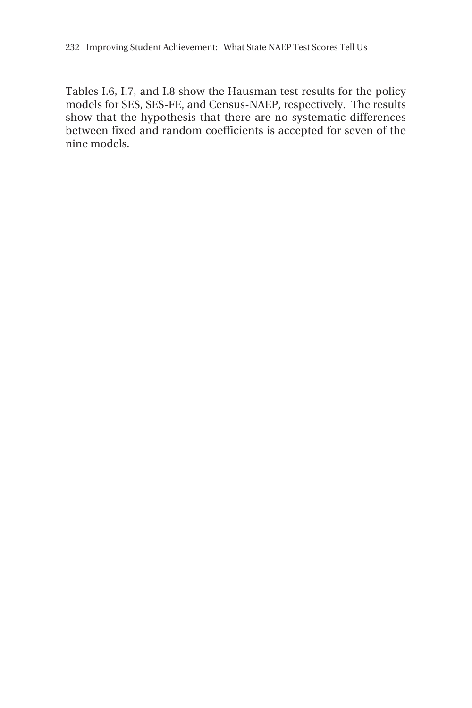Tables I.6, I.7, and I.8 show the Hausman test results for the policy models for SES, SES-FE, and Census-NAEP, respectively. The results show that the hypothesis that there are no systematic differences between fixed and random coefficients is accepted for seven of the nine models.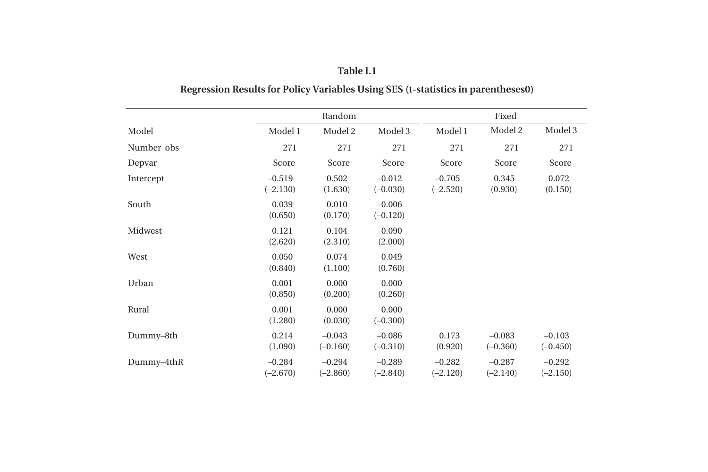|            |                        | Random                 |                        |                        | Fixed                  |                        |
|------------|------------------------|------------------------|------------------------|------------------------|------------------------|------------------------|
| Model      | Model 1                | Model 2                | Model 3                | Model 1                | Model 2                | Model 3                |
| Number obs | 271                    | 271                    | 271                    | 271                    | 271                    | 271                    |
| Depvar     | Score                  | Score                  | Score                  | Score                  | Score                  | Score                  |
| Intercept  | $-0.519$<br>$(-2.130)$ | 0.502<br>(1.630)       | $-0.012$<br>$(-0.030)$ | $-0.705$<br>$(-2.520)$ | 0.345<br>(0.930)       | 0.072<br>(0.150)       |
| South      | 0.039<br>(0.650)       | 0.010<br>(0.170)       | $-0.006$<br>$(-0.120)$ |                        |                        |                        |
| Midwest    | 0.121<br>(2.620)       | 0.104<br>(2.310)       | 0.090<br>(2.000)       |                        |                        |                        |
| West       | 0.050<br>(0.840)       | 0.074<br>(1.100)       | 0.049<br>(0.760)       |                        |                        |                        |
| Urban      | 0.001<br>(0.850)       | 0.000<br>(0.200)       | 0.000<br>(0.260)       |                        |                        |                        |
| Rural      | 0.001<br>(1.280)       | 0.000<br>(0.030)       | 0.000<br>$(-0.300)$    |                        |                        |                        |
| Dummy-8th  | 0.214<br>(1.090)       | $-0.043$<br>$(-0.160)$ | $-0.086$<br>$(-0.310)$ | 0.173<br>(0.920)       | $-0.083$<br>$(-0.360)$ | $-0.103$<br>$(-0.450)$ |
| Dummy-4thR | $-0.284$<br>$(-2.670)$ | $-0.294$<br>$(-2.860)$ | $-0.289$<br>$(-2.840)$ | $-0.282$<br>$(-2.120)$ | $-0.287$<br>$(-2.140)$ | $-0.292$<br>$(-2.150)$ |

# **Regression Results for Policy Variables Using SES (t-statistics in parentheses0)**

**Table I.1**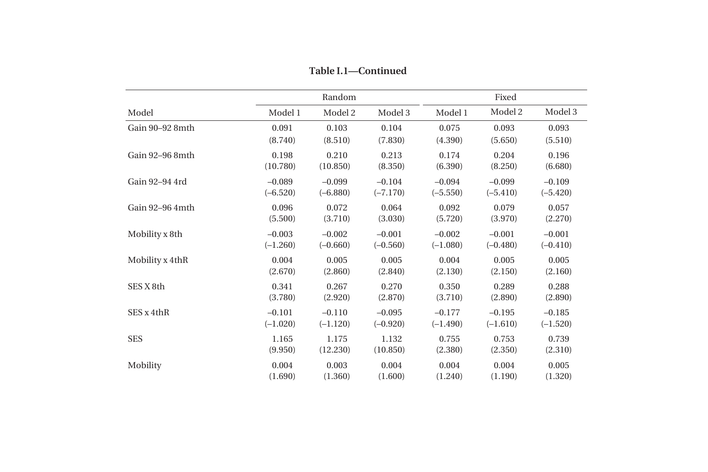|                 |            | Random     |            |            | Fixed      |            |  |  |
|-----------------|------------|------------|------------|------------|------------|------------|--|--|
| Model           | Model 1    | Model 2    | Model 3    | Model 1    | Model 2    | Model 3    |  |  |
| Gain 90-92 8mth | 0.091      | 0.103      | 0.104      | 0.075      | 0.093      | 0.093      |  |  |
|                 | (8.740)    | (8.510)    | (7.830)    | (4.390)    | (5.650)    | (5.510)    |  |  |
| Gain 92-96 8mth | 0.198      | 0.210      | 0.213      | 0.174      | 0.204      | 0.196      |  |  |
|                 | (10.780)   | (10.850)   | (8.350)    | (6.390)    | (8.250)    | (6.680)    |  |  |
| Gain 92-94 4rd  | $-0.089$   | $-0.099$   | $-0.104$   | $-0.094$   | $-0.099$   | $-0.109$   |  |  |
|                 | $(-6.520)$ | $(-6.880)$ | $(-7.170)$ | $(-5.550)$ | $(-5.410)$ | $(-5.420)$ |  |  |
| Gain 92-96 4mth | 0.096      | 0.072      | 0.064      | 0.092      | 0.079      | 0.057      |  |  |
|                 | (5.500)    | (3.710)    | (3.030)    | (5.720)    | (3.970)    | (2.270)    |  |  |
| Mobility x 8th  | $-0.003$   | $-0.002$   | $-0.001$   | $-0.002$   | $-0.001$   | $-0.001$   |  |  |
|                 | $(-1.260)$ | $(-0.660)$ | $(-0.560)$ | $(-1.080)$ | $(-0.480)$ | $(-0.410)$ |  |  |
| Mobility x 4thR | 0.004      | 0.005      | 0.005      | 0.004      | 0.005      | 0.005      |  |  |
|                 | (2.670)    | (2.860)    | (2.840)    | (2.130)    | (2.150)    | (2.160)    |  |  |
| SES X 8th       | 0.341      | 0.267      | 0.270      | 0.350      | 0.289      | 0.288      |  |  |
|                 | (3.780)    | (2.920)    | (2.870)    | (3.710)    | (2.890)    | (2.890)    |  |  |
| SES x 4thR      | $-0.101$   | $-0.110$   | $-0.095$   | $-0.177$   | $-0.195$   | $-0.185$   |  |  |
|                 | $(-1.020)$ | $(-1.120)$ | $(-0.920)$ | $(-1.490)$ | $(-1.610)$ | $(-1.520)$ |  |  |
| <b>SES</b>      | 1.165      | 1.175      | 1.132      | 0.755      | 0.753      | 0.739      |  |  |
|                 | (9.950)    | (12.230)   | (10.850)   | (2.380)    | (2.350)    | (2.310)    |  |  |
| Mobility        | 0.004      | 0.003      | 0.004      | 0.004      | 0.004      | 0.005      |  |  |
|                 | (1.690)    | (1.360)    | (1.600)    | (1.240)    | (1.190)    | (1.320)    |  |  |

**Table I.1—Continued**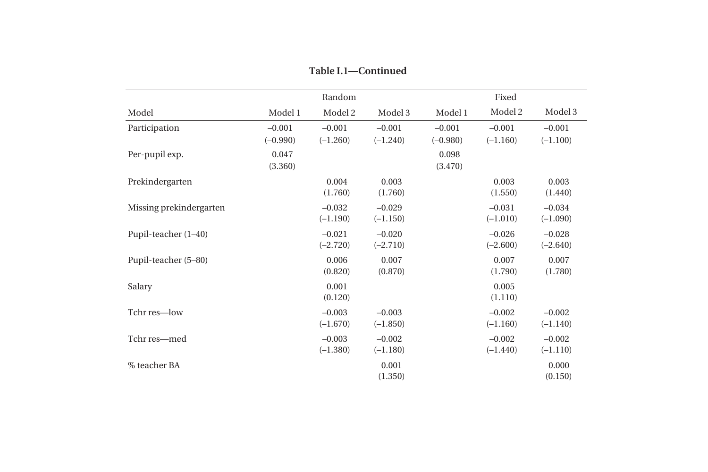|                         |                        | Random                 |                        |                        | Fixed                  |                        |
|-------------------------|------------------------|------------------------|------------------------|------------------------|------------------------|------------------------|
| Model                   | Model 1                | Model 2                | Model 3                | Model 1                | Model 2                | Model 3                |
| Participation           | $-0.001$<br>$(-0.990)$ | $-0.001$<br>$(-1.260)$ | $-0.001$<br>$(-1.240)$ | $-0.001$<br>$(-0.980)$ | $-0.001$<br>$(-1.160)$ | $-0.001$<br>$(-1.100)$ |
| Per-pupil exp.          | 0.047<br>(3.360)       |                        |                        | 0.098<br>(3.470)       |                        |                        |
| Prekindergarten         |                        | 0.004<br>(1.760)       | 0.003<br>(1.760)       |                        | 0.003<br>(1.550)       | 0.003<br>(1.440)       |
| Missing prekindergarten |                        | $-0.032$<br>$(-1.190)$ | $-0.029$<br>$(-1.150)$ |                        | $-0.031$<br>$(-1.010)$ | $-0.034$<br>$(-1.090)$ |
| Pupil-teacher $(1-40)$  |                        | $-0.021$<br>$(-2.720)$ | $-0.020$<br>$(-2.710)$ |                        | $-0.026$<br>$(-2.600)$ | $-0.028$<br>$(-2.640)$ |
| Pupil-teacher (5-80)    |                        | 0.006<br>(0.820)       | 0.007<br>(0.870)       |                        | 0.007<br>(1.790)       | 0.007<br>(1.780)       |
| Salary                  |                        | 0.001<br>(0.120)       |                        |                        | 0.005<br>(1.110)       |                        |
| Tchr res-low            |                        | $-0.003$<br>$(-1.670)$ | $-0.003$<br>$(-1.850)$ |                        | $-0.002$<br>$(-1.160)$ | $-0.002$<br>$(-1.140)$ |
| Tchr res-med            |                        | $-0.003$<br>$(-1.380)$ | $-0.002$<br>$(-1.180)$ |                        | $-0.002$<br>$(-1.440)$ | $-0.002$<br>$(-1.110)$ |
| % teacher BA            |                        |                        | 0.001<br>(1.350)       |                        |                        | 0.000<br>(0.150)       |

**Table I.1—Continued**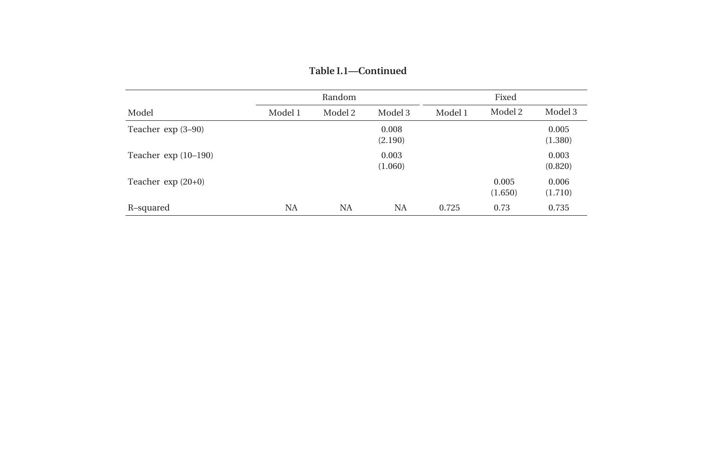|                        |           | Random  |                  |         | Fixed            |                  |
|------------------------|-----------|---------|------------------|---------|------------------|------------------|
| Model                  | Model 1   | Model 2 | Model 3          | Model 1 | Model 2          | Model 3          |
| Teacher $\exp(3-90)$   |           |         | 0.008<br>(2.190) |         |                  | 0.005<br>(1.380) |
| Teacher $\exp(10-190)$ |           |         | 0.003<br>(1.060) |         |                  | 0.003<br>(0.820) |
| Teacher $\exp(20+0)$   |           |         |                  |         | 0.005<br>(1.650) | 0.006<br>(1.710) |
| R-squared              | <b>NA</b> | NA      | NA               | 0.725   | 0.73             | 0.735            |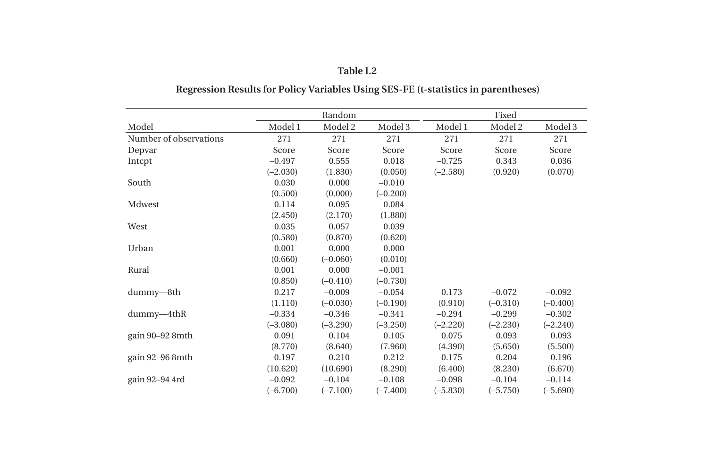|                        |            | Random     |            |            | Fixed      |            |
|------------------------|------------|------------|------------|------------|------------|------------|
| Model                  | Model 1    | Model 2    | Model 3    | Model 1    | Model 2    | Model 3    |
| Number of observations | 271        | 271        | 271        | 271        | 271        | 271        |
| Depvar                 | Score      | Score      | Score      | Score      | Score      | Score      |
| Intept                 | $-0.497$   | 0.555      | 0.018      | $-0.725$   | 0.343      | 0.036      |
|                        | $(-2.030)$ | (1.830)    | (0.050)    | $(-2.580)$ | (0.920)    | (0.070)    |
| South                  | 0.030      | 0.000      | $-0.010$   |            |            |            |
|                        | (0.500)    | (0.000)    | $(-0.200)$ |            |            |            |
| Mdwest                 | 0.114      | 0.095      | 0.084      |            |            |            |
|                        | (2.450)    | (2.170)    | (1.880)    |            |            |            |
| West                   | 0.035      | 0.057      | 0.039      |            |            |            |
|                        | (0.580)    | (0.870)    | (0.620)    |            |            |            |
| Urban                  | 0.001      | 0.000      | 0.000      |            |            |            |
|                        | (0.660)    | $(-0.060)$ | (0.010)    |            |            |            |
| Rural                  | 0.001      | 0.000      | $-0.001$   |            |            |            |
|                        | (0.850)    | $(-0.410)$ | $(-0.730)$ |            |            |            |
| dummy-8th              | 0.217      | $-0.009$   | $-0.054$   | 0.173      | $-0.072$   | $-0.092$   |
|                        | (1.110)    | $(-0.030)$ | $(-0.190)$ | (0.910)    | $(-0.310)$ | $(-0.400)$ |
| dummy-4thR             | $-0.334$   | $-0.346$   | $-0.341$   | $-0.294$   | $-0.299$   | $-0.302$   |
|                        | $(-3.080)$ | $(-3.290)$ | $(-3.250)$ | $(-2.220)$ | $(-2.230)$ | $(-2.240)$ |
| gain 90–92 8mth        | 0.091      | 0.104      | 0.105      | 0.075      | 0.093      | 0.093      |
|                        | (8.770)    | (8.640)    | (7.960)    | (4.390)    | (5.650)    | (5.500)    |
| gain 92–96 8mth        | 0.197      | 0.210      | 0.212      | 0.175      | 0.204      | 0.196      |
|                        | (10.620)   | (10.690)   | (8.290)    | (6.400)    | (8.230)    | (6.670)    |
| gain 92-94 4rd         | $-0.092$   | $-0.104$   | $-0.108$   | $-0.098$   | $-0.104$   | $-0.114$   |
|                        | $(-6.700)$ | $(-7.100)$ | $(-7.400)$ | $(-5.830)$ | $(-5.750)$ | $(-5.690)$ |

# **Table I.2 Regression Results for Policy Variables Using SES-FE (t-statistics in parentheses)**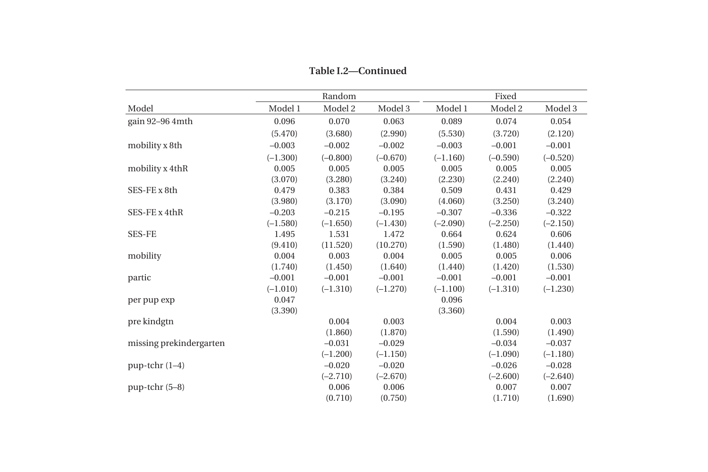|                         |            | Random     |            |            | Fixed      |            |
|-------------------------|------------|------------|------------|------------|------------|------------|
| Model                   | Model 1    | Model 2    | Model 3    | Model 1    | Model 2    | Model 3    |
| gain 92-96 4mth         | 0.096      | 0.070      | 0.063      | 0.089      | 0.074      | 0.054      |
|                         | (5.470)    | (3.680)    | (2.990)    | (5.530)    | (3.720)    | (2.120)    |
| mobility x 8th          | $-0.003$   | $-0.002$   | $-0.002$   | $-0.003$   | $-0.001$   | $-0.001$   |
|                         | $(-1.300)$ | $(-0.800)$ | $(-0.670)$ | $(-1.160)$ | $(-0.590)$ | $(-0.520)$ |
| mobility x 4thR         | 0.005      | 0.005      | 0.005      | 0.005      | 0.005      | 0.005      |
|                         | (3.070)    | (3.280)    | (3.240)    | (2.230)    | (2.240)    | (2.240)    |
| SES-FE x 8th            | 0.479      | 0.383      | 0.384      | 0.509      | 0.431      | 0.429      |
|                         | (3.980)    | (3.170)    | (3.090)    | (4.060)    | (3.250)    | (3.240)    |
| SES-FE x 4thR           | $-0.203$   | $-0.215$   | $-0.195$   | $-0.307$   | $-0.336$   | $-0.322$   |
|                         | $(-1.580)$ | $(-1.650)$ | $(-1.430)$ | $(-2.090)$ | $(-2.250)$ | $(-2.150)$ |
| <b>SES-FE</b>           | 1.495      | 1.531      | 1.472      | 0.664      | 0.624      | 0.606      |
|                         | (9.410)    | (11.520)   | (10.270)   | (1.590)    | (1.480)    | (1.440)    |
| mobility                | 0.004      | 0.003      | 0.004      | 0.005      | 0.005      | 0.006      |
|                         | (1.740)    | (1.450)    | (1.640)    | (1.440)    | (1.420)    | (1.530)    |
| partic                  | $-0.001$   | $-0.001$   | $-0.001$   | $-0.001$   | $-0.001$   | $-0.001$   |
|                         | $(-1.010)$ | $(-1.310)$ | $(-1.270)$ | $(-1.100)$ | $(-1.310)$ | $(-1.230)$ |
| per pup exp             | 0.047      |            |            | 0.096      |            |            |
|                         | (3.390)    |            |            | (3.360)    |            |            |
| pre kindgtn             |            | 0.004      | 0.003      |            | 0.004      | 0.003      |
|                         |            | (1.860)    | (1.870)    |            | (1.590)    | (1.490)    |
| missing prekindergarten |            | $-0.031$   | $-0.029$   |            | $-0.034$   | $-0.037$   |
|                         |            | $(-1.200)$ | $(-1.150)$ |            | $(-1.090)$ | $(-1.180)$ |
| $pup-tchr(1-4)$         |            | $-0.020$   | $-0.020$   |            | $-0.026$   | $-0.028$   |
|                         |            | $(-2.710)$ | $(-2.670)$ |            | $(-2.600)$ | $(-2.640)$ |
| $pup-tchr(5-8)$         |            | 0.006      | 0.006      |            | 0.007      | 0.007      |
|                         |            | (0.710)    | (0.750)    |            | (1.710)    | (1.690)    |

**Table I.2—Continued**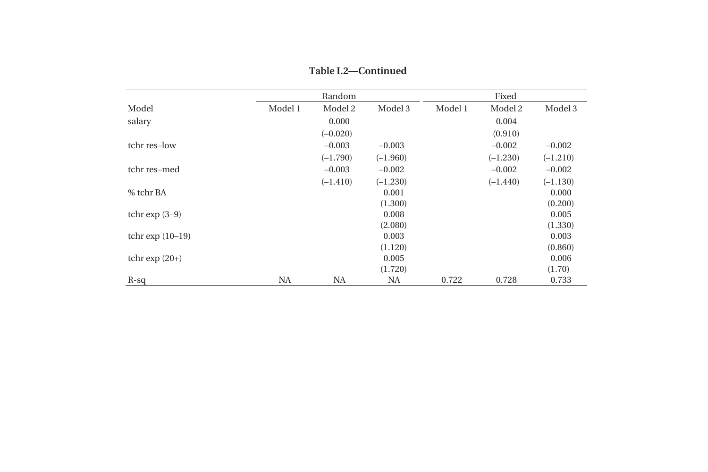|                    |           | Random     |            |         | Fixed      |            |
|--------------------|-----------|------------|------------|---------|------------|------------|
| Model              | Model 1   | Model 2    | Model 3    | Model 1 | Model 2    | Model 3    |
| salary             |           | 0.000      |            |         | 0.004      |            |
|                    |           | $(-0.020)$ |            |         | (0.910)    |            |
| tchr res-low       |           | $-0.003$   | $-0.003$   |         | $-0.002$   | $-0.002$   |
|                    |           | $(-1.790)$ | $(-1.960)$ |         | $(-1.230)$ | $(-1.210)$ |
| tchr res-med       |           | $-0.003$   | $-0.002$   |         | $-0.002$   | $-0.002$   |
|                    |           | $(-1.410)$ | $(-1.230)$ |         | $(-1.440)$ | $(-1.130)$ |
| % tchr BA          |           |            | 0.001      |         |            | 0.000      |
|                    |           |            | (1.300)    |         |            | (0.200)    |
| tchr $\exp(3-9)$   |           |            | 0.008      |         |            | 0.005      |
|                    |           |            | (2.080)    |         |            | (1.330)    |
| tchr $\exp(10-19)$ |           |            | 0.003      |         |            | 0.003      |
|                    |           |            | (1.120)    |         |            | (0.860)    |
| tchr $\exp(20+)$   |           |            | 0.005      |         |            | 0.006      |
|                    |           |            | (1.720)    |         |            | (1.70)     |
| $R-sq$             | <b>NA</b> | <b>NA</b>  | NA         | 0.722   | 0.728      | 0.733      |

**Table I.2—Continued**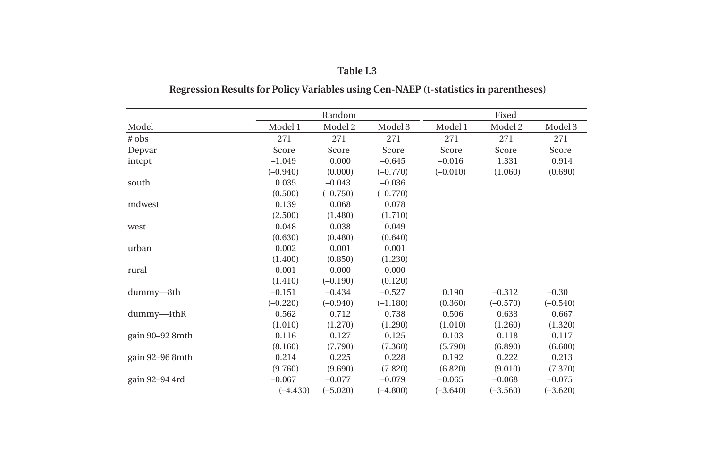|                 |            | Random     |            |            | Fixed      |            |
|-----------------|------------|------------|------------|------------|------------|------------|
| Model           | Model 1    | Model 2    | Model 3    | Model 1    | Model 2    | Model 3    |
| # obs           | 271        | 271        | 271        | 271        | 271        | 271        |
| Depvar          | Score      | Score      | Score      | Score      | Score      | Score      |
| intcpt          | $-1.049$   | 0.000      | $-0.645$   | $-0.016$   | 1.331      | 0.914      |
|                 | $(-0.940)$ | (0.000)    | $(-0.770)$ | $(-0.010)$ | (1.060)    | (0.690)    |
| south           | 0.035      | $-0.043$   | $-0.036$   |            |            |            |
|                 | (0.500)    | $(-0.750)$ | $(-0.770)$ |            |            |            |
| mdwest          | 0.139      | 0.068      | 0.078      |            |            |            |
|                 | (2.500)    | (1.480)    | (1.710)    |            |            |            |
| west            | 0.048      | 0.038      | 0.049      |            |            |            |
|                 | (0.630)    | (0.480)    | (0.640)    |            |            |            |
| urban           | 0.002      | 0.001      | 0.001      |            |            |            |
|                 | (1.400)    | (0.850)    | (1.230)    |            |            |            |
| rural           | 0.001      | 0.000      | 0.000      |            |            |            |
|                 | (1.410)    | $(-0.190)$ | (0.120)    |            |            |            |
| dummy-8th       | $-0.151$   | $-0.434$   | $-0.527$   | 0.190      | $-0.312$   | $-0.30$    |
|                 | $(-0.220)$ | $(-0.940)$ | $(-1.180)$ | (0.360)    | $(-0.570)$ | $(-0.540)$ |
| $dummy-4thR$    | 0.562      | 0.712      | 0.738      | 0.506      | 0.633      | 0.667      |
|                 | (1.010)    | (1.270)    | (1.290)    | (1.010)    | (1.260)    | (1.320)    |
| gain 90–92 8mth | 0.116      | 0.127      | 0.125      | 0.103      | 0.118      | 0.117      |
|                 | (8.160)    | (7.790)    | (7.360)    | (5.790)    | (6.890)    | (6.600)    |
| gain 92-96 8mth | 0.214      | 0.225      | 0.228      | 0.192      | 0.222      | 0.213      |
|                 | (9.760)    | (9.690)    | (7.820)    | (6.820)    | (9.010)    | (7.370)    |
| gain 92-94 4rd  | $-0.067$   | $-0.077$   | $-0.079$   | $-0.065$   | $-0.068$   | $-0.075$   |
|                 | $(-4.430)$ | $(-5.020)$ | $(-4.800)$ | $(-3.640)$ | $(-3.560)$ | $(-3.620)$ |

#### **Table I.3**

# **Regression Results for Policy Variables using Cen-NAEP (t-statistics in parentheses)**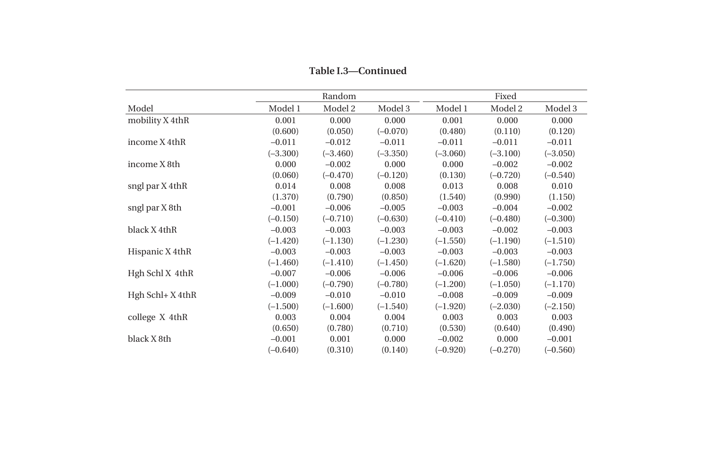|                      |            | Random     |            |            | Fixed      |            |
|----------------------|------------|------------|------------|------------|------------|------------|
| Model                | Model 1    | Model 2    | Model 3    | Model 1    | Model 2    | Model 3    |
| mobility X 4thR      | 0.001      | 0.000      | 0.000      | 0.001      | 0.000      | 0.000      |
|                      | (0.600)    | (0.050)    | $(-0.070)$ | (0.480)    | (0.110)    | (0.120)    |
| income X 4thR        | $-0.011$   | $-0.012$   | $-0.011$   | $-0.011$   | $-0.011$   | $-0.011$   |
|                      | $(-3.300)$ | $(-3.460)$ | $(-3.350)$ | $(-3.060)$ | $(-3.100)$ | $(-3.050)$ |
| income X 8th         | 0.000      | $-0.002$   | 0.000      | 0.000      | $-0.002$   | $-0.002$   |
|                      | (0.060)    | $(-0.470)$ | $(-0.120)$ | (0.130)    | $(-0.720)$ | $(-0.540)$ |
| sngl par X 4thR      | 0.014      | 0.008      | 0.008      | 0.013      | 0.008      | 0.010      |
|                      | (1.370)    | (0.790)    | (0.850)    | (1.540)    | (0.990)    | (1.150)    |
| sngl par X 8th       | $-0.001$   | $-0.006$   | $-0.005$   | $-0.003$   | $-0.004$   | $-0.002$   |
|                      | $(-0.150)$ | $(-0.710)$ | $(-0.630)$ | $(-0.410)$ | $(-0.480)$ | $(-0.300)$ |
| black X 4thR         | $-0.003$   | $-0.003$   | $-0.003$   | $-0.003$   | $-0.002$   | $-0.003$   |
|                      | $(-1.420)$ | $(-1.130)$ | $(-1.230)$ | $(-1.550)$ | $(-1.190)$ | $(-1.510)$ |
| Hispanic X 4thR      | $-0.003$   | $-0.003$   | $-0.003$   | $-0.003$   | $-0.003$   | $-0.003$   |
|                      | $(-1.460)$ | $(-1.410)$ | $(-1.450)$ | $(-1.620)$ | $(-1.580)$ | $(-1.750)$ |
| Hgh Schl X 4thR      | $-0.007$   | $-0.006$   | $-0.006$   | $-0.006$   | $-0.006$   | $-0.006$   |
|                      | $(-1.000)$ | $(-0.790)$ | $(-0.780)$ | $(-1.200)$ | $(-1.050)$ | $(-1.170)$ |
| $Hgh$ Schl+ $X$ 4thR | $-0.009$   | $-0.010$   | $-0.010$   | $-0.008$   | $-0.009$   | $-0.009$   |
|                      | $(-1.500)$ | $(-1.600)$ | $(-1.540)$ | $(-1.920)$ | $(-2.030)$ | $(-2.150)$ |
| college X 4thR       | 0.003      | 0.004      | 0.004      | 0.003      | 0.003      | 0.003      |
|                      | (0.650)    | (0.780)    | (0.710)    | (0.530)    | (0.640)    | (0.490)    |
| black X 8th          | $-0.001$   | 0.001      | 0.000      | $-0.002$   | 0.000      | $-0.001$   |
|                      | $(-0.640)$ | (0.310)    | (0.140)    | $(-0.920)$ | $(-0.270)$ | $(-0.560)$ |

**Table I.3—Continued**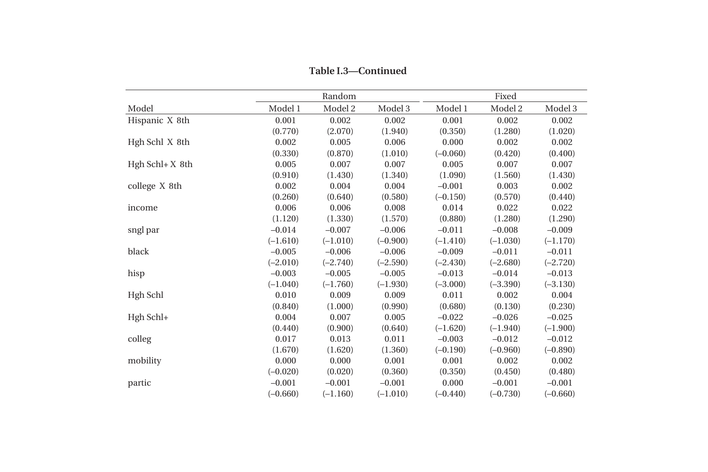|                  |            | Random     |            |            | Fixed      |            |
|------------------|------------|------------|------------|------------|------------|------------|
| Model            | Model 1    | Model 2    | Model 3    | Model 1    | Model 2    | Model 3    |
| Hispanic X 8th   | 0.001      | 0.002      | 0.002      | 0.001      | 0.002      | 0.002      |
|                  | (0.770)    | (2.070)    | (1.940)    | (0.350)    | (1.280)    | (1.020)    |
| Hgh Schl X 8th   | 0.002      | 0.005      | 0.006      | 0.000      | 0.002      | 0.002      |
|                  | (0.330)    | (0.870)    | (1.010)    | $(-0.060)$ | (0.420)    | (0.400)    |
| $Hgh Schl+X 8th$ | 0.005      | 0.007      | 0.007      | 0.005      | 0.007      | 0.007      |
|                  | (0.910)    | (1.430)    | (1.340)    | (1.090)    | (1.560)    | (1.430)    |
| college X 8th    | 0.002      | 0.004      | 0.004      | $-0.001$   | 0.003      | 0.002      |
|                  | (0.260)    | (0.640)    | (0.580)    | $(-0.150)$ | (0.570)    | (0.440)    |
| income           | 0.006      | 0.006      | 0.008      | 0.014      | 0.022      | 0.022      |
|                  | (1.120)    | (1.330)    | (1.570)    | (0.880)    | (1.280)    | (1.290)    |
| sngl par         | $-0.014$   | $-0.007$   | $-0.006$   | $-0.011$   | $-0.008$   | $-0.009$   |
|                  | $(-1.610)$ | $(-1.010)$ | $(-0.900)$ | $(-1.410)$ | $(-1.030)$ | $(-1.170)$ |
| black            | $-0.005$   | $-0.006$   | $-0.006$   | $-0.009$   | $-0.011$   | $-0.011$   |
|                  | $(-2.010)$ | $(-2.740)$ | $(-2.590)$ | $(-2.430)$ | $(-2.680)$ | $(-2.720)$ |
| hisp             | $-0.003$   | $-0.005$   | $-0.005$   | $-0.013$   | $-0.014$   | $-0.013$   |
|                  | $(-1.040)$ | $(-1.760)$ | $(-1.930)$ | $(-3.000)$ | $(-3.390)$ | $(-3.130)$ |
| Hgh Schl         | 0.010      | 0.009      | 0.009      | 0.011      | 0.002      | 0.004      |
|                  | (0.840)    | (1.000)    | (0.990)    | (0.680)    | (0.130)    | (0.230)    |
| Hgh Schl+        | 0.004      | 0.007      | 0.005      | $-0.022$   | $-0.026$   | $-0.025$   |
|                  | (0.440)    | (0.900)    | (0.640)    | $(-1.620)$ | $(-1.940)$ | $(-1.900)$ |
| colleg           | 0.017      | 0.013      | 0.011      | $-0.003$   | $-0.012$   | $-0.012$   |
|                  | (1.670)    | (1.620)    | (1.360)    | $(-0.190)$ | $(-0.960)$ | $(-0.890)$ |
| mobility         | 0.000      | 0.000      | 0.001      | 0.001      | 0.002      | 0.002      |
|                  | $(-0.020)$ | (0.020)    | (0.360)    | (0.350)    | (0.450)    | (0.480)    |
| partic           | $-0.001$   | $-0.001$   | $-0.001$   | 0.000      | $-0.001$   | $-0.001$   |
|                  | $(-0.660)$ | $(-1.160)$ | $(-1.010)$ | $(-0.440)$ | $(-0.730)$ | $(-0.660)$ |

**Table I.3—Continued**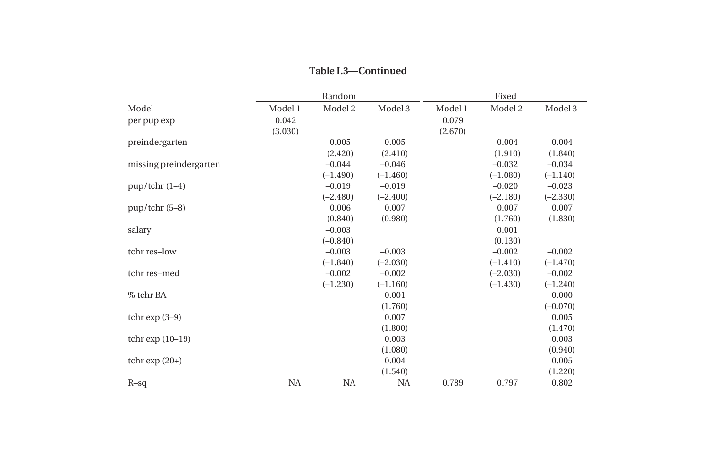|                        |           | Random     |            |         | Fixed      |            |
|------------------------|-----------|------------|------------|---------|------------|------------|
| Model                  | Model 1   | Model 2    | Model 3    | Model 1 | Model 2    | Model 3    |
| per pup exp            | 0.042     |            |            | 0.079   |            |            |
|                        | (3.030)   |            |            | (2.670) |            |            |
| preindergarten         |           | 0.005      | 0.005      |         | 0.004      | 0.004      |
|                        |           | (2.420)    | (2.410)    |         | (1.910)    | (1.840)    |
| missing preindergarten |           | $-0.044$   | $-0.046$   |         | $-0.032$   | $-0.034$   |
|                        |           | $(-1.490)$ | $(-1.460)$ |         | $(-1.080)$ | $(-1.140)$ |
| $pup/$ tchr $(1-4)$    |           | $-0.019$   | $-0.019$   |         | $-0.020$   | $-0.023$   |
|                        |           | $(-2.480)$ | $(-2.400)$ |         | $(-2.180)$ | $(-2.330)$ |
| pup/tchr (5-8)         |           | 0.006      | 0.007      |         | 0.007      | 0.007      |
|                        |           | (0.840)    | (0.980)    |         | (1.760)    | (1.830)    |
| salary                 |           | $-0.003$   |            |         | 0.001      |            |
|                        |           | $(-0.840)$ |            |         | (0.130)    |            |
| tchr res-low           |           | $-0.003$   | $-0.003$   |         | $-0.002$   | $-0.002$   |
|                        |           | $(-1.840)$ | $(-2.030)$ |         | $(-1.410)$ | $(-1.470)$ |
| tchr res-med           |           | $-0.002$   | $-0.002$   |         | $(-2.030)$ | $-0.002$   |
|                        |           | $(-1.230)$ | $(-1.160)$ |         | $(-1.430)$ | $(-1.240)$ |
| % tchr BA              |           |            | 0.001      |         |            | 0.000      |
|                        |           |            | (1.760)    |         |            | $(-0.070)$ |
| tchr $\exp(3-9)$       |           |            | 0.007      |         |            | 0.005      |
|                        |           |            | (1.800)    |         |            | (1.470)    |
| tchr $\exp(10-19)$     |           |            | 0.003      |         |            | 0.003      |
|                        |           |            | (1.080)    |         |            | (0.940)    |
| tchr $\exp(20+)$       |           |            | 0.004      |         |            | 0.005      |
|                        |           |            | (1.540)    |         |            | (1.220)    |
| $R-Sq$                 | <b>NA</b> | NA         | NA         | 0.789   | 0.797      | 0.802      |

**Table I.3—Continued**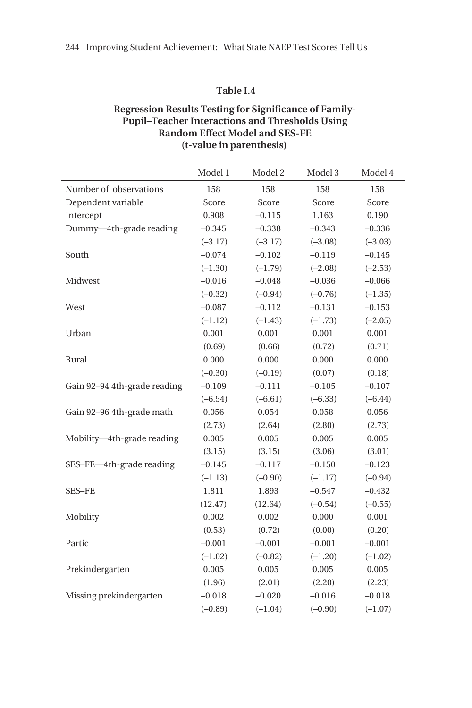#### **Table I.4**

## **Regression Results Testing for Significance of Family-Pupil–Teacher Interactions and Thresholds Using Random Effect Model and SES-FE (t-value in parenthesis)**

|                              | Model 1   | Model 2   | Model 3   | Model 4   |
|------------------------------|-----------|-----------|-----------|-----------|
| Number of observations       | 158       | 158       | 158       | 158       |
| Dependent variable           | Score     | Score     | Score     | Score     |
| Intercept                    | 0.908     | $-0.115$  | 1.163     | 0.190     |
| Dummy-4th-grade reading      | $-0.345$  | $-0.338$  | $-0.343$  | $-0.336$  |
|                              | $(-3.17)$ | $(-3.17)$ | $(-3.08)$ | $(-3.03)$ |
| South                        | $-0.074$  | $-0.102$  | $-0.119$  | $-0.145$  |
|                              | $(-1.30)$ | $(-1.79)$ | $(-2.08)$ | $(-2.53)$ |
| Midwest                      | $-0.016$  | $-0.048$  | $-0.036$  | $-0.066$  |
|                              | $(-0.32)$ | $(-0.94)$ | $(-0.76)$ | $(-1.35)$ |
| West                         | $-0.087$  | $-0.112$  | $-0.131$  | $-0.153$  |
|                              | $(-1.12)$ | $(-1.43)$ | $(-1.73)$ | $(-2.05)$ |
| Urban                        | 0.001     | 0.001     | 0.001     | 0.001     |
|                              | (0.69)    | (0.66)    | (0.72)    | (0.71)    |
| Rural                        | 0.000     | 0.000     | 0.000     | 0.000     |
|                              | $(-0.30)$ | $(-0.19)$ | (0.07)    | (0.18)    |
| Gain 92-94 4th-grade reading | $-0.109$  | $-0.111$  | $-0.105$  | $-0.107$  |
|                              | $(-6.54)$ | $(-6.61)$ | $(-6.33)$ | $(-6.44)$ |
| Gain 92-96 4th-grade math    | 0.056     | 0.054     | 0.058     | 0.056     |
|                              | (2.73)    | (2.64)    | (2.80)    | (2.73)    |
| Mobility-4th-grade reading   | 0.005     | 0.005     | 0.005     | 0.005     |
|                              | (3.15)    | (3.15)    | (3.06)    | (3.01)    |
| SES-FE-4th-grade reading     | $-0.145$  | $-0.117$  | $-0.150$  | $-0.123$  |
|                              | $(-1.13)$ | $(-0.90)$ | $(-1.17)$ | $(-0.94)$ |
| SES-FE                       | 1.811     | 1.893     | $-0.547$  | $-0.432$  |
|                              | (12.47)   | (12.64)   | $(-0.54)$ | $(-0.55)$ |
| Mobility                     | 0.002     | 0.002     | 0.000     | 0.001     |
|                              | (0.53)    | (0.72)    | (0.00)    | (0.20)    |
| Partic                       | $-0.001$  | $-0.001$  | $-0.001$  | $-0.001$  |
|                              | $(-1.02)$ | $(-0.82)$ | $(-1.20)$ | $(-1.02)$ |
| Prekindergarten              | 0.005     | 0.005     | 0.005     | 0.005     |
|                              | (1.96)    | (2.01)    | (2.20)    | (2.23)    |
| Missing prekindergarten      | $-0.018$  | $-0.020$  | $-0.016$  | $-0.018$  |
|                              | $(-0.89)$ | $(-1.04)$ | $(-0.90)$ | $(-1.07)$ |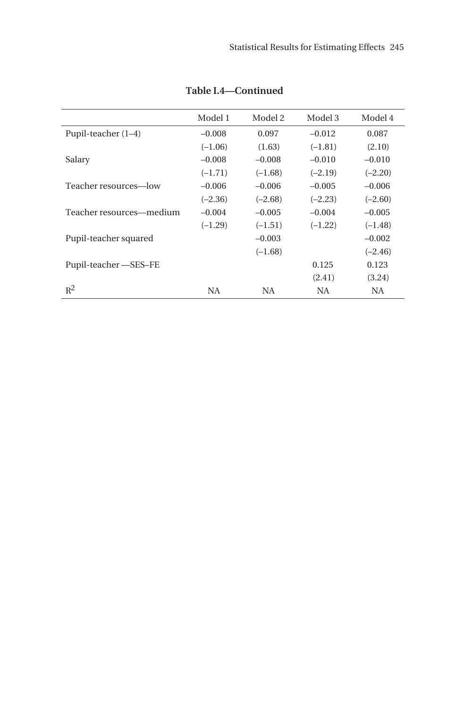|                          | Model 1   | Model 2   | Model 3   | Model 4   |
|--------------------------|-----------|-----------|-----------|-----------|
| Pupil-teacher $(1-4)$    | $-0.008$  | 0.097     | $-0.012$  | 0.087     |
|                          | $(-1.06)$ | (1.63)    | $(-1.81)$ | (2.10)    |
| Salary                   | $-0.008$  | $-0.008$  | $-0.010$  | $-0.010$  |
|                          | $(-1.71)$ | $(-1.68)$ | $(-2.19)$ | $(-2.20)$ |
| Teacher resources—low    | $-0.006$  | $-0.006$  | $-0.005$  | $-0.006$  |
|                          | $(-2.36)$ | $(-2.68)$ | $(-2.23)$ | $(-2.60)$ |
| Teacher resources—medium | $-0.004$  | $-0.005$  | $-0.004$  | $-0.005$  |
|                          | $(-1.29)$ | $(-1.51)$ | $(-1.22)$ | $(-1.48)$ |
| Pupil-teacher squared    |           | $-0.003$  |           | $-0.002$  |
|                          |           | $(-1.68)$ |           | $(-2.46)$ |
| Pupil-teacher – SES–FE   |           |           | 0.125     | 0.123     |
|                          |           |           | (2.41)    | (3.24)    |
| $R^2$                    | NA.       | NA.       | NA.       | NA.       |

**Table I.4—Continued**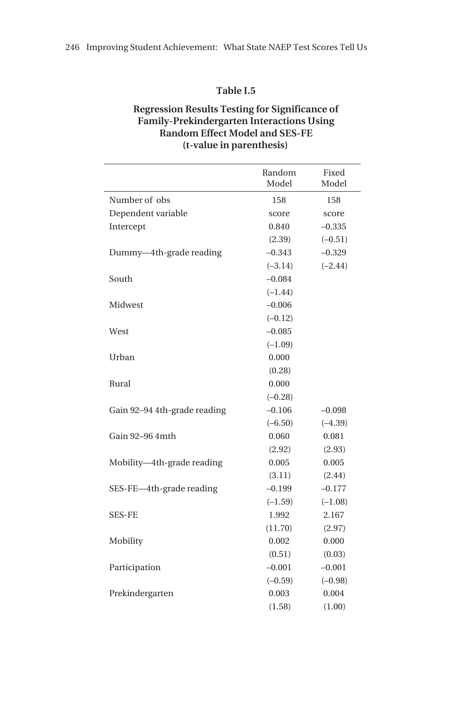#### **Table I.5**

# **Regression Results Testing for Significance of Family-Prekindergarten Interactions Using Random Effect Model and SES-FE (t-value in parenthesis)**

|                              | Random<br>Model | Fixed<br>Model |
|------------------------------|-----------------|----------------|
| Number of obs                | 158             | 158            |
| Dependent variable           | score           | score          |
| Intercept                    | 0.840           | $-0.335$       |
|                              | (2.39)          | $(-0.51)$      |
| Dummy-4th-grade reading      | $-0.343$        | $-0.329$       |
|                              | $(-3.14)$       | $(-2.44)$      |
| South                        | $-0.084$        |                |
|                              | $(-1.44)$       |                |
| Midwest                      | $-0.006$        |                |
|                              | $(-0.12)$       |                |
| West                         | $-0.085$        |                |
|                              | $(-1.09)$       |                |
| Urban                        | 0.000           |                |
|                              | (0.28)          |                |
| Rural                        | 0.000           |                |
|                              | $(-0.28)$       |                |
| Gain 92-94 4th-grade reading | $-0.106$        | $-0.098$       |
|                              | $(-6.50)$       | $(-4.39)$      |
| Gain 92-96 4mth              | 0.060           | 0.081          |
|                              | (2.92)          | (2.93)         |
| Mobility-4th-grade reading   | 0.005           | 0.005          |
|                              | (3.11)          | (2.44)         |
| SES-FE-4th-grade reading     | $-0.199$        | $-0.177$       |
|                              | $(-1.59)$       | $(-1.08)$      |
| <b>SES-FE</b>                | 1.992           | 2.167          |
|                              | (11.70)         | (2.97)         |
| Mobility                     | 0.002           | 0.000          |
|                              | (0.51)          | (0.03)         |
| Participation                | $-0.001$        | $-0.001$       |
|                              | $(-0.59)$       | $(-0.98)$      |
| Prekindergarten              | 0.003           | 0.004          |
|                              | (1.58)          | (1.00)         |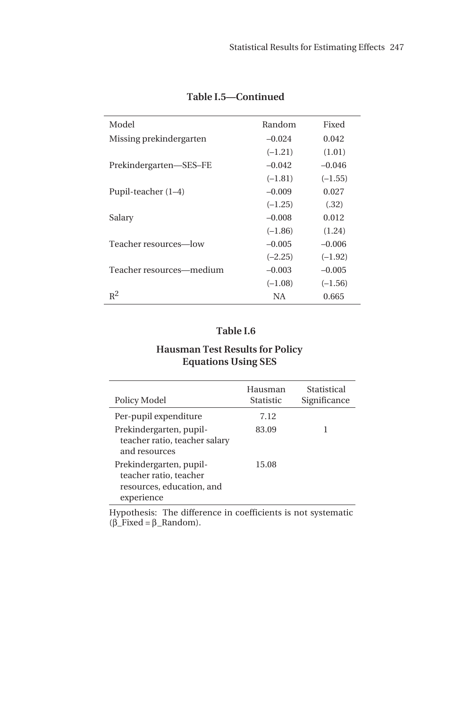| Model                    | Random    | Fixed     |
|--------------------------|-----------|-----------|
| Missing prekindergarten  | $-0.024$  | 0.042     |
|                          | $(-1.21)$ | (1.01)    |
| Prekindergarten—SES-FE   | $-0.042$  | $-0.046$  |
|                          | $(-1.81)$ | $(-1.55)$ |
| Pupil-teacher $(1-4)$    | $-0.009$  | 0.027     |
|                          | $(-1.25)$ | (.32)     |
| Salary                   | $-0.008$  | 0.012     |
|                          | $(-1.86)$ | (1.24)    |
| Teacher resources—low    | $-0.005$  | $-0.006$  |
|                          | $(-2.25)$ | $(-1.92)$ |
| Teacher resources—medium | $-0.003$  | $-0.005$  |
|                          | $(-1.08)$ | $(-1.56)$ |
| $R^2$                    | NA        | 0.665     |

# **Table I.5—Continued**

# **Table I.6**

## **Hausman Test Results for Policy Equations Using SES**

| Policy Model                                                                                 | Hausman<br><b>Statistic</b> | Statistical<br>Significance |
|----------------------------------------------------------------------------------------------|-----------------------------|-----------------------------|
| Per-pupil expenditure                                                                        | 7.12                        |                             |
| Prekindergarten, pupil-<br>teacher ratio, teacher salary<br>and resources                    | 83.09                       |                             |
| Prekindergarten, pupil-<br>teacher ratio, teacher<br>resources, education, and<br>experience | 15.08                       |                             |

Hypothesis: The difference in coefficients is not systematic (β\_Fixed = β\_Random).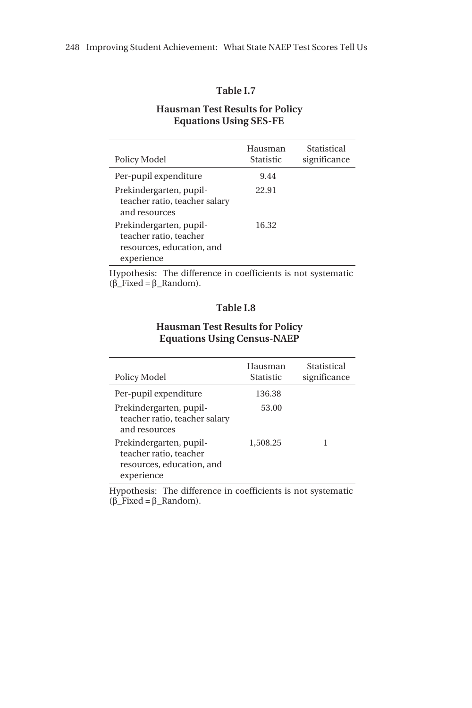#### **Table I.7**

#### **Hausman Test Results for Policy Equations Using SES-FE**

| Policy Model                                                                                 | Hausman<br><b>Statistic</b> | Statistical<br>significance |
|----------------------------------------------------------------------------------------------|-----------------------------|-----------------------------|
| Per-pupil expenditure                                                                        | 9.44                        |                             |
| Prekindergarten, pupil-<br>teacher ratio, teacher salary<br>and resources                    | 22.91                       |                             |
| Prekindergarten, pupil-<br>teacher ratio, teacher<br>resources, education, and<br>experience | 16.32                       |                             |

Hypothesis: The difference in coefficients is not systematic (β\_Fixed = β\_Random).

#### **Table I.8**

### **Hausman Test Results for Policy Equations Using Census-NAEP**

| Policy Model                                                                                 | Hausman<br>Statistic | Statistical<br>significance |
|----------------------------------------------------------------------------------------------|----------------------|-----------------------------|
| Per-pupil expenditure                                                                        | 136.38               |                             |
| Prekindergarten, pupil-<br>teacher ratio, teacher salary<br>and resources                    | 53.00                |                             |
| Prekindergarten, pupil-<br>teacher ratio, teacher<br>resources, education, and<br>experience | 1,508.25             | 1                           |

Hypothesis: The difference in coefficients is not systematic (β\_Fixed = β\_Random).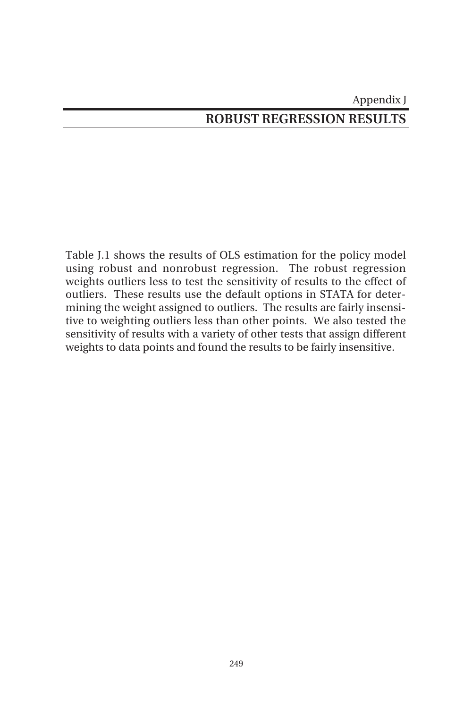# Appendix J **ROBUST REGRESSION RESULTS**

Table J.1 shows the results of OLS estimation for the policy model using robust and nonrobust regression. The robust regression weights outliers less to test the sensitivity of results to the effect of outliers. These results use the default options in STATA for determining the weight assigned to outliers. The results are fairly insensitive to weighting outliers less than other points. We also tested the sensitivity of results with a variety of other tests that assign different weights to data points and found the results to be fairly insensitive.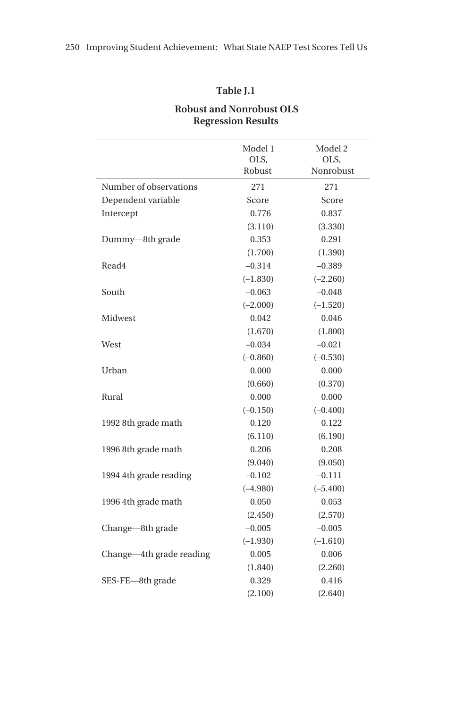### **Table J.1**

### **Robust and Nonrobust OLS Regression Results**

|                          | Model 1<br>OLS,<br>Robust | Model 2<br>OLS,<br>Nonrobust |
|--------------------------|---------------------------|------------------------------|
| Number of observations   | 271                       | 271                          |
| Dependent variable       | Score                     | Score                        |
| Intercept                | 0.776                     | 0.837                        |
|                          | (3.110)                   | (3.330)                      |
| Dummy-8th grade          | 0.353                     | 0.291                        |
|                          | (1.700)                   | (1.390)                      |
| Read4                    | $-0.314$                  | $-0.389$                     |
|                          | $(-1.830)$                | $(-2.260)$                   |
| South                    | $-0.063$                  | $-0.048$                     |
|                          | $(-2.000)$                | $(-1.520)$                   |
| Midwest                  | 0.042                     | 0.046                        |
|                          | (1.670)                   | (1.800)                      |
| West                     | $-0.034$                  | $-0.021$                     |
|                          | $(-0.860)$                | $(-0.530)$                   |
| Urban                    | 0.000                     | 0.000                        |
|                          | (0.660)                   | (0.370)                      |
| Rural                    | 0.000                     | 0.000                        |
|                          | $(-0.150)$                | $(-0.400)$                   |
| 1992 8th grade math      | 0.120                     | 0.122                        |
|                          | (6.110)                   | (6.190)                      |
| 1996 8th grade math      | 0.206                     | 0.208                        |
|                          | (9.040)                   | (9.050)                      |
| 1994 4th grade reading   | $-0.102$                  | $-0.111$                     |
|                          | $(-4.980)$                | $(-5.400)$                   |
| 1996 4th grade math      | 0.050                     | 0.053                        |
|                          | (2.450)                   | (2.570)                      |
| Change-8th grade         | $-0.005$                  | $-0.005$                     |
|                          | $(-1.930)$                | $(-1.610)$                   |
| Change—4th grade reading | 0.005                     | 0.006                        |
|                          | (1.840)                   | (2.260)                      |
| SES-FE-8th grade         | 0.329                     | 0.416                        |
|                          | (2.100)                   | (2.640)                      |
|                          |                           |                              |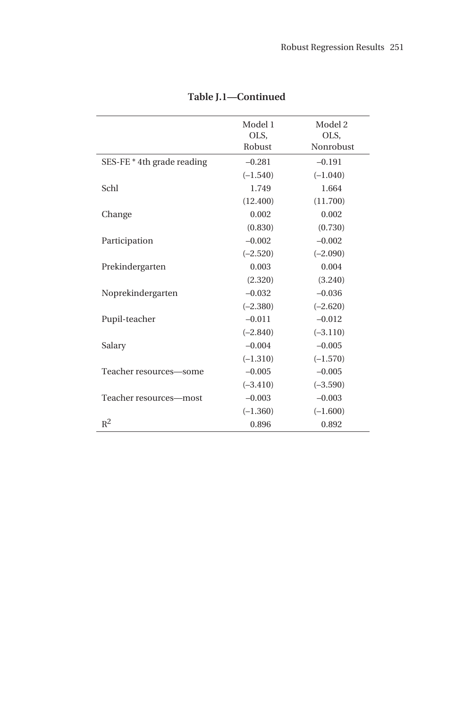|                            | Model 1<br>OLS,<br>Robust | Model 2<br>OLS,<br>Nonrobust |
|----------------------------|---------------------------|------------------------------|
| SES-FE * 4th grade reading | $-0.281$                  | $-0.191$                     |
|                            | $(-1.540)$                | $(-1.040)$                   |
| Schl                       | 1.749                     | 1.664                        |
|                            | (12.400)                  | (11.700)                     |
| Change                     | 0.002                     | 0.002                        |
|                            | (0.830)                   | (0.730)                      |
| Participation              | $-0.002$                  | $-0.002$                     |
|                            | $(-2.520)$                | $(-2.090)$                   |
| Prekindergarten            | 0.003                     | 0.004                        |
|                            | (2.320)                   | (3.240)                      |
| Noprekindergarten          | $-0.032$                  | $-0.036$                     |
|                            | $(-2.380)$                | $(-2.620)$                   |
| Pupil-teacher              | $-0.011$                  | $-0.012$                     |
|                            | $(-2.840)$                | $(-3.110)$                   |
| Salary                     | $-0.004$                  | $-0.005$                     |
|                            | $(-1.310)$                | $(-1.570)$                   |
| Teacher resources-some     | $-0.005$                  | $-0.005$                     |
|                            | $(-3.410)$                | $(-3.590)$                   |
| Teacher resources-most     | $-0.003$                  | $-0.003$                     |
|                            | $(-1.360)$                | $(-1.600)$                   |
| $R^2$                      | 0.896                     | 0.892                        |

**Table J.1—Continued**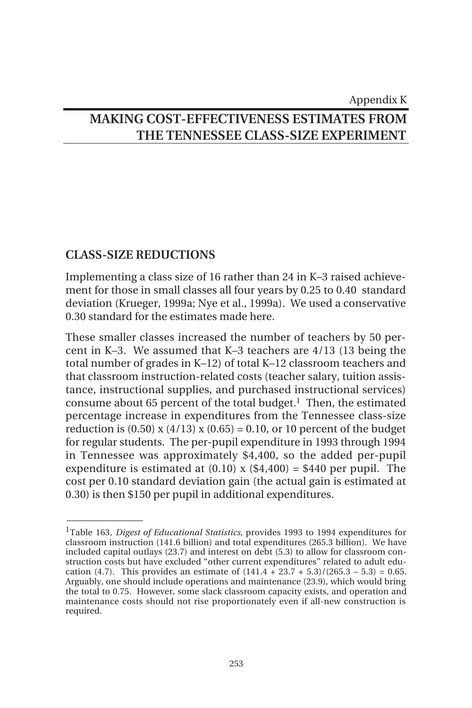Appendix K

# **MAKING COST-EFFECTIVENESS ESTIMATES FROM THE TENNESSEE CLASS-SIZE EXPERIMENT**

## **CLASS-SIZE REDUCTIONS**

 $\overline{\phantom{a}}$ 

Implementing a class size of 16 rather than 24 in K–3 raised achievement for those in small classes all four years by 0.25 to 0.40 standard deviation (Krueger, 1999a; Nye et al., 1999a). We used a conservative 0.30 standard for the estimates made here.

These smaller classes increased the number of teachers by 50 percent in K–3. We assumed that K–3 teachers are 4/13 (13 being the total number of grades in K–12) of total K–12 classroom teachers and that classroom instruction-related costs (teacher salary, tuition assistance, instructional supplies, and purchased instructional services) consume about 65 percent of the total budget.<sup>1</sup> Then, the estimated percentage increase in expenditures from the Tennessee class-size reduction is  $(0.50)$  x  $(4/13)$  x  $(0.65) = 0.10$ , or 10 percent of the budget for regular students. The per-pupil expenditure in 1993 through 1994 in Tennessee was approximately \$4,400, so the added per-pupil expenditure is estimated at  $(0.10)$  x  $(\$4,400) = \$440$  per pupil. The cost per 0.10 standard deviation gain (the actual gain is estimated at 0.30) is then \$150 per pupil in additional expenditures.

<sup>1</sup>Table 163, *Digest of Educational Statistics*, provides 1993 to 1994 expenditures for classroom instruction (141.6 billion) and total expenditures (265.3 billion). We have included capital outlays (23.7) and interest on debt (5.3) to allow for classroom construction costs but have excluded "other current expenditures" related to adult education (4.7). This provides an estimate of  $(141.4 + 23.7 + 5.3)/(265.3 - 5.3) = 0.65$ . Arguably, one should include operations and maintenance (23.9), which would bring the total to 0.75. However, some slack classroom capacity exists, and operation and maintenance costs should not rise proportionately even if all-new construction is required.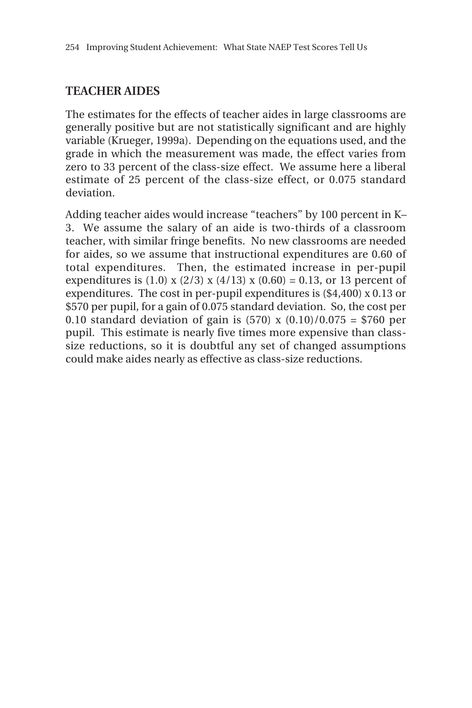## **TEACHER AIDES**

The estimates for the effects of teacher aides in large classrooms are generally positive but are not statistically significant and are highly variable (Krueger, 1999a). Depending on the equations used, and the grade in which the measurement was made, the effect varies from zero to 33 percent of the class-size effect. We assume here a liberal estimate of 25 percent of the class-size effect, or 0.075 standard deviation.

Adding teacher aides would increase "teachers" by 100 percent in K– 3. We assume the salary of an aide is two-thirds of a classroom teacher, with similar fringe benefits. No new classrooms are needed for aides, so we assume that instructional expenditures are 0.60 of total expenditures. Then, the estimated increase in per-pupil expenditures is (1.0) x (2/3) x (4/13) x (0.60) = 0.13, or 13 percent of expenditures. The cost in per-pupil expenditures is (\$4,400) x 0.13 or \$570 per pupil, for a gain of 0.075 standard deviation. So, the cost per 0.10 standard deviation of gain is  $(570)$  x  $(0.10)/0.075 = $760$  per pupil. This estimate is nearly five times more expensive than classsize reductions, so it is doubtful any set of changed assumptions could make aides nearly as effective as class-size reductions.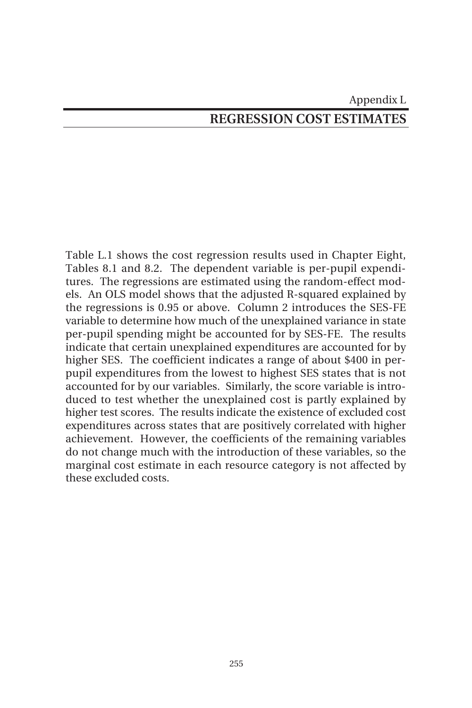# Appendix L **REGRESSION COST ESTIMATES**

Table L.1 shows the cost regression results used in Chapter Eight, Tables 8.1 and 8.2. The dependent variable is per-pupil expenditures. The regressions are estimated using the random-effect models. An OLS model shows that the adjusted R-squared explained by the regressions is 0.95 or above. Column 2 introduces the SES-FE variable to determine how much of the unexplained variance in state per-pupil spending might be accounted for by SES-FE. The results indicate that certain unexplained expenditures are accounted for by higher SES. The coefficient indicates a range of about \$400 in perpupil expenditures from the lowest to highest SES states that is not accounted for by our variables. Similarly, the score variable is introduced to test whether the unexplained cost is partly explained by higher test scores. The results indicate the existence of excluded cost expenditures across states that are positively correlated with higher achievement. However, the coefficients of the remaining variables do not change much with the introduction of these variables, so the marginal cost estimate in each resource category is not affected by these excluded costs.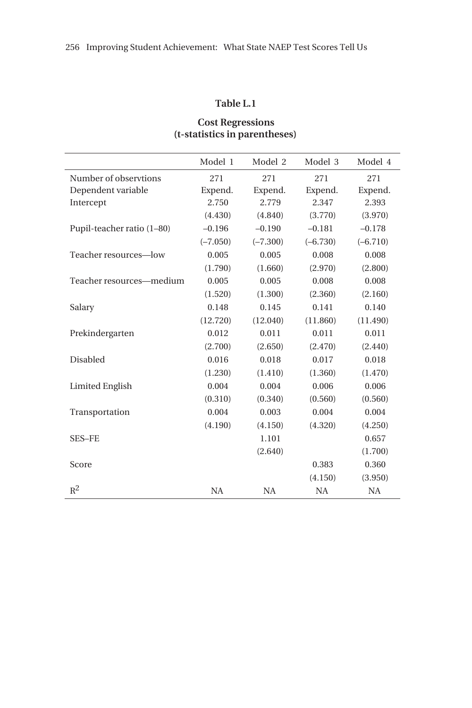#### **Table L.1**

### **Cost Regressions (t-statistics in parentheses)**

|                            | Model 1    | Model 2    | Model 3    | Model 4    |
|----------------------------|------------|------------|------------|------------|
| Number of observtions      | 271        | 271        | 271        | 271        |
| Dependent variable         | Expend.    | Expend.    | Expend.    | Expend.    |
| Intercept                  | 2.750      | 2.779      | 2.347      | 2.393      |
|                            | (4.430)    | (4.840)    | (3.770)    | (3.970)    |
| Pupil-teacher ratio (1-80) | $-0.196$   | $-0.190$   | $-0.181$   | $-0.178$   |
|                            | $(-7.050)$ | $(-7.300)$ | $(-6.730)$ | $(-6.710)$ |
| Teacher resources-low      | 0.005      | 0.005      | 0.008      | 0.008      |
|                            | (1.790)    | (1.660)    | (2.970)    | (2.800)    |
| Teacher resources—medium   | 0.005      | 0.005      | 0.008      | 0.008      |
|                            | (1.520)    | (1.300)    | (2.360)    | (2.160)    |
| Salary                     | 0.148      | 0.145      | 0.141      | 0.140      |
|                            | (12.720)   | (12.040)   | (11.860)   | (11.490)   |
| Prekindergarten            | 0.012      | 0.011      | 0.011      | 0.011      |
|                            | (2.700)    | (2.650)    | (2.470)    | (2.440)    |
| <b>Disabled</b>            | 0.016      | 0.018      | 0.017      | 0.018      |
|                            | (1.230)    | (1.410)    | (1.360)    | (1.470)    |
| <b>Limited English</b>     | 0.004      | 0.004      | 0.006      | 0.006      |
|                            | (0.310)    | (0.340)    | (0.560)    | (0.560)    |
| Transportation             | 0.004      | 0.003      | 0.004      | 0.004      |
|                            | (4.190)    | (4.150)    | (4.320)    | (4.250)    |
| <b>SES-FE</b>              |            | 1.101      |            | 0.657      |
|                            |            | (2.640)    |            | (1.700)    |
| Score                      |            |            | 0.383      | 0.360      |
|                            |            |            | (4.150)    | (3.950)    |
| $R^2$                      | <b>NA</b>  | <b>NA</b>  | <b>NA</b>  | <b>NA</b>  |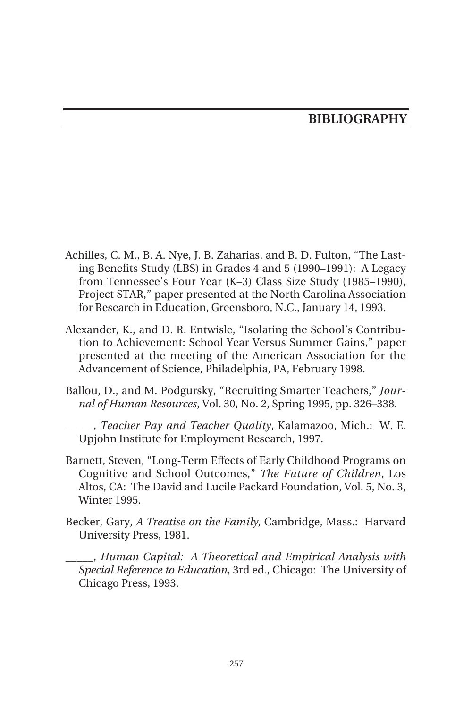# **BIBLIOGRAPHY**

- Achilles, C. M., B. A. Nye, J. B. Zaharias, and B. D. Fulton, "The Lasting Benefits Study (LBS) in Grades 4 and 5 (1990–1991): A Legacy from Tennessee's Four Year (K–3) Class Size Study (1985–1990), Project STAR," paper presented at the North Carolina Association for Research in Education, Greensboro, N.C., January 14, 1993.
- Alexander, K., and D. R. Entwisle, "Isolating the School's Contribution to Achievement: School Year Versus Summer Gains," paper presented at the meeting of the American Association for the Advancement of Science, Philadelphia, PA, February 1998.
- Ballou, D., and M. Podgursky, "Recruiting Smarter Teachers," *Journal of Human Resources*, Vol. 30, No. 2, Spring 1995, pp. 326–338.

\_\_\_\_\_, *Teacher Pay and Teacher Quality*, Kalamazoo, Mich.: W. E. Upjohn Institute for Employment Research, 1997.

- Barnett, Steven, "Long-Term Effects of Early Childhood Programs on Cognitive and School Outcomes," *The Future of Children*, Los Altos, CA: The David and Lucile Packard Foundation, Vol. 5, No. 3, Winter 1995.
- Becker, Gary, *A Treatise on the Family*, Cambridge, Mass.: Harvard University Press, 1981.
	- \_\_\_\_\_, *Human Capital: A Theoretical and Empirical Analysis with Special Reference to Education*, 3rd ed., Chicago: The University of Chicago Press, 1993.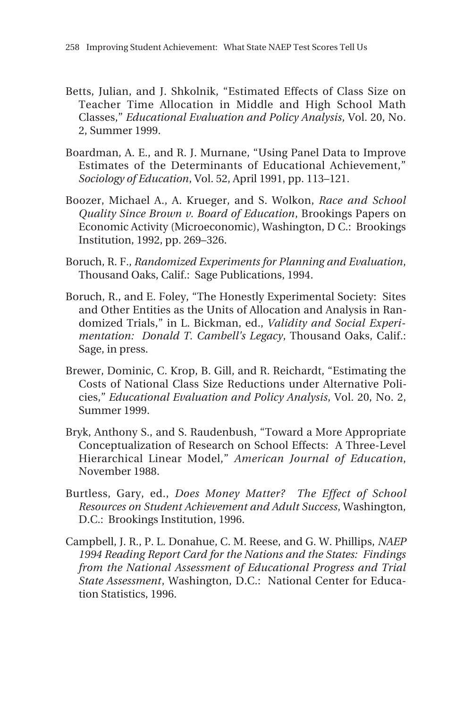- Betts, Julian, and J. Shkolnik, "Estimated Effects of Class Size on Teacher Time Allocation in Middle and High School Math Classes," *Educational Evaluation and Policy Analysis*, Vol. 20, No. 2, Summer 1999.
- Boardman, A. E., and R. J. Murnane, "Using Panel Data to Improve Estimates of the Determinants of Educational Achievement," *Sociology of Education*, Vol. 52, April 1991, pp. 113–121.
- Boozer, Michael A., A. Krueger, and S. Wolkon, *Race and School Quality Since Brown v. Board of Education*, Brookings Papers on Economic Activity (Microeconomic), Washington, D C.: Brookings Institution, 1992, pp. 269–326.
- Boruch, R. F., *Randomized Experiments for Planning and Evaluation*, Thousand Oaks, Calif.: Sage Publications, 1994.
- Boruch, R., and E. Foley, "The Honestly Experimental Society: Sites and Other Entities as the Units of Allocation and Analysis in Randomized Trials," in L. Bickman, ed., *Validity and Social Experimentation: Donald T. Cambell's Legacy*, Thousand Oaks, Calif.: Sage, in press.
- Brewer, Dominic, C. Krop, B. Gill, and R. Reichardt, "Estimating the Costs of National Class Size Reductions under Alternative Policies," *Educational Evaluation and Policy Analysis*, Vol. 20, No. 2, Summer 1999.
- Bryk, Anthony S., and S. Raudenbush, "Toward a More Appropriate Conceptualization of Research on School Effects: A Three-Level Hierarchical Linear Model," *American Journal of Education*, November 1988.
- Burtless, Gary, ed., *Does Money Matter? The Effect of School Resources on Student Achievement and Adult Success*, Washington, D.C.: Brookings Institution, 1996.
- Campbell, J. R., P. L. Donahue, C. M. Reese, and G. W. Phillips, *NAEP 1994 Reading Report Card for the Nations and the States: Findings from the National Assessment of Educational Progress and Trial State Assessment*, Washington, D.C.: National Center for Education Statistics, 1996.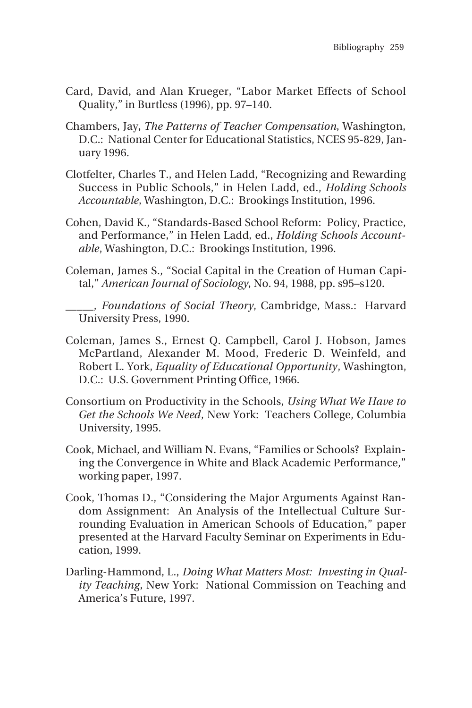- Card, David, and Alan Krueger, "Labor Market Effects of School Quality," in Burtless (1996), pp. 97–140.
- Chambers, Jay, *The Patterns of Teacher Compensation*, Washington, D.C.: National Center for Educational Statistics, NCES 95-829, January 1996.
- Clotfelter, Charles T., and Helen Ladd, "Recognizing and Rewarding Success in Public Schools," in Helen Ladd, ed., *Holding Schools Accountable*, Washington, D.C.: Brookings Institution, 1996.
- Cohen, David K., "Standards-Based School Reform: Policy, Practice, and Performance," in Helen Ladd, ed., *Holding Schools Accountable*, Washington, D.C.: Brookings Institution, 1996.
- Coleman, James S., "Social Capital in the Creation of Human Capital," *American Journal of Sociology*, No. 94, 1988, pp. s95–s120.
- \_\_\_\_\_, *Foundations of Social Theory*, Cambridge, Mass.: Harvard University Press, 1990.
- Coleman, James S., Ernest Q. Campbell, Carol J. Hobson, James McPartland, Alexander M. Mood, Frederic D. Weinfeld, and Robert L. York, *Equality of Educational Opportunity*, Washington, D.C.: U.S. Government Printing Office, 1966.
- Consortium on Productivity in the Schools, *Using What We Have to Get the Schools We Need*, New York: Teachers College, Columbia University, 1995.
- Cook, Michael, and William N. Evans, "Families or Schools? Explaining the Convergence in White and Black Academic Performance," working paper, 1997.
- Cook, Thomas D., "Considering the Major Arguments Against Random Assignment: An Analysis of the Intellectual Culture Surrounding Evaluation in American Schools of Education," paper presented at the Harvard Faculty Seminar on Experiments in Education, 1999.
- Darling-Hammond, L., *Doing What Matters Most: Investing in Quality Teaching*, New York: National Commission on Teaching and America's Future, 1997.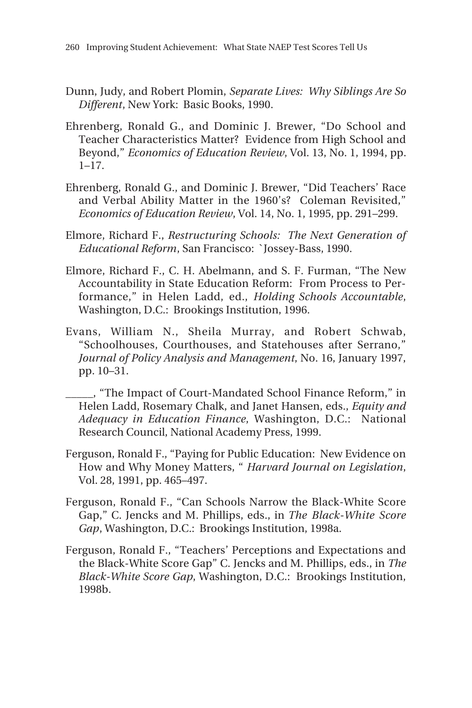- Dunn, Judy, and Robert Plomin, *Separate Lives: Why Siblings Are So Different*, New York: Basic Books, 1990.
- Ehrenberg, Ronald G., and Dominic J. Brewer, "Do School and Teacher Characteristics Matter? Evidence from High School and Beyond," *Economics of Education Review*, Vol. 13, No. 1, 1994, pp. 1–17.
- Ehrenberg, Ronald G., and Dominic J. Brewer, "Did Teachers' Race and Verbal Ability Matter in the 1960's? Coleman Revisited," *Economics of Education Review*, Vol. 14, No. 1, 1995, pp. 291–299.
- Elmore, Richard F., *Restructuring Schools: The Next Generation of Educational Reform*, San Francisco: `Jossey-Bass, 1990.
- Elmore, Richard F., C. H. Abelmann, and S. F. Furman, "The New Accountability in State Education Reform: From Process to Performance," in Helen Ladd, ed., *Holding Schools Accountable*, Washington, D.C.: Brookings Institution, 1996.
- Evans, William N., Sheila Murray, and Robert Schwab, "Schoolhouses, Courthouses, and Statehouses after Serrano," *Journal of Policy Analysis and Management*, No. 16, January 1997, pp. 10–31.
- \_\_\_\_\_, "The Impact of Court-Mandated School Finance Reform," in Helen Ladd, Rosemary Chalk, and Janet Hansen, eds., *Equity and Adequacy in Education Finance*, Washington, D.C.: National Research Council, National Academy Press, 1999.
- Ferguson, Ronald F., "Paying for Public Education: New Evidence on How and Why Money Matters, " *Harvard Journal on Legislation*, Vol. 28, 1991, pp. 465–497.
- Ferguson, Ronald F., "Can Schools Narrow the Black-White Score Gap," C. Jencks and M. Phillips, eds., in *The Black-White Score Gap*, Washington, D.C.: Brookings Institution, 1998a.
- Ferguson, Ronald F., "Teachers' Perceptions and Expectations and the Black-White Score Gap" C. Jencks and M. Phillips, eds., in *The Black-White Score Gap*, Washington, D.C.: Brookings Institution, 1998b.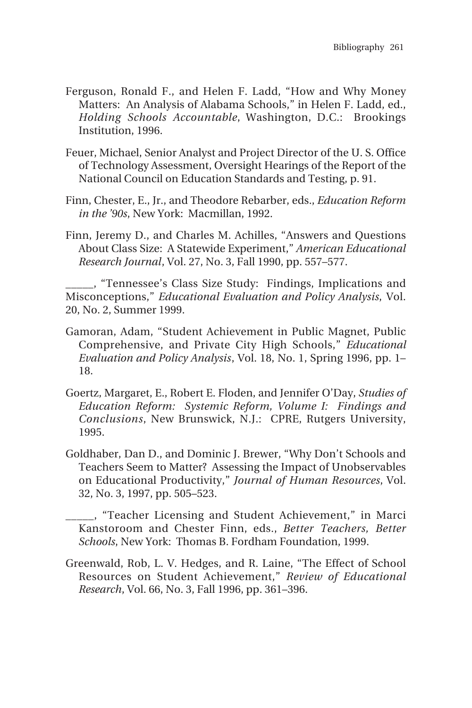- Ferguson, Ronald F., and Helen F. Ladd, "How and Why Money Matters: An Analysis of Alabama Schools," in Helen F. Ladd, ed., *Holding Schools Accountable*, Washington, D.C.: Brookings Institution, 1996.
- Feuer, Michael, Senior Analyst and Project Director of the U. S. Office of Technology Assessment, Oversight Hearings of the Report of the National Council on Education Standards and Testing, p. 91.
- Finn, Chester, E., Jr., and Theodore Rebarber, eds., *Education Reform in the '90s*, New York: Macmillan, 1992.
- Finn, Jeremy D., and Charles M. Achilles, "Answers and Questions About Class Size: A Statewide Experiment," *American Educational Research Journal*, Vol. 27, No. 3, Fall 1990, pp. 557–577.

\_\_\_\_\_, "Tennessee's Class Size Study: Findings, Implications and Misconceptions," *Educational Evaluation and Policy Analysis*, Vol. 20, No. 2, Summer 1999.

- Gamoran, Adam, "Student Achievement in Public Magnet, Public Comprehensive, and Private City High Schools," *Educational Evaluation and Policy Analysis*, Vol. 18, No. 1, Spring 1996, pp. 1– 18.
- Goertz, Margaret, E., Robert E. Floden, and Jennifer O'Day, *Studies of Education Reform: Systemic Reform, Volume I: Findings and Conclusions*, New Brunswick, N.J.: CPRE, Rutgers University, 1995.
- Goldhaber, Dan D., and Dominic J. Brewer, "Why Don't Schools and Teachers Seem to Matter? Assessing the Impact of Unobservables on Educational Productivity," *Journal of Human Resources*, Vol. 32, No. 3, 1997, pp. 505–523.

\_\_\_\_\_, "Teacher Licensing and Student Achievement," in Marci Kanstoroom and Chester Finn, eds., *Better Teachers, Better Schools*, New York: Thomas B. Fordham Foundation, 1999.

Greenwald, Rob, L. V. Hedges, and R. Laine, "The Effect of School Resources on Student Achievement," *Review of Educational Research*, Vol. 66, No. 3, Fall 1996, pp. 361–396.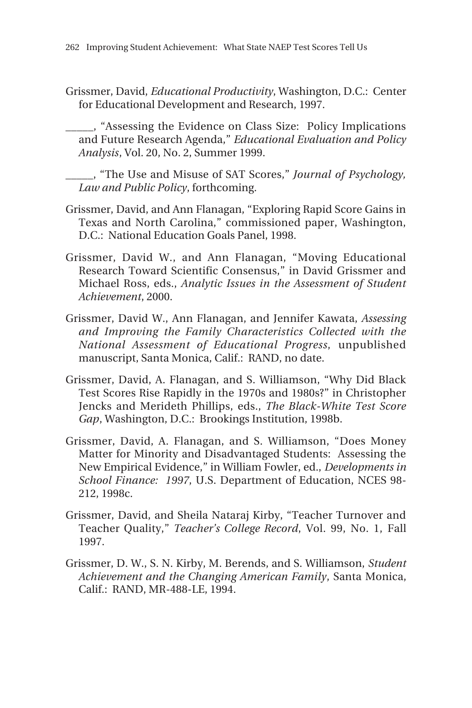Grissmer, David, *Educational Productivity*, Washington, D.C.: Center for Educational Development and Research, 1997.

\_\_\_\_\_, "Assessing the Evidence on Class Size: Policy Implications and Future Research Agenda," *Educational Evaluation and Policy Analysis*, Vol. 20, No. 2, Summer 1999.

\_\_\_\_\_, "The Use and Misuse of SAT Scores," *Journal of Psychology, Law and Public Policy*, forthcoming.

- Grissmer, David, and Ann Flanagan, "Exploring Rapid Score Gains in Texas and North Carolina," commissioned paper, Washington, D.C.: National Education Goals Panel, 1998.
- Grissmer, David W., and Ann Flanagan, "Moving Educational Research Toward Scientific Consensus," in David Grissmer and Michael Ross, eds., *Analytic Issues in the Assessment of Student Achievement*, 2000.
- Grissmer, David W., Ann Flanagan, and Jennifer Kawata, *Assessing and Improving the Family Characteristics Collected with the National Assessment of Educational Progress*, unpublished manuscript, Santa Monica, Calif.: RAND, no date.
- Grissmer, David, A. Flanagan, and S. Williamson, "Why Did Black Test Scores Rise Rapidly in the 1970s and 1980s?" in Christopher Jencks and Merideth Phillips, eds., *The Black-White Test Score Gap*, Washington, D.C.: Brookings Institution, 1998b.
- Grissmer, David, A. Flanagan, and S. Williamson, "Does Money Matter for Minority and Disadvantaged Students: Assessing the New Empirical Evidence," in William Fowler, ed., *Developments in School Finance: 1997*, U.S. Department of Education, NCES 98- 212, 1998c.
- Grissmer, David, and Sheila Nataraj Kirby, "Teacher Turnover and Teacher Quality," *Teacher's College Record*, Vol. 99, No. 1, Fall 1997.
- Grissmer, D. W., S. N. Kirby, M. Berends, and S. Williamson, *Student Achievement and the Changing American Family*, Santa Monica, Calif.: RAND, MR-488-LE, 1994.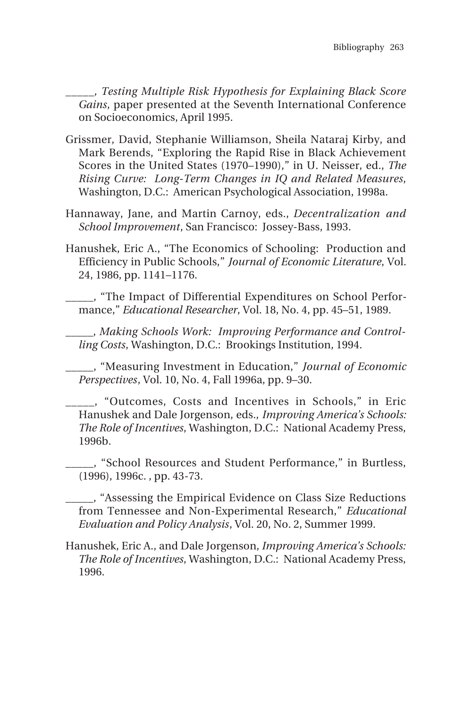\_\_\_\_\_*, Testing Multiple Risk Hypothesis for Explaining Black Score Gains*, paper presented at the Seventh International Conference on Socioeconomics, April 1995.

- Grissmer, David, Stephanie Williamson, Sheila Nataraj Kirby, and Mark Berends, "Exploring the Rapid Rise in Black Achievement Scores in the United States (1970–1990)," in U. Neisser, ed., *The Rising Curve: Long-Term Changes in IQ and Related Measures*, Washington, D.C.: American Psychological Association, 1998a.
- Hannaway, Jane, and Martin Carnoy, eds., *Decentralization and School Improvement*, San Francisco: Jossey-Bass, 1993.
- Hanushek, Eric A., "The Economics of Schooling: Production and Efficiency in Public Schools," *Journal of Economic Literature*, Vol. 24, 1986, pp. 1141–1176.
- \_\_\_\_\_, "The Impact of Differential Expenditures on School Performance," *Educational Researcher*, Vol. 18, No. 4, pp. 45–51, 1989.
	- \_\_\_\_\_, *Making Schools Work: Improving Performance and Controlling Costs*, Washington, D.C.: Brookings Institution, 1994.

\_\_\_\_\_, "Measuring Investment in Education," *Journal of Economic Perspectives*, Vol. 10, No. 4, Fall 1996a, pp. 9–30.

\_\_\_\_\_, "Outcomes, Costs and Incentives in Schools," in Eric Hanushek and Dale Jorgenson, eds., *Improving America's Schools: The Role of Incentives*, Washington, D.C.: National Academy Press, 1996b.

\_\_\_\_\_, "School Resources and Student Performance," in Burtless, (1996), 1996c. , pp. 43-73.

\_\_\_\_\_, "Assessing the Empirical Evidence on Class Size Reductions from Tennessee and Non-Experimental Research," *Educational Evaluation and Policy Analysis*, Vol. 20, No. 2, Summer 1999.

Hanushek, Eric A., and Dale Jorgenson, *Improving America's Schools: The Role of Incentives*, Washington, D.C.: National Academy Press, 1996.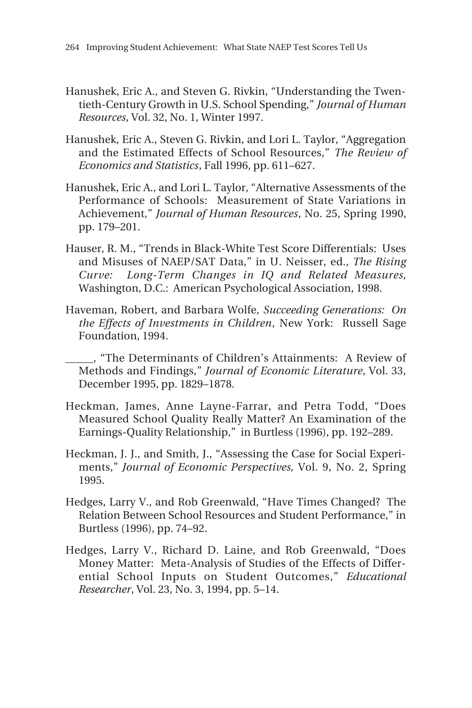- Hanushek, Eric A., and Steven G. Rivkin, "Understanding the Twentieth-Century Growth in U.S. School Spending," *Journal of Human Resources*, Vol. 32, No. 1, Winter 1997.
- Hanushek, Eric A., Steven G. Rivkin, and Lori L. Taylor, "Aggregation and the Estimated Effects of School Resources," *The Review of Economics and Statistics*, Fall 1996, pp. 611–627.
- Hanushek, Eric A., and Lori L. Taylor, "Alternative Assessments of the Performance of Schools: Measurement of State Variations in Achievement," *Journal of Human Resources*, No. 25, Spring 1990, pp. 179–201.
- Hauser, R. M., "Trends in Black-White Test Score Differentials: Uses and Misuses of NAEP/SAT Data," in U. Neisser, ed., *The Rising Curve: Long-Term Changes in IQ and Related Measures*, Washington, D.C.: American Psychological Association, 1998.
- Haveman, Robert, and Barbara Wolfe, *Succeeding Generations: On the Effects of Investments in Children*, New York: Russell Sage Foundation, 1994.
- \_\_\_\_\_, "The Determinants of Children's Attainments: A Review of Methods and Findings," *Journal of Economic Literature*, Vol. 33, December 1995, pp. 1829–1878.
- Heckman, James, Anne Layne-Farrar, and Petra Todd, "Does Measured School Quality Really Matter? An Examination of the Earnings-Quality Relationship," in Burtless (1996), pp. 192–289.
- Heckman, J. J., and Smith, J., "Assessing the Case for Social Experiments," *Journal of Economic Perspectives*, Vol. 9, No. 2, Spring 1995.
- Hedges, Larry V., and Rob Greenwald, "Have Times Changed? The Relation Between School Resources and Student Performance," in Burtless (1996), pp. 74–92.
- Hedges, Larry V., Richard D. Laine, and Rob Greenwald, "Does Money Matter: Meta-Analysis of Studies of the Effects of Differential School Inputs on Student Outcomes," *Educational Researcher*, Vol. 23, No. 3, 1994, pp. 5–14.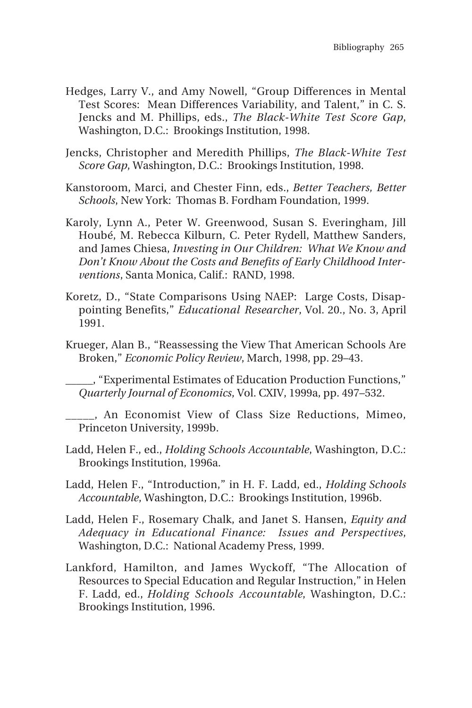- Hedges, Larry V., and Amy Nowell, "Group Differences in Mental Test Scores: Mean Differences Variability, and Talent," in C. S. Jencks and M. Phillips, eds., *The Black-White Test Score Gap*, Washington, D.C.: Brookings Institution, 1998.
- Jencks, Christopher and Meredith Phillips, *The Black-White Test Score Gap*, Washington, D.C.: Brookings Institution, 1998.
- Kanstoroom, Marci, and Chester Finn, eds., *Better Teachers, Better Schools*, New York: Thomas B. Fordham Foundation, 1999.
- Karoly, Lynn A., Peter W. Greenwood, Susan S. Everingham, Jill Houbé, M. Rebecca Kilburn, C. Peter Rydell, Matthew Sanders, and James Chiesa, *Investing in Our Children: What We Know and Don't Know About the Costs and Benefits of Early Childhood Interventions*, Santa Monica, Calif.: RAND, 1998.
- Koretz, D., "State Comparisons Using NAEP: Large Costs, Disappointing Benefits," *Educational Researcher*, Vol. 20., No. 3, April 1991.
- Krueger, Alan B., "Reassessing the View That American Schools Are Broken," *Economic Policy Review*, March, 1998, pp. 29–43.

\_\_\_\_\_, "Experimental Estimates of Education Production Functions," *Quarterly Journal of Economics*, Vol. CXIV, 1999a, pp. 497–532.

\_\_\_\_\_, An Economist View of Class Size Reductions, Mimeo, Princeton University, 1999b.

- Ladd, Helen F., ed., *Holding Schools Accountable*, Washington, D.C.: Brookings Institution, 1996a.
- Ladd, Helen F., "Introduction," in H. F. Ladd, ed., *Holding Schools Accountable*, Washington, D.C.: Brookings Institution, 1996b.
- Ladd, Helen F., Rosemary Chalk, and Janet S. Hansen, *Equity and Adequacy in Educational Finance: Issues and Perspectives*, Washington, D.C.: National Academy Press, 1999.
- Lankford, Hamilton, and James Wyckoff, "The Allocation of Resources to Special Education and Regular Instruction," in Helen F. Ladd, ed., *Holding Schools Accountable*, Washington, D.C.: Brookings Institution, 1996.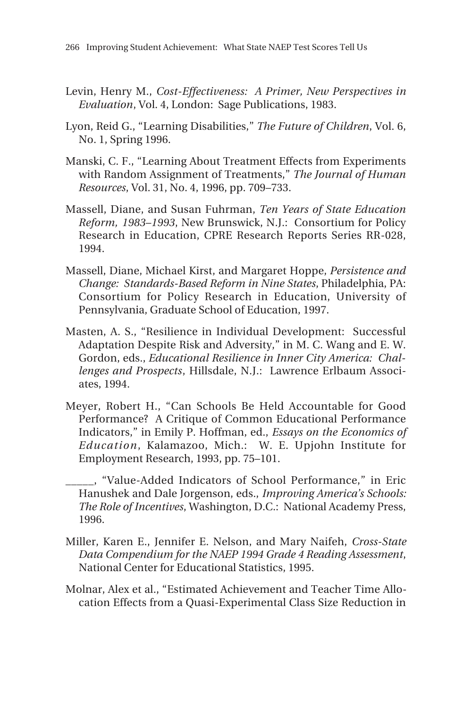- Levin, Henry M., *Cost-Effectiveness: A Primer, New Perspectives in Evaluation*, Vol. 4, London: Sage Publications, 1983.
- Lyon, Reid G., "Learning Disabilities," *The Future of Children*, Vol. 6, No. 1, Spring 1996.
- Manski, C. F., "Learning About Treatment Effects from Experiments with Random Assignment of Treatments," *The Journal of Human Resources*, Vol. 31, No. 4, 1996, pp. 709–733.
- Massell, Diane, and Susan Fuhrman, *Ten Years of State Education Reform, 1983–1993*, New Brunswick, N.J.: Consortium for Policy Research in Education, CPRE Research Reports Series RR-028, 1994.
- Massell, Diane, Michael Kirst, and Margaret Hoppe, *Persistence and Change: Standards-Based Reform in Nine States*, Philadelphia, PA: Consortium for Policy Research in Education, University of Pennsylvania, Graduate School of Education, 1997.
- Masten, A. S., "Resilience in Individual Development: Successful Adaptation Despite Risk and Adversity," in M. C. Wang and E. W. Gordon, eds., *Educational Resilience in Inner City America: Challenges and Prospects*, Hillsdale, N.J.: Lawrence Erlbaum Associates, 1994.
- Meyer, Robert H., "Can Schools Be Held Accountable for Good Performance? A Critique of Common Educational Performance Indicators," in Emily P. Hoffman, ed., *Essays on the Economics of Education*, Kalamazoo, Mich.: W. E. Upjohn Institute for Employment Research, 1993, pp. 75–101.
- \_\_\_\_\_, "Value-Added Indicators of School Performance," in Eric Hanushek and Dale Jorgenson, eds., *Improving America's Schools: The Role of Incentives*, Washington, D.C.: National Academy Press, 1996.
- Miller, Karen E., Jennifer E. Nelson, and Mary Naifeh, *Cross-State Data Compendium for the NAEP 1994 Grade 4 Reading Assessment*, National Center for Educational Statistics, 1995.
- Molnar, Alex et al., "Estimated Achievement and Teacher Time Allocation Effects from a Quasi-Experimental Class Size Reduction in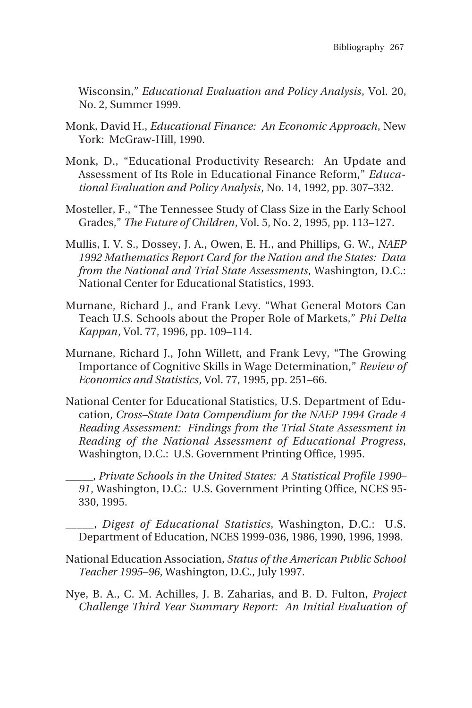Wisconsin," *Educational Evaluation and Policy Analysis*, Vol. 20, No. 2, Summer 1999.

- Monk, David H., *Educational Finance: An Economic Approach*, New York: McGraw-Hill, 1990.
- Monk, D., "Educational Productivity Research: An Update and Assessment of Its Role in Educational Finance Reform," *Educational Evaluation and Policy Analysis*, No. 14, 1992, pp. 307–332.
- Mosteller, F., "The Tennessee Study of Class Size in the Early School Grades," *The Future of Children*, Vol. 5, No. 2, 1995, pp. 113–127.
- Mullis, I. V. S., Dossey, J. A., Owen, E. H., and Phillips, G. W., *NAEP 1992 Mathematics Report Card for the Nation and the States: Data from the National and Trial State Assessments*, Washington, D.C.: National Center for Educational Statistics, 1993.
- Murnane, Richard J., and Frank Levy. "What General Motors Can Teach U.S. Schools about the Proper Role of Markets," *Phi Delta Kappan*, Vol. 77, 1996, pp. 109–114.
- Murnane, Richard J., John Willett, and Frank Levy, "The Growing Importance of Cognitive Skills in Wage Determination," *Review of Economics and Statistics*, Vol. 77, 1995, pp. 251–66.
- National Center for Educational Statistics, U.S. Department of Education, *Cross–State Data Compendium for the NAEP 1994 Grade 4 Reading Assessment: Findings from the Trial State Assessment in Reading of the National Assessment of Educational Progress*, Washington, D.C.: U.S. Government Printing Office, 1995.
- \_\_\_\_\_, *Private Schools in the United States: A Statistical Profile 1990– 91*, Washington, D.C.: U.S. Government Printing Office, NCES 95- 330, 1995.
- \_\_\_\_\_, *Digest of Educational Statistics*, Washington, D.C.: U.S. Department of Education, NCES 1999-036, 1986, 1990, 1996, 1998.
- National Education Association, *Status of the American Public School Teacher 1995–96*, Washington, D.C., July 1997.
- Nye, B. A., C. M. Achilles, J. B. Zaharias, and B. D. Fulton, *Project Challenge Third Year Summary Report: An Initial Evaluation of*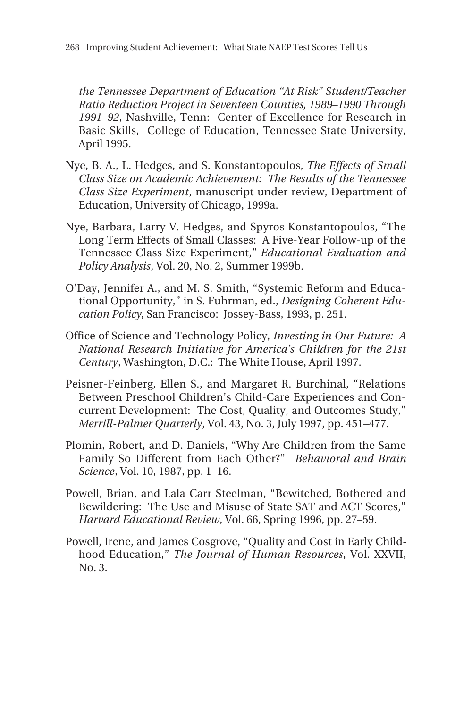*the Tennessee Department of Education "At Risk" Student/Teacher Ratio Reduction Project in Seventeen Counties, 1989–1990 Through 1991–92*, Nashville, Tenn: Center of Excellence for Research in Basic Skills, College of Education, Tennessee State University, April 1995.

- Nye, B. A., L. Hedges, and S. Konstantopoulos, *The Effects of Small Class Size on Academic Achievement: The Results of the Tennessee Class Size Experiment*, manuscript under review, Department of Education, University of Chicago, 1999a.
- Nye, Barbara, Larry V. Hedges, and Spyros Konstantopoulos, "The Long Term Effects of Small Classes: A Five-Year Follow-up of the Tennessee Class Size Experiment," *Educational Evaluation and Policy Analysis*, Vol. 20, No. 2, Summer 1999b.
- O'Day, Jennifer A., and M. S. Smith, "Systemic Reform and Educational Opportunity," in S. Fuhrman, ed., *Designing Coherent Education Policy*, San Francisco: Jossey-Bass, 1993, p. 251.
- Office of Science and Technology Policy, *Investing in Our Future: A National Research Initiative for America's Children for the 21st Century*, Washington, D.C.: The White House, April 1997.
- Peisner-Feinberg, Ellen S., and Margaret R. Burchinal, "Relations Between Preschool Children's Child-Care Experiences and Concurrent Development: The Cost, Quality, and Outcomes Study," *Merrill-Palmer Quarterly*, Vol. 43, No. 3, July 1997, pp. 451–477.
- Plomin, Robert, and D. Daniels, "Why Are Children from the Same Family So Different from Each Other?" *Behavioral and Brain Science*, Vol. 10, 1987, pp. 1–16.
- Powell, Brian, and Lala Carr Steelman, "Bewitched, Bothered and Bewildering: The Use and Misuse of State SAT and ACT Scores," *Harvard Educational Review*, Vol. 66, Spring 1996, pp. 27–59.
- Powell, Irene, and James Cosgrove, "Quality and Cost in Early Childhood Education," *The Journal of Human Resources*, Vol. XXVII, No. 3.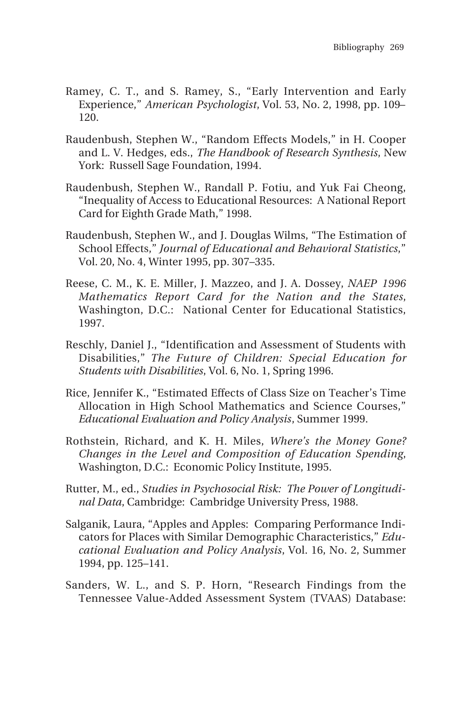- Ramey, C. T., and S. Ramey, S., "Early Intervention and Early Experience," *American Psychologist*, Vol. 53, No. 2, 1998, pp. 109– 120.
- Raudenbush, Stephen W., "Random Effects Models," in H. Cooper and L. V. Hedges, eds., *The Handbook of Research Synthesis*, New York: Russell Sage Foundation, 1994.
- Raudenbush, Stephen W., Randall P. Fotiu, and Yuk Fai Cheong, "Inequality of Access to Educational Resources: A National Report Card for Eighth Grade Math," 1998.
- Raudenbush, Stephen W., and J. Douglas Wilms, "The Estimation of School Effects," *Journal of Educational and Behavioral Statistics*," Vol. 20, No. 4, Winter 1995, pp. 307–335.
- Reese, C. M., K. E. Miller, J. Mazzeo, and J. A. Dossey, *NAEP 1996 Mathematics Report Card for the Nation and the States*, Washington, D.C.: National Center for Educational Statistics, 1997.
- Reschly, Daniel J., "Identification and Assessment of Students with Disabilities," *The Future of Children: Special Education for Students with Disabilities*, Vol. 6, No. 1, Spring 1996.
- Rice, Jennifer K., "Estimated Effects of Class Size on Teacher's Time Allocation in High School Mathematics and Science Courses," *Educational Evaluation and Policy Analysis*, Summer 1999.
- Rothstein, Richard, and K. H. Miles, *Where's the Money Gone? Changes in the Level and Composition of Education Spending*, Washington, D.C.: Economic Policy Institute, 1995.
- Rutter, M., ed., *Studies in Psychosocial Risk: The Power of Longitudinal Data*, Cambridge: Cambridge University Press, 1988.
- Salganik, Laura, "Apples and Apples: Comparing Performance Indicators for Places with Similar Demographic Characteristics," *Educational Evaluation and Policy Analysis*, Vol. 16, No. 2, Summer 1994, pp. 125–141.
- Sanders, W. L., and S. P. Horn, "Research Findings from the Tennessee Value-Added Assessment System (TVAAS) Database: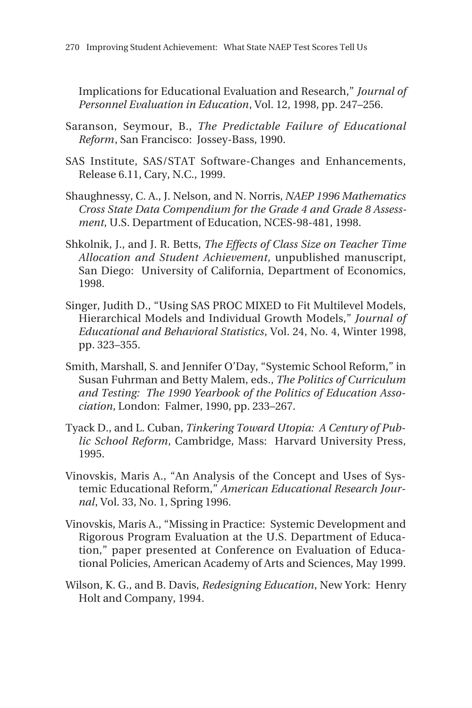Implications for Educational Evaluation and Research," *Journal of Personnel Evaluation in Education*, Vol. 12, 1998, pp. 247–256.

- Saranson, Seymour, B., *The Predictable Failure of Educational Reform*, San Francisco: Jossey-Bass, 1990.
- SAS Institute, SAS/STAT Software-Changes and Enhancements, Release 6.11, Cary, N.C., 1999.
- Shaughnessy, C. A., J. Nelson, and N. Norris, *NAEP 1996 Mathematics Cross State Data Compendium for the Grade 4 and Grade 8 Assessment*, U.S. Department of Education, NCES-98-481, 1998.
- Shkolnik, J., and J. R. Betts, *The Effects of Class Size on Teacher Time Allocation and Student Achievement*, unpublished manuscript, San Diego: University of California, Department of Economics, 1998.
- Singer, Judith D., "Using SAS PROC MIXED to Fit Multilevel Models, Hierarchical Models and Individual Growth Models," *Journal of Educational and Behavioral Statistics*, Vol. 24, No. 4, Winter 1998, pp. 323–355.
- Smith, Marshall, S. and Jennifer O'Day, "Systemic School Reform," in Susan Fuhrman and Betty Malem, eds., *The Politics of Curriculum and Testing: The 1990 Yearbook of the Politics of Education Association*, London: Falmer, 1990, pp. 233–267.
- Tyack D., and L. Cuban, *Tinkering Toward Utopia: A Century of Public School Reform*, Cambridge, Mass: Harvard University Press, 1995.
- Vinovskis, Maris A., "An Analysis of the Concept and Uses of Systemic Educational Reform," *American Educational Research Journal*, Vol. 33, No. 1, Spring 1996.
- Vinovskis, Maris A., "Missing in Practice: Systemic Development and Rigorous Program Evaluation at the U.S. Department of Education," paper presented at Conference on Evaluation of Educational Policies, American Academy of Arts and Sciences, May 1999.
- Wilson, K. G., and B. Davis, *Redesigning Education*, New York: Henry Holt and Company, 1994.